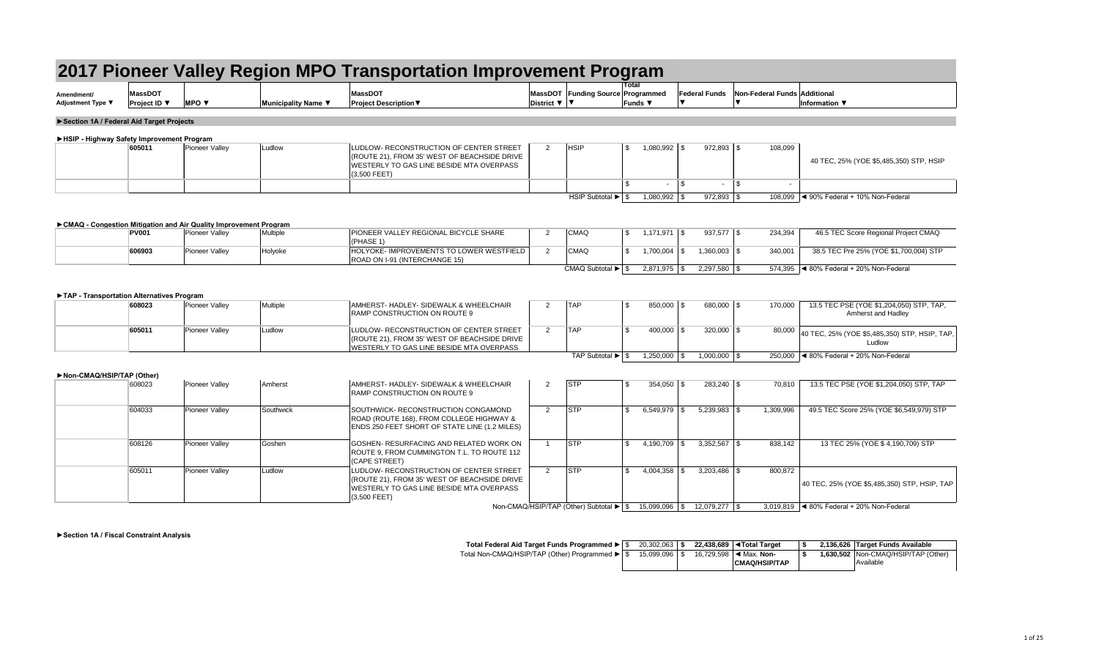| Amendment/        | <b>MassDOT</b>    |            |                    | $M$ assDOT             | <b>MassDOT</b> | <b>Funding Source</b> |
|-------------------|-------------------|------------|--------------------|------------------------|----------------|-----------------------|
| Adjustment Type ▼ | <b>Project ID</b> | <b>MPO</b> | Municipality Name∣ | ∣Proiect Description ♥ | District       |                       |

|              | <b>PUINAG</b> - CONGESTION MINIGANON AND AN QUANTY IMPROVEMENT FROGRAM |          |                                                                           |                 |           |                         |         |                                            |
|--------------|------------------------------------------------------------------------|----------|---------------------------------------------------------------------------|-----------------|-----------|-------------------------|---------|--------------------------------------------|
| <b>PV001</b> | Pioneer Valley                                                         | Multiple | <b>PIONEER VALLEY REGIONAL BICYCLE SHARE</b>                              | CMAQ            | 1,171,971 | $937.577$ $\frac{8}{3}$ | 234,394 | 46.5 TEC Score Regional Project CMAQ       |
|              |                                                                        |          | 'PHASE 1)                                                                 |                 |           |                         |         |                                            |
| 606903       | Pioneer Valley                                                         | Holyoke  | HOLYOKE- IMPROVEMENTS TO LOWER WESTFIELD<br>ROAD ON I-91 (INTERCHANGE 15) | <b>CMAQ</b>     | ,700,004  | $,360,003$ \ \$         | 340,001 | 38.5 TEC Pre 25% (YOE \$1,700,004) STP     |
|              |                                                                        |          |                                                                           | CMAQ Subtotal ▶ | 2,871,975 | 2,297,580               |         | $574,395$  ◀ 80% Federal + 20% Non-Federal |

| gram                       |                                            |                                  |
|----------------------------|--------------------------------------------|----------------------------------|
| <b>Total</b>               |                                            |                                  |
| e Programmed               | Federal Funds Non-Federal Funds Additional |                                  |
| Funds $\blacktriangledown$ |                                            | Information $\blacktriangledown$ |
|                            |                                            |                                  |

| 605011 | <b>Pioneer Valley</b> | ∟udlow | LUDLOW- RECONSTRUCTION OF CENTER STREET<br>$ $ (ROUTE 21), FROM 35' WEST OF BEACHSIDE DRIVE<br>WESTERLY TO GAS LINE BESIDE MTA OVERPASS<br>$(3,500$ FEET) | <b>HSIF</b>                                   | 1,080,992 | $972,893$ \$ | 108,099 | 40 TEC, 25% (YOE \$5,485,350) STP, HSIP                      |
|--------|-----------------------|--------|-----------------------------------------------------------------------------------------------------------------------------------------------------------|-----------------------------------------------|-----------|--------------|---------|--------------------------------------------------------------|
|        |                       |        |                                                                                                                                                           |                                               |           |              |         |                                                              |
|        |                       |        |                                                                                                                                                           | HSIP Subtotal $\blacktriangleright$ $\mid$ \$ | 1,080,992 | $972,893$ \. |         | $108,099$ $\blacktriangleleft$ 90% Federal + 10% Non-Federal |

| 608023 | <b>Pioneer Valley</b> | Multiple | AMHERST- HADLEY- SIDEWALK & WHEELCHAIR<br><b>RAMP CONSTRUCTION ON ROUTE 9</b>                                                              | <b>TAF</b>     | 850,000   | $680,000$ \$ | 170,000 | 13.5 TEC PSE (YOE \$1,204,050) STP, TAP,<br>Amherst and Hadley |
|--------|-----------------------|----------|--------------------------------------------------------------------------------------------------------------------------------------------|----------------|-----------|--------------|---------|----------------------------------------------------------------|
| 605011 | <b>Pioneer Valley</b> | _udlow   | LUDLOW- RECONSTRUCTION OF CENTER STREET<br>(ROUTE 21), FROM 35' WEST OF BEACHSIDE DRIVE<br><b>WESTERLY TO GAS LINE BESIDE MTA OVERPASS</b> | <b>TAF</b>     | 400,000   | $320,000$ \$ | 80,000  | 40 TEC, 25% (YOE \$5,485,350) STP, HSIP, TAP,<br>Ludlow        |
|        |                       |          |                                                                                                                                            | TAP Subtotal ▶ | 1,250,000 | ,000,000     |         | 250,000 $\blacktriangleleft$ 80% Federal + 20% Non-Federal     |

|  | 20,302,063 | $\overline{\phantom{a}}$ | 22,438,689 $\sqrt{\phantom{a}}$ Total Target |  | 2,136,626 Target Funds Available      |
|--|------------|--------------------------|----------------------------------------------|--|---------------------------------------|
|  | 15,099,096 | l \$                     | 16,729,598 $\blacktriangleleft$ Max. Non-    |  | 1,630,502   Non-CMAQ/HSIP/TAP (Other) |
|  |            |                          | CMAQ/HSIP/TAP                                |  | Available                             |

| Non-CMAQ/HSIP/TAP (Other) |        |                       |           |                                                                                                                                                       |                                        |                  |                  |           |                                                              |
|---------------------------|--------|-----------------------|-----------|-------------------------------------------------------------------------------------------------------------------------------------------------------|----------------------------------------|------------------|------------------|-----------|--------------------------------------------------------------|
|                           | 608023 | <b>Pioneer Valley</b> | Amherst   | AMHERST- HADLEY- SIDEWALK & WHEELCHAIR<br><b>RAMP CONSTRUCTION ON ROUTE 9</b>                                                                         | <b>STP</b>                             | $354,050$ \\$    | $283,240$ \$     | 70,810    | 13.5 TEC PSE (YOE \$1,204,050) STP, TAP                      |
|                           | 604033 | <b>Pioneer Valley</b> | Southwick | SOUTHWICK- RECONSTRUCTION CONGAMOND<br>ROAD (ROUTE 168), FROM COLLEGE HIGHWAY &<br><b>ENDS 250 FEET SHORT OF STATE LINE (1.2 MILES)</b>               | STP                                    | 6,549,979        | $5,239,983$ \$   | 1,309,996 | 49.5 TEC Score 25% (YOE \$6,549,979) STP                     |
|                           | 608126 | <b>Pioneer Valley</b> | Goshen    | GOSHEN- RESURFACING AND RELATED WORK ON<br>ROUTE 9, FROM CUMMINGTON T.L. TO ROUTE 112<br>(CAPE STREET)                                                | <b>STP</b>                             | 4,190,709        | $3,352,567$ \\$  | 838,142   | 13 TEC 25% (YOE \$4,190,709) STP                             |
|                           | 605011 | <b>Pioneer Valley</b> | Ludlow    | LUDLOW- RECONSTRUCTION OF CENTER STREET<br>(ROUTE 21), FROM 35' WEST OF BEACHSIDE DRIVE<br>WESTERLY TO GAS LINE BESIDE MTA OVERPASS<br>$(3,500$ FEET) | <b>STP</b>                             | 4,004,358        |                  | 800,872   | 40 TEC, 25% (YOE \$5,485,350) STP, HSIP, TAP                 |
|                           |        |                       |           |                                                                                                                                                       | Non-CMAQ/HSIP/TAP (Other) Subtotal ▶ S | $15,099,096$ \\$ | $12,079,277$ \\$ |           | 3,019,819 $\blacktriangleleft$ 80% Federal + 20% Non-Federal |

### **►Section 1A / Federal Aid Target Projects**

### **►HSIP - Highway Safety Improvement Program**

### **►CMAQ - Congestion Mitigation and Air Quality Improvement Program**

### **►TAP - Transportation Alternatives Program**

**►Section 1A / Fiscal Constraint Analysis**

**Total Federal Aid Target Funds Programmed ►** Total Non-CMAQ/HSIP/TAP (Other) Programmed ►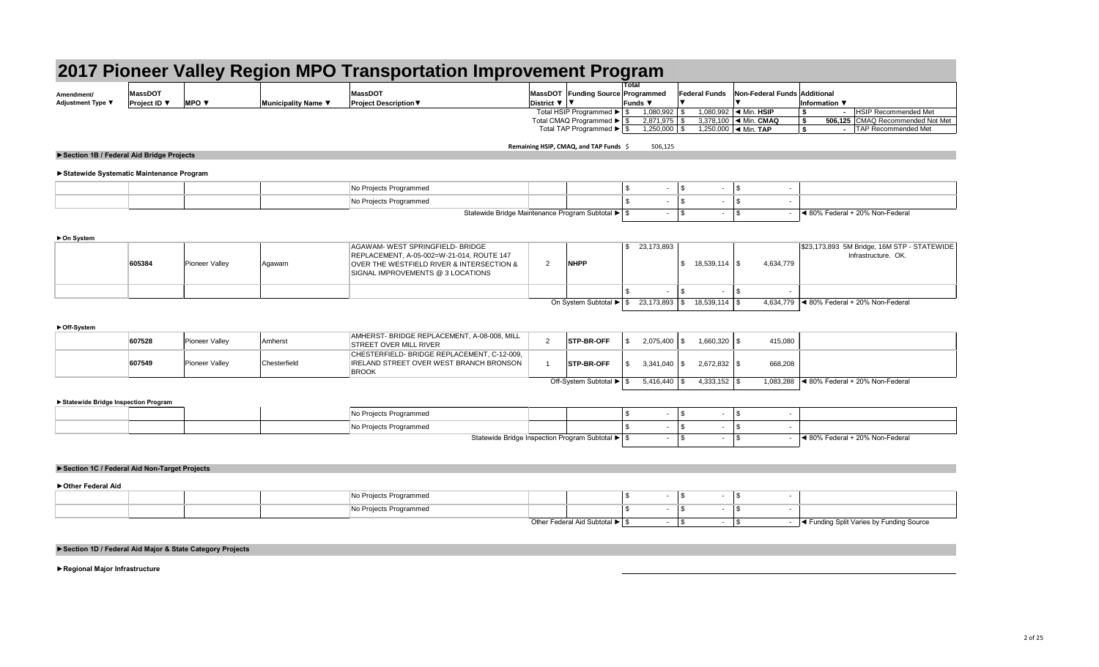**►Statewide Systematic Maintenance Program**

**►On System**

|                                        |                                |                          |                     |                                                | 2017 Pioneer Valley Region MPO Transportation Improvement Program |                                     |                                                   |                                  |                                  |
|----------------------------------------|--------------------------------|--------------------------|---------------------|------------------------------------------------|-------------------------------------------------------------------|-------------------------------------|---------------------------------------------------|----------------------------------|----------------------------------|
| Amendment/<br><b>Adjustment Type ▼</b> | <b>MassDOT</b><br>Project ID ▼ | MPO $\blacktriangledown$ | Municipality Name ▼ | <b>MassDOT</b><br><b>Project Description ▼</b> | MassDOT Funding Source Programmed<br>District $\nabla$   $\nabla$ | Total<br>Funds $\blacktriangledown$ | <b>Federal Funds</b> Non-Federal Funds Additional | Information $\blacktriangledown$ |                                  |
|                                        |                                |                          |                     |                                                | Total HSIP Programmed $\blacktriangleright$ $\mid$ \$             | 1,080,992                           | 1,080,992 $\blacktriangleleft$ Min. HSIP          |                                  | <b>HSIP Recommended Met</b>      |
|                                        |                                |                          |                     |                                                | Total CMAQ Programmed ▶ S                                         | $2,871,975$                         | 3,378,100 $\blacktriangleleft$ Min. CMAQ          |                                  | 506,125 CMAQ Recommended Not Met |
|                                        |                                |                          |                     |                                                | Total TAP Programmed $\blacktriangleright$ $\mid$ \$              |                                     | 1,250,000 $\blacktriangleleft$ Min. TAP           |                                  | <b>TAP Recommended Met</b>       |

**Remaining HSIP, CMAQ, and TAP Funds** \$ 506,125

### **►Off-System**

|  | . Proiects Programmer′ |                                                                                               |  |  |                                 |
|--|------------------------|-----------------------------------------------------------------------------------------------|--|--|---------------------------------|
|  | Projects Programmed    |                                                                                               |  |  |                                 |
|  |                        | Statewide Bridge Maintenance Program Subtotal ▶ Statewide Bridge Maintenance Program Subtotal |  |  | ◀ 80% Federal + 20% Non-Federal |

### **►Statewide Bridge Inspection Program**

| 607528 | <b>Pioneer Valley</b> | Amherst      | AMHERST- BRIDGE REPLACEMENT, A-08-008, MILL<br><b>STREET OVER MILL RIVER</b>                                  | <b>STP-BR-OFF</b>       |           | 2,075,400 | $1,660,320$ \ \$ | 415,080                                           |
|--------|-----------------------|--------------|---------------------------------------------------------------------------------------------------------------|-------------------------|-----------|-----------|------------------|---------------------------------------------------|
| 607549 | <b>Pioneer Valley</b> | Chesterfield | CHESTERFIELD- BRIDGE REPLACEMENT, C-12-009,<br><b>IRELAND STREET OVER WEST BRANCH BRONSON</b><br><b>BROOK</b> | <b>STP-BR-OFF</b>       | 3,341,040 |           | $2,672,832$ \$   | 668,208                                           |
|        |                       |              |                                                                                                               | Off-System Subtotal ▶ S | 5,416,440 |           | $4,333,152$ \\$  | 1,083,288 $\vert$ ◀ 80% Federal + 20% Non-Federal |

| 605384 | <b>Pioneer Valley</b> | Agawam | AGAWAM- WEST SPRINGFIELD- BRIDGE<br>REPLACEMENT, A-05-002=W-21-014, ROUTE 147<br>OVER THE WESTFIELD RIVER & INTERSECTION &<br>SIGNAL IMPROVEMENTS @ 3 LOCATIONS | <b>NHPP</b>            | 23,173,893 | $18,539,114$ \$  | 4,634,779 | \$23,173,893 5M Bridge, 16M STP - STATEWIDE<br>Infrastructure. OK. |
|--------|-----------------------|--------|-----------------------------------------------------------------------------------------------------------------------------------------------------------------|------------------------|------------|------------------|-----------|--------------------------------------------------------------------|
|        |                       |        |                                                                                                                                                                 |                        |            |                  |           |                                                                    |
|        |                       |        |                                                                                                                                                                 | On System Subtotal ▶ S |            | $18,539,114$ \\$ |           | 4,634,779 $ $ ◀ 80% Federal + 20% Non-Federal                      |

## **►Section 1B / Federal Aid Bridge Projects**

|  | Projects Programmed                                 |  |  |  |                                 |
|--|-----------------------------------------------------|--|--|--|---------------------------------|
|  | o Projects Programmed                               |  |  |  |                                 |
|  | Statewide Bridge Inspection Program Subtotal ▶   \$ |  |  |  | ◀ 80% Federal + 20% Non-Federal |

|  | No Projects Programmed |                                                    |  |  |  |                                                       |
|--|------------------------|----------------------------------------------------|--|--|--|-------------------------------------------------------|
|  | No Projects Programmed |                                                    |  |  |  |                                                       |
|  |                        | $Other$ Eadaral Aid Subtotal $\blacktriangleright$ |  |  |  | <sub>⊥</sub> ◀ Funding Split Varies by Funding Source |

### **►Section 1C / Federal Aid Non-Target Projects**

**►Other Federal Aid**

## **►Section 1D / Federal Aid Major & State Category Projects**

**►Regional Major Infrastructure**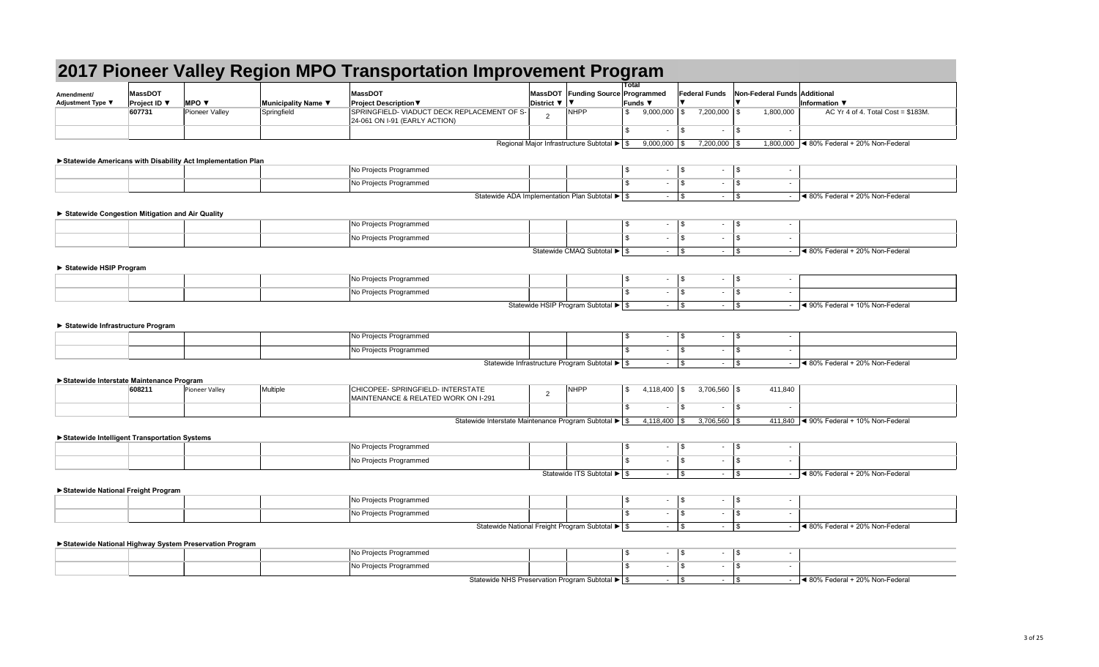| Amendment/<br>Adjustment Type ▼ | <b>MassDOT</b><br><b>Project ID</b> $\blacktriangledown$ | <b>IMPO V</b>  | Municipality Name ▼ | <b>MassDOT</b><br><b>Project Description <math>\nabla</math></b>                | District $\nabla$   $\nabla$ | MassDOT Funding Source |
|---------------------------------|----------------------------------------------------------|----------------|---------------------|---------------------------------------------------------------------------------|------------------------------|------------------------|
|                                 | 607731                                                   | Pioneer Valley | Springfield         | SPRINGFIELD- VIADUCT DECK REPLACEMENT OF S-<br>$ 24-061$ ON I-91 (EARLY ACTION) |                              | NHPP                   |
|                                 |                                                          |                |                     |                                                                                 |                              |                        |

|                                                 |                     |                                                             |                     | 2017 Pioneer Valley Region MPO Transportation Improvement Program                          |                                                                 | <b>Total</b>             |                              |                                        |                                                            |
|-------------------------------------------------|---------------------|-------------------------------------------------------------|---------------------|--------------------------------------------------------------------------------------------|-----------------------------------------------------------------|--------------------------|------------------------------|----------------------------------------|------------------------------------------------------------|
| Amendment/                                      | <b>MassDOT</b>      |                                                             |                     | <b>MassDOT</b>                                                                             | MassDOT Funding Source Programmed                               |                          | <b>Federal Funds</b>         | Non-Federal Funds Additional           |                                                            |
| Adjustment Type ▼                               | <b>Project ID</b> ▼ | <b>MPO ▼</b>                                                | Municipality Name ▼ | District ▼<br><b>Project Description ▼</b>                                                 |                                                                 | Funds ▼                  |                              |                                        | Information $\blacktriangledown$                           |
|                                                 | 607731              | <b>Pioneer Valley</b>                                       | Springfield         | SPRINGFIELD- VIADUCT DECK REPLACEMENT OF S-<br>2<br>24-061 ON I-91 (EARLY ACTION)          | <b>NHPP</b>                                                     | $9,000,000$ \\$          | 7,200,000                    | 1,800,000<br>l Si                      | AC Yr 4 of 4. Total Cost = $$183M$ .                       |
|                                                 |                     |                                                             |                     |                                                                                            |                                                                 | $\mathfrak{S}$<br>$\sim$ | $\vert$ \$<br>$\blacksquare$ | $\frac{1}{2}$<br>$\sim$                |                                                            |
|                                                 |                     |                                                             |                     | Regional Major Infrastructure Subtotal $\blacktriangleright$ $\mid$ \$                     |                                                                 | $9,000,000$ \\$          | $7,200,000$ \ \$             |                                        | 1,800,000  ◀ 80% Federal + 20% Non-Federal                 |
|                                                 |                     | Statewide Americans with Disability Act Implementation Plan |                     |                                                                                            |                                                                 |                          |                              |                                        |                                                            |
|                                                 |                     |                                                             |                     | No Projects Programmed                                                                     |                                                                 | \$                       |                              | $\overline{\phantom{a}}$               |                                                            |
|                                                 |                     |                                                             |                     | No Projects Programmed                                                                     |                                                                 | $\sim$                   | $\vert$ \$<br>$\sim$         | $\vert$ \$<br>$\overline{\phantom{a}}$ |                                                            |
|                                                 |                     |                                                             |                     | Statewide ADA Implementation Plan Subtotal $\blacktriangleright$ $\mid$ \$                 |                                                                 |                          |                              |                                        | $\vert$ < 80% Federal + 20% Non-Federal                    |
|                                                 |                     |                                                             |                     |                                                                                            |                                                                 |                          |                              |                                        |                                                            |
| Statewide Congestion Mitigation and Air Quality |                     |                                                             |                     | No Projects Programmed                                                                     |                                                                 | \$                       | $\vert$ \$<br>$\sim$         | $\vert$ \$<br>$\overline{\phantom{a}}$ |                                                            |
|                                                 |                     |                                                             |                     | No Projects Programmed                                                                     |                                                                 | $\sim$                   | $\vert$ \$<br>$\blacksquare$ | <b>S</b><br>$\overline{\phantom{a}}$   |                                                            |
|                                                 |                     |                                                             |                     |                                                                                            |                                                                 |                          |                              |                                        |                                                            |
|                                                 |                     |                                                             |                     |                                                                                            | Statewide CMAQ Subtotal ▶ \$                                    |                          |                              |                                        | Sol% Federal + 20% Non-Federal                             |
| Statewide HSIP Program                          |                     |                                                             |                     |                                                                                            |                                                                 |                          |                              |                                        |                                                            |
|                                                 |                     |                                                             |                     | No Projects Programmed                                                                     |                                                                 | - \$<br>$\sim$           | \$<br>$\sim$                 | $\frac{1}{3}$<br>$\blacksquare$        |                                                            |
|                                                 |                     |                                                             |                     | No Projects Programmed                                                                     |                                                                 |                          | l \$<br>$\sim$               | <b>S</b><br>$\sim$                     |                                                            |
|                                                 |                     |                                                             |                     |                                                                                            | Statewide HSIP Program Subtotal $\blacktriangleright$ $\mid$ \$ |                          |                              | $\sim$                                 | ◀ 90% Federal + 10% Non-Federal                            |
|                                                 |                     |                                                             |                     |                                                                                            |                                                                 |                          |                              |                                        |                                                            |
| Statewide Infrastructure Program                |                     |                                                             |                     |                                                                                            |                                                                 |                          |                              |                                        |                                                            |
|                                                 |                     |                                                             |                     | No Projects Programmed                                                                     |                                                                 | - \$                     | $\sqrt{3}$<br>$\sim$         | $\vert$ \$<br>$\overline{\phantom{a}}$ |                                                            |
|                                                 |                     |                                                             |                     | No Projects Programmed                                                                     |                                                                 | $\sim$                   | l \$<br>$\sim$               | <b>\$</b><br>$\overline{\phantom{a}}$  |                                                            |
|                                                 |                     |                                                             |                     | Statewide Infrastructure Program Subtotal ▶   \$                                           |                                                                 |                          | $\sqrt{3}$                   |                                        | ◀ 80% Federal + 20% Non-Federal                            |
| Statewide Interstate Maintenance Program        |                     |                                                             |                     |                                                                                            |                                                                 |                          |                              |                                        |                                                            |
|                                                 | 608211              | Pioneer Valley                                              | Multiple            | CHICOPEE- SPRINGFIELD- INTERSTATE<br>$\overline{2}$<br>MAINTENANCE & RELATED WORK ON I-291 | <b>NHPP</b>                                                     | $4,118,400$ \\$          | $3,706,560$ \ \$             | 411,840                                |                                                            |
|                                                 |                     |                                                             |                     |                                                                                            |                                                                 | \$<br>$\sim$             | l \$<br>$\sim$               | $\vert$ \$<br>$\sim$                   |                                                            |
|                                                 |                     |                                                             |                     | Statewide Interstate Maintenance Program Subtotal $\blacktriangleright$ $\mid$ \$          |                                                                 | $4,118,400$ \\$          | $3,706,560$ \ \$             |                                        | 411,840 $\blacktriangleleft$ 90% Federal + 10% Non-Federal |
| ▶ Statewide Intelligent Transportation Systems  |                     |                                                             |                     |                                                                                            |                                                                 |                          |                              |                                        |                                                            |
|                                                 |                     |                                                             |                     | No Projects Programmed                                                                     |                                                                 | \$<br>$\sim$             | $\vert$ \$<br>$\sim$         | $\vert$ \$<br>$\overline{\phantom{a}}$ |                                                            |
|                                                 |                     |                                                             |                     | No Projects Programmed                                                                     |                                                                 | ٠                        | $\vert$ \$<br>$\sim$         | $\vert$ \$<br>$\overline{\phantom{a}}$ |                                                            |
|                                                 |                     |                                                             |                     |                                                                                            | Statewide ITS Subtotal $\blacktriangleright$ $\mid$ \$          |                          |                              | $\sim$                                 | $\vert$ < 80% Federal + 20% Non-Federal                    |
|                                                 |                     |                                                             |                     |                                                                                            |                                                                 |                          |                              |                                        |                                                            |
| Statewide National Freight Program              |                     |                                                             |                     | No Projects Programmed                                                                     |                                                                 | \$<br>$\sim$             | $\vert$ \$<br>٠.             | $\sqrt{S}$<br>$\overline{\phantom{a}}$ |                                                            |
|                                                 |                     |                                                             |                     | No Projects Programmed                                                                     |                                                                 |                          | $\vert$ \$<br>$\blacksquare$ | $\sqrt{3}$<br>$\sim$                   |                                                            |
|                                                 |                     |                                                             |                     |                                                                                            |                                                                 |                          |                              |                                        |                                                            |
|                                                 |                     |                                                             |                     | Statewide National Freight Program Subtotal $\blacktriangleright$ \$                       |                                                                 | $-1$ \$                  |                              |                                        | $\sim$ 4 80% Federal + 20% Non-Federal                     |
|                                                 |                     | Statewide National Highway System Preservation Program      |                     |                                                                                            |                                                                 |                          |                              |                                        |                                                            |
|                                                 |                     |                                                             |                     | No Projects Programmed                                                                     |                                                                 | \$                       | $-$ \$                       | $\overline{\phantom{a}}$               |                                                            |
|                                                 |                     |                                                             |                     | No Projects Programmed                                                                     |                                                                 | $\sim$                   | $\vert$ \$<br>$\sim$         | $\vert$ \$<br>$\overline{\phantom{a}}$ |                                                            |
|                                                 |                     |                                                             |                     | Statewide NHS Preservation Program Subtotal $\blacktriangleright$ \$                       |                                                                 |                          |                              |                                        | $\blacktriangleleft$ 80% Federal + 20% Non-Federal         |

|                                                 |                        |                                                             |                                    | 2017 Pioneer Valley Region MPO Transportation Improvement Program           |                |                                                                                          | <b>Total</b>   |                             |                           |                  |                                           |                                                            |
|-------------------------------------------------|------------------------|-------------------------------------------------------------|------------------------------------|-----------------------------------------------------------------------------|----------------|------------------------------------------------------------------------------------------|----------------|-----------------------------|---------------------------|------------------|-------------------------------------------|------------------------------------------------------------|
| Amendment/                                      | <b>MassDOT</b>         |                                                             |                                    | <b>MassDOT</b>                                                              |                | MassDOT Funding Source Programmed                                                        |                |                             | <b>Federal Funds</b>      |                  | Non-Federal Funds Additional              |                                                            |
| Adjustment Type ▼                               | Project ID ▼<br>607731 | <b>MPO</b> $\blacktriangledown$<br>Pioneer Valley           | Municipality Name ▼<br>Springfield | <b>Project Description ▼</b><br>SPRINGFIELD- VIADUCT DECK REPLACEMENT OF S- | District ▼     | NHPP                                                                                     | \$             | <b>Funds ▼</b><br>9,000,000 |                           | $7,200,000$ \ \$ | 1,800,000                                 | Information $\Psi$<br>AC Yr 4 of 4. Total Cost = $$183M$ . |
|                                                 |                        |                                                             |                                    | $ 24-061$ ON I-91 (EARLY ACTION)                                            | 2              |                                                                                          |                |                             |                           |                  |                                           |                                                            |
|                                                 |                        |                                                             |                                    |                                                                             |                |                                                                                          | $\mathfrak{S}$ |                             | $\mathfrak{F}$            | $\sim$           | $\vert$ \$<br>$\sim$                      |                                                            |
|                                                 |                        |                                                             |                                    |                                                                             |                | Regional Major Infrastructure Subtotal $\blacktriangleright$ $\mid$ \$                   |                | $9,000,000$ \\$             |                           | $7,200,000$ \ \$ |                                           | 1,800,000  ◀ 80% Federal + 20% Non-Federal                 |
|                                                 |                        | Statewide Americans with Disability Act Implementation Plan |                                    |                                                                             |                |                                                                                          |                |                             |                           |                  |                                           |                                                            |
|                                                 |                        |                                                             |                                    | No Projects Programmed                                                      |                |                                                                                          | \$             | $\sim$                      | $\sqrt{3}$                |                  | $\blacksquare$                            |                                                            |
|                                                 |                        |                                                             |                                    | No Projects Programmed                                                      |                |                                                                                          | \$             |                             | $\sqrt{3}$                | $\sim$           | $\sqrt{3}$<br>$\overline{\phantom{a}}$    |                                                            |
|                                                 |                        |                                                             |                                    | Statewide ADA Implementation Plan Subtotal $\blacktriangleright$ $\mid$ \$  |                |                                                                                          |                | $-$ \$                      |                           |                  |                                           | $\blacktriangleleft$ 80% Federal + 20% Non-Federal         |
|                                                 |                        |                                                             |                                    |                                                                             |                |                                                                                          |                |                             |                           |                  |                                           |                                                            |
| Statewide Congestion Mitigation and Air Quality |                        |                                                             |                                    |                                                                             |                |                                                                                          |                |                             |                           |                  |                                           |                                                            |
|                                                 |                        |                                                             |                                    | No Projects Programmed                                                      |                |                                                                                          | \$             |                             | $\sqrt{3}$                | $\sim$           | $\frac{1}{2}$<br>$\overline{\phantom{a}}$ |                                                            |
|                                                 |                        |                                                             |                                    | No Projects Programmed                                                      |                |                                                                                          | -\$            |                             | \$                        | $\sim$           | \$<br>$\overline{\phantom{a}}$            |                                                            |
|                                                 |                        |                                                             |                                    |                                                                             |                | Statewide CMAQ Subtotal ▶ \$                                                             |                |                             |                           |                  |                                           | $\blacktriangleleft$ 80% Federal + 20% Non-Federal         |
| Statewide HSIP Program                          |                        |                                                             |                                    |                                                                             |                |                                                                                          |                |                             |                           |                  |                                           |                                                            |
|                                                 |                        |                                                             |                                    | No Projects Programmed                                                      |                |                                                                                          | -\$            | ٠                           | \$                        | $\sim$           | $\frac{1}{2}$<br>$\overline{\phantom{a}}$ |                                                            |
|                                                 |                        |                                                             |                                    | No Projects Programmed                                                      |                |                                                                                          | \$             |                             | \$                        | $\sim$           | l \$<br>$\blacksquare$                    |                                                            |
|                                                 |                        |                                                             |                                    |                                                                             |                | Statewide HSIP Program Subtotal ▶ \$                                                     |                |                             |                           |                  |                                           | ◀ 90% Federal + 10% Non-Federal                            |
|                                                 |                        |                                                             |                                    |                                                                             |                |                                                                                          |                |                             |                           |                  |                                           |                                                            |
| Statewide Infrastructure Program                |                        |                                                             |                                    |                                                                             |                |                                                                                          |                |                             |                           |                  |                                           |                                                            |
|                                                 |                        |                                                             |                                    | No Projects Programmed                                                      |                |                                                                                          | \$             |                             | \$                        | $\sim$           | $\sqrt{3}$<br>$\overline{\phantom{a}}$    |                                                            |
|                                                 |                        |                                                             |                                    | No Projects Programmed                                                      |                |                                                                                          | \$.            | ٠                           | \$                        | $\sim$           | l \$<br>$\blacksquare$                    |                                                            |
|                                                 |                        |                                                             |                                    |                                                                             |                | Statewide Infrastructure Program Subtotal $\blacktriangleright$ $\blacktriangleright$ \$ |                |                             | $\boldsymbol{\mathsf{S}}$ |                  |                                           | ◀ 80% Federal + 20% Non-Federal                            |
|                                                 |                        |                                                             |                                    |                                                                             |                |                                                                                          |                |                             |                           |                  |                                           |                                                            |
| Statewide Interstate Maintenance Program        | 608211                 | Pioneer Valley                                              | Multiple                           | CHICOPEE- SPRINGFIELD- INTERSTATE                                           |                | NHPP                                                                                     | -\$            | $4,118,400$ \ \$            |                           | $3,706,560$ \$   | 411,840                                   |                                                            |
|                                                 |                        |                                                             |                                    | MAINTENANCE & RELATED WORK ON I-291                                         | $\overline{2}$ |                                                                                          |                |                             |                           |                  |                                           |                                                            |
|                                                 |                        |                                                             |                                    |                                                                             |                |                                                                                          | \$             |                             | \$                        | $\sim$           | $\vert$ \$<br>$\sim$                      |                                                            |
|                                                 |                        |                                                             |                                    | Statewide Interstate Maintenance Program Subtotal ▶ \$                      |                |                                                                                          |                | $4,118,400$ \ \$            |                           | $3,706,560$ \ \$ |                                           | 411,840 $\blacktriangleleft$ 90% Federal + 10% Non-Federal |
| ▶ Statewide Intelligent Transportation Systems  |                        |                                                             |                                    |                                                                             |                |                                                                                          |                |                             |                           |                  |                                           |                                                            |
|                                                 |                        |                                                             |                                    | No Projects Programmed                                                      |                |                                                                                          | \$             | $\sim$                      | $\sqrt{3}$                | $\sim$           | $\frac{1}{3}$<br>$\overline{\phantom{a}}$ |                                                            |
|                                                 |                        |                                                             |                                    | No Projects Programmed                                                      |                |                                                                                          |                |                             |                           | $\sim$           | \$<br>$\overline{\phantom{a}}$            |                                                            |
|                                                 |                        |                                                             |                                    |                                                                             |                | Statewide ITS Subtotal ▶ \$                                                              |                |                             |                           |                  | $\sim$                                    | $\blacktriangleleft$ 80% Federal + 20% Non-Federal         |
|                                                 |                        |                                                             |                                    |                                                                             |                |                                                                                          |                |                             |                           |                  |                                           |                                                            |
| Statewide National Freight Program              |                        |                                                             |                                    | No Projects Programmed                                                      |                |                                                                                          | \$             |                             | $\sqrt{3}$                |                  | $\frac{1}{3}$                             |                                                            |
|                                                 |                        |                                                             |                                    |                                                                             |                |                                                                                          |                | н.                          |                           | $\sim$           | $\overline{\phantom{a}}$                  |                                                            |
|                                                 |                        |                                                             |                                    | No Projects Programmed                                                      |                |                                                                                          | \$             |                             | \$                        | ۰                | \$<br>$\overline{\phantom{a}}$            |                                                            |
|                                                 |                        |                                                             |                                    | Statewide National Freight Program Subtotal $\blacktriangleright$ \$        |                |                                                                                          |                |                             |                           |                  | $\sim$                                    | $\leq$ 80% Federal + 20% Non-Federal                       |
|                                                 |                        | Statewide National Highway System Preservation Program      |                                    |                                                                             |                |                                                                                          |                |                             |                           |                  |                                           |                                                            |
|                                                 |                        |                                                             |                                    | No Projects Programmed                                                      |                |                                                                                          | \$             | $\sim$                      | $\sqrt{3}$                |                  | $\blacksquare$                            |                                                            |
|                                                 |                        |                                                             |                                    | No Projects Programmed                                                      |                |                                                                                          | .ፍ             | $\sim$                      | \$                        | $\sim$           | $\sqrt{3}$<br>$\overline{\phantom{a}}$    |                                                            |
|                                                 |                        |                                                             |                                    | Statewide NHS Preservation Program Subtotal ▶ \$                            |                |                                                                                          |                | $ \sqrt{S}$                 |                           |                  |                                           | $\leq$ 80% Federal + 20% Non-Federal                       |

|                                                 |                        |                                                             |                                    | 2017 Pioneer Valley Region MPO Transportation Improvement Program           |                |                                                                                          | <b>Total</b>   |                             |                           |                  |                                           |                                                            |
|-------------------------------------------------|------------------------|-------------------------------------------------------------|------------------------------------|-----------------------------------------------------------------------------|----------------|------------------------------------------------------------------------------------------|----------------|-----------------------------|---------------------------|------------------|-------------------------------------------|------------------------------------------------------------|
| Amendment/                                      | <b>MassDOT</b>         |                                                             |                                    | <b>MassDOT</b>                                                              |                | MassDOT Funding Source Programmed                                                        |                |                             | <b>Federal Funds</b>      |                  | Non-Federal Funds Additional              |                                                            |
| Adjustment Type ▼                               | Project ID ▼<br>607731 | <b>MPO</b> $\blacktriangledown$<br>Pioneer Valley           | Municipality Name ▼<br>Springfield | <b>Project Description ▼</b><br>SPRINGFIELD- VIADUCT DECK REPLACEMENT OF S- | District ▼     | NHPP                                                                                     | \$             | <b>Funds ▼</b><br>9,000,000 |                           | $7,200,000$ \ \$ | 1,800,000                                 | Information $\Psi$<br>AC Yr 4 of 4. Total Cost = $$183M$ . |
|                                                 |                        |                                                             |                                    | $ 24-061$ ON I-91 (EARLY ACTION)                                            | 2              |                                                                                          |                |                             |                           |                  |                                           |                                                            |
|                                                 |                        |                                                             |                                    |                                                                             |                |                                                                                          | $\mathfrak{S}$ |                             | $\mathfrak{F}$            | $\sim$           | $\vert$ \$<br>$\sim$                      |                                                            |
|                                                 |                        |                                                             |                                    |                                                                             |                | Regional Major Infrastructure Subtotal $\blacktriangleright$ $\mid$ \$                   |                | $9,000,000$ \\$             |                           | $7,200,000$ \ \$ |                                           | 1,800,000  ◀ 80% Federal + 20% Non-Federal                 |
|                                                 |                        | Statewide Americans with Disability Act Implementation Plan |                                    |                                                                             |                |                                                                                          |                |                             |                           |                  |                                           |                                                            |
|                                                 |                        |                                                             |                                    | No Projects Programmed                                                      |                |                                                                                          | \$             | $\sim$                      | $\sqrt{3}$                |                  | $\blacksquare$                            |                                                            |
|                                                 |                        |                                                             |                                    | No Projects Programmed                                                      |                |                                                                                          | \$             |                             | $\sqrt{3}$                | $\sim$           | $\sqrt{3}$<br>$\overline{\phantom{a}}$    |                                                            |
|                                                 |                        |                                                             |                                    | Statewide ADA Implementation Plan Subtotal $\blacktriangleright$ $\mid$ \$  |                |                                                                                          |                | $-$ \$                      |                           |                  |                                           | $\blacktriangleleft$ 80% Federal + 20% Non-Federal         |
|                                                 |                        |                                                             |                                    |                                                                             |                |                                                                                          |                |                             |                           |                  |                                           |                                                            |
| Statewide Congestion Mitigation and Air Quality |                        |                                                             |                                    |                                                                             |                |                                                                                          |                |                             |                           |                  |                                           |                                                            |
|                                                 |                        |                                                             |                                    | No Projects Programmed                                                      |                |                                                                                          | \$             |                             | $\sqrt{3}$                | $\sim$           | $\frac{1}{2}$<br>$\overline{\phantom{a}}$ |                                                            |
|                                                 |                        |                                                             |                                    | No Projects Programmed                                                      |                |                                                                                          | -\$            |                             | \$                        | $\sim$           | \$<br>$\overline{\phantom{a}}$            |                                                            |
|                                                 |                        |                                                             |                                    |                                                                             |                | Statewide CMAQ Subtotal ▶ \$                                                             |                |                             |                           |                  |                                           | $\blacktriangleleft$ 80% Federal + 20% Non-Federal         |
| Statewide HSIP Program                          |                        |                                                             |                                    |                                                                             |                |                                                                                          |                |                             |                           |                  |                                           |                                                            |
|                                                 |                        |                                                             |                                    | No Projects Programmed                                                      |                |                                                                                          | -\$            | ٠                           | \$                        | $\sim$           | $\frac{1}{2}$<br>$\overline{\phantom{a}}$ |                                                            |
|                                                 |                        |                                                             |                                    | No Projects Programmed                                                      |                |                                                                                          | \$             |                             | \$                        | $\sim$           | l \$<br>$\blacksquare$                    |                                                            |
|                                                 |                        |                                                             |                                    |                                                                             |                | Statewide HSIP Program Subtotal ▶ \$                                                     |                |                             |                           |                  |                                           | ◀ 90% Federal + 10% Non-Federal                            |
|                                                 |                        |                                                             |                                    |                                                                             |                |                                                                                          |                |                             |                           |                  |                                           |                                                            |
| Statewide Infrastructure Program                |                        |                                                             |                                    |                                                                             |                |                                                                                          |                |                             |                           |                  |                                           |                                                            |
|                                                 |                        |                                                             |                                    | No Projects Programmed                                                      |                |                                                                                          | \$             |                             | \$                        | $\sim$           | $\sqrt{3}$<br>$\overline{\phantom{a}}$    |                                                            |
|                                                 |                        |                                                             |                                    | No Projects Programmed                                                      |                |                                                                                          | \$.            | ٠                           | \$                        | $\sim$           | l \$<br>$\blacksquare$                    |                                                            |
|                                                 |                        |                                                             |                                    |                                                                             |                | Statewide Infrastructure Program Subtotal $\blacktriangleright$ $\blacktriangleright$ \$ |                |                             | $\boldsymbol{\mathsf{S}}$ |                  |                                           | ◀ 80% Federal + 20% Non-Federal                            |
|                                                 |                        |                                                             |                                    |                                                                             |                |                                                                                          |                |                             |                           |                  |                                           |                                                            |
| Statewide Interstate Maintenance Program        | 608211                 | Pioneer Valley                                              | Multiple                           | CHICOPEE- SPRINGFIELD- INTERSTATE                                           |                | NHPP                                                                                     | -\$            | $4,118,400$ \ \$            |                           | $3,706,560$ \$   | 411,840                                   |                                                            |
|                                                 |                        |                                                             |                                    | MAINTENANCE & RELATED WORK ON I-291                                         | $\overline{2}$ |                                                                                          |                |                             |                           |                  |                                           |                                                            |
|                                                 |                        |                                                             |                                    |                                                                             |                |                                                                                          | \$             |                             | \$                        | $\sim$           | $\vert$ \$<br>$\sim$                      |                                                            |
|                                                 |                        |                                                             |                                    | Statewide Interstate Maintenance Program Subtotal ▶ \$                      |                |                                                                                          |                | $4,118,400$ \ \$            |                           | $3,706,560$ \ \$ |                                           | 411,840 $\blacktriangleleft$ 90% Federal + 10% Non-Federal |
| ▶ Statewide Intelligent Transportation Systems  |                        |                                                             |                                    |                                                                             |                |                                                                                          |                |                             |                           |                  |                                           |                                                            |
|                                                 |                        |                                                             |                                    | No Projects Programmed                                                      |                |                                                                                          | \$             | $\sim$                      | $\sqrt{3}$                | $\sim$           | $\frac{1}{3}$<br>$\overline{\phantom{a}}$ |                                                            |
|                                                 |                        |                                                             |                                    | No Projects Programmed                                                      |                |                                                                                          |                |                             |                           | $\sim$           | \$<br>$\overline{\phantom{a}}$            |                                                            |
|                                                 |                        |                                                             |                                    |                                                                             |                | Statewide ITS Subtotal ▶ \$                                                              |                |                             |                           |                  | $\sim$                                    | $\blacktriangleleft$ 80% Federal + 20% Non-Federal         |
|                                                 |                        |                                                             |                                    |                                                                             |                |                                                                                          |                |                             |                           |                  |                                           |                                                            |
| Statewide National Freight Program              |                        |                                                             |                                    | No Projects Programmed                                                      |                |                                                                                          | \$             |                             | $\sqrt{3}$                |                  | $\frac{1}{3}$                             |                                                            |
|                                                 |                        |                                                             |                                    |                                                                             |                |                                                                                          |                | н.                          |                           | $\sim$           | $\overline{\phantom{a}}$                  |                                                            |
|                                                 |                        |                                                             |                                    | No Projects Programmed                                                      |                |                                                                                          | \$             |                             | \$                        | ۰                | \$<br>$\overline{\phantom{a}}$            |                                                            |
|                                                 |                        |                                                             |                                    | Statewide National Freight Program Subtotal $\blacktriangleright$ \$        |                |                                                                                          |                |                             |                           |                  | $\sim$                                    | $\leq$ 80% Federal + 20% Non-Federal                       |
|                                                 |                        | Statewide National Highway System Preservation Program      |                                    |                                                                             |                |                                                                                          |                |                             |                           |                  |                                           |                                                            |
|                                                 |                        |                                                             |                                    | No Projects Programmed                                                      |                |                                                                                          | \$             | $\sim$                      | $\sqrt{3}$                |                  | $\blacksquare$                            |                                                            |
|                                                 |                        |                                                             |                                    | No Projects Programmed                                                      |                |                                                                                          | .ፍ             | $\sim$                      | \$                        | $\sim$           | $\sqrt{3}$<br>$\overline{\phantom{a}}$    |                                                            |
|                                                 |                        |                                                             |                                    | Statewide NHS Preservation Program Subtotal ▶ \$                            |                |                                                                                          |                | $ \sqrt{S}$                 |                           |                  |                                           | $\leq$ 80% Federal + 20% Non-Federal                       |

|                                                 |                                  |                                                             |                     | 2017 Pioneer Valley Region MPO Transportation Improvement Program              |                |                                                                      |                           |                  |               |                      |                                        |                                                            |
|-------------------------------------------------|----------------------------------|-------------------------------------------------------------|---------------------|--------------------------------------------------------------------------------|----------------|----------------------------------------------------------------------|---------------------------|------------------|---------------|----------------------|----------------------------------------|------------------------------------------------------------|
| Amendment/                                      | <b>MassDOT</b>                   |                                                             |                     | <b>MassDOT</b>                                                                 |                | MassDOT Funding Source Programmed                                    | <b>Total</b>              |                  |               | <b>Federal Funds</b> | Non-Federal Funds Additional           |                                                            |
| <b>Adjustment Type ▼</b>                        | <b>Project ID</b> ▼              | MPO $\blacktriangledown$                                    | Municipality Name ▼ | <b>Project Description ▼</b>                                                   | District ▼     |                                                                      | <b>Funds ▼</b>            |                  |               |                      |                                        | Information $\Psi$                                         |
|                                                 | 607731                           | <b>Pioneer Valley</b>                                       | Springfield         | SPRINGFIELD- VIADUCT DECK REPLACEMENT OF S-<br>$24-061$ ON I-91 (EARLY ACTION) | $\overline{2}$ | <b>NHPP</b>                                                          | \$                        | 9,000,000        |               | $7,200,000$ \ \$     | 1,800,000                              | AC Yr 4 of 4. Total Cost = $$183M$ .                       |
|                                                 |                                  |                                                             |                     |                                                                                |                |                                                                      | \$                        |                  | $$^{\circ}$   | $\sim$               | $\sqrt{3}$<br>$\sim$                   |                                                            |
|                                                 |                                  |                                                             |                     |                                                                                |                | Regional Major Infrastructure Subtotal $\blacktriangleright$ \$      |                           | $9,000,000$ \\$  |               | $7,200,000$ \ \$     |                                        | 1,800,000  ◀ 80% Federal + 20% Non-Federal                 |
|                                                 |                                  | Statewide Americans with Disability Act Implementation Plan |                     |                                                                                |                |                                                                      |                           |                  |               |                      |                                        |                                                            |
|                                                 |                                  |                                                             |                     | No Projects Programmed                                                         |                |                                                                      | \$                        | $\sim 10^{-1}$   | $\vert$ \$    | $-$ \$               | $\overline{\phantom{a}}$               |                                                            |
|                                                 |                                  |                                                             |                     | No Projects Programmed                                                         |                |                                                                      | -\$                       |                  | $\sqrt{3}$    | $\sim$               | <b>S</b><br>$\overline{\phantom{a}}$   |                                                            |
|                                                 |                                  |                                                             |                     |                                                                                |                | Statewide ADA Implementation Plan Subtotal $\blacktriangleright$ \$  |                           | $-$ \$           |               |                      |                                        | $\blacktriangleleft$ 80% Federal + 20% Non-Federal         |
| Statewide Congestion Mitigation and Air Quality |                                  |                                                             |                     |                                                                                |                |                                                                      |                           |                  |               |                      |                                        |                                                            |
|                                                 |                                  |                                                             |                     | No Projects Programmed                                                         |                |                                                                      | \$                        |                  | $\sqrt{3}$    | $\sim$               | $\sqrt{3}$<br>$\overline{\phantom{a}}$ |                                                            |
|                                                 |                                  |                                                             |                     | No Projects Programmed                                                         |                |                                                                      | -\$                       |                  | \$            | $\sim$               | $\sqrt{3}$<br>$\sim$                   |                                                            |
|                                                 |                                  |                                                             |                     |                                                                                |                | Statewide CMAQ Subtotal ▶ \$                                         |                           |                  |               |                      |                                        | ◀ 80% Federal + 20% Non-Federal                            |
|                                                 |                                  |                                                             |                     |                                                                                |                |                                                                      |                           |                  |               |                      |                                        |                                                            |
| Statewide HSIP Program                          |                                  |                                                             |                     | No Projects Programmed                                                         |                |                                                                      | \$                        |                  | \$            |                      |                                        |                                                            |
|                                                 |                                  |                                                             |                     |                                                                                |                |                                                                      |                           | $\sim$           |               | $\sim$               | $\sqrt{3}$<br>$\overline{\phantom{a}}$ |                                                            |
|                                                 |                                  |                                                             |                     | No Projects Programmed                                                         |                |                                                                      | -\$                       |                  | \$            | $\sim$               | l \$<br>$\sim$                         |                                                            |
|                                                 | Statewide Infrastructure Program |                                                             |                     | No Projects Programmed                                                         |                |                                                                      | \$                        |                  | \$            | ۰.                   | $\sqrt{3}$<br>$\overline{\phantom{a}}$ |                                                            |
|                                                 |                                  |                                                             |                     | No Projects Programmed                                                         |                |                                                                      | .\$                       | $\sim$           | - \$          | $\sim$               | \$<br>$\overline{\phantom{a}}$         |                                                            |
|                                                 |                                  |                                                             |                     |                                                                                |                | Statewide Infrastructure Program Subtotal $\blacktriangleright$ \$   |                           |                  |               |                      |                                        | ◀ 80% Federal + 20% Non-Federal                            |
|                                                 |                                  |                                                             |                     |                                                                                |                |                                                                      |                           |                  | $\sqrt{3}$    |                      |                                        |                                                            |
| Statewide Interstate Maintenance Program        |                                  |                                                             |                     |                                                                                |                |                                                                      |                           |                  |               |                      |                                        |                                                            |
|                                                 | 608211                           | Pioneer Valley                                              | Multiple            | CHICOPEE- SPRINGFIELD- INTERSTATE<br>MAINTENANCE & RELATED WORK ON I-291       | $\overline{2}$ | NHPP                                                                 | -\$                       | $4,118,400$ \\$  |               | $3,706,560$ \$       | 411,840                                |                                                            |
|                                                 |                                  |                                                             |                     |                                                                                |                |                                                                      | \$                        |                  | \$            | $\sim$               | $\sqrt{3}$<br>$\sim$                   |                                                            |
|                                                 |                                  |                                                             |                     | Statewide Interstate Maintenance Program Subtotal ▶ \$                         |                |                                                                      |                           | $4,118,400$ \ \$ |               | $3,706,560$ \ \$     |                                        | 411,840 $\blacktriangleleft$ 90% Federal + 10% Non-Federal |
| Statewide Intelligent Transportation Systems    |                                  |                                                             |                     |                                                                                |                |                                                                      |                           |                  |               |                      |                                        |                                                            |
|                                                 |                                  |                                                             |                     | No Projects Programmed                                                         |                |                                                                      | $\boldsymbol{\mathsf{S}}$ | $\sim$           | $\vert$ \$    | $\sim$               | $\sqrt{3}$<br>$\overline{\phantom{a}}$ |                                                            |
|                                                 |                                  |                                                             |                     | No Projects Programmed                                                         |                |                                                                      |                           |                  | -\$           | $\sim$               | \$<br>$\sim$                           |                                                            |
|                                                 |                                  |                                                             |                     |                                                                                |                | Statewide ITS Subtotal ▶ \$                                          |                           |                  |               | $-$ \\$              | ٠.                                     | $\blacktriangleleft$ 80% Federal + 20% Non-Federal         |
| Statewide National Freight Program              |                                  |                                                             |                     |                                                                                |                |                                                                      |                           |                  |               |                      |                                        |                                                            |
|                                                 |                                  |                                                             |                     | No Projects Programmed                                                         |                |                                                                      | \$                        | $\sim$           | $\sqrt{3}$    | $\sim$               | $\vert$ \$<br>$\overline{\phantom{a}}$ |                                                            |
|                                                 |                                  |                                                             |                     | No Projects Programmed                                                         |                |                                                                      | ę.                        |                  | \$            | ۰                    | \$<br>$\overline{\phantom{a}}$         |                                                            |
|                                                 |                                  |                                                             |                     |                                                                                |                | Statewide National Freight Program Subtotal $\blacktriangleright$ \$ |                           |                  |               |                      | $\sim$                                 | $\blacktriangleleft$ 80% Federal + 20% Non-Federal         |
|                                                 |                                  |                                                             |                     |                                                                                |                |                                                                      |                           |                  |               |                      |                                        |                                                            |
|                                                 |                                  | ▶ Statewide National Highway System Preservation Program    |                     | No Projects Programmed                                                         |                |                                                                      |                           |                  |               |                      |                                        |                                                            |
|                                                 |                                  |                                                             |                     |                                                                                |                |                                                                      | \$                        | $\sim$           | $\frac{1}{2}$ | $-$ \$               | $\overline{\phantom{a}}$               |                                                            |
|                                                 |                                  |                                                             |                     | No Projects Programmed                                                         |                |                                                                      | .ኖ                        | $\sim$           | $\sqrt{3}$    | $\sim$               | $\vert$ \$<br>$\sim$                   |                                                            |
|                                                 |                                  |                                                             |                     | Statewide NHS Preservation Program Subtotal ▶ \$                               |                |                                                                      |                           | $ \sqrt{S}$      |               |                      |                                        | $\leq$ 80% Federal + 20% Non-Federal                       |

|                        |                                                 |                                                             |                     | 2017 Pioneer Valley Region MPO Transportation Improvement Program                 |                |                                                                      | <b>Total</b>                |            |                      |                                        |                                                            |
|------------------------|-------------------------------------------------|-------------------------------------------------------------|---------------------|-----------------------------------------------------------------------------------|----------------|----------------------------------------------------------------------|-----------------------------|------------|----------------------|----------------------------------------|------------------------------------------------------------|
| Amendment/             | <b>MassDOT</b>                                  |                                                             |                     | <b>MassDOT</b>                                                                    |                | MassDOT Funding Source Programmed                                    |                             |            | <b>Federal Funds</b> | Non-Federal Funds Additional           |                                                            |
| Adjustment Type ▼      | Project ID ▼                                    | <b>MPO</b> $\blacktriangledown$                             | Municipality Name ▼ | <b>Project Description ▼</b>                                                      | District ▼     |                                                                      | Funds $\blacktriangledown$  |            |                      |                                        | Information ▼                                              |
|                        | 607731                                          | Pioneer Valley                                              | Springfield         | SPRINGFIELD- VIADUCT DECK REPLACEMENT OF S-<br>$ 24-061$ ON I-91 (EARLY ACTION)   | $\overline{2}$ | <b>NHPP</b>                                                          | 9,000,000<br>\$             |            | $7,200,000$ \ \$     | 1,800,000                              | AC Yr 4 of 4. Total Cost = $$183M$ .                       |
|                        |                                                 |                                                             |                     |                                                                                   |                |                                                                      | \$<br>$\sim$                | $\vert$ \$ | $\sim$               | $\sqrt{S}$<br>$\sim$                   |                                                            |
|                        |                                                 | Statewide Americans with Disability Act Implementation Plan |                     |                                                                                   |                | Regional Major Infrastructure Subtotal ▶ \$                          | $9,000,000$ \\$             |            | $7,200,000$ \ \$     |                                        | 1,800,000  ◀ 80% Federal + 20% Non-Federal                 |
|                        |                                                 |                                                             |                     | No Projects Programmed                                                            |                |                                                                      | \$                          | $-$   \$   |                      | $\overline{\phantom{a}}$               |                                                            |
|                        |                                                 |                                                             |                     | No Projects Programmed                                                            |                |                                                                      | -\$                         | $\vert$ \$ | $\sim$               | $\sqrt{3}$<br>$\overline{\phantom{a}}$ |                                                            |
|                        | Statewide Congestion Mitigation and Air Quality |                                                             |                     |                                                                                   |                | Statewide ADA Implementation Plan Subtotal $\blacktriangleright$ \$  |                             |            |                      |                                        | $\blacktriangleleft$ 80% Federal + 20% Non-Federal         |
|                        |                                                 |                                                             |                     | No Projects Programmed                                                            |                |                                                                      | \$                          | $\vert$ \$ | $\sim$               | $\vert$ \$<br>$\overline{\phantom{a}}$ |                                                            |
|                        |                                                 |                                                             |                     | No Projects Programmed                                                            |                |                                                                      | -S<br>$\sim$                | $\vert$ \$ | ۰.                   | <b>S</b><br>$\overline{\phantom{a}}$   |                                                            |
|                        |                                                 |                                                             |                     |                                                                                   |                | Statewide CMAQ Subtotal ▶ \$                                         |                             |            |                      |                                        | ◀ 80% Federal + 20% Non-Federal                            |
| Statewide HSIP Program |                                                 |                                                             |                     |                                                                                   |                |                                                                      |                             |            |                      |                                        |                                                            |
|                        |                                                 |                                                             |                     | No Projects Programmed                                                            |                |                                                                      | - \$<br>$\sim$              | $\vert$ \$ | ۰.                   | - \$<br>$\overline{\phantom{a}}$       |                                                            |
|                        |                                                 |                                                             |                     | No Projects Programmed                                                            |                |                                                                      | $\sim$                      | l \$       | $\sim$               | $\sqrt{3}$<br>$\sim$                   |                                                            |
|                        | Statewide Infrastructure Program                |                                                             |                     | No Projects Programmed                                                            |                |                                                                      | \$                          | \$         | ٠                    | $\vert$ \$<br>$\overline{\phantom{a}}$ |                                                            |
|                        |                                                 |                                                             |                     | No Projects Programmed                                                            |                |                                                                      | $\sim$                      | l \$       | $\sim$               | \$<br>$\sim$                           |                                                            |
|                        |                                                 |                                                             |                     |                                                                                   |                |                                                                      |                             |            |                      |                                        |                                                            |
|                        |                                                 |                                                             |                     |                                                                                   |                | Statewide Infrastructure Program Subtotal ▶   \$                     |                             | \$         |                      |                                        | ◀ 80% Federal + 20% Non-Federal                            |
|                        | Statewide Interstate Maintenance Program        |                                                             |                     |                                                                                   |                |                                                                      |                             |            |                      |                                        |                                                            |
|                        | 608211                                          | Pioneer Valley                                              | Multiple            | CHICOPEE- SPRINGFIELD- INTERSTATE<br>MAINTENANCE & RELATED WORK ON I-291          | $\overline{2}$ | NHPP                                                                 | 4,118,400 $\sqrt{5}$<br>-\$ |            | $3,706,560$ \ \$     | 411,840                                |                                                            |
|                        |                                                 |                                                             |                     |                                                                                   |                |                                                                      | $\sqrt[6]{3}$<br>$\sim$     | $\vert$ \$ | $\sim$               | $\vert$ \$<br>$\sim$                   |                                                            |
|                        |                                                 |                                                             |                     | Statewide Interstate Maintenance Program Subtotal $\blacktriangleright$ $\mid$ \$ |                |                                                                      | $4,118,400$ \\$             |            | $3,706,560$ \ \$     |                                        | 411,840 $\blacktriangleleft$ 90% Federal + 10% Non-Federal |
|                        | Statewide Intelligent Transportation Systems    |                                                             |                     |                                                                                   |                |                                                                      |                             |            |                      |                                        |                                                            |
|                        |                                                 |                                                             |                     | No Projects Programmed                                                            |                |                                                                      | \$<br>$\sim$                | $\vert$ \$ | $\sim$               | $\sqrt{S}$                             |                                                            |
|                        |                                                 |                                                             |                     | No Projects Programmed                                                            |                |                                                                      |                             | $\vert$ \$ | $\sim$               | <b>S</b><br>$\sim$                     |                                                            |
|                        |                                                 |                                                             |                     |                                                                                   |                | Statewide ITS Subtotal ▶ \$                                          | $ \sqrt{ }$                 |            |                      | $\sim$                                 | $\blacktriangleleft$ 80% Federal + 20% Non-Federal         |
|                        |                                                 |                                                             |                     |                                                                                   |                |                                                                      |                             |            |                      |                                        |                                                            |
|                        | Statewide National Freight Program              |                                                             |                     | No Projects Programmed                                                            |                |                                                                      | \$<br>$\sim$                | $\vert$ \$ | $\sim$               | $\sqrt{S}$<br>$\overline{\phantom{a}}$ |                                                            |
|                        |                                                 |                                                             |                     | No Projects Programmed                                                            |                |                                                                      |                             | $\vert$ \$ | ٠                    | \$<br>$\sim$                           |                                                            |
|                        |                                                 |                                                             |                     |                                                                                   |                |                                                                      |                             |            |                      |                                        |                                                            |
|                        |                                                 |                                                             |                     |                                                                                   |                | Statewide National Freight Program Subtotal $\blacktriangleright$ \$ |                             |            |                      |                                        | $\sim$ 4 80% Federal + 20% Non-Federal                     |
|                        |                                                 | ▶ Statewide National Highway System Preservation Program    |                     | No Projects Programmed                                                            |                |                                                                      | \$                          |            |                      |                                        |                                                            |
|                        |                                                 |                                                             |                     |                                                                                   |                |                                                                      |                             |            |                      | $\overline{\phantom{a}}$               |                                                            |
|                        |                                                 |                                                             |                     | No Projects Programmed                                                            |                |                                                                      | . የ<br>$\sim$               | $\vert$ \$ | $\sim$               | $\sqrt{3}$<br>$\sim$                   |                                                            |
|                        |                                                 |                                                             |                     |                                                                                   |                | Statewide NHS Preservation Program Subtotal $\blacktriangleright$ \$ |                             |            |                      |                                        | $\leq$ 80% Federal + 20% Non-Federal                       |

|                                                 |                                       |                                                             |                     | 2017 Pioneer Valley Region MPO Transportation Improvement Program               |                |                                                                      |                                     |            |                      |                                        |                                                            |
|-------------------------------------------------|---------------------------------------|-------------------------------------------------------------|---------------------|---------------------------------------------------------------------------------|----------------|----------------------------------------------------------------------|-------------------------------------|------------|----------------------|----------------------------------------|------------------------------------------------------------|
| Amendment/<br>Adjustment Type ▼                 | <b>MassDOT</b><br><b>Project ID</b> ▼ | <b>MPO V</b>                                                | Municipality Name ▼ | <b>MassDOT</b><br><b>Project Description ▼</b>                                  | District ▼     | MassDOT Funding Source Programmed                                    | <b>Total</b><br><b>Funds ▼</b>      |            | <b>Federal Funds</b> | Non-Federal Funds Additional           | Information $\Psi$                                         |
|                                                 | 607731                                | Pioneer Valley                                              | Springfield         | SPRINGFIELD- VIADUCT DECK REPLACEMENT OF S-<br>$ 24-061$ ON I-91 (EARLY ACTION) | $\overline{2}$ | <b>NHPP</b>                                                          | 9,000,000<br>\$                     |            | $7,200,000$ \ \$     | 1,800,000                              | AC Yr 4 of 4. Total Cost = $$183M$ .                       |
|                                                 |                                       |                                                             |                     |                                                                                 |                |                                                                      | \$                                  | $\sqrt{3}$ | $\sim$               | $\sqrt{S}$<br>$\sim$                   |                                                            |
|                                                 |                                       |                                                             |                     |                                                                                 |                | Regional Major Infrastructure Subtotal $\blacktriangleright$ \$      | $9,000,000$ \\$                     |            | $7,200,000$ \ \$     |                                        | 1,800,000  ◀ 80% Federal + 20% Non-Federal                 |
|                                                 |                                       | Statewide Americans with Disability Act Implementation Plan |                     |                                                                                 |                |                                                                      |                                     |            |                      |                                        |                                                            |
|                                                 |                                       |                                                             |                     | No Projects Programmed                                                          |                |                                                                      | \$<br>$-$   \$                      |            |                      | $\overline{\phantom{a}}$               |                                                            |
|                                                 |                                       |                                                             |                     | No Projects Programmed                                                          |                |                                                                      | -\$                                 | $\sqrt{3}$ | $\sim$               | $\sqrt{3}$<br>$\overline{\phantom{a}}$ |                                                            |
| Statewide Congestion Mitigation and Air Quality |                                       |                                                             |                     |                                                                                 |                | Statewide ADA Implementation Plan Subtotal ▶ \$                      |                                     |            |                      |                                        | $\blacktriangleleft$ 80% Federal + 20% Non-Federal         |
|                                                 |                                       |                                                             |                     | No Projects Programmed                                                          |                |                                                                      | \$                                  | $\sqrt{3}$ | $\sim$               | $\sqrt{3}$<br>$\overline{\phantom{a}}$ |                                                            |
|                                                 |                                       |                                                             |                     | No Projects Programmed                                                          |                |                                                                      | \$<br>$\sim$                        | $\sqrt{3}$ | $\sim$               | <b>S</b><br>$\overline{\phantom{a}}$   |                                                            |
|                                                 |                                       |                                                             |                     |                                                                                 |                | Statewide CMAQ Subtotal ▶ \$                                         |                                     |            |                      |                                        | ◀ 80% Federal + 20% Non-Federal                            |
| Statewide HSIP Program                          |                                       |                                                             |                     |                                                                                 |                |                                                                      |                                     |            |                      |                                        |                                                            |
|                                                 |                                       |                                                             |                     | No Projects Programmed                                                          |                |                                                                      | \$<br>$\sim$                        | $\sqrt{3}$ | ۰.                   | - \$<br>$\overline{\phantom{a}}$       |                                                            |
|                                                 |                                       |                                                             |                     | No Projects Programmed                                                          |                |                                                                      | -\$                                 | \$         | $\sim$               | $\sqrt{3}$<br>$\sim$                   |                                                            |
|                                                 |                                       |                                                             |                     |                                                                                 |                | Statewide HSIP Program Subtotal ▶ \$                                 |                                     |            |                      |                                        | ◀ 90% Federal + 10% Non-Federal                            |
| Statewide Infrastructure Program                |                                       |                                                             |                     | No Projects Programmed                                                          |                |                                                                      | \$                                  | \$         | ٠                    | $\vert$ \$<br>$\overline{\phantom{a}}$ |                                                            |
|                                                 |                                       |                                                             |                     | No Projects Programmed                                                          |                |                                                                      | $\sim$                              | $\sqrt{3}$ | $\sim$               | <b>S</b><br>$\overline{\phantom{a}}$   |                                                            |
|                                                 |                                       |                                                             |                     |                                                                                 |                | Statewide Infrastructure Program Subtotal ▶   \$                     |                                     | $\sqrt{2}$ |                      |                                        | ◀ 80% Federal + 20% Non-Federal                            |
| Statewide Interstate Maintenance Program        |                                       |                                                             |                     |                                                                                 |                |                                                                      |                                     |            |                      |                                        |                                                            |
|                                                 | 608211                                | Pioneer Valley                                              | Multiple            | CHICOPEE- SPRINGFIELD- INTERSTATE<br>MAINTENANCE & RELATED WORK ON I-291        | 2              | <b>NHPP</b>                                                          | $4,118,400$ \\$<br>-\$              |            | $3,706,560$ \ \$     | 411,840                                |                                                            |
|                                                 |                                       |                                                             |                     |                                                                                 |                |                                                                      | \$<br>$\sim$                        | $\sqrt{3}$ | $\sim$               | $\vert$ \$<br>$\sim$                   |                                                            |
|                                                 |                                       |                                                             |                     | Statewide Interstate Maintenance Program Subtotal ▶ \$                          |                |                                                                      | $4,118,400$ \ \$                    |            | $3,706,560$ \ \$     |                                        | 411,840 $\blacktriangleleft$ 90% Federal + 10% Non-Federal |
| ▶ Statewide Intelligent Transportation Systems  |                                       |                                                             |                     |                                                                                 |                |                                                                      |                                     |            |                      |                                        |                                                            |
|                                                 |                                       |                                                             |                     | No Projects Programmed                                                          |                |                                                                      | $\boldsymbol{\mathsf{S}}$<br>$\sim$ | $\vert$ \$ | $\sim$               | $\sqrt{S}$<br>$\overline{\phantom{a}}$ |                                                            |
|                                                 |                                       |                                                             |                     | No Projects Programmed                                                          |                |                                                                      |                                     | \$         | $\sim$               | <b>S</b><br>$\sim$                     |                                                            |
|                                                 |                                       |                                                             |                     |                                                                                 |                | Statewide ITS Subtotal ▶ \$                                          | $ \sqrt{S}$                         |            |                      | ۰.                                     | ◀ 80% Federal + 20% Non-Federal                            |
| Statewide National Freight Program              |                                       |                                                             |                     |                                                                                 |                |                                                                      |                                     |            |                      |                                        |                                                            |
|                                                 |                                       |                                                             |                     | No Projects Programmed                                                          |                |                                                                      | \$<br>$\sim$                        | $\sqrt{3}$ | $\sim$               | $\sqrt{S}$<br>$\overline{\phantom{a}}$ |                                                            |
|                                                 |                                       |                                                             |                     | No Projects Programmed                                                          |                |                                                                      |                                     | \$         | $\sim$               | \$<br>$\sim$                           |                                                            |
|                                                 |                                       |                                                             |                     |                                                                                 |                | Statewide National Freight Program Subtotal $\blacktriangleright$ \$ |                                     |            |                      |                                        | $\sim$ 4 80% Federal + 20% Non-Federal                     |
|                                                 |                                       | ▶ Statewide National Highway System Preservation Program    |                     |                                                                                 |                |                                                                      |                                     |            |                      |                                        |                                                            |
|                                                 |                                       |                                                             |                     | No Projects Programmed                                                          |                |                                                                      | \$                                  |            |                      | $\overline{\phantom{a}}$               |                                                            |
|                                                 |                                       |                                                             |                     | No Projects Programmed                                                          |                |                                                                      | .ኖ<br>$\sim$                        | $\sqrt{3}$ | $\sim$               | $\sqrt{3}$<br>$\sim$                   |                                                            |
|                                                 |                                       |                                                             |                     |                                                                                 |                | Statewide NHS Preservation Program Subtotal ▶ \$                     | $ \sqrt{S}$                         |            |                      |                                        | $\leq$ 80% Federal + 20% Non-Federal                       |

|                                                 |                     |                                                             |                     | 2017 Pioneer Valley Region MPO Transportation Improvement Program                 |                |                                                                        |                                |                      |                              |                                        |                                                              |
|-------------------------------------------------|---------------------|-------------------------------------------------------------|---------------------|-----------------------------------------------------------------------------------|----------------|------------------------------------------------------------------------|--------------------------------|----------------------|------------------------------|----------------------------------------|--------------------------------------------------------------|
| Amendment/                                      | <b>MassDOT</b>      |                                                             |                     | <b>MassDOT</b>                                                                    |                | MassDOT Funding Source Programmed                                      | <b>Total</b>                   | <b>Federal Funds</b> |                              | Non-Federal Funds Additional           |                                                              |
| <b>Adjustment Type ▼</b>                        | <b>Project ID</b> ▼ | <b>MPO</b> $\blacktriangledown$                             | Municipality Name ▼ | <b>Project Description ▼</b>                                                      | District ▼     |                                                                        | Funds $\blacktriangledown$     |                      |                              |                                        | Information $\nabla$                                         |
|                                                 | 607731              | Pioneer Valley                                              | Springfield         | SPRINGFIELD- VIADUCT DECK REPLACEMENT OF S-<br>24-061 ON I-91 (EARLY ACTION)      | $\overline{2}$ | <b>NHPP</b>                                                            | $9,000,000$ \\$                | 7,200,000            |                              | 1,800,000<br>l \$                      | AC Yr 4 of 4. Total Cost = $$183M$ .                         |
|                                                 |                     |                                                             |                     |                                                                                   |                |                                                                        | $\mathbb{S}$<br>$\blacksquare$ | <b>S</b>             | $\vert$ \$<br>$\blacksquare$ | $\sim$                                 |                                                              |
|                                                 |                     |                                                             |                     |                                                                                   |                | Regional Major Infrastructure Subtotal $\blacktriangleright$ $\mid$ \$ | $9,000,000$ \\$                |                      | $7,200,000$ \ \$             |                                        | 1,800,000 $\blacktriangleleft$ 80% Federal + 20% Non-Federal |
|                                                 |                     | Statewide Americans with Disability Act Implementation Plan |                     |                                                                                   |                |                                                                        |                                |                      |                              |                                        |                                                              |
|                                                 |                     |                                                             |                     | No Projects Programmed                                                            |                |                                                                        | \$                             |                      |                              | $\overline{\phantom{a}}$               |                                                              |
|                                                 |                     |                                                             |                     | No Projects Programmed                                                            |                |                                                                        | ٠.                             | $\sqrt{3}$           | $\vert$ \$<br>$\sim$         | $\overline{\phantom{a}}$               |                                                              |
|                                                 |                     |                                                             |                     | Statewide ADA Implementation Plan Subtotal $\blacktriangleright$ \$               |                |                                                                        |                                |                      |                              |                                        | Sol% Federal + 20% Non-Federal                               |
| Statewide Congestion Mitigation and Air Quality |                     |                                                             |                     |                                                                                   |                |                                                                        |                                |                      |                              |                                        |                                                              |
|                                                 |                     |                                                             |                     | No Projects Programmed                                                            |                |                                                                        | \$<br>۰                        | $\sqrt{3}$           | $\vert$ \$<br>$\sim$         | $\overline{\phantom{a}}$               |                                                              |
|                                                 |                     |                                                             |                     | No Projects Programmed                                                            |                |                                                                        |                                | l \$                 | $\sim$                       | $\sqrt{3}$<br>$\overline{\phantom{a}}$ |                                                              |
|                                                 |                     |                                                             |                     |                                                                                   |                | Statewide CMAQ Subtotal ▶ \$                                           |                                |                      | $-1$ \$                      |                                        | $\vert$ < 80% Federal + 20% Non-Federal                      |
|                                                 |                     |                                                             |                     |                                                                                   |                |                                                                        |                                |                      |                              |                                        |                                                              |
| Statewide HSIP Program                          |                     |                                                             |                     |                                                                                   |                |                                                                        |                                |                      |                              |                                        |                                                              |
|                                                 |                     |                                                             |                     | No Projects Programmed                                                            |                |                                                                        | - \$<br>٠.                     | \$                   | \$<br>$\sim$                 | $\overline{\phantom{a}}$               |                                                              |
|                                                 |                     |                                                             |                     | No Projects Programmed                                                            |                |                                                                        |                                | l \$                 | $\sim$                       | <b>S</b><br>$\overline{\phantom{a}}$   |                                                              |
|                                                 |                     |                                                             |                     |                                                                                   |                | Statewide HSIP Program Subtotal $\blacktriangleright$ \$               |                                |                      |                              |                                        | ◀ 90% Federal + 10% Non-Federal                              |
|                                                 |                     |                                                             |                     |                                                                                   |                |                                                                        |                                |                      |                              |                                        |                                                              |
| Statewide Infrastructure Program                |                     |                                                             |                     |                                                                                   |                |                                                                        |                                |                      |                              |                                        |                                                              |
|                                                 |                     |                                                             |                     | No Projects Programmed                                                            |                |                                                                        |                                | \$                   | \$<br>$\sim$                 | $\overline{\phantom{a}}$               |                                                              |
|                                                 |                     |                                                             |                     | No Projects Programmed                                                            |                |                                                                        | ۰.                             | l \$                 | $\sim$                       | $\sqrt{3}$<br>$\sim$                   |                                                              |
|                                                 |                     |                                                             |                     | Statewide Infrastructure Program Subtotal ▶   \$                                  |                |                                                                        |                                | $\sqrt{3}$           |                              |                                        | ◀ 80% Federal + 20% Non-Federal                              |
| Statewide Interstate Maintenance Program        |                     |                                                             |                     |                                                                                   |                |                                                                        |                                |                      |                              |                                        |                                                              |
|                                                 | 608211              | <b>Pioneer Valley</b>                                       | Multiple            | CHICOPEE- SPRINGFIELD- INTERSTATE<br>MAINTENANCE & RELATED WORK ON I-291          | $\overline{2}$ | <b>NHPP</b>                                                            | 4,118,400 $\frac{1}{9}$        |                      | $3,706,560$ \$               | 411,840                                |                                                              |
|                                                 |                     |                                                             |                     |                                                                                   |                |                                                                        | \$<br>٠                        | l \$                 | $\vert$ \$<br>$\sim$         | $\sim$                                 |                                                              |
|                                                 |                     |                                                             |                     | Statewide Interstate Maintenance Program Subtotal $\blacktriangleright$ $\mid$ \$ |                |                                                                        | $4,118,400$ \\$                |                      | $3,706,560$ \ \$             |                                        | 411,840 $\blacktriangleleft$ 90% Federal + 10% Non-Federal   |
| Statewide Intelligent Transportation Systems    |                     |                                                             |                     |                                                                                   |                |                                                                        |                                |                      |                              |                                        |                                                              |
|                                                 |                     |                                                             |                     | No Projects Programmed                                                            |                |                                                                        | $\sim$                         | $\vert$ \$           | $\vert$ \$<br>$\blacksquare$ | $\overline{\phantom{a}}$               |                                                              |
|                                                 |                     |                                                             |                     | No Projects Programmed                                                            |                |                                                                        |                                | l \$                 | $\sim$                       | $\sqrt{3}$<br>$\overline{\phantom{a}}$ |                                                              |
|                                                 |                     |                                                             |                     |                                                                                   |                | Statewide ITS Subtotal ▶ \$                                            |                                |                      | $-$   \$                     | $\sim$                                 | $\vert$ < 80% Federal + 20% Non-Federal                      |
|                                                 |                     |                                                             |                     |                                                                                   |                |                                                                        |                                |                      |                              |                                        |                                                              |
| Statewide National Freight Program              |                     |                                                             |                     |                                                                                   |                |                                                                        |                                |                      |                              |                                        |                                                              |
|                                                 |                     |                                                             |                     | No Projects Programmed                                                            |                |                                                                        | \$<br>۰.                       | $\vert$ \$           | $\sqrt{3}$<br>$\sim$         | $\overline{\phantom{a}}$               |                                                              |
|                                                 |                     |                                                             |                     | No Projects Programmed                                                            |                |                                                                        |                                | \$                   | $\sim$                       | $\vert$ \$<br>$\sim$                   |                                                              |
|                                                 |                     |                                                             |                     | Statewide National Freight Program Subtotal ▶ S                                   |                |                                                                        |                                |                      |                              |                                        | $\sim$ 4 80% Federal + 20% Non-Federal                       |
|                                                 |                     | Statewide National Highway System Preservation Program      |                     |                                                                                   |                |                                                                        |                                |                      |                              |                                        |                                                              |
|                                                 |                     |                                                             |                     | No Projects Programmed                                                            |                |                                                                        | \$<br>$\sim$                   | $\bullet$            |                              | $\sim$                                 |                                                              |
|                                                 |                     |                                                             |                     | No Projects Programmed                                                            |                |                                                                        | ۰.                             | <b>S</b>             | $\sim$                       | $\vert$ \$<br>$\overline{\phantom{a}}$ |                                                              |
|                                                 |                     |                                                             |                     | Statewide NHS Preservation Program Subtotal ▶ \$                                  |                |                                                                        |                                |                      |                              |                                        | $\blacktriangleleft$ 80% Federal + 20% Non-Federal           |

|                                                 |                        |                                                             |                                    | 2017 Pioneer Valley Region MPO Transportation Improvement Program           |                |                                                                                          | <b>Total</b>   |                             |                           |                  |                                           |                                                            |
|-------------------------------------------------|------------------------|-------------------------------------------------------------|------------------------------------|-----------------------------------------------------------------------------|----------------|------------------------------------------------------------------------------------------|----------------|-----------------------------|---------------------------|------------------|-------------------------------------------|------------------------------------------------------------|
| Amendment/                                      | <b>MassDOT</b>         |                                                             |                                    | <b>MassDOT</b>                                                              |                | MassDOT Funding Source Programmed                                                        |                |                             | <b>Federal Funds</b>      |                  | Non-Federal Funds Additional              |                                                            |
| Adjustment Type ▼                               | Project ID ▼<br>607731 | <b>MPO</b> $\blacktriangledown$<br>Pioneer Valley           | Municipality Name ▼<br>Springfield | <b>Project Description ▼</b><br>SPRINGFIELD- VIADUCT DECK REPLACEMENT OF S- | District ▼     | NHPP                                                                                     | \$             | <b>Funds ▼</b><br>9,000,000 |                           | $7,200,000$ \ \$ | 1,800,000                                 | Information $\Psi$<br>AC Yr 4 of 4. Total Cost = $$183M$ . |
|                                                 |                        |                                                             |                                    | $ 24-061$ ON I-91 (EARLY ACTION)                                            | 2              |                                                                                          |                |                             |                           |                  |                                           |                                                            |
|                                                 |                        |                                                             |                                    |                                                                             |                |                                                                                          | $\mathfrak{S}$ |                             | $\mathfrak{F}$            | $\sim$           | $\vert$ \$<br>$\sim$                      |                                                            |
|                                                 |                        |                                                             |                                    |                                                                             |                | Regional Major Infrastructure Subtotal $\blacktriangleright$ $\mid$ \$                   |                | $9,000,000$ \\$             |                           | $7,200,000$ \ \$ |                                           | 1,800,000  ◀ 80% Federal + 20% Non-Federal                 |
|                                                 |                        | Statewide Americans with Disability Act Implementation Plan |                                    |                                                                             |                |                                                                                          |                |                             |                           |                  |                                           |                                                            |
|                                                 |                        |                                                             |                                    | No Projects Programmed                                                      |                |                                                                                          | \$             | $\sim$                      | $\sqrt{3}$                |                  | $\blacksquare$                            |                                                            |
|                                                 |                        |                                                             |                                    | No Projects Programmed                                                      |                |                                                                                          | \$             |                             | $\sqrt{3}$                | $\sim$           | $\sqrt{3}$<br>$\overline{\phantom{a}}$    |                                                            |
|                                                 |                        |                                                             |                                    | Statewide ADA Implementation Plan Subtotal $\blacktriangleright$ $\mid$ \$  |                |                                                                                          |                | $-$ \$                      |                           |                  |                                           | $\blacktriangleleft$ 80% Federal + 20% Non-Federal         |
|                                                 |                        |                                                             |                                    |                                                                             |                |                                                                                          |                |                             |                           |                  |                                           |                                                            |
| Statewide Congestion Mitigation and Air Quality |                        |                                                             |                                    |                                                                             |                |                                                                                          |                |                             |                           |                  |                                           |                                                            |
|                                                 |                        |                                                             |                                    | No Projects Programmed                                                      |                |                                                                                          | \$             |                             | $\sqrt{3}$                | $\sim$           | $\frac{1}{2}$<br>$\overline{\phantom{a}}$ |                                                            |
|                                                 |                        |                                                             |                                    | No Projects Programmed                                                      |                |                                                                                          | -\$            |                             | \$                        | $\sim$           | \$<br>$\overline{\phantom{a}}$            |                                                            |
|                                                 |                        |                                                             |                                    |                                                                             |                | Statewide CMAQ Subtotal ▶ \$                                                             |                |                             |                           |                  |                                           | $\blacktriangleleft$ 80% Federal + 20% Non-Federal         |
| Statewide HSIP Program                          |                        |                                                             |                                    |                                                                             |                |                                                                                          |                |                             |                           |                  |                                           |                                                            |
|                                                 |                        |                                                             |                                    | No Projects Programmed                                                      |                |                                                                                          | -\$            | ٠                           | \$                        | $\sim$           | $\frac{1}{2}$<br>$\overline{\phantom{a}}$ |                                                            |
|                                                 |                        |                                                             |                                    | No Projects Programmed                                                      |                |                                                                                          | \$             |                             | \$                        | $\sim$           | l \$<br>$\blacksquare$                    |                                                            |
|                                                 |                        |                                                             |                                    |                                                                             |                | Statewide HSIP Program Subtotal ▶ \$                                                     |                |                             |                           |                  |                                           | ◀ 90% Federal + 10% Non-Federal                            |
|                                                 |                        |                                                             |                                    |                                                                             |                |                                                                                          |                |                             |                           |                  |                                           |                                                            |
| Statewide Infrastructure Program                |                        |                                                             |                                    |                                                                             |                |                                                                                          |                |                             |                           |                  |                                           |                                                            |
|                                                 |                        |                                                             |                                    | No Projects Programmed                                                      |                |                                                                                          | \$             |                             | \$                        | $\sim$           | $\vert$ \$<br>$\overline{\phantom{a}}$    |                                                            |
|                                                 |                        |                                                             |                                    | No Projects Programmed                                                      |                |                                                                                          | \$.            | ٠                           | \$                        | $\sim$           | l \$<br>$\blacksquare$                    |                                                            |
|                                                 |                        |                                                             |                                    |                                                                             |                | Statewide Infrastructure Program Subtotal $\blacktriangleright$ $\blacktriangleright$ \$ |                |                             | $\boldsymbol{\mathsf{S}}$ |                  |                                           | ◀ 80% Federal + 20% Non-Federal                            |
|                                                 |                        |                                                             |                                    |                                                                             |                |                                                                                          |                |                             |                           |                  |                                           |                                                            |
| Statewide Interstate Maintenance Program        | 608211                 | Pioneer Valley                                              | Multiple                           | CHICOPEE- SPRINGFIELD- INTERSTATE                                           |                | NHPP                                                                                     | -\$            | $4,118,400$ \ \$            |                           | $3,706,560$ \$   | 411,840                                   |                                                            |
|                                                 |                        |                                                             |                                    | MAINTENANCE & RELATED WORK ON I-291                                         | $\overline{2}$ |                                                                                          |                |                             |                           |                  |                                           |                                                            |
|                                                 |                        |                                                             |                                    |                                                                             |                |                                                                                          | \$             |                             | \$                        | $\sim$           | $\vert$ \$<br>$\sim$                      |                                                            |
|                                                 |                        |                                                             |                                    | Statewide Interstate Maintenance Program Subtotal ▶ \$                      |                |                                                                                          |                | $4,118,400$ \ \$            |                           | $3,706,560$ \ \$ |                                           | 411,840 $\blacktriangleleft$ 90% Federal + 10% Non-Federal |
| ▶ Statewide Intelligent Transportation Systems  |                        |                                                             |                                    |                                                                             |                |                                                                                          |                |                             |                           |                  |                                           |                                                            |
|                                                 |                        |                                                             |                                    | No Projects Programmed                                                      |                |                                                                                          | \$             | $\sim$                      | $\sqrt{3}$                | $\sim$           | $\vert$ \$<br>$\overline{\phantom{a}}$    |                                                            |
|                                                 |                        |                                                             |                                    | No Projects Programmed                                                      |                |                                                                                          |                |                             |                           | $\sim$           | l \$<br>$\overline{\phantom{a}}$          |                                                            |
|                                                 |                        |                                                             |                                    |                                                                             |                | Statewide ITS Subtotal ▶ \$                                                              |                |                             |                           |                  | $\sim$                                    | $\blacktriangleleft$ 80% Federal + 20% Non-Federal         |
|                                                 |                        |                                                             |                                    |                                                                             |                |                                                                                          |                |                             |                           |                  |                                           |                                                            |
| Statewide National Freight Program              |                        |                                                             |                                    | No Projects Programmed                                                      |                |                                                                                          | \$             |                             | $\sqrt{3}$                |                  | $\frac{1}{3}$                             |                                                            |
|                                                 |                        |                                                             |                                    |                                                                             |                |                                                                                          |                | н.                          |                           | $\sim$           | $\overline{\phantom{a}}$                  |                                                            |
|                                                 |                        |                                                             |                                    | No Projects Programmed                                                      |                |                                                                                          | \$             |                             | \$                        | ۰                | \$<br>$\overline{\phantom{a}}$            |                                                            |
|                                                 |                        |                                                             |                                    | Statewide National Freight Program Subtotal $\blacktriangleright$ \$        |                |                                                                                          |                |                             |                           |                  | $\sim$                                    | $\leq$ 80% Federal + 20% Non-Federal                       |
|                                                 |                        | Statewide National Highway System Preservation Program      |                                    |                                                                             |                |                                                                                          |                |                             |                           |                  |                                           |                                                            |
|                                                 |                        |                                                             |                                    | No Projects Programmed                                                      |                |                                                                                          | \$             | $\sim$                      | $\sqrt{3}$                |                  | $\blacksquare$                            |                                                            |
|                                                 |                        |                                                             |                                    | No Projects Programmed                                                      |                |                                                                                          | .ፍ             | $\sim$                      | \$                        | $\sim$           | $\sqrt{3}$<br>$\overline{\phantom{a}}$    |                                                            |
|                                                 |                        |                                                             |                                    | Statewide NHS Preservation Program Subtotal ▶ \$                            |                |                                                                                          |                | $ \sqrt{S}$                 |                           |                  |                                           | $\leq$ 80% Federal + 20% Non-Federal                       |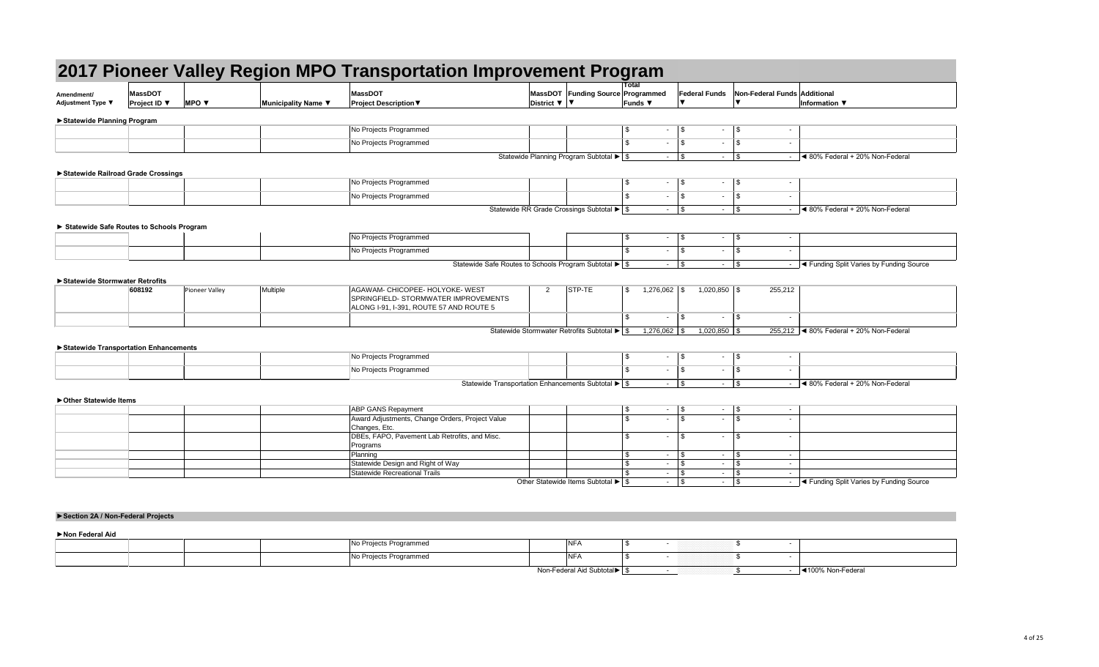| Amendment/<br><b>Adjustment Type ▼</b> | <b>MassDOT</b><br><b>Project ID</b> $\Psi$ | <b>MPO v</b> | Municipality Name $\blacktriangledown$ | MassDOT<br><b>Project Description <math>\nabla</math></b> | District $\nabla$   $\nabla$ | <b>MassDOT Funding Source</b>       |
|----------------------------------------|--------------------------------------------|--------------|----------------------------------------|-----------------------------------------------------------|------------------------------|-------------------------------------|
| ► Statewide Planning Program           |                                            |              |                                        |                                                           |                              |                                     |
|                                        |                                            |              |                                        | No Projects Programmed                                    |                              |                                     |
|                                        |                                            |              |                                        | No Projects Programmed                                    |                              |                                     |
|                                        |                                            |              |                                        |                                                           |                              | Statewide Planning Program Subtotal |

| Amendment/                               | <b>MassDOT</b>      |                                 |                     | <b>MassDOT</b>                                                             |                              | MassDOT Funding Source Programmed                                       | Total                    | <b>Federal Funds</b>              | Non-Federal Funds Additional                                     |                                                            |
|------------------------------------------|---------------------|---------------------------------|---------------------|----------------------------------------------------------------------------|------------------------------|-------------------------------------------------------------------------|--------------------------|-----------------------------------|------------------------------------------------------------------|------------------------------------------------------------|
| Adjustment Type ▼                        | <b>Project ID</b> ▼ | <b>MPO</b> $\blacktriangledown$ | Municipality Name ▼ | <b>Project Description ▼</b>                                               | District $\nabla$   $\nabla$ |                                                                         | <b>Funds ▼</b>           |                                   |                                                                  | Information ▼                                              |
| Statewide Planning Program               |                     |                                 |                     |                                                                            |                              |                                                                         |                          |                                   |                                                                  |                                                            |
|                                          |                     |                                 |                     | No Projects Programmed                                                     |                              |                                                                         | \$<br>$\sim$             | $\sqrt{3}$<br>$\sim$              | \$                                                               |                                                            |
|                                          |                     |                                 |                     | No Projects Programmed                                                     |                              |                                                                         | $\mathfrak{L}$<br>$\sim$ | <b>S</b><br>$\sim$                | $\mathfrak{S}$                                                   |                                                            |
|                                          |                     |                                 |                     |                                                                            |                              |                                                                         |                          |                                   |                                                                  |                                                            |
|                                          |                     |                                 |                     |                                                                            |                              | Statewide Planning Program Subtotal ▶ \$                                |                          |                                   | $-$ \$                                                           | $\sim$ 4 80% Federal + 20% Non-Federal                     |
| Statewide Railroad Grade Crossings       |                     |                                 |                     |                                                                            |                              |                                                                         |                          |                                   |                                                                  |                                                            |
|                                          |                     |                                 |                     | No Projects Programmed                                                     |                              |                                                                         | \$<br>$\sim$             | $\sqrt{3}$                        | $-$ \$<br>$\sim$                                                 |                                                            |
|                                          |                     |                                 |                     | No Projects Programmed                                                     |                              |                                                                         | \$.<br>$\sim$            | $\vert$ \$<br>$\sim$              | $\frac{1}{2}$<br>$\sim$                                          |                                                            |
|                                          |                     |                                 |                     |                                                                            |                              | Statewide RR Grade Crossings Subtotal ▶ \$                              |                          | $-$ \$                            | $\frac{1}{2}$<br>$\sim 100$                                      | $\sim$ 4 80% Federal + 20% Non-Federal                     |
|                                          |                     |                                 |                     |                                                                            |                              |                                                                         |                          |                                   |                                                                  |                                                            |
| Statewide Safe Routes to Schools Program |                     |                                 |                     |                                                                            |                              |                                                                         |                          |                                   |                                                                  |                                                            |
|                                          |                     |                                 |                     | No Projects Programmed                                                     |                              |                                                                         | \$<br>۰.                 | $\sqrt{3}$<br>$\sim$              | $\boldsymbol{\mathsf{S}}$                                        |                                                            |
|                                          |                     |                                 |                     | No Projects Programmed                                                     |                              |                                                                         | \$<br>$\sim$             | $\vert$ \$<br>$\sim$ $-$          | $\boldsymbol{\mathsf{S}}$<br>$\sim$                              |                                                            |
|                                          |                     |                                 |                     | Statewide Safe Routes to Schools Program Subtotal $\blacktriangleright$ \$ |                              |                                                                         |                          | $ \sqrt{ }$                       | $\frac{1}{2}$<br>$\sim$ $\sim$                                   | - <a> - <a> Gunding Split Varies by Funding Source</a></a> |
|                                          |                     |                                 |                     |                                                                            |                              |                                                                         |                          |                                   |                                                                  |                                                            |
| Statewide Stormwater Retrofits           |                     |                                 |                     |                                                                            |                              |                                                                         |                          |                                   |                                                                  |                                                            |
|                                          | 608192              | Pioneer Valley                  | Multiple            | AGAWAM- CHICOPEE- HOLYOKE- WEST<br>SPRINGFIELD- STORMWATER IMPROVEMENTS    | $\overline{2}$               | STP-TE                                                                  | $\sqrt[6]{\frac{1}{2}}$  | $1,020,850$ \$                    | 255,212                                                          |                                                            |
|                                          |                     |                                 |                     | ALONG I-91, I-391, ROUTE 57 AND ROUTE 5                                    |                              |                                                                         |                          |                                   |                                                                  |                                                            |
|                                          |                     |                                 |                     |                                                                            |                              |                                                                         | \$<br>$\sim$             | $\vert$ \$<br>$\sim$              | $\mathfrak{S}$<br>$\sim$                                         |                                                            |
|                                          |                     |                                 |                     |                                                                            |                              | Statewide Stormwater Retrofits Subtotal $\blacktriangleright$ $\mid$ \$ |                          | $1,020,850$ \ \$                  |                                                                  | 255,212 $\blacktriangleleft$ 80% Federal + 20% Non-Federal |
|                                          |                     |                                 |                     |                                                                            |                              |                                                                         |                          |                                   |                                                                  |                                                            |
| Statewide Transportation Enhancements    |                     |                                 |                     |                                                                            |                              |                                                                         |                          |                                   |                                                                  |                                                            |
|                                          |                     |                                 |                     | No Projects Programmed                                                     |                              |                                                                         | \$<br>۰.                 | $\sqrt{S}$                        | $\boldsymbol{\mathsf{S}}$                                        |                                                            |
|                                          |                     |                                 |                     | No Projects Programmed                                                     |                              |                                                                         | ৾ঌ<br>$\sim$             | $\frac{1}{3}$                     | $\sim$                                                           |                                                            |
|                                          |                     |                                 |                     | Statewide Transportation Enhancements Subtotal $\blacktriangleright$ \$    |                              |                                                                         |                          |                                   | $-$ \\$                                                          | $\sim$ 4 80% Federal + 20% Non-Federal                     |
|                                          |                     |                                 |                     |                                                                            |                              |                                                                         |                          |                                   |                                                                  |                                                            |
| Other Statewide Items                    |                     |                                 |                     | <b>ABP GANS Repayment</b>                                                  |                              |                                                                         | \$<br>$\sim$             | $\sqrt{3}$                        | \$<br>$\sim$ $\sim$                                              |                                                            |
|                                          |                     |                                 |                     | Award Adjustments, Change Orders, Project Value                            |                              |                                                                         | $\mathfrak{L}$<br>۰.     | $\vert$ \$<br>$\sim$ $-$          | $\mathfrak s$                                                    |                                                            |
|                                          |                     |                                 |                     | Changes, Etc.                                                              |                              |                                                                         |                          |                                   |                                                                  |                                                            |
|                                          |                     |                                 |                     | DBEs, FAPO, Pavement Lab Retrofits, and Misc.                              |                              |                                                                         | \$.<br>$\sim$            | $\sqrt{3}$<br>$\sim$ $-$          | $\frac{1}{2}$<br>$\sim$                                          |                                                            |
|                                          |                     |                                 |                     | Programs                                                                   |                              |                                                                         | \$                       | $\vert$ \$                        |                                                                  |                                                            |
|                                          |                     |                                 |                     | Planning<br>Statewide Design and Right of Way                              |                              |                                                                         | $\sim$                   | $\sim 10$<br>$-$ \$<br>$\sim$ $-$ | $\boldsymbol{\mathsf{S}}$<br>$\boldsymbol{\mathsf{S}}$<br>$\sim$ |                                                            |
|                                          |                     |                                 |                     | <b>Statewide Recreational Trails</b>                                       |                              |                                                                         |                          | $\vert$ \$<br>$\sim 100$          | $\boldsymbol{\mathsf{S}}$<br>$\sim$ $-$                          |                                                            |
|                                          |                     |                                 |                     |                                                                            |                              | Other Statewide Items Subtotal $\blacktriangleright$ \$                 |                          | $-$ \\$                           | $\sqrt[6]{\frac{1}{2}}$<br>$\sim 100$                            | - Get Tunding Split Varies by Funding Source               |
|                                          |                     |                                 |                     |                                                                            |                              |                                                                         |                          |                                   |                                                                  |                                                            |
|                                          |                     |                                 |                     |                                                                            |                              |                                                                         |                          |                                   |                                                                  |                                                            |
| Section 2A / Non-Federal Projects        |                     |                                 |                     |                                                                            |                              |                                                                         |                          |                                   |                                                                  |                                                            |
|                                          |                     |                                 |                     |                                                                            |                              |                                                                         |                          |                                   |                                                                  |                                                            |
| Non Federal Aid                          |                     |                                 |                     |                                                                            |                              |                                                                         |                          |                                   |                                                                  |                                                            |
|                                          |                     |                                 |                     | No Projects Programmed                                                     |                              | <b>NFA</b>                                                              | \$                       | $\sim$                            | $\mathfrak{F}$<br>$\sim$                                         |                                                            |

|  | No Projects Programmed | <b>AID</b><br><b>INFA</b>   |  |                   |
|--|------------------------|-----------------------------|--|-------------------|
|  | No Projects Programmed | <b>ALC</b><br><b>NFA</b>    |  |                   |
|  |                        | Non-Federal Aid Subtotal▶ S |  | ◀100% Non-Federal |

| Amendment/                               | <b>MassDOT</b>      |                          |                     | <b>MassDOT</b>                                                            |                            | MassDOT Funding Source Programmed                                       | Total                  | <b>Federal Funds</b>                                                  | Non-Federal Funds Additional                                                |                                                                 |
|------------------------------------------|---------------------|--------------------------|---------------------|---------------------------------------------------------------------------|----------------------------|-------------------------------------------------------------------------|------------------------|-----------------------------------------------------------------------|-----------------------------------------------------------------------------|-----------------------------------------------------------------|
| Adjustment Type ▼                        | <b>Project ID</b> ▼ | MPO $\blacktriangledown$ | Municipality Name ▼ | <b>Project Description ▼</b>                                              | District $\nabla$ $\nabla$ |                                                                         | Funds ▼                |                                                                       | $\blacktriangledown$                                                        | Information ▼                                                   |
| Statewide Planning Program               |                     |                          |                     |                                                                           |                            |                                                                         |                        |                                                                       |                                                                             |                                                                 |
|                                          |                     |                          |                     | No Projects Programmed                                                    |                            |                                                                         | \$                     | $\sqrt{3}$<br>$\sim$                                                  | $\sqrt{3}$<br>$\overline{\phantom{a}}$                                      |                                                                 |
|                                          |                     |                          |                     | No Projects Programmed                                                    |                            |                                                                         | -\$                    | $\mathbb{S}$<br>$\sim$                                                | $\boldsymbol{\mathsf{S}}$<br>$\sim$                                         |                                                                 |
|                                          |                     |                          |                     |                                                                           |                            | Statewide Planning Program Subtotal $\blacktriangleright$ $\mid$ \$     |                        | $-$ \$                                                                |                                                                             | $ \blacktriangleleft$ 80% Federal + 20% Non-Federal             |
|                                          |                     |                          |                     |                                                                           |                            |                                                                         |                        |                                                                       |                                                                             |                                                                 |
| Statewide Railroad Grade Crossings       |                     |                          |                     | No Projects Programmed                                                    |                            |                                                                         | \$                     | $-$ \$<br>$\sim 100$                                                  | $\sqrt{3}$<br>$\sim$                                                        |                                                                 |
|                                          |                     |                          |                     | No Projects Programmed                                                    |                            |                                                                         | \$                     | $\mathfrak{S}$<br>$\sim$                                              | $\sqrt[6]{\frac{1}{2}}$                                                     |                                                                 |
|                                          |                     |                          |                     |                                                                           |                            | Statewide RR Grade Crossings Subtotal $\blacktriangleright$ $\mid$ \$   |                        | $-$ \$<br>$\sim$ $-$                                                  | $\sqrt{3}$                                                                  | $\sim$ 4 80% Federal + 20% Non-Federal                          |
|                                          |                     |                          |                     |                                                                           |                            |                                                                         |                        |                                                                       |                                                                             |                                                                 |
| Statewide Safe Routes to Schools Program |                     |                          |                     |                                                                           |                            |                                                                         |                        |                                                                       |                                                                             |                                                                 |
|                                          |                     |                          |                     | No Projects Programmed                                                    |                            |                                                                         | \$<br>$\sim$           | $\sqrt{3}$<br>$\sim$                                                  | $\vert$ \$<br>$\sim$                                                        |                                                                 |
|                                          |                     |                          |                     | No Projects Programmed                                                    |                            |                                                                         | -\$<br>$\sim$          | $\mathfrak{S}$<br>$\sim$                                              | $\boldsymbol{\mathsf{S}}$<br>$\sim$                                         |                                                                 |
|                                          |                     |                          |                     | Statewide Safe Routes to Schools Program Subtotal ▶ \$                    |                            |                                                                         |                        | $-$ \$                                                                |                                                                             | - <a> - <a> G<br/>unding Split Varies by Funding Source</a></a> |
| Statewide Stormwater Retrofits           |                     |                          |                     |                                                                           |                            |                                                                         |                        |                                                                       |                                                                             |                                                                 |
|                                          | 608192              | Pioneer Valley           | Multiple            | AGAWAM- CHICOPEE- HOLYOKE- WEST                                           | 2                          | STP-TE                                                                  | \$<br>$1,276,062$ \$   | $1,020,850$ \$                                                        | 255,212                                                                     |                                                                 |
|                                          |                     |                          |                     | SPRINGFIELD- STORMWATER IMPROVEMENTS                                      |                            |                                                                         |                        |                                                                       |                                                                             |                                                                 |
|                                          |                     |                          |                     | ALONG I-91, I-391, ROUTE 57 AND ROUTE 5                                   |                            |                                                                         | \$                     | $\mathbb{S}$<br>$\sim$                                                | $\boldsymbol{\mathsf{S}}$<br>$\sim$                                         |                                                                 |
|                                          |                     |                          |                     |                                                                           |                            | Statewide Stormwater Retrofits Subtotal $\blacktriangleright$ $\mid$ \$ |                        |                                                                       |                                                                             | 255,212 $\blacktriangleleft$ 80% Federal + 20% Non-Federal      |
|                                          |                     |                          |                     |                                                                           |                            |                                                                         |                        | $1,020,850$ \ \$                                                      |                                                                             |                                                                 |
| Statewide Transportation Enhancements    |                     |                          |                     |                                                                           |                            |                                                                         |                        |                                                                       |                                                                             |                                                                 |
|                                          |                     |                          |                     | No Projects Programmed                                                    |                            |                                                                         | \$                     | \$<br>$\sim$                                                          | $\boldsymbol{\mathsf{\$}}$<br>$\sim$                                        |                                                                 |
|                                          |                     |                          |                     | No Projects Programmed                                                    |                            |                                                                         |                        | $-1$ \$                                                               | $-$   \$<br>$\sim$ $\sim$                                                   |                                                                 |
|                                          |                     |                          |                     | Statewide Transportation Enhancements Subtotal $\blacktriangleright$ \$   |                            |                                                                         |                        |                                                                       |                                                                             | $\sim$ 4 80% Federal + 20% Non-Federal                          |
| ▶ Other Statewide Items                  |                     |                          |                     |                                                                           |                            |                                                                         |                        |                                                                       |                                                                             |                                                                 |
|                                          |                     |                          |                     | <b>ABP GANS Repayment</b>                                                 |                            |                                                                         | \$                     | $-$ \$                                                                |                                                                             |                                                                 |
|                                          |                     |                          |                     | Award Adjustments, Change Orders, Project Value                           |                            |                                                                         | $\mathbb{S}$           | $\mathfrak{S}$<br>$\sim$ $-$                                          | $\sqrt{3}$<br>$\sim$                                                        |                                                                 |
|                                          |                     |                          |                     | Changes, Etc.<br>DBEs, FAPO, Pavement Lab Retrofits, and Misc.            |                            |                                                                         | -\$<br>$\sim$ 10 $\pm$ | $\sqrt{3}$<br>$\sim 100$                                              | $\sqrt{3}$<br>$\sim$                                                        |                                                                 |
|                                          |                     |                          |                     | Programs                                                                  |                            |                                                                         |                        |                                                                       |                                                                             |                                                                 |
|                                          |                     |                          |                     | Planning                                                                  |                            |                                                                         | \$<br>$\sim$           | $\mathfrak{S}$<br>$\sim$ $-$                                          | $\boldsymbol{\mathsf{S}}$<br>$\sim$                                         |                                                                 |
|                                          |                     |                          |                     | Statewide Design and Right of Way<br><b>Statewide Recreational Trails</b> |                            |                                                                         | $\sim$<br>$\sim$       | $\sqrt[6]{\frac{1}{2}}$<br>$\sim$ $-$<br>$\mathfrak{S}$<br>$\sim$ $-$ | $\boldsymbol{\mathsf{S}}$<br>$\sim$<br>$\boldsymbol{\mathsf{\$}}$<br>$\sim$ |                                                                 |
|                                          |                     |                          |                     |                                                                           |                            | Other Statewide Items Subtotal $\blacktriangleright$ \$                 |                        | $-$ \$                                                                |                                                                             | - Get Tunding Split Varies by Funding Source                    |
|                                          |                     |                          |                     |                                                                           |                            |                                                                         |                        |                                                                       |                                                                             |                                                                 |
|                                          |                     |                          |                     |                                                                           |                            |                                                                         |                        |                                                                       |                                                                             |                                                                 |
| Section 2A / Non-Federal Projects        |                     |                          |                     |                                                                           |                            |                                                                         |                        |                                                                       |                                                                             |                                                                 |
|                                          |                     |                          |                     |                                                                           |                            |                                                                         |                        |                                                                       |                                                                             |                                                                 |
| Non Federal Aid                          |                     |                          |                     | No Projects Programmed                                                    |                            |                                                                         |                        |                                                                       |                                                                             |                                                                 |
|                                          |                     |                          |                     |                                                                           |                            | <b>NFA</b>                                                              | \$<br>$\sim$           |                                                                       | $\boldsymbol{\mathsf{S}}$<br>$\sim$                                         |                                                                 |

| Amendment/<br>Adjustment Type ▼  | <b>MassDOT</b>                           |                          |                     | <b>MassDOT</b>                                                          |                              | MassDOT Funding Source Programmed                            |                       | <b>Federal Funds</b>       |                 | Non-Federal Funds Additional                           |                                                            |
|----------------------------------|------------------------------------------|--------------------------|---------------------|-------------------------------------------------------------------------|------------------------------|--------------------------------------------------------------|-----------------------|----------------------------|-----------------|--------------------------------------------------------|------------------------------------------------------------|
|                                  | <b>Project ID</b> ▼                      | MPO $\blacktriangledown$ | Municipality Name ▼ | <b>Project Description ▼</b>                                            | District $\nabla$   $\nabla$ |                                                              | <b>Funds</b> ▼        |                            |                 | $\blacktriangledown$                                   | Information ▼                                              |
| Statewide Planning Program       |                                          |                          |                     |                                                                         |                              |                                                              |                       |                            |                 |                                                        |                                                            |
|                                  |                                          |                          |                     | No Projects Programmed                                                  |                              |                                                              | \$                    | $\sqrt{3}$<br>$\sim$       | $\sim$          | $\sqrt{3}$<br>۰                                        |                                                            |
|                                  |                                          |                          |                     | No Projects Programmed                                                  |                              |                                                              | -\$                   | $\mathbb{S}$<br>$\sim$     | $\sim$          | \$<br>$\sim$                                           |                                                            |
|                                  |                                          |                          |                     |                                                                         |                              | Statewide Planning Program Subtotal $\blacktriangleright$ \$ |                       | $-$ \$                     |                 |                                                        | $\sim$ 4 80% Federal + 20% Non-Federal                     |
|                                  |                                          |                          |                     |                                                                         |                              |                                                              |                       |                            |                 |                                                        |                                                            |
|                                  | Statewide Railroad Grade Crossings       |                          |                     | No Projects Programmed                                                  |                              |                                                              | $\sqrt[6]{3}$         | $-$ \$                     |                 |                                                        |                                                            |
|                                  |                                          |                          |                     |                                                                         |                              |                                                              |                       |                            | $\sim$ $-$      | \$<br>$\overline{\phantom{a}}$                         |                                                            |
|                                  |                                          |                          |                     | No Projects Programmed                                                  |                              |                                                              | .\$                   | $\mathfrak{S}$             | $\sim$          | $\sqrt[6]{\frac{1}{2}}$                                |                                                            |
|                                  |                                          |                          |                     |                                                                         |                              | Statewide RR Grade Crossings Subtotal ▶ \$                   |                       | $-$ \$                     | $\sim$ $-$      | $\sqrt[6]{\frac{1}{2}}$                                | $\sim$ 4 80% Federal + 20% Non-Federal                     |
|                                  | Statewide Safe Routes to Schools Program |                          |                     |                                                                         |                              |                                                              |                       |                            |                 |                                                        |                                                            |
|                                  |                                          |                          |                     | No Projects Programmed                                                  |                              |                                                              | \$                    | $\sqrt{3}$<br>$\sim$       | $\sim$          | $\sqrt{3}$<br>$\sim$                                   |                                                            |
|                                  |                                          |                          |                     | No Projects Programmed                                                  |                              |                                                              | \$                    | $\mathfrak{S}$<br>$\sim$   | $\sim$          | \$<br>$\sim$                                           |                                                            |
|                                  |                                          |                          |                     | Statewide Safe Routes to Schools Program Subtotal ▶ \$                  |                              |                                                              |                       | $-$ \$                     | $\sim 100$      | $\sqrt{3}$                                             |                                                            |
|                                  |                                          |                          |                     |                                                                         |                              |                                                              |                       |                            |                 |                                                        |                                                            |
| ▶ Statewide Stormwater Retrofits |                                          |                          |                     |                                                                         |                              |                                                              |                       |                            |                 |                                                        |                                                            |
|                                  | 608192                                   | Pioneer Valley           | Multiple            | AGAWAM- CHICOPEE- HOLYOKE- WEST<br>SPRINGFIELD- STORMWATER IMPROVEMENTS | 2                            | STP-TE                                                       | -\$<br>1,276,062   \$ |                            | $1,020,850$ \$  | 255,212                                                |                                                            |
|                                  |                                          |                          |                     | ALONG I-91, I-391, ROUTE 57 AND ROUTE 5                                 |                              |                                                              |                       |                            |                 |                                                        |                                                            |
|                                  |                                          |                          |                     |                                                                         |                              |                                                              | -\$                   | $\mathbb{S}$               | $\sim$          | \$<br>$\sim$                                           |                                                            |
|                                  |                                          |                          |                     |                                                                         |                              | Statewide Stormwater Retrofits Subtotal ▶ \$                 | $1,276,062$ \ \ \$    |                            | $1,020,850$ \$  |                                                        | 255,212 $\blacktriangleleft$ 80% Federal + 20% Non-Federal |
|                                  |                                          |                          |                     |                                                                         |                              |                                                              |                       |                            |                 |                                                        |                                                            |
|                                  | Statewide Transportation Enhancements    |                          |                     |                                                                         |                              |                                                              |                       |                            |                 |                                                        |                                                            |
|                                  |                                          |                          |                     | No Projects Programmed                                                  |                              |                                                              | \$                    | \$<br>$\sim$               | $\sim$          | $\boldsymbol{\mathsf{\$}}$<br>$\overline{\phantom{a}}$ |                                                            |
|                                  |                                          |                          |                     | No Projects Programmed                                                  |                              |                                                              |                       | $-1$ \$                    | <b>Contract</b> | \$<br>$\sim$                                           |                                                            |
|                                  |                                          |                          |                     | Statewide Transportation Enhancements Subtotal $\blacktriangleright$ \$ |                              |                                                              |                       |                            |                 |                                                        | $\sim$ 4 80% Federal + 20% Non-Federal                     |
| ▶ Other Statewide Items          |                                          |                          |                     |                                                                         |                              |                                                              |                       |                            |                 |                                                        |                                                            |
|                                  |                                          |                          |                     | <b>ABP GANS Repayment</b>                                               |                              |                                                              | \$                    | $-$ \$                     | $\sim 100$      | $\sqrt{3}$                                             |                                                            |
|                                  |                                          |                          |                     | Award Adjustments, Change Orders, Project Value                         |                              |                                                              | $\mathbb{S}$          | $\mathfrak{S}$<br>$\sim$   | $\sim$ $-$      | $\sqrt[6]{\frac{1}{2}}$<br>$\blacksquare$              |                                                            |
|                                  |                                          |                          |                     | Changes, Etc.                                                           |                              |                                                              |                       |                            |                 |                                                        |                                                            |
|                                  |                                          |                          |                     | DBEs, FAPO, Pavement Lab Retrofits, and Misc.<br>Programs               |                              |                                                              | -\$                   |                            | $\sim 10$       | $\sqrt{3}$<br>$\sim$                                   |                                                            |
|                                  |                                          |                          |                     | Planning                                                                |                              |                                                              | \$                    | $\sqrt{3}$<br>$\sim$       | $\sim$          | \$<br>$\sim$                                           |                                                            |
|                                  |                                          |                          |                     | Statewide Design and Right of Way                                       |                              |                                                              |                       | $1$ \$<br>$\sim$ 100 $\mu$ | $\sim$ $-$      | $\sqrt[6]{\frac{1}{2}}$<br>$\sim$                      |                                                            |
|                                  |                                          |                          |                     |                                                                         |                              |                                                              |                       | $\mathfrak{S}$<br>$\sim$   | $\sim$ $-$      | $\boldsymbol{\mathsf{\$}}$<br>$\sim$                   |                                                            |
|                                  |                                          |                          |                     | <b>Statewide Recreational Trails</b>                                    |                              | Other Statewide Items Subtotal $\blacktriangleright$ \$      |                       | $-$ \$                     | $\sim 100$      | $\sqrt{3}$                                             | - Get Tunding Split Varies by Funding Source               |
|                                  |                                          |                          |                     |                                                                         |                              |                                                              |                       |                            |                 |                                                        |                                                            |
|                                  |                                          |                          |                     |                                                                         |                              |                                                              |                       |                            |                 |                                                        |                                                            |
|                                  | Section 2A / Non-Federal Projects        |                          |                     |                                                                         |                              |                                                              |                       |                            |                 |                                                        |                                                            |
|                                  |                                          |                          |                     |                                                                         |                              |                                                              |                       |                            |                 |                                                        |                                                            |
| Non Federal Aid                  |                                          |                          |                     |                                                                         |                              |                                                              |                       |                            |                 |                                                        |                                                            |
|                                  |                                          |                          |                     | No Projects Programmed                                                  |                              | <b>NFA</b>                                                   | $\sqrt{3}$            | $\sim$                     |                 | \$<br>$\sim$                                           |                                                            |

| Municipality Name ▼ | <b>Project Description ▼</b><br>No Projects Programmed<br>No Projects Programmed<br>No Projects Programmed<br>No Projects Programmed<br>No Projects Programmed | District $\nabla$   $\nabla$                                                                                                                                                                                                                                                                                                                                                               | MassDOT Funding Source Programmed<br>\$<br>\$<br>Statewide Planning Program Subtotal $\blacktriangleright$ $\mid$ \$<br>\$<br>\$.<br>Statewide RR Grade Crossings Subtotal ▶ \$ | Funds ▼<br>$\boldsymbol{\mathsf{\$}}$<br>$\sim$<br>$\mathfrak{S}$<br>$\sim$<br>$-$ \$<br>$\frac{1}{2}$<br>$\mathfrak{L}$<br>$\sim$ 100 $\pm$                                         | $\sqrt[6]{3}$<br>$\sim$<br>\$<br>$\sim$<br>$\sqrt{3}$<br>$\sim$<br>$\sqrt{3}$<br>$\sim 10$<br>$\sqrt[6]{3}$<br>$\sim$<br>$\mathfrak{F}$<br>$\sim$ | $\sim$                                                                                                                                                                                                                                                                                                     | <b>Information</b> ▼<br>$ \blacktriangleleft$ 80% Federal + 20% Non-Federal                                                          |
|---------------------|----------------------------------------------------------------------------------------------------------------------------------------------------------------|--------------------------------------------------------------------------------------------------------------------------------------------------------------------------------------------------------------------------------------------------------------------------------------------------------------------------------------------------------------------------------------------|---------------------------------------------------------------------------------------------------------------------------------------------------------------------------------|--------------------------------------------------------------------------------------------------------------------------------------------------------------------------------------|---------------------------------------------------------------------------------------------------------------------------------------------------|------------------------------------------------------------------------------------------------------------------------------------------------------------------------------------------------------------------------------------------------------------------------------------------------------------|--------------------------------------------------------------------------------------------------------------------------------------|
|                     |                                                                                                                                                                |                                                                                                                                                                                                                                                                                                                                                                                            |                                                                                                                                                                                 |                                                                                                                                                                                      |                                                                                                                                                   |                                                                                                                                                                                                                                                                                                            |                                                                                                                                      |
|                     |                                                                                                                                                                |                                                                                                                                                                                                                                                                                                                                                                                            |                                                                                                                                                                                 |                                                                                                                                                                                      |                                                                                                                                                   |                                                                                                                                                                                                                                                                                                            |                                                                                                                                      |
|                     |                                                                                                                                                                |                                                                                                                                                                                                                                                                                                                                                                                            |                                                                                                                                                                                 |                                                                                                                                                                                      |                                                                                                                                                   |                                                                                                                                                                                                                                                                                                            |                                                                                                                                      |
|                     |                                                                                                                                                                |                                                                                                                                                                                                                                                                                                                                                                                            |                                                                                                                                                                                 |                                                                                                                                                                                      |                                                                                                                                                   |                                                                                                                                                                                                                                                                                                            |                                                                                                                                      |
|                     |                                                                                                                                                                |                                                                                                                                                                                                                                                                                                                                                                                            |                                                                                                                                                                                 |                                                                                                                                                                                      |                                                                                                                                                   |                                                                                                                                                                                                                                                                                                            |                                                                                                                                      |
|                     |                                                                                                                                                                |                                                                                                                                                                                                                                                                                                                                                                                            |                                                                                                                                                                                 |                                                                                                                                                                                      |                                                                                                                                                   |                                                                                                                                                                                                                                                                                                            |                                                                                                                                      |
|                     |                                                                                                                                                                |                                                                                                                                                                                                                                                                                                                                                                                            |                                                                                                                                                                                 |                                                                                                                                                                                      |                                                                                                                                                   |                                                                                                                                                                                                                                                                                                            |                                                                                                                                      |
|                     |                                                                                                                                                                |                                                                                                                                                                                                                                                                                                                                                                                            |                                                                                                                                                                                 |                                                                                                                                                                                      |                                                                                                                                                   |                                                                                                                                                                                                                                                                                                            |                                                                                                                                      |
|                     |                                                                                                                                                                |                                                                                                                                                                                                                                                                                                                                                                                            |                                                                                                                                                                                 |                                                                                                                                                                                      |                                                                                                                                                   | $\sim$                                                                                                                                                                                                                                                                                                     | Sol% Federal + 20% Non-Federal                                                                                                       |
|                     |                                                                                                                                                                |                                                                                                                                                                                                                                                                                                                                                                                            |                                                                                                                                                                                 |                                                                                                                                                                                      |                                                                                                                                                   |                                                                                                                                                                                                                                                                                                            |                                                                                                                                      |
|                     |                                                                                                                                                                |                                                                                                                                                                                                                                                                                                                                                                                            | \$                                                                                                                                                                              | $\frac{1}{3}$<br>$\sim$                                                                                                                                                              | $\sqrt{3}$<br>$\sim$                                                                                                                              | $\blacksquare$                                                                                                                                                                                                                                                                                             |                                                                                                                                      |
|                     |                                                                                                                                                                |                                                                                                                                                                                                                                                                                                                                                                                            | $\mathfrak{L}$                                                                                                                                                                  |                                                                                                                                                                                      |                                                                                                                                                   |                                                                                                                                                                                                                                                                                                            |                                                                                                                                      |
|                     | No Projects Programmed                                                                                                                                         |                                                                                                                                                                                                                                                                                                                                                                                            |                                                                                                                                                                                 | $\mathfrak{S}$<br>$\sim$                                                                                                                                                             | \$<br>$\sim$                                                                                                                                      | $\sim$                                                                                                                                                                                                                                                                                                     |                                                                                                                                      |
|                     | Statewide Safe Routes to Schools Program Subtotal ▶ \$                                                                                                         |                                                                                                                                                                                                                                                                                                                                                                                            |                                                                                                                                                                                 |                                                                                                                                                                                      | $\sqrt{3}$<br>$\sim$ $-$                                                                                                                          |                                                                                                                                                                                                                                                                                                            | - <a>I<br/> I<br/> <a>I<br/> <a>I<br/> <a>I<br/> <a>I<br/> <a>I<br/> <a>I<br/> <a>I<br/></a></a>I<br/>Source</a></a></a></a></a></a> |
|                     |                                                                                                                                                                |                                                                                                                                                                                                                                                                                                                                                                                            |                                                                                                                                                                                 |                                                                                                                                                                                      |                                                                                                                                                   |                                                                                                                                                                                                                                                                                                            |                                                                                                                                      |
| Multiple            | AGAWAM- CHICOPEE- HOLYOKE- WEST                                                                                                                                | $\overline{2}$                                                                                                                                                                                                                                                                                                                                                                             | STP-TE<br>\$                                                                                                                                                                    | $1,276,062$ \$                                                                                                                                                                       | $1,020,850$ \$                                                                                                                                    | 255,212                                                                                                                                                                                                                                                                                                    |                                                                                                                                      |
|                     |                                                                                                                                                                |                                                                                                                                                                                                                                                                                                                                                                                            |                                                                                                                                                                                 |                                                                                                                                                                                      |                                                                                                                                                   |                                                                                                                                                                                                                                                                                                            |                                                                                                                                      |
|                     |                                                                                                                                                                |                                                                                                                                                                                                                                                                                                                                                                                            | \$                                                                                                                                                                              |                                                                                                                                                                                      | \$<br>$\sim$                                                                                                                                      | $\sim$                                                                                                                                                                                                                                                                                                     |                                                                                                                                      |
|                     |                                                                                                                                                                |                                                                                                                                                                                                                                                                                                                                                                                            |                                                                                                                                                                                 |                                                                                                                                                                                      |                                                                                                                                                   |                                                                                                                                                                                                                                                                                                            | 255,212 $\blacktriangleleft$ 80% Federal + 20% Non-Federal                                                                           |
|                     |                                                                                                                                                                |                                                                                                                                                                                                                                                                                                                                                                                            |                                                                                                                                                                                 |                                                                                                                                                                                      |                                                                                                                                                   |                                                                                                                                                                                                                                                                                                            |                                                                                                                                      |
|                     |                                                                                                                                                                |                                                                                                                                                                                                                                                                                                                                                                                            |                                                                                                                                                                                 |                                                                                                                                                                                      |                                                                                                                                                   |                                                                                                                                                                                                                                                                                                            |                                                                                                                                      |
|                     |                                                                                                                                                                |                                                                                                                                                                                                                                                                                                                                                                                            |                                                                                                                                                                                 |                                                                                                                                                                                      |                                                                                                                                                   |                                                                                                                                                                                                                                                                                                            |                                                                                                                                      |
|                     |                                                                                                                                                                |                                                                                                                                                                                                                                                                                                                                                                                            |                                                                                                                                                                                 |                                                                                                                                                                                      |                                                                                                                                                   |                                                                                                                                                                                                                                                                                                            |                                                                                                                                      |
|                     |                                                                                                                                                                |                                                                                                                                                                                                                                                                                                                                                                                            |                                                                                                                                                                                 |                                                                                                                                                                                      |                                                                                                                                                   |                                                                                                                                                                                                                                                                                                            | $ \blacktriangleleft$ 80% Federal + 20% Non-Federal                                                                                  |
|                     |                                                                                                                                                                |                                                                                                                                                                                                                                                                                                                                                                                            |                                                                                                                                                                                 |                                                                                                                                                                                      |                                                                                                                                                   |                                                                                                                                                                                                                                                                                                            |                                                                                                                                      |
|                     |                                                                                                                                                                |                                                                                                                                                                                                                                                                                                                                                                                            | \$                                                                                                                                                                              |                                                                                                                                                                                      | $\sim 10$                                                                                                                                         |                                                                                                                                                                                                                                                                                                            |                                                                                                                                      |
|                     |                                                                                                                                                                |                                                                                                                                                                                                                                                                                                                                                                                            |                                                                                                                                                                                 | $\sim$ $-$                                                                                                                                                                           |                                                                                                                                                   | $\sim$                                                                                                                                                                                                                                                                                                     |                                                                                                                                      |
|                     |                                                                                                                                                                |                                                                                                                                                                                                                                                                                                                                                                                            | \$.                                                                                                                                                                             | $\sim$ $\sim$ $\sim$                                                                                                                                                                 | $\sqrt[6]{3}$<br>$\sim$                                                                                                                           | $\sim$                                                                                                                                                                                                                                                                                                     |                                                                                                                                      |
|                     |                                                                                                                                                                |                                                                                                                                                                                                                                                                                                                                                                                            |                                                                                                                                                                                 |                                                                                                                                                                                      |                                                                                                                                                   |                                                                                                                                                                                                                                                                                                            |                                                                                                                                      |
|                     |                                                                                                                                                                |                                                                                                                                                                                                                                                                                                                                                                                            | \$                                                                                                                                                                              | $\sim$ $-$                                                                                                                                                                           | $\mathfrak{F}$<br>$\sim$                                                                                                                          | $\sim$                                                                                                                                                                                                                                                                                                     |                                                                                                                                      |
|                     |                                                                                                                                                                |                                                                                                                                                                                                                                                                                                                                                                                            |                                                                                                                                                                                 | $\sim$ $\sim$                                                                                                                                                                        | $\sim$                                                                                                                                            | ٠                                                                                                                                                                                                                                                                                                          |                                                                                                                                      |
|                     |                                                                                                                                                                |                                                                                                                                                                                                                                                                                                                                                                                            | Other Statewide Items Subtotal $\blacktriangleright$ $\mid$ \$                                                                                                                  | $\sim$<br>$-$ \$                                                                                                                                                                     | $\sim$                                                                                                                                            |                                                                                                                                                                                                                                                                                                            |                                                                                                                                      |
|                     |                                                                                                                                                                | SPRINGFIELD- STORMWATER IMPROVEMENTS<br>ALONG I-91, I-391, ROUTE 57 AND ROUTE 5<br>No Projects Programmed<br>No Projects Programmed<br><b>ABP GANS Repayment</b><br>Award Adjustments, Change Orders, Project Value<br>Changes, Etc.<br>DBEs, FAPO, Pavement Lab Retrofits, and Misc.<br>Programs<br>Planning<br>Statewide Design and Right of Way<br><b>Statewide Recreational Trails</b> |                                                                                                                                                                                 | Statewide Stormwater Retrofits Subtotal $\blacktriangleright$ $\mid$ \$<br>$\boldsymbol{\mathsf{s}}$<br>. ა<br>Statewide Transportation Enhancements Subtotal ▶ \$<br>$\mathfrak{L}$ | \$<br>$\sim$                                                                                                                                      | $\mathfrak{S}$<br>$1,276,062$ \ \ \$<br>$1,020,850$ \ \$<br>\$<br>$\sim$<br>  \$<br>$ \sqrt{ }$<br>$\sim$<br>$\sim$ 10 $\pm$<br>$\sqrt{3}$<br>$\mathbb{S}$<br>$\sim$<br>$\sqrt[6]{\frac{1}{2}}$<br>$\frac{1}{2}$<br>$\frac{1}{2}$<br>$\sqrt[6]{\frac{1}{2}}$<br>$\boldsymbol{\mathsf{S}}$<br>$\sqrt[6]{3}$ | ۰<br>$\sim$<br>$\vert$ \$<br>$\sqrt[6]{\frac{1}{2}}$                                                                                 |

| Amendment/                               | <b>MassDOT</b>                        |                          |                     | <b>MassDOT</b>                                            | MassDOT Funding Source Programmed                                       | Total                | <b>Federal Funds</b>                            | Non-Federal Funds Additional                           |                                                                                                               |
|------------------------------------------|---------------------------------------|--------------------------|---------------------|-----------------------------------------------------------|-------------------------------------------------------------------------|----------------------|-------------------------------------------------|--------------------------------------------------------|---------------------------------------------------------------------------------------------------------------|
| Adjustment Type ▼                        | Project ID ▼                          | MPO $\blacktriangledown$ | Municipality Name ▼ | <b>Project Description ▼</b>                              | District ▼ ▼                                                            | Funds ▼              |                                                 |                                                        | Information ▼                                                                                                 |
| Statewide Planning Program               |                                       |                          |                     |                                                           |                                                                         |                      |                                                 |                                                        |                                                                                                               |
|                                          |                                       |                          |                     | No Projects Programmed                                    |                                                                         | \$<br>$\sim$         | $\boldsymbol{\mathsf{\$}}$                      | $\boldsymbol{\mathsf{\$}}$<br>$\sim$<br>$\blacksquare$ |                                                                                                               |
|                                          |                                       |                          |                     | No Projects Programmed                                    |                                                                         | \$<br>$\sim$         | $\mathfrak{L}$                                  | \$<br>$\sim$<br>$\sim$                                 |                                                                                                               |
|                                          |                                       |                          |                     |                                                           | Statewide Planning Program Subtotal $\blacktriangleright$ $\mid$ \$     |                      |                                                 | $\sqrt{3}$<br>$\sim$                                   | $-$ 4 80% Federal + 20% Non-Federal                                                                           |
|                                          |                                       |                          |                     |                                                           |                                                                         |                      |                                                 |                                                        |                                                                                                               |
| Statewide Railroad Grade Crossings       |                                       |                          |                     | No Projects Programmed                                    |                                                                         | \$                   | $-$ \$                                          | $\sqrt{3}$<br>$\sim$<br>$\sim$                         |                                                                                                               |
|                                          |                                       |                          |                     | No Projects Programmed                                    |                                                                         | .\$                  | $\$\$<br>$\sim$ 10 $\pm$                        | $\sqrt[6]{3}$<br>$\sim$<br>٠                           |                                                                                                               |
|                                          |                                       |                          |                     |                                                           | Statewide RR Grade Crossings Subtotal ▶ \$                              |                      | $\mathfrak{F}$<br>$\sim$ $\sim$                 | $\sqrt[6]{\frac{1}{2}}$<br>$\sim$                      | $-$ 4 80% Federal + 20% Non-Federal                                                                           |
|                                          |                                       |                          |                     |                                                           |                                                                         |                      |                                                 |                                                        |                                                                                                               |
| Statewide Safe Routes to Schools Program |                                       |                          |                     |                                                           |                                                                         |                      |                                                 |                                                        |                                                                                                               |
|                                          |                                       |                          |                     | No Projects Programmed                                    |                                                                         | \$                   | $\boldsymbol{\mathsf{\$}}$                      | $\boldsymbol{\mathsf{\$}}$<br>$\sim$                   |                                                                                                               |
|                                          |                                       |                          |                     | No Projects Programmed                                    |                                                                         | $\mathfrak{L}$       | $\mathfrak{F}$                                  | $\sqrt[6]{3}$<br>$\sim$<br>$\sim$                      |                                                                                                               |
|                                          |                                       |                          |                     |                                                           | Statewide Safe Routes to Schools Program Subtotal ▶ \$                  |                      |                                                 | $\sqrt{3}$<br>$\sim$ $-$                               | - <a> - <a> G<br/>unding Split Varies by Funding Source</a></a>                                               |
| ▶ Statewide Stormwater Retrofits         |                                       |                          |                     |                                                           |                                                                         |                      |                                                 |                                                        |                                                                                                               |
|                                          | 608192                                | Pioneer Valley           | Multiple            | AGAWAM- CHICOPEE- HOLYOKE- WEST                           | STP-TE<br>2                                                             | $1,276,062$ \$<br>\$ | $1,020,850$ \$                                  | 255,212                                                |                                                                                                               |
|                                          |                                       |                          |                     | SPRINGFIELD- STORMWATER IMPROVEMENTS                      |                                                                         |                      |                                                 |                                                        |                                                                                                               |
|                                          |                                       |                          |                     | ALONG I-91, I-391, ROUTE 57 AND ROUTE 5                   |                                                                         | \$                   | $\$\$                                           | \$                                                     |                                                                                                               |
|                                          |                                       |                          |                     |                                                           |                                                                         |                      |                                                 | $\sim$<br>$\sim$                                       |                                                                                                               |
|                                          |                                       |                          |                     |                                                           | Statewide Stormwater Retrofits Subtotal $\blacktriangleright$ $\mid$ \$ | $1,276,062$ \ \$     | $1,020,850$ \$                                  |                                                        | 255,212 $\blacktriangleleft$ 80% Federal + 20% Non-Federal                                                    |
|                                          | Statewide Transportation Enhancements |                          |                     |                                                           |                                                                         |                      |                                                 |                                                        |                                                                                                               |
|                                          |                                       |                          |                     | No Projects Programmed                                    |                                                                         | \$                   | $\boldsymbol{\mathsf{s}}$                       | \$<br>$\sim$<br>$\blacksquare$                         |                                                                                                               |
|                                          |                                       |                          |                     | No Projects Programmed                                    |                                                                         | . ა                  | $-1$ \$                                         | \$<br>$\sim$<br>$\sim$                                 |                                                                                                               |
|                                          |                                       |                          |                     |                                                           | Statewide Transportation Enhancements Subtotal ▶ \$                     |                      |                                                 | $\sqrt{3}$<br>$\sim$ $-$                               | $ \blacktriangleleft$ 80% Federal + 20% Non-Federal                                                           |
|                                          |                                       |                          |                     |                                                           |                                                                         |                      |                                                 |                                                        |                                                                                                               |
| ▶ Other Statewide Items                  |                                       |                          |                     | <b>ABP GANS Repayment</b>                                 |                                                                         | \$                   | \$                                              | $\sqrt{3}$<br>$\sim$                                   |                                                                                                               |
|                                          |                                       |                          |                     | Award Adjustments, Change Orders, Project Value           |                                                                         | $\mathfrak{L}$       | $\mathfrak{S}$                                  | $\sqrt[6]{3}$<br>$\sim$                                |                                                                                                               |
|                                          |                                       |                          |                     | Changes, Etc.                                             |                                                                         |                      |                                                 |                                                        |                                                                                                               |
|                                          |                                       |                          |                     | DBEs, FAPO, Pavement Lab Retrofits, and Misc.<br>Programs |                                                                         | \$                   | $\frac{1}{2}$<br>$\sim$ 10 $\pm$                | $\sqrt[6]{3}$<br>$\sim$<br>$\sim$                      |                                                                                                               |
|                                          |                                       |                          |                     | Planning                                                  |                                                                         | $\mathfrak{L}$       | $\frac{1}{2}$<br>$\sim$ 10 $\pm$                | \$<br>$\sim$                                           |                                                                                                               |
|                                          |                                       |                          |                     | Statewide Design and Right of Way                         |                                                                         |                      | $\frac{1}{2}$                                   | $\sqrt[6]{3}$<br>$\sim$ $-$<br>$\sim$                  |                                                                                                               |
|                                          |                                       |                          |                     | Statewide Recreational Trails                             |                                                                         |                      | $\frac{1}{2}$<br>$\sim$ $-$                     | $\sqrt[6]{3}$<br>$\sim$                                |                                                                                                               |
|                                          |                                       |                          |                     |                                                           | Other Statewide Items Subtotal $\blacktriangleright$ $\mid$ \$          |                      | $\sqrt[6]{\frac{1}{2}}$<br>$\sim$ $\sim$ $\sim$ | $\sqrt[6]{3}$<br>$\sim$                                | - <a> - <a> d</a> <a> <a> d</a> <a> d</a> d</a> d</a> d d d d d d d d d d d d d d d d d d d d d d d d d d d d |
|                                          |                                       |                          |                     |                                                           |                                                                         |                      |                                                 |                                                        |                                                                                                               |
|                                          |                                       |                          |                     |                                                           |                                                                         |                      |                                                 |                                                        |                                                                                                               |
|                                          | Section 2A / Non-Federal Projects     |                          |                     |                                                           |                                                                         |                      |                                                 |                                                        |                                                                                                               |
|                                          |                                       |                          |                     |                                                           |                                                                         |                      |                                                 |                                                        |                                                                                                               |
| Non Federal Aid                          |                                       |                          |                     | No Projects Programmed                                    | <b>NFA</b>                                                              | $\sqrt{3}$           |                                                 | \$                                                     |                                                                                                               |
|                                          |                                       |                          |                     |                                                           |                                                                         |                      | $\sim$ 100 $\mu$                                | $\sim$                                                 |                                                                                                               |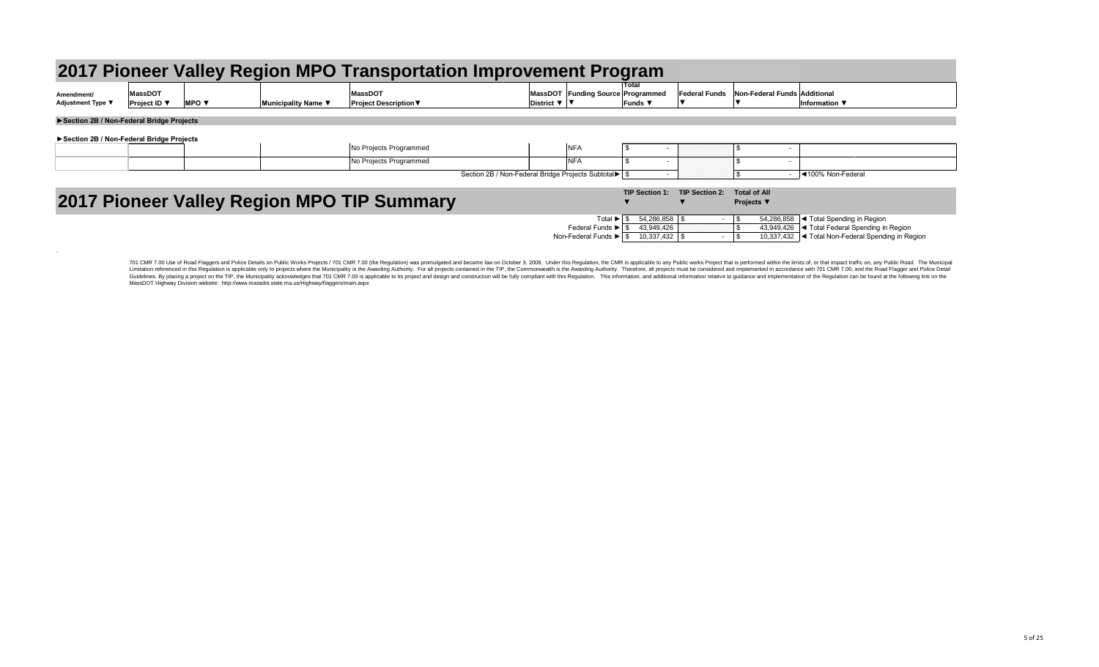| 2017 Pioneer Valley Region MPO Transportation Improvement Pro |  |  |
|---------------------------------------------------------------|--|--|
|                                                               |  |  |

| Amendment/<br><b>Adjustment Type ▼</b> | MassDOT<br><b>Project ID</b> \ | <b>MPO</b> | <b>Municipality Name</b> | MassDO <sup>T</sup><br>∣Proiect Description $\blacktriangledown$ | <b>MassDOT</b><br><b>District</b> | <b>Funding Source</b> |
|----------------------------------------|--------------------------------|------------|--------------------------|------------------------------------------------------------------|-----------------------------------|-----------------------|
|                                        |                                |            |                          |                                                                  |                                   |                       |

### **►Section 2B / Non-Federal Bridge Projects**

 $\sim$ 

701 CMR 7.00 Use of Road Flaggers and Police Details on Public Works Projects / 701 CMR 7.00 (the Regulation) was promulgated and became law on October 3, 2008. Under this Regulation, the CMR is applicable to any Public wo Limitation referenced in this Regulation is applicable only to projects where the Municipality is the Awarding Authority. For all projects contained in the TIP, the Commonwealth is the Awarding Authority. Therefore, all pr Guidelines. By placing a project on the TIP, the Municipality acknowledges that 701 CMR 7.00 is applicable to its project and design and construction will be fully compliant with this Regulation. This information and addit MassDOT Highway Division website: http://www.massdot.state.ma.us/Highway/flaggers/main.aspx

|                                          |                                                          |              |                     |                                                   | 2017 Pioneer Valley Region MPO Transportation Improvement Program |                                                              |                                            |                       |                                          |                              |                                                    |
|------------------------------------------|----------------------------------------------------------|--------------|---------------------|---------------------------------------------------|-------------------------------------------------------------------|--------------------------------------------------------------|--------------------------------------------|-----------------------|------------------------------------------|------------------------------|----------------------------------------------------|
| Amendment/<br><b>Adjustment Type ▼</b>   | <b>MassDOT</b><br><b>Project ID</b> $\blacktriangledown$ | <b>MPO ▼</b> | Municipality Name ▼ | <b>MassDOT</b><br><b>Project Description ▼</b>    | District $\nabla$   $\nabla$                                      | MassDOT Funding Source Programmed                            | Total<br><b>Funds</b> $\blacktriangledown$ | <b>Federal Funds</b>  |                                          | Non-Federal Funds Additional | Information $\blacktriangledown$                   |
| Section 2B / Non-Federal Bridge Projects |                                                          |              |                     |                                                   |                                                                   |                                                              |                                            |                       |                                          |                              |                                                    |
| Section 2B / Non-Federal Bridge Projects |                                                          |              |                     |                                                   |                                                                   |                                                              |                                            |                       |                                          |                              |                                                    |
|                                          |                                                          |              |                     | No Projects Programmed                            |                                                                   | <b>NFA</b>                                                   |                                            |                       |                                          |                              |                                                    |
|                                          |                                                          |              |                     | No Projects Programmed                            |                                                                   | <b>NFA</b>                                                   |                                            |                       |                                          |                              |                                                    |
|                                          |                                                          |              |                     |                                                   | Section 2B / Non-Federal Bridge Projects Subtotal▶   \$           |                                                              |                                            |                       |                                          |                              | ◀100% Non-Federal                                  |
|                                          |                                                          |              |                     | <b>2017 Pioneer Valley Region MPO TIP Summary</b> |                                                                   |                                                              | <b>TIP Section 1:</b>                      | <b>TIP Section 2:</b> | <b>Total of All</b><br><b>Projects</b> ▼ |                              |                                                    |
|                                          |                                                          |              |                     |                                                   |                                                                   | Total $\blacktriangleright$ $\mid$ \$                        | 54,286,858 \$                              |                       |                                          | 54,286,858                   | $\blacktriangleleft$ Total Spending in Region      |
|                                          |                                                          |              |                     |                                                   |                                                                   | Federal Funds $\blacktriangleright$ $\mid$ \$                | 43,949,426                                 |                       |                                          | 43,949,426                   | Sel < Total Federal Spending in Region             |
|                                          |                                                          |              |                     |                                                   |                                                                   | Non-Federal Funds $\blacktriangleright$   \$ 10,337,432   \$ |                                            |                       |                                          |                              | 10,337,432  ◀ Total Non-Federal Spending in Region |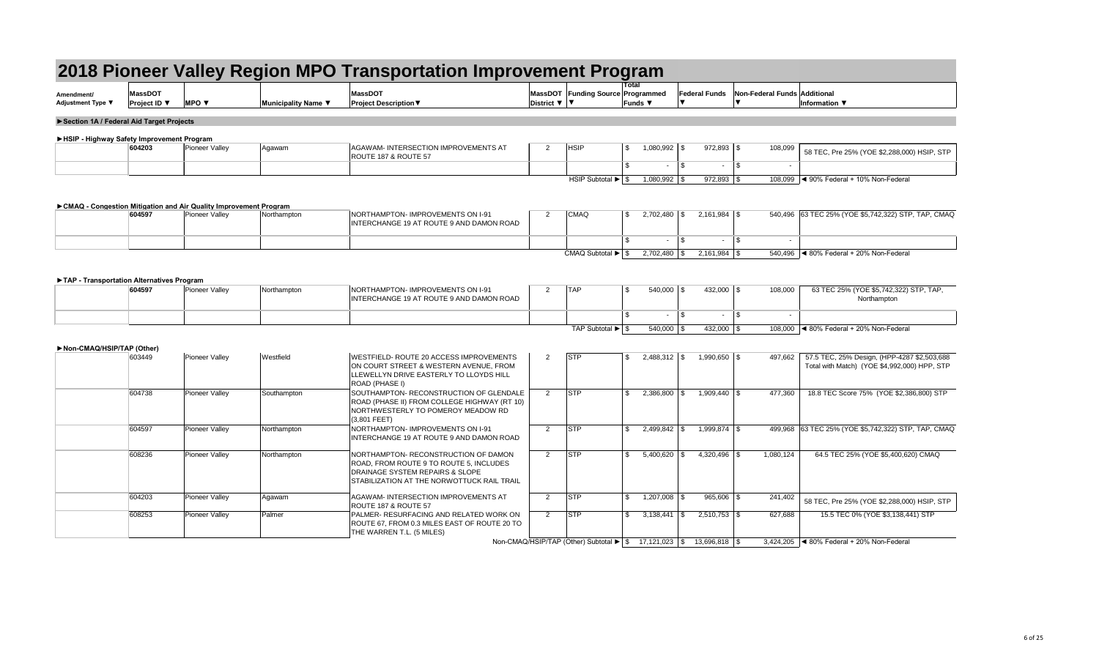| Amendment/        | MassDO1           |            |                    | $M$ assDO $T$          | <b>MassDOT</b>  | <b>Funding Source</b> |
|-------------------|-------------------|------------|--------------------|------------------------|-----------------|-----------------------|
| Adjustment Type ▼ | <b>Project ID</b> | <b>MPO</b> | ⊪Municipalitv Name | ∣Proiect Description ♥ | <b>District</b> |                       |

| gram                       |                                            |               |
|----------------------------|--------------------------------------------|---------------|
| <b>Total</b>               |                                            |               |
| e∣Programmed               | Federal Funds Non-Federal Funds Additional |               |
| Funds $\blacktriangledown$ |                                            | Information ▼ |
|                            |                                            |               |

| 604203 | <sup>1</sup> Pioneer Valley | Agawam | AGAWAM- INTERSECTION IMPROVEMENTS AT<br>ROUTE 187 & ROUTE 57 | <b>HSIF</b>     | 1,080,992 | $972,893  $ \$ | 108,099 | 58 TEC, Pre 25% (YOE \$2,288,000) HSIP, STP |
|--------|-----------------------------|--------|--------------------------------------------------------------|-----------------|-----------|----------------|---------|---------------------------------------------|
|        |                             |        |                                                              |                 |           |                |         |                                             |
|        |                             |        |                                                              | HSIP Subtotal ▶ | 1,080,992 | 972,893        |         | 108,099  ◀ 90% Federal + 10% Non-Federal    |

| 604597 | Pioneer Valley | Northampton | <b>NORTHAMPTON-IMPROVEMENTS ON I-91</b><br>INTERCHANGE 19 AT ROUTE 9 AND DAMON ROAD | <b>CMAQ</b>     | 2,702,480 |                | 540,496 63 TEC 25% (YOE \$5,742,322) STP, TAP, CMAQ |  |
|--------|----------------|-------------|-------------------------------------------------------------------------------------|-----------------|-----------|----------------|-----------------------------------------------------|--|
|        |                |             |                                                                                     |                 |           |                |                                                     |  |
|        |                |             |                                                                                     | CMAQ Subtotal ▶ | 2,702,480 | $2,161,984$ \$ | 540,496  ◀ 80% Federal + 20% Non-Federal            |  |

| 604597 | <b>Pioneer Valley</b> | Northampton | NORTHAMPTON-IMPROVEMENTS ON I-91<br>INTERCHANGE 19 AT ROUTE 9 AND DAMON ROAD | <b>TAP</b>     | 540,000 | 432,000 | 108,000 | 63 TEC 25% (YOE \$5,742,322) STP, TAP,<br>Northampton |
|--------|-----------------------|-------------|------------------------------------------------------------------------------|----------------|---------|---------|---------|-------------------------------------------------------|
|        |                       |             |                                                                              |                |         |         |         |                                                       |
|        |                       |             |                                                                              | TAP Subtotal ▶ | 540,000 | 432,000 | 108,000 | $\blacktriangleleft$ 80% Federal + 20% Non-Federal    |

| Non-CMAQ/HSIP/TAP (Other) |        |                       |             |                                                                                                                                                                  |                |            |                       |                                                                           |           |                                                                                             |
|---------------------------|--------|-----------------------|-------------|------------------------------------------------------------------------------------------------------------------------------------------------------------------|----------------|------------|-----------------------|---------------------------------------------------------------------------|-----------|---------------------------------------------------------------------------------------------|
|                           | 603449 | Pioneer Valley        | Westfield   | WESTFIELD- ROUTE 20 ACCESS IMPROVEMENTS<br>ON COURT STREET & WESTERN AVENUE, FROM<br>LLEWELLYN DRIVE EASTERLY TO LLOYDS HILL<br>ROAD (PHASE I)                   | 2              | STP        | \$<br>$2,488,312$ \\$ | $1,990,650$ \ \$                                                          | 497,662   | 57.5 TEC, 25% Design, (HPP-4287 \$2,503,688<br>Total with Match) (YOE \$4,992,000) HPP, STP |
|                           | 604738 | Pioneer Valley        | Southampton | SOUTHAMPTON- RECONSTRUCTION OF GLENDALE<br>ROAD (PHASE II) FROM COLLEGE HIGHWAY (RT 10)<br>NORTHWESTERLY TO POMEROY MEADOW RD<br>$(3,801$ FEET)                  | $\overline{2}$ | <b>STP</b> | 2,386,800             | $1,909,440$ \\$                                                           | 477,360   | 18.8 TEC Score 75% (YOE \$2,386,800) STP                                                    |
|                           | 604597 | <b>Pioneer Valley</b> | Northampton | NORTHAMPTON-IMPROVEMENTS ON I-91<br>INTERCHANGE 19 AT ROUTE 9 AND DAMON ROAD                                                                                     | 2              | <b>STP</b> | $2,499,842$ \$        | $1,999,874$ \\$                                                           |           | 499,968 63 TEC 25% (YOE \$5,742,322) STP, TAP, CMAQ                                         |
|                           | 608236 | Pioneer Valley        | Northampton | NORTHAMPTON- RECONSTRUCTION OF DAMON<br>ROAD, FROM ROUTE 9 TO ROUTE 5, INCLUDES<br>DRAINAGE SYSTEM REPAIRS & SLOPE<br>STABILIZATION AT THE NORWOTTUCK RAIL TRAIL | 2              | STP        | 5,400,620             | $4,320,496$ \\$                                                           | 1,080,124 | 64.5 TEC 25% (YOE \$5,400,620) CMAQ                                                         |
|                           | 604203 | <b>Pioneer Valley</b> | Agawam      | AGAWAM-INTERSECTION IMPROVEMENTS AT<br>ROUTE 187 & ROUTE 57                                                                                                      |                | STP        |                       | $965,606$ \$                                                              | 241,402   | 58 TEC, Pre 25% (YOE \$2,288,000) HSIP, STP                                                 |
|                           | 608253 | <b>Pioneer Valley</b> | Palmer      | PALMER-RESURFACING AND RELATED WORK ON<br>ROUTE 67, FROM 0.3 MILES EAST OF ROUTE 20 TO<br>THE WARREN T.L. (5 MILES)                                              |                | STP        | 3,138,441             | $2,510,753$ \\$<br>- 95                                                   | 627,688   | 15.5 TEC 0% (YOE \$3,138,441) STP                                                           |
|                           |        |                       |             |                                                                                                                                                                  |                |            |                       | Non-CMAQ/HSIP/TAP (Other) Subtotal ▶   \$ 17,121,023   \$ 13,696,818   \$ |           | 3,424,205 $\blacktriangleleft$ 80% Federal + 20% Non-Federal                                |

## **►Section 1A / Federal Aid Target Projects**

### **►HSIP - Highway Safety Improvement Program**

### **►CMAQ - Congestion Mitigation and Air Quality Improvement Program**

### **►TAP - Transportation Alternatives Program**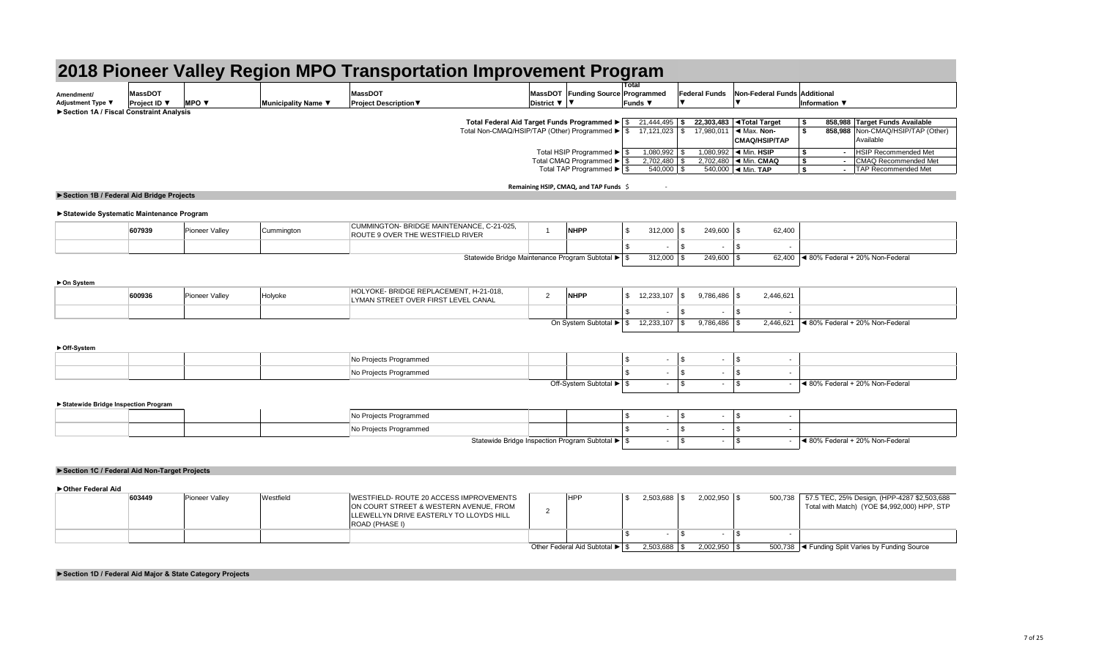| Amendment/                                       | <b>MoccDOT</b> |            |                          |                      | <b>MassDOT</b> | <b>Funding Source</b> |
|--------------------------------------------------|----------------|------------|--------------------------|----------------------|----------------|-----------------------|
| <b>Adjustment Type ▼</b>                         | Proiect ID ▼   | <b>MPO</b> | <b>Municipality Name</b> | ∶oiect Description \ | District       |                       |
| <b>B</b> Section 1A / Fiscal Constraint Analysis |                |            |                          |                      |                |                       |

|                            | gram                       |                      |                                     |    |                                  |                               |
|----------------------------|----------------------------|----------------------|-------------------------------------|----|----------------------------------|-------------------------------|
| <b>Total</b>               |                            |                      |                                     |    |                                  |                               |
|                            | Programmed                 | <b>Federal Funds</b> | <b>Non-Federal Funds Additional</b> |    |                                  |                               |
|                            | Funds $\blacktriangledown$ |                      |                                     |    | Information $\blacktriangledown$ |                               |
|                            |                            |                      |                                     |    |                                  |                               |
| $\boldsymbol{\mathsf{\$}}$ | 21,444,495                 | \$<br>22,303,483     | <b>∢Total Target</b>                | \$ | 858,988                          | <b>Target Funds Available</b> |
| \$                         | 17,121,023                 | \$<br>17,980,011     | ◀ Max. Non-                         | \$ | 858,988                          | Non-CMAQ/HSIP/TAP (Other)     |
|                            |                            |                      | <b>CMAQ/HSIP/TAP</b>                |    |                                  | Available                     |
| \$                         | 1,080,992                  | \$<br>1,080,992      | $\triangleleft$ Min. HSIP           | \$ | $\blacksquare$                   | <b>HSIP Recommended Met</b>   |
| \$                         | 2,702,480                  | \$<br>2,702,480      | ◀ Min. CMAQ                         | S  | $\blacksquare$                   | <b>CMAQ Recommended Met</b>   |
| \$                         | 540,000                    | \$<br>540,000        | $\blacktriangleleft$ Min. TAP       | S  | $\blacksquare$                   | <b>TAP Recommended Met</b>    |

## **Remaining HSIP, CMAQ, and TAP Funds** \$ -

## **►Statewide Systematic Maintenance Program**

| 607939 | <b>Pioneer Valley</b> | ummington: | CUMMINGTON- BRIDGE MAINTENANCE, C-21-025,<br><b>ROUTE 9 OVER THE WESTFIELD RIVER</b>          | <b>NHPP</b> | 312,000 | 249,600 | 62,400             |                                 |
|--------|-----------------------|------------|-----------------------------------------------------------------------------------------------|-------------|---------|---------|--------------------|---------------------------------|
|        |                       |            |                                                                                               |             |         |         |                    |                                 |
|        |                       |            | Statewide Bridge Maintenance Program Subtotal ▶ Statewide Bridge Maintenance Program Subtotal |             | 312,000 | 249,600 | 62,40 <sub>L</sub> | ◀ 80% Federal + 20% Non-Federal |

### **►On System**

### **►Off-System**

### **►Statewide Bridge Inspection Program**

| 600936 | Pioneer Valle | Holyoke | HOLYOKE- BRIDGE REPLACEMENT, H-21-018,<br>LYMAN STREET OVER FIRST LEVEL CANAL | <b>NHPP</b>          | 12,233,107 | 1786,486  | 2,446,621 |                                                    |
|--------|---------------|---------|-------------------------------------------------------------------------------|----------------------|------------|-----------|-----------|----------------------------------------------------|
|        |               |         |                                                                               |                      |            |           |           |                                                    |
|        |               |         |                                                                               | On System Subtotal ▶ | 12,233,107 | 7,786,486 | 2,446,621 | $\blacktriangleleft$ 80% Federal + 20% Non-Federal |

| No Projects Programmed              |                                                         |  |  |                                         |
|-------------------------------------|---------------------------------------------------------|--|--|-----------------------------------------|
| <sup>∣</sup> No Projects Programmed |                                                         |  |  |                                         |
|                                     | Off-System Subtotal $\blacktriangleright$ $\frac{1}{3}$ |  |  | $\vert$ < 80% Federal + 20% Non-Federal |

**►Section 1A / Fiscal Constraint Analysis**

|  | ↑ Projects Programmed         |                                                  |  |  |                                                    |
|--|-------------------------------|--------------------------------------------------|--|--|----------------------------------------------------|
|  | <b>Vo Projects Programmed</b> |                                                  |  |  |                                                    |
|  |                               | Statewide Bridge Inspection Program Subtotal ▶ S |  |  | $\blacktriangleleft$ 80% Federal + 20% Non-Federal |

**Total Federal Aid Target Funds Programmed ►** Total Non-CMAQ/HSIP/TAP (Other) Programmed ►

> Total HSIP Programmed ► Total CMAQ Programmed ► Total TAP Programmed ►

**►Section 1B / Federal Aid Bridge Projects**

| 603449 | <b>Pioneer Valley</b> | Westfield | WESTFIELD-ROUTE 20 ACCESS IMPROVEMENTS                                                                     | <b>HPP</b>                     | 2,503,688 | $2,002,950$ \$ | 500,738 37.5 TEC, 25% Design, (HPP-4287 \$2,503,688 |
|--------|-----------------------|-----------|------------------------------------------------------------------------------------------------------------|--------------------------------|-----------|----------------|-----------------------------------------------------|
|        |                       |           | ON COURT STREET & WESTERN AVENUE, FROM<br>LLEWELLYN DRIVE EASTERLY TO LLOYDS HILL<br><b>ROAD (PHASE I)</b> |                                |           |                | Total with Match) (YOE \$4,992,000) HPP, STP        |
|        |                       |           |                                                                                                            |                                |           |                |                                                     |
|        |                       |           |                                                                                                            | Other Federal Aid Subtotal ▶ S |           | $2,002,950$ \$ | 500,738  ◀ Funding Split Varies by Funding Source   |

### **►Section 1C / Federal Aid Non-Target Projects**

**►Other Federal Aid**

**►Section 1D / Federal Aid Major & State Category Projects**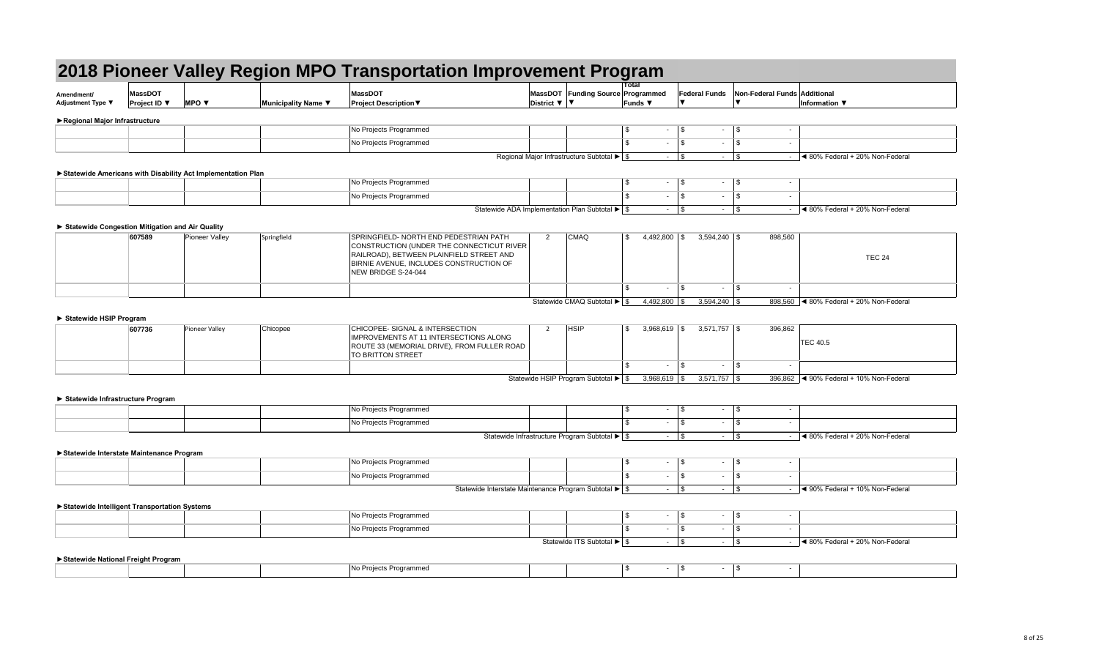| gram                       |                                                   |               |
|----------------------------|---------------------------------------------------|---------------|
| Total                      |                                                   |               |
| <b>Programmed</b>          | <b>Federal Funds</b> Non-Federal Funds Additional |               |
| Funds $\blacktriangledown$ |                                                   | Information ▼ |
|                            |                                                   |               |

| - 11 | $\overline{\phantom{a}}$ | - | $\overline{\phantom{0}}$ |                                 |
|------|--------------------------|---|--------------------------|---------------------------------|
|      |                          |   | $\,$                     |                                 |
|      | -                        |   | $\overline{\phantom{a}}$ | ◀ 80% Federal + 20% Non-Federal |

| Amendment/<br><b>Adjustment Type ▼</b> | <b>MassDOT</b><br><b>Project ID</b> $\blacktriangledown$ | <b>MPO</b> $\blacktriangledown$ | Municipality Name $\blacktriangledown$ | <b>MassDOT</b><br><b>Project Description ▼</b> | District $\nabla$ | MassDOT Funding Source Programmed                                                                                    | ι υιαι<br><b>Funds</b> ▼ | <b>Federal Funds</b> | Non-Federal Fund |  |
|----------------------------------------|----------------------------------------------------------|---------------------------------|----------------------------------------|------------------------------------------------|-------------------|----------------------------------------------------------------------------------------------------------------------|--------------------------|----------------------|------------------|--|
| ▶ Regional Major Infrastructure        |                                                          |                                 |                                        |                                                |                   |                                                                                                                      |                          |                      |                  |  |
|                                        |                                                          |                                 |                                        | No Projects Programmed                         |                   |                                                                                                                      |                          |                      |                  |  |
|                                        |                                                          |                                 |                                        | No Projects Programmed                         |                   |                                                                                                                      |                          | . .                  |                  |  |
|                                        |                                                          |                                 |                                        |                                                |                   | $D_{\text{c}}$ and $\alpha$ and $M_{\text{c}}$ is an Influential continuous $D_{\text{c}}$ defined as $\mathbb{R}$ . |                          |                      |                  |  |

Regional Major Infrastructure Subtotal ▶

|  | No Projects Programmed |                                                                                |  |  |                                                    |
|--|------------------------|--------------------------------------------------------------------------------|--|--|----------------------------------------------------|
|  | No Projects Programmed |                                                                                |  |  |                                                    |
|  |                        | Statewide ADA Implementation Plan Subtotal ▶ Statewide ADA Implementation Plan |  |  | $\blacktriangleleft$ 80% Federal + 20% Non-Federal |

| 607589 | Pioneer Valley | Springfield | SPRINGFIELD- NORTH END PEDESTRIAN PATH<br>CONSTRUCTION (UNDER THE CONNECTICUT RIVER)<br>RAILROAD), BETWEEN PLAINFIELD STREET AND<br>BIRNIE AVENUE, INCLUDES CONSTRUCTION OF<br>NEW BRIDGE S-24-044 | <b>CMAQ</b>                    | 4,492,800 | $3,594,240$ \\$ | 898,560 | <b>TEC 24</b>                                                |
|--------|----------------|-------------|----------------------------------------------------------------------------------------------------------------------------------------------------------------------------------------------------|--------------------------------|-----------|-----------------|---------|--------------------------------------------------------------|
|        |                |             |                                                                                                                                                                                                    |                                |           |                 |         |                                                              |
|        |                |             |                                                                                                                                                                                                    | Statewide CMAQ Subtotal ▶   \$ | 4,492,800 | $3,594,240$ \\$ |         | $898,560$ $\blacktriangleleft$ 80% Federal + 20% Non-Federal |

| 607736 | Pioneer Valley | Chicopee | CHICOPEE- SIGNAL & INTERSECTION<br><b>IMPROVEMENTS AT 11 INTERSECTIONS ALONG</b><br>ROUTE 33 (MEMORIAL DRIVE), FROM FULLER ROAD<br><b>TO BRITTON STREET</b> | <b>HSIF</b>                         | $3,968,619$ \$  | $3,571,757$ \$  | 396,862 | TEC 40.5                                 |
|--------|----------------|----------|-------------------------------------------------------------------------------------------------------------------------------------------------------------|-------------------------------------|-----------------|-----------------|---------|------------------------------------------|
|        |                |          |                                                                                                                                                             |                                     |                 |                 |         |                                          |
|        |                |          |                                                                                                                                                             | Statewide HSIP Program Subtotal ▶ S | $3,968,619$ \\$ | $3,571,757$ \\$ |         | 396,862  ◀ 90% Federal + 10% Non-Federal |

| $\triangleright$ Statewide National Figult Flogram |  |  |  |  |
|----------------------------------------------------|--|--|--|--|
|                                                    |  |  |  |  |
|                                                    |  |  |  |  |

### **►Statewide Americans with Disability Act Implementation Plan**

| No Projects Programmed |                                                                           |  |  |                                                    |
|------------------------|---------------------------------------------------------------------------|--|--|----------------------------------------------------|
| No Projects Programmed |                                                                           |  |  |                                                    |
|                        | Statewide Infrastructure Program Subtotal $\blacktriangleright$ $\mid$ \$ |  |  | $\blacktriangleleft$ 80% Federal + 20% Non-Federal |

|  |  | INo Proiects Programmed |                                                       |  |  |                                                    |
|--|--|-------------------------|-------------------------------------------------------|--|--|----------------------------------------------------|
|  |  | INo Projects Programmed |                                                       |  |  |                                                    |
|  |  |                         | Statewide Interstate Maintenance Program Subtotal ▶ S |  |  | $\blacktriangleleft$ 90% Federal + 10% Non-Federal |

### **► Statewide Congestion Mitigation and Air Quality**

| No Projects Programmed |                               |  |                                                    |
|------------------------|-------------------------------|--|----------------------------------------------------|
| No Projects Programmed |                               |  |                                                    |
|                        | Statewide ITS Subtotal ▶   \$ |  | $\blacktriangleleft$ 80% Federal + 20% Non-Federal |

### **► Statewide HSIP Program**

### **► Statewide Infrastructure Program**

### **►Statewide Interstate Maintenance Program**

### **►Statewide Intelligent Transportation Systems**

### **►Statewide National Freight Program**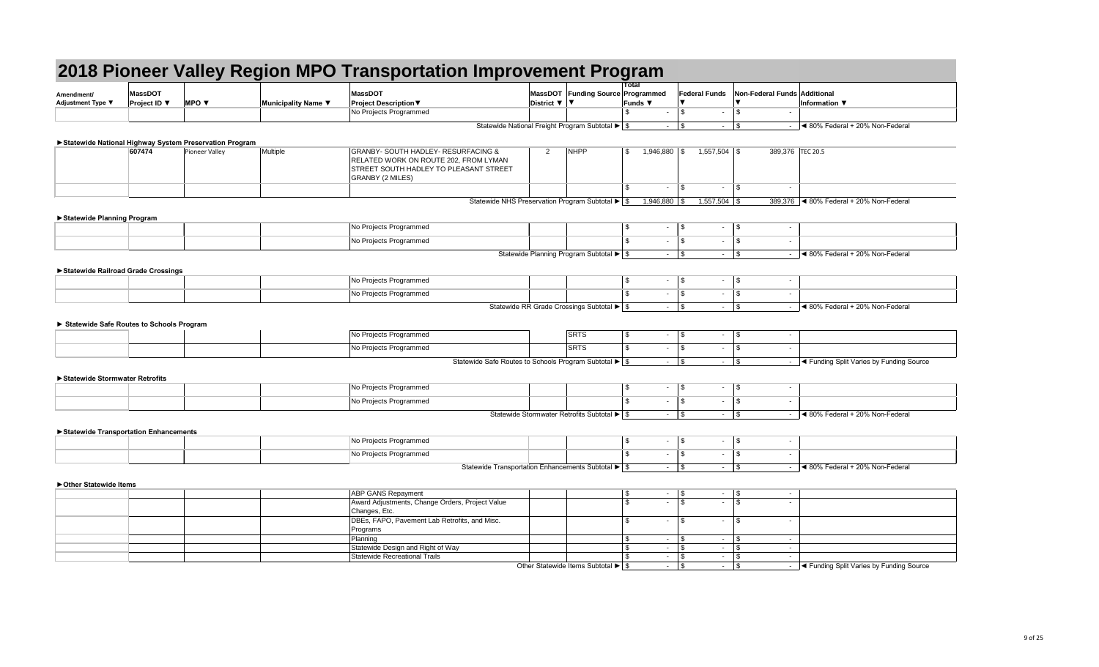|                                          |                     |                                                        |                     | 2018 Pioneer Valley Region MPO Transportation Improvement Program                                                                                                   |                                                                                |                                                                |                                             |                      |                                      |                          |                              |                                                |
|------------------------------------------|---------------------|--------------------------------------------------------|---------------------|---------------------------------------------------------------------------------------------------------------------------------------------------------------------|--------------------------------------------------------------------------------|----------------------------------------------------------------|---------------------------------------------|----------------------|--------------------------------------|--------------------------|------------------------------|------------------------------------------------|
|                                          | <b>MassDOT</b>      |                                                        |                     | <b>MassDOT</b>                                                                                                                                                      |                                                                                | MassDOT Funding Source Programmed                              | Total                                       |                      | <b>Federal Funds</b>                 |                          | Non-Federal Funds Additional |                                                |
| Amendment/<br>Adjustment Type ▼          | <b>Project ID</b> ▼ | <b>MPO V</b>                                           | Municipality Name ▼ | <b>Project Description ▼</b>                                                                                                                                        | District $\nabla$   $\nabla$                                                   |                                                                | Funds ▼                                     |                      |                                      |                          |                              | Information ▼                                  |
|                                          |                     |                                                        |                     | No Projects Programmed                                                                                                                                              |                                                                                |                                                                | -\$                                         | $\sim$               | \$<br>$\sim$                         | - \$                     | $\sim$                       |                                                |
|                                          |                     |                                                        |                     |                                                                                                                                                                     | Statewide National Freight Program Subtotal ▶ \$                               |                                                                |                                             | $\sim$               | $\vert$ \$                           | \$<br>$\sim$             | $\sim$                       | ◀ 80% Federal + 20% Non-Federal                |
|                                          |                     |                                                        |                     |                                                                                                                                                                     |                                                                                |                                                                |                                             |                      |                                      |                          |                              |                                                |
|                                          |                     | Statewide National Highway System Preservation Program |                     |                                                                                                                                                                     |                                                                                |                                                                |                                             |                      |                                      |                          |                              |                                                |
|                                          | 607474              | <b>Pioneer Valley</b>                                  | Multiple            | <b>GRANBY- SOUTH HADLEY- RESURFACING &amp;</b><br>RELATED WORK ON ROUTE 202, FROM LYMAN<br><b>STREET SOUTH HADLEY TO PLEASANT STREET</b><br><b>GRANBY (2 MILES)</b> | 2                                                                              | <b>NHPP</b>                                                    | $\boldsymbol{\mathsf{S}}$                   | 1,946,880            | $1,557,504$ \$<br>$\sqrt{3}$         |                          | 389,376   TEC 20.5           |                                                |
|                                          |                     |                                                        |                     |                                                                                                                                                                     |                                                                                |                                                                | \$                                          | $\sim$               | <b>S</b><br>$\sim$                   | \$                       | $\sim$                       |                                                |
|                                          |                     |                                                        |                     |                                                                                                                                                                     | Statewide NHS Preservation Program Subtotal $\blacktriangleright$ \$           |                                                                |                                             | $1,946,880$ \ \$     | $1,557,504$ \\$                      |                          |                              | 389,376   4 80% Federal + 20% Non-Federal      |
|                                          |                     |                                                        |                     |                                                                                                                                                                     |                                                                                |                                                                |                                             |                      |                                      |                          |                              |                                                |
| ▶ Statewide Planning Program             |                     |                                                        |                     | No Projects Programmed                                                                                                                                              |                                                                                |                                                                | - \$                                        | $\sim$               | <b>S</b><br>$\sim$                   | $\sqrt{3}$               | $\blacksquare$               |                                                |
|                                          |                     |                                                        |                     | No Projects Programmed                                                                                                                                              |                                                                                |                                                                |                                             | $\sim$               | <b>S</b><br>$\sim$                   | <b>S</b>                 | $\overline{\phantom{a}}$     |                                                |
|                                          |                     |                                                        |                     |                                                                                                                                                                     |                                                                                |                                                                |                                             |                      |                                      |                          |                              |                                                |
|                                          |                     |                                                        |                     |                                                                                                                                                                     |                                                                                | Statewide Planning Program Subtotal $\blacktriangleright$ \$   |                                             | $\sim$ $-$           | $\vert$ \$<br>$\sim$                 | $\sqrt{3}$               | $\sim$                       | ◀ 80% Federal + 20% Non-Federal                |
| Statewide Railroad Grade Crossings       |                     |                                                        |                     |                                                                                                                                                                     |                                                                                |                                                                |                                             |                      |                                      |                          |                              |                                                |
|                                          |                     |                                                        |                     | No Projects Programmed                                                                                                                                              |                                                                                |                                                                | -\$                                         | $\sim$               | <b>\$</b><br>$\sim$                  | $\sqrt{3}$               | $\sim$                       |                                                |
|                                          |                     |                                                        |                     | No Projects Programmed                                                                                                                                              |                                                                                |                                                                | £.                                          | $\blacksquare$       | <b>S</b><br>$\sim$                   | $\sqrt{3}$               | $\overline{\phantom{a}}$     |                                                |
|                                          |                     |                                                        |                     |                                                                                                                                                                     | Statewide RR Grade Crossings Subtotal $\blacktriangleright$ \$                 |                                                                |                                             | $\sim$ $-$           | $\vert$ \$                           | $\vert$ \$<br>$\sim$ $-$ | $\sim$                       | ◀ 80% Federal + 20% Non-Federal                |
|                                          |                     |                                                        |                     |                                                                                                                                                                     |                                                                                |                                                                |                                             |                      |                                      |                          |                              |                                                |
| Statewide Safe Routes to Schools Program |                     |                                                        |                     |                                                                                                                                                                     |                                                                                |                                                                |                                             |                      |                                      |                          |                              |                                                |
|                                          |                     |                                                        |                     | No Projects Programmed                                                                                                                                              |                                                                                | <b>SRTS</b>                                                    | $\mathfrak{S}$                              | $\sim$               | $\sqrt{3}$<br>$\sim$                 | \$                       | $\sim$                       |                                                |
|                                          |                     |                                                        |                     | No Projects Programmed                                                                                                                                              |                                                                                | <b>SRTS</b>                                                    | \$                                          | $\sim$               | \$                                   | \$<br>$\sim$             | $\sim$                       |                                                |
|                                          |                     |                                                        |                     |                                                                                                                                                                     | Statewide Safe Routes to Schools Program Subtotal $\blacktriangleright$ \$     |                                                                |                                             | $\sim$               | $\vert$ \$<br>$\sim$                 | $\sqrt{3}$               | $\sim$                       | √ Funding Split Varies by Funding Source       |
|                                          |                     |                                                        |                     |                                                                                                                                                                     |                                                                                |                                                                |                                             |                      |                                      |                          |                              |                                                |
| ▶ Statewide Stormwater Retrofits         |                     |                                                        |                     | No Projects Programmed                                                                                                                                              |                                                                                |                                                                | \$                                          | $\sim$               | $\sqrt{3}$<br>$\sim$                 | \$                       | $\sim$                       |                                                |
|                                          |                     |                                                        |                     |                                                                                                                                                                     |                                                                                |                                                                |                                             |                      |                                      |                          |                              |                                                |
|                                          |                     |                                                        |                     | No Projects Programmed                                                                                                                                              |                                                                                |                                                                |                                             | $\sim$               | <b>S</b><br>$\sim$                   | $\sqrt{3}$               | $\sim$                       |                                                |
|                                          |                     |                                                        |                     |                                                                                                                                                                     | Statewide Stormwater Retrofits Subtotal $\blacktriangleright$ \$               |                                                                |                                             | $\sim 10^{-1}$       | $\vert$ \$<br>$\sim$                 | $\sqrt{3}$               | $\sim$                       | <b>EXECUSE 4 80% Federal + 20% Non-Federal</b> |
| Statewide Transportation Enhancements    |                     |                                                        |                     |                                                                                                                                                                     |                                                                                |                                                                |                                             |                      |                                      |                          |                              |                                                |
|                                          |                     |                                                        |                     | No Projects Programmed                                                                                                                                              |                                                                                |                                                                | \$                                          | $\sim$               | $\vert$ \$<br>$\sim$                 | $\vert$ \$               | $\sim$                       |                                                |
|                                          |                     |                                                        |                     | No Projects Programmed                                                                                                                                              |                                                                                |                                                                | £.                                          | $\sim$               | <b>S</b><br>$\sim$                   | $\sqrt{3}$               | $\sim$                       |                                                |
|                                          |                     |                                                        |                     |                                                                                                                                                                     | Statewide Transportation Enhancements Subtotal $\blacktriangleright$ $\mid$ \$ |                                                                |                                             |                      |                                      | $-$   \$                 | $\sim$                       | Sol% Federal + 20% Non-Federal                 |
|                                          |                     |                                                        |                     |                                                                                                                                                                     |                                                                                |                                                                |                                             |                      |                                      |                          |                              |                                                |
| ▶ Other Statewide Items                  |                     |                                                        |                     |                                                                                                                                                                     |                                                                                |                                                                |                                             |                      |                                      |                          |                              |                                                |
|                                          |                     |                                                        |                     | <b>ABP GANS Repayment</b>                                                                                                                                           |                                                                                |                                                                | $\boldsymbol{\mathsf{s}}$<br>$\mathfrak{L}$ | $\sim$               | $\sqrt{3}$<br>$\sim$<br>$\mathbf{s}$ | $\sqrt{3}$               | $\sim$                       |                                                |
|                                          |                     |                                                        |                     | Award Adjustments, Change Orders, Project Value<br>Changes, Etc.                                                                                                    |                                                                                |                                                                |                                             | $\sim$               | $\sim$                               | $\sqrt{3}$               | $\overline{\phantom{a}}$     |                                                |
|                                          |                     |                                                        |                     | DBEs, FAPO, Pavement Lab Retrofits, and Misc.                                                                                                                       |                                                                                |                                                                | \$                                          | $\sim$               | $\sqrt{3}$<br>$\sim$                 | $\sqrt{3}$               | $\sim$                       |                                                |
|                                          |                     |                                                        |                     | Programs                                                                                                                                                            |                                                                                |                                                                |                                             |                      |                                      |                          |                              |                                                |
|                                          |                     |                                                        |                     | Planning                                                                                                                                                            |                                                                                |                                                                | \$                                          | $\sim$               | $\sqrt{3}$<br>$\sim$                 | $\sqrt{3}$               | $\sim$                       |                                                |
|                                          |                     |                                                        |                     | Statewide Design and Right of Way<br>Statewide Recreational Trails                                                                                                  |                                                                                |                                                                | \$                                          | $\sim$               | $\sqrt{3}$<br>$\sim$<br>$\sqrt{3}$   | $\sqrt{3}$<br>-\$        | $\sim$<br>$\sim$             |                                                |
|                                          |                     |                                                        |                     |                                                                                                                                                                     |                                                                                | Other Statewide Items Subtotal $\blacktriangleright$ $\mid$ \$ |                                             | $\sim$<br>$\sim$ $-$ | $\sim$<br>$\sqrt{3}$                 | $\sqrt{3}$<br>$\sim 10$  | $\sim$                       | √ Funding Split Varies by Funding Source       |

| <b>MassDOT</b><br><b>MassDOT</b><br>MassDOT Funding Source Programmed<br><b>Federal Funds</b><br>Non-Federal Funds Additional<br>Amendment/<br><b>MPO V</b><br><b>Project ID</b> ▼<br>District $\nabla$   $\nabla$<br>Funds ▼<br>Adjustment Type ▼<br>Municipality Name ▼<br><b>Project Description ▼</b><br>Information ▼<br>No Projects Programmed<br>\$<br>- \$<br>-\$<br>$\sim$<br>$\sim$<br>$\sim$<br>Statewide National Freight Program Subtotal ▶ \$<br>◀ 80% Federal + 20% Non-Federal<br>$\vert$ \$<br>  \$<br>$\sim$<br>$\sim$<br>$\sim$<br>Statewide National Highway System Preservation Program<br>Multiple<br><b>NHPP</b><br>607474<br><b>GRANBY- SOUTH HADLEY- RESURFACING &amp;</b><br>$\boldsymbol{\mathsf{S}}$<br>1,946,880<br>$1,557,504$ \$<br>389,376   TEC 20.5<br>2<br>$\sqrt{3}$<br><b>Pioneer Valley</b><br>RELATED WORK ON ROUTE 202, FROM LYMAN<br><b>STREET SOUTH HADLEY TO PLEASANT STREET</b><br><b>GRANBY (2 MILES)</b><br><b>S</b><br>  \$<br>\$<br>$\sim$<br>$\sim$<br>$\sim$<br>389,376   4 80% Federal + 20% Non-Federal<br>Statewide NHS Preservation Program Subtotal $\blacktriangleright$ \$<br>$1,946,880$ \ \$<br>$1,557,504$ \\$<br>▶ Statewide Planning Program<br>No Projects Programmed<br><b>S</b><br>$\sqrt{3}$<br>- \$<br>$\sim$<br>$\sim$<br>$\blacksquare$<br>No Projects Programmed<br><b>S</b><br><b>S</b><br>$\sim$<br>$\sim$<br>$\overline{\phantom{a}}$<br>Statewide Planning Program Subtotal $\blacktriangleright$ \$<br>$\vert$ \$<br>$\sqrt{3}$<br>◀ 80% Federal + 20% Non-Federal<br>$\sim$ $-$<br>$\sim$<br>$\sim$<br>Statewide Railroad Grade Crossings<br>No Projects Programmed<br>$\sqrt{3}$<br><b>\$</b><br>-\$<br>$\sim$<br>$\sim$<br>$\sim$<br>No Projects Programmed<br><b>S</b><br>$\sqrt{3}$<br>£.<br>$\blacksquare$<br>$\sim$<br>$\overline{\phantom{a}}$<br>Statewide RR Grade Crossings Subtotal $\blacktriangleright$ \$<br>$\vert$ \$<br>$\vert$ \$<br>◀ 80% Federal + 20% Non-Federal<br>$\sim$ $-$<br>$\sim$ $-$<br>$\sim$<br>Statewide Safe Routes to Schools Program<br>No Projects Programmed<br><b>SRTS</b><br>$\mathfrak{S}$<br>$\sqrt{3}$<br>  \$<br>$\sim$<br>$\sim$<br>$\sim$<br><b>SRTS</b><br>No Projects Programmed<br>\$<br>  \$<br>  \$<br>$\sim$<br>$\sim$<br>$\sim$<br>Statewide Safe Routes to Schools Program Subtotal $\blacktriangleright$ \$<br>$\sqrt{3}$<br>√ Funding Split Varies by Funding Source<br>$\vert$ \$<br>$\sim$<br>$\sim$<br>$\sim$<br>▶ Statewide Stormwater Retrofits<br>No Projects Programmed<br>$\sqrt{3}$<br>  \$<br>\$<br>$\sim$<br>$\sim$<br>$\sim$<br>No Projects Programmed<br>l \$<br>$\sqrt{3}$<br>$\sim$<br>$\sim$<br>$\sim$<br>Statewide Stormwater Retrofits Subtotal $\blacktriangleright$ \$<br>$\vert$ \$<br><b>EXECUSE 4 80% Federal + 20% Non-Federal</b><br>$\sqrt{3}$<br>$\sim 10^{-1}$<br>$\sim$<br>$\sim$<br>Statewide Transportation Enhancements<br>No Projects Programmed<br>$\vert$ \$<br>$\vert$ \$<br>\$<br>$\sim$<br>$\sim$<br>$\sim$<br>No Projects Programmed<br>l \$<br>$\sqrt{3}$<br>£.<br>$\sim$<br>$\sim$<br>$\sim$<br>Statewide Transportation Enhancements Subtotal $\blacktriangleright$ $\mid$ \$<br>$-1$ \$<br>$-$   \$<br>$\blacktriangleleft$ 80% Federal + 20% Non-Federal<br>$\sim$<br>▶ Other Statewide Items<br><b>ABP GANS Repayment</b><br>$\sqrt{3}$<br>$\sqrt{3}$<br>$\boldsymbol{\mathsf{s}}$<br>$\sim$<br>$\sim$<br>$\sim$<br>$\mathbf{s}$<br>$\sqrt{3}$<br>Award Adjustments, Change Orders, Project Value<br>$\mathfrak{L}$<br>$\sim$<br>$\sim$<br>$\overline{\phantom{a}}$<br>Changes, Etc.<br>DBEs, FAPO, Pavement Lab Retrofits, and Misc.<br>$\sqrt{3}$<br>$\sqrt{3}$<br>\$.<br>$\sim$<br>$\sim$<br>$\sim$<br>Programs<br>$\sqrt{3}$<br>Planning<br>\$<br>$\sqrt{3}$<br>$\sim$<br>$\sim$<br>$\sim$<br>$\sqrt{3}$<br>$\sqrt{3}$<br>Statewide Design and Right of Way<br>\$<br>$\sim$<br>$\sim$<br>$\sim$<br>$\sqrt{3}$<br>Statewide Recreational Trails<br>-\$<br>$\sim$<br>$\sim$<br>$\sim$<br>- Get Tunding Split Varies by Funding Source<br>$\sqrt{ }$<br>$\sim$ |  |  | 2018 Pioneer Valley Region MPO Transportation Improvement Program |  |       |        |              |  |
|--------------------------------------------------------------------------------------------------------------------------------------------------------------------------------------------------------------------------------------------------------------------------------------------------------------------------------------------------------------------------------------------------------------------------------------------------------------------------------------------------------------------------------------------------------------------------------------------------------------------------------------------------------------------------------------------------------------------------------------------------------------------------------------------------------------------------------------------------------------------------------------------------------------------------------------------------------------------------------------------------------------------------------------------------------------------------------------------------------------------------------------------------------------------------------------------------------------------------------------------------------------------------------------------------------------------------------------------------------------------------------------------------------------------------------------------------------------------------------------------------------------------------------------------------------------------------------------------------------------------------------------------------------------------------------------------------------------------------------------------------------------------------------------------------------------------------------------------------------------------------------------------------------------------------------------------------------------------------------------------------------------------------------------------------------------------------------------------------------------------------------------------------------------------------------------------------------------------------------------------------------------------------------------------------------------------------------------------------------------------------------------------------------------------------------------------------------------------------------------------------------------------------------------------------------------------------------------------------------------------------------------------------------------------------------------------------------------------------------------------------------------------------------------------------------------------------------------------------------------------------------------------------------------------------------------------------------------------------------------------------------------------------------------------------------------------------------------------------------------------------------------------------------------------------------------------------------------------------------------------------------------------------------------------------------------------------------------------------------------------------------------------------------------------------------------------------------------------------------------------------------------------------------------------------------------------------------------------------------------------------------------------------------------------------------------------------------------------------------------------------------------------------------------------------------------------------------------------------------------------------------------------------------------------------------------------------------------------------------------------------------------------------------------------------|--|--|-------------------------------------------------------------------|--|-------|--------|--------------|--|
|                                                                                                                                                                                                                                                                                                                                                                                                                                                                                                                                                                                                                                                                                                                                                                                                                                                                                                                                                                                                                                                                                                                                                                                                                                                                                                                                                                                                                                                                                                                                                                                                                                                                                                                                                                                                                                                                                                                                                                                                                                                                                                                                                                                                                                                                                                                                                                                                                                                                                                                                                                                                                                                                                                                                                                                                                                                                                                                                                                                                                                                                                                                                                                                                                                                                                                                                                                                                                                                                                                                                                                                                                                                                                                                                                                                                                                                                                                                                                                                                                                                  |  |  |                                                                   |  | Total |        |              |  |
|                                                                                                                                                                                                                                                                                                                                                                                                                                                                                                                                                                                                                                                                                                                                                                                                                                                                                                                                                                                                                                                                                                                                                                                                                                                                                                                                                                                                                                                                                                                                                                                                                                                                                                                                                                                                                                                                                                                                                                                                                                                                                                                                                                                                                                                                                                                                                                                                                                                                                                                                                                                                                                                                                                                                                                                                                                                                                                                                                                                                                                                                                                                                                                                                                                                                                                                                                                                                                                                                                                                                                                                                                                                                                                                                                                                                                                                                                                                                                                                                                                                  |  |  |                                                                   |  |       |        |              |  |
|                                                                                                                                                                                                                                                                                                                                                                                                                                                                                                                                                                                                                                                                                                                                                                                                                                                                                                                                                                                                                                                                                                                                                                                                                                                                                                                                                                                                                                                                                                                                                                                                                                                                                                                                                                                                                                                                                                                                                                                                                                                                                                                                                                                                                                                                                                                                                                                                                                                                                                                                                                                                                                                                                                                                                                                                                                                                                                                                                                                                                                                                                                                                                                                                                                                                                                                                                                                                                                                                                                                                                                                                                                                                                                                                                                                                                                                                                                                                                                                                                                                  |  |  |                                                                   |  |       |        |              |  |
|                                                                                                                                                                                                                                                                                                                                                                                                                                                                                                                                                                                                                                                                                                                                                                                                                                                                                                                                                                                                                                                                                                                                                                                                                                                                                                                                                                                                                                                                                                                                                                                                                                                                                                                                                                                                                                                                                                                                                                                                                                                                                                                                                                                                                                                                                                                                                                                                                                                                                                                                                                                                                                                                                                                                                                                                                                                                                                                                                                                                                                                                                                                                                                                                                                                                                                                                                                                                                                                                                                                                                                                                                                                                                                                                                                                                                                                                                                                                                                                                                                                  |  |  |                                                                   |  |       |        |              |  |
|                                                                                                                                                                                                                                                                                                                                                                                                                                                                                                                                                                                                                                                                                                                                                                                                                                                                                                                                                                                                                                                                                                                                                                                                                                                                                                                                                                                                                                                                                                                                                                                                                                                                                                                                                                                                                                                                                                                                                                                                                                                                                                                                                                                                                                                                                                                                                                                                                                                                                                                                                                                                                                                                                                                                                                                                                                                                                                                                                                                                                                                                                                                                                                                                                                                                                                                                                                                                                                                                                                                                                                                                                                                                                                                                                                                                                                                                                                                                                                                                                                                  |  |  |                                                                   |  |       |        |              |  |
|                                                                                                                                                                                                                                                                                                                                                                                                                                                                                                                                                                                                                                                                                                                                                                                                                                                                                                                                                                                                                                                                                                                                                                                                                                                                                                                                                                                                                                                                                                                                                                                                                                                                                                                                                                                                                                                                                                                                                                                                                                                                                                                                                                                                                                                                                                                                                                                                                                                                                                                                                                                                                                                                                                                                                                                                                                                                                                                                                                                                                                                                                                                                                                                                                                                                                                                                                                                                                                                                                                                                                                                                                                                                                                                                                                                                                                                                                                                                                                                                                                                  |  |  |                                                                   |  |       |        |              |  |
|                                                                                                                                                                                                                                                                                                                                                                                                                                                                                                                                                                                                                                                                                                                                                                                                                                                                                                                                                                                                                                                                                                                                                                                                                                                                                                                                                                                                                                                                                                                                                                                                                                                                                                                                                                                                                                                                                                                                                                                                                                                                                                                                                                                                                                                                                                                                                                                                                                                                                                                                                                                                                                                                                                                                                                                                                                                                                                                                                                                                                                                                                                                                                                                                                                                                                                                                                                                                                                                                                                                                                                                                                                                                                                                                                                                                                                                                                                                                                                                                                                                  |  |  |                                                                   |  |       |        |              |  |
|                                                                                                                                                                                                                                                                                                                                                                                                                                                                                                                                                                                                                                                                                                                                                                                                                                                                                                                                                                                                                                                                                                                                                                                                                                                                                                                                                                                                                                                                                                                                                                                                                                                                                                                                                                                                                                                                                                                                                                                                                                                                                                                                                                                                                                                                                                                                                                                                                                                                                                                                                                                                                                                                                                                                                                                                                                                                                                                                                                                                                                                                                                                                                                                                                                                                                                                                                                                                                                                                                                                                                                                                                                                                                                                                                                                                                                                                                                                                                                                                                                                  |  |  |                                                                   |  |       |        |              |  |
|                                                                                                                                                                                                                                                                                                                                                                                                                                                                                                                                                                                                                                                                                                                                                                                                                                                                                                                                                                                                                                                                                                                                                                                                                                                                                                                                                                                                                                                                                                                                                                                                                                                                                                                                                                                                                                                                                                                                                                                                                                                                                                                                                                                                                                                                                                                                                                                                                                                                                                                                                                                                                                                                                                                                                                                                                                                                                                                                                                                                                                                                                                                                                                                                                                                                                                                                                                                                                                                                                                                                                                                                                                                                                                                                                                                                                                                                                                                                                                                                                                                  |  |  |                                                                   |  |       |        |              |  |
|                                                                                                                                                                                                                                                                                                                                                                                                                                                                                                                                                                                                                                                                                                                                                                                                                                                                                                                                                                                                                                                                                                                                                                                                                                                                                                                                                                                                                                                                                                                                                                                                                                                                                                                                                                                                                                                                                                                                                                                                                                                                                                                                                                                                                                                                                                                                                                                                                                                                                                                                                                                                                                                                                                                                                                                                                                                                                                                                                                                                                                                                                                                                                                                                                                                                                                                                                                                                                                                                                                                                                                                                                                                                                                                                                                                                                                                                                                                                                                                                                                                  |  |  |                                                                   |  |       |        |              |  |
|                                                                                                                                                                                                                                                                                                                                                                                                                                                                                                                                                                                                                                                                                                                                                                                                                                                                                                                                                                                                                                                                                                                                                                                                                                                                                                                                                                                                                                                                                                                                                                                                                                                                                                                                                                                                                                                                                                                                                                                                                                                                                                                                                                                                                                                                                                                                                                                                                                                                                                                                                                                                                                                                                                                                                                                                                                                                                                                                                                                                                                                                                                                                                                                                                                                                                                                                                                                                                                                                                                                                                                                                                                                                                                                                                                                                                                                                                                                                                                                                                                                  |  |  |                                                                   |  |       |        |              |  |
|                                                                                                                                                                                                                                                                                                                                                                                                                                                                                                                                                                                                                                                                                                                                                                                                                                                                                                                                                                                                                                                                                                                                                                                                                                                                                                                                                                                                                                                                                                                                                                                                                                                                                                                                                                                                                                                                                                                                                                                                                                                                                                                                                                                                                                                                                                                                                                                                                                                                                                                                                                                                                                                                                                                                                                                                                                                                                                                                                                                                                                                                                                                                                                                                                                                                                                                                                                                                                                                                                                                                                                                                                                                                                                                                                                                                                                                                                                                                                                                                                                                  |  |  |                                                                   |  |       |        |              |  |
|                                                                                                                                                                                                                                                                                                                                                                                                                                                                                                                                                                                                                                                                                                                                                                                                                                                                                                                                                                                                                                                                                                                                                                                                                                                                                                                                                                                                                                                                                                                                                                                                                                                                                                                                                                                                                                                                                                                                                                                                                                                                                                                                                                                                                                                                                                                                                                                                                                                                                                                                                                                                                                                                                                                                                                                                                                                                                                                                                                                                                                                                                                                                                                                                                                                                                                                                                                                                                                                                                                                                                                                                                                                                                                                                                                                                                                                                                                                                                                                                                                                  |  |  |                                                                   |  |       |        |              |  |
|                                                                                                                                                                                                                                                                                                                                                                                                                                                                                                                                                                                                                                                                                                                                                                                                                                                                                                                                                                                                                                                                                                                                                                                                                                                                                                                                                                                                                                                                                                                                                                                                                                                                                                                                                                                                                                                                                                                                                                                                                                                                                                                                                                                                                                                                                                                                                                                                                                                                                                                                                                                                                                                                                                                                                                                                                                                                                                                                                                                                                                                                                                                                                                                                                                                                                                                                                                                                                                                                                                                                                                                                                                                                                                                                                                                                                                                                                                                                                                                                                                                  |  |  |                                                                   |  |       |        |              |  |
|                                                                                                                                                                                                                                                                                                                                                                                                                                                                                                                                                                                                                                                                                                                                                                                                                                                                                                                                                                                                                                                                                                                                                                                                                                                                                                                                                                                                                                                                                                                                                                                                                                                                                                                                                                                                                                                                                                                                                                                                                                                                                                                                                                                                                                                                                                                                                                                                                                                                                                                                                                                                                                                                                                                                                                                                                                                                                                                                                                                                                                                                                                                                                                                                                                                                                                                                                                                                                                                                                                                                                                                                                                                                                                                                                                                                                                                                                                                                                                                                                                                  |  |  |                                                                   |  |       |        |              |  |
|                                                                                                                                                                                                                                                                                                                                                                                                                                                                                                                                                                                                                                                                                                                                                                                                                                                                                                                                                                                                                                                                                                                                                                                                                                                                                                                                                                                                                                                                                                                                                                                                                                                                                                                                                                                                                                                                                                                                                                                                                                                                                                                                                                                                                                                                                                                                                                                                                                                                                                                                                                                                                                                                                                                                                                                                                                                                                                                                                                                                                                                                                                                                                                                                                                                                                                                                                                                                                                                                                                                                                                                                                                                                                                                                                                                                                                                                                                                                                                                                                                                  |  |  |                                                                   |  |       |        |              |  |
|                                                                                                                                                                                                                                                                                                                                                                                                                                                                                                                                                                                                                                                                                                                                                                                                                                                                                                                                                                                                                                                                                                                                                                                                                                                                                                                                                                                                                                                                                                                                                                                                                                                                                                                                                                                                                                                                                                                                                                                                                                                                                                                                                                                                                                                                                                                                                                                                                                                                                                                                                                                                                                                                                                                                                                                                                                                                                                                                                                                                                                                                                                                                                                                                                                                                                                                                                                                                                                                                                                                                                                                                                                                                                                                                                                                                                                                                                                                                                                                                                                                  |  |  |                                                                   |  |       |        |              |  |
|                                                                                                                                                                                                                                                                                                                                                                                                                                                                                                                                                                                                                                                                                                                                                                                                                                                                                                                                                                                                                                                                                                                                                                                                                                                                                                                                                                                                                                                                                                                                                                                                                                                                                                                                                                                                                                                                                                                                                                                                                                                                                                                                                                                                                                                                                                                                                                                                                                                                                                                                                                                                                                                                                                                                                                                                                                                                                                                                                                                                                                                                                                                                                                                                                                                                                                                                                                                                                                                                                                                                                                                                                                                                                                                                                                                                                                                                                                                                                                                                                                                  |  |  |                                                                   |  |       |        |              |  |
|                                                                                                                                                                                                                                                                                                                                                                                                                                                                                                                                                                                                                                                                                                                                                                                                                                                                                                                                                                                                                                                                                                                                                                                                                                                                                                                                                                                                                                                                                                                                                                                                                                                                                                                                                                                                                                                                                                                                                                                                                                                                                                                                                                                                                                                                                                                                                                                                                                                                                                                                                                                                                                                                                                                                                                                                                                                                                                                                                                                                                                                                                                                                                                                                                                                                                                                                                                                                                                                                                                                                                                                                                                                                                                                                                                                                                                                                                                                                                                                                                                                  |  |  |                                                                   |  |       |        |              |  |
|                                                                                                                                                                                                                                                                                                                                                                                                                                                                                                                                                                                                                                                                                                                                                                                                                                                                                                                                                                                                                                                                                                                                                                                                                                                                                                                                                                                                                                                                                                                                                                                                                                                                                                                                                                                                                                                                                                                                                                                                                                                                                                                                                                                                                                                                                                                                                                                                                                                                                                                                                                                                                                                                                                                                                                                                                                                                                                                                                                                                                                                                                                                                                                                                                                                                                                                                                                                                                                                                                                                                                                                                                                                                                                                                                                                                                                                                                                                                                                                                                                                  |  |  |                                                                   |  |       |        |              |  |
|                                                                                                                                                                                                                                                                                                                                                                                                                                                                                                                                                                                                                                                                                                                                                                                                                                                                                                                                                                                                                                                                                                                                                                                                                                                                                                                                                                                                                                                                                                                                                                                                                                                                                                                                                                                                                                                                                                                                                                                                                                                                                                                                                                                                                                                                                                                                                                                                                                                                                                                                                                                                                                                                                                                                                                                                                                                                                                                                                                                                                                                                                                                                                                                                                                                                                                                                                                                                                                                                                                                                                                                                                                                                                                                                                                                                                                                                                                                                                                                                                                                  |  |  |                                                                   |  |       |        |              |  |
|                                                                                                                                                                                                                                                                                                                                                                                                                                                                                                                                                                                                                                                                                                                                                                                                                                                                                                                                                                                                                                                                                                                                                                                                                                                                                                                                                                                                                                                                                                                                                                                                                                                                                                                                                                                                                                                                                                                                                                                                                                                                                                                                                                                                                                                                                                                                                                                                                                                                                                                                                                                                                                                                                                                                                                                                                                                                                                                                                                                                                                                                                                                                                                                                                                                                                                                                                                                                                                                                                                                                                                                                                                                                                                                                                                                                                                                                                                                                                                                                                                                  |  |  |                                                                   |  |       |        |              |  |
|                                                                                                                                                                                                                                                                                                                                                                                                                                                                                                                                                                                                                                                                                                                                                                                                                                                                                                                                                                                                                                                                                                                                                                                                                                                                                                                                                                                                                                                                                                                                                                                                                                                                                                                                                                                                                                                                                                                                                                                                                                                                                                                                                                                                                                                                                                                                                                                                                                                                                                                                                                                                                                                                                                                                                                                                                                                                                                                                                                                                                                                                                                                                                                                                                                                                                                                                                                                                                                                                                                                                                                                                                                                                                                                                                                                                                                                                                                                                                                                                                                                  |  |  |                                                                   |  |       |        |              |  |
|                                                                                                                                                                                                                                                                                                                                                                                                                                                                                                                                                                                                                                                                                                                                                                                                                                                                                                                                                                                                                                                                                                                                                                                                                                                                                                                                                                                                                                                                                                                                                                                                                                                                                                                                                                                                                                                                                                                                                                                                                                                                                                                                                                                                                                                                                                                                                                                                                                                                                                                                                                                                                                                                                                                                                                                                                                                                                                                                                                                                                                                                                                                                                                                                                                                                                                                                                                                                                                                                                                                                                                                                                                                                                                                                                                                                                                                                                                                                                                                                                                                  |  |  |                                                                   |  |       |        |              |  |
|                                                                                                                                                                                                                                                                                                                                                                                                                                                                                                                                                                                                                                                                                                                                                                                                                                                                                                                                                                                                                                                                                                                                                                                                                                                                                                                                                                                                                                                                                                                                                                                                                                                                                                                                                                                                                                                                                                                                                                                                                                                                                                                                                                                                                                                                                                                                                                                                                                                                                                                                                                                                                                                                                                                                                                                                                                                                                                                                                                                                                                                                                                                                                                                                                                                                                                                                                                                                                                                                                                                                                                                                                                                                                                                                                                                                                                                                                                                                                                                                                                                  |  |  |                                                                   |  |       |        |              |  |
|                                                                                                                                                                                                                                                                                                                                                                                                                                                                                                                                                                                                                                                                                                                                                                                                                                                                                                                                                                                                                                                                                                                                                                                                                                                                                                                                                                                                                                                                                                                                                                                                                                                                                                                                                                                                                                                                                                                                                                                                                                                                                                                                                                                                                                                                                                                                                                                                                                                                                                                                                                                                                                                                                                                                                                                                                                                                                                                                                                                                                                                                                                                                                                                                                                                                                                                                                                                                                                                                                                                                                                                                                                                                                                                                                                                                                                                                                                                                                                                                                                                  |  |  |                                                                   |  |       |        |              |  |
|                                                                                                                                                                                                                                                                                                                                                                                                                                                                                                                                                                                                                                                                                                                                                                                                                                                                                                                                                                                                                                                                                                                                                                                                                                                                                                                                                                                                                                                                                                                                                                                                                                                                                                                                                                                                                                                                                                                                                                                                                                                                                                                                                                                                                                                                                                                                                                                                                                                                                                                                                                                                                                                                                                                                                                                                                                                                                                                                                                                                                                                                                                                                                                                                                                                                                                                                                                                                                                                                                                                                                                                                                                                                                                                                                                                                                                                                                                                                                                                                                                                  |  |  |                                                                   |  |       |        |              |  |
|                                                                                                                                                                                                                                                                                                                                                                                                                                                                                                                                                                                                                                                                                                                                                                                                                                                                                                                                                                                                                                                                                                                                                                                                                                                                                                                                                                                                                                                                                                                                                                                                                                                                                                                                                                                                                                                                                                                                                                                                                                                                                                                                                                                                                                                                                                                                                                                                                                                                                                                                                                                                                                                                                                                                                                                                                                                                                                                                                                                                                                                                                                                                                                                                                                                                                                                                                                                                                                                                                                                                                                                                                                                                                                                                                                                                                                                                                                                                                                                                                                                  |  |  |                                                                   |  |       |        |              |  |
|                                                                                                                                                                                                                                                                                                                                                                                                                                                                                                                                                                                                                                                                                                                                                                                                                                                                                                                                                                                                                                                                                                                                                                                                                                                                                                                                                                                                                                                                                                                                                                                                                                                                                                                                                                                                                                                                                                                                                                                                                                                                                                                                                                                                                                                                                                                                                                                                                                                                                                                                                                                                                                                                                                                                                                                                                                                                                                                                                                                                                                                                                                                                                                                                                                                                                                                                                                                                                                                                                                                                                                                                                                                                                                                                                                                                                                                                                                                                                                                                                                                  |  |  |                                                                   |  |       |        |              |  |
|                                                                                                                                                                                                                                                                                                                                                                                                                                                                                                                                                                                                                                                                                                                                                                                                                                                                                                                                                                                                                                                                                                                                                                                                                                                                                                                                                                                                                                                                                                                                                                                                                                                                                                                                                                                                                                                                                                                                                                                                                                                                                                                                                                                                                                                                                                                                                                                                                                                                                                                                                                                                                                                                                                                                                                                                                                                                                                                                                                                                                                                                                                                                                                                                                                                                                                                                                                                                                                                                                                                                                                                                                                                                                                                                                                                                                                                                                                                                                                                                                                                  |  |  |                                                                   |  |       |        |              |  |
|                                                                                                                                                                                                                                                                                                                                                                                                                                                                                                                                                                                                                                                                                                                                                                                                                                                                                                                                                                                                                                                                                                                                                                                                                                                                                                                                                                                                                                                                                                                                                                                                                                                                                                                                                                                                                                                                                                                                                                                                                                                                                                                                                                                                                                                                                                                                                                                                                                                                                                                                                                                                                                                                                                                                                                                                                                                                                                                                                                                                                                                                                                                                                                                                                                                                                                                                                                                                                                                                                                                                                                                                                                                                                                                                                                                                                                                                                                                                                                                                                                                  |  |  |                                                                   |  |       |        |              |  |
|                                                                                                                                                                                                                                                                                                                                                                                                                                                                                                                                                                                                                                                                                                                                                                                                                                                                                                                                                                                                                                                                                                                                                                                                                                                                                                                                                                                                                                                                                                                                                                                                                                                                                                                                                                                                                                                                                                                                                                                                                                                                                                                                                                                                                                                                                                                                                                                                                                                                                                                                                                                                                                                                                                                                                                                                                                                                                                                                                                                                                                                                                                                                                                                                                                                                                                                                                                                                                                                                                                                                                                                                                                                                                                                                                                                                                                                                                                                                                                                                                                                  |  |  |                                                                   |  |       |        |              |  |
|                                                                                                                                                                                                                                                                                                                                                                                                                                                                                                                                                                                                                                                                                                                                                                                                                                                                                                                                                                                                                                                                                                                                                                                                                                                                                                                                                                                                                                                                                                                                                                                                                                                                                                                                                                                                                                                                                                                                                                                                                                                                                                                                                                                                                                                                                                                                                                                                                                                                                                                                                                                                                                                                                                                                                                                                                                                                                                                                                                                                                                                                                                                                                                                                                                                                                                                                                                                                                                                                                                                                                                                                                                                                                                                                                                                                                                                                                                                                                                                                                                                  |  |  |                                                                   |  |       |        |              |  |
|                                                                                                                                                                                                                                                                                                                                                                                                                                                                                                                                                                                                                                                                                                                                                                                                                                                                                                                                                                                                                                                                                                                                                                                                                                                                                                                                                                                                                                                                                                                                                                                                                                                                                                                                                                                                                                                                                                                                                                                                                                                                                                                                                                                                                                                                                                                                                                                                                                                                                                                                                                                                                                                                                                                                                                                                                                                                                                                                                                                                                                                                                                                                                                                                                                                                                                                                                                                                                                                                                                                                                                                                                                                                                                                                                                                                                                                                                                                                                                                                                                                  |  |  |                                                                   |  |       |        |              |  |
|                                                                                                                                                                                                                                                                                                                                                                                                                                                                                                                                                                                                                                                                                                                                                                                                                                                                                                                                                                                                                                                                                                                                                                                                                                                                                                                                                                                                                                                                                                                                                                                                                                                                                                                                                                                                                                                                                                                                                                                                                                                                                                                                                                                                                                                                                                                                                                                                                                                                                                                                                                                                                                                                                                                                                                                                                                                                                                                                                                                                                                                                                                                                                                                                                                                                                                                                                                                                                                                                                                                                                                                                                                                                                                                                                                                                                                                                                                                                                                                                                                                  |  |  |                                                                   |  |       |        |              |  |
|                                                                                                                                                                                                                                                                                                                                                                                                                                                                                                                                                                                                                                                                                                                                                                                                                                                                                                                                                                                                                                                                                                                                                                                                                                                                                                                                                                                                                                                                                                                                                                                                                                                                                                                                                                                                                                                                                                                                                                                                                                                                                                                                                                                                                                                                                                                                                                                                                                                                                                                                                                                                                                                                                                                                                                                                                                                                                                                                                                                                                                                                                                                                                                                                                                                                                                                                                                                                                                                                                                                                                                                                                                                                                                                                                                                                                                                                                                                                                                                                                                                  |  |  |                                                                   |  |       |        |              |  |
|                                                                                                                                                                                                                                                                                                                                                                                                                                                                                                                                                                                                                                                                                                                                                                                                                                                                                                                                                                                                                                                                                                                                                                                                                                                                                                                                                                                                                                                                                                                                                                                                                                                                                                                                                                                                                                                                                                                                                                                                                                                                                                                                                                                                                                                                                                                                                                                                                                                                                                                                                                                                                                                                                                                                                                                                                                                                                                                                                                                                                                                                                                                                                                                                                                                                                                                                                                                                                                                                                                                                                                                                                                                                                                                                                                                                                                                                                                                                                                                                                                                  |  |  |                                                                   |  |       |        |              |  |
|                                                                                                                                                                                                                                                                                                                                                                                                                                                                                                                                                                                                                                                                                                                                                                                                                                                                                                                                                                                                                                                                                                                                                                                                                                                                                                                                                                                                                                                                                                                                                                                                                                                                                                                                                                                                                                                                                                                                                                                                                                                                                                                                                                                                                                                                                                                                                                                                                                                                                                                                                                                                                                                                                                                                                                                                                                                                                                                                                                                                                                                                                                                                                                                                                                                                                                                                                                                                                                                                                                                                                                                                                                                                                                                                                                                                                                                                                                                                                                                                                                                  |  |  |                                                                   |  |       |        |              |  |
|                                                                                                                                                                                                                                                                                                                                                                                                                                                                                                                                                                                                                                                                                                                                                                                                                                                                                                                                                                                                                                                                                                                                                                                                                                                                                                                                                                                                                                                                                                                                                                                                                                                                                                                                                                                                                                                                                                                                                                                                                                                                                                                                                                                                                                                                                                                                                                                                                                                                                                                                                                                                                                                                                                                                                                                                                                                                                                                                                                                                                                                                                                                                                                                                                                                                                                                                                                                                                                                                                                                                                                                                                                                                                                                                                                                                                                                                                                                                                                                                                                                  |  |  |                                                                   |  |       |        |              |  |
|                                                                                                                                                                                                                                                                                                                                                                                                                                                                                                                                                                                                                                                                                                                                                                                                                                                                                                                                                                                                                                                                                                                                                                                                                                                                                                                                                                                                                                                                                                                                                                                                                                                                                                                                                                                                                                                                                                                                                                                                                                                                                                                                                                                                                                                                                                                                                                                                                                                                                                                                                                                                                                                                                                                                                                                                                                                                                                                                                                                                                                                                                                                                                                                                                                                                                                                                                                                                                                                                                                                                                                                                                                                                                                                                                                                                                                                                                                                                                                                                                                                  |  |  |                                                                   |  |       |        |              |  |
|                                                                                                                                                                                                                                                                                                                                                                                                                                                                                                                                                                                                                                                                                                                                                                                                                                                                                                                                                                                                                                                                                                                                                                                                                                                                                                                                                                                                                                                                                                                                                                                                                                                                                                                                                                                                                                                                                                                                                                                                                                                                                                                                                                                                                                                                                                                                                                                                                                                                                                                                                                                                                                                                                                                                                                                                                                                                                                                                                                                                                                                                                                                                                                                                                                                                                                                                                                                                                                                                                                                                                                                                                                                                                                                                                                                                                                                                                                                                                                                                                                                  |  |  |                                                                   |  |       |        |              |  |
|                                                                                                                                                                                                                                                                                                                                                                                                                                                                                                                                                                                                                                                                                                                                                                                                                                                                                                                                                                                                                                                                                                                                                                                                                                                                                                                                                                                                                                                                                                                                                                                                                                                                                                                                                                                                                                                                                                                                                                                                                                                                                                                                                                                                                                                                                                                                                                                                                                                                                                                                                                                                                                                                                                                                                                                                                                                                                                                                                                                                                                                                                                                                                                                                                                                                                                                                                                                                                                                                                                                                                                                                                                                                                                                                                                                                                                                                                                                                                                                                                                                  |  |  |                                                                   |  |       |        |              |  |
|                                                                                                                                                                                                                                                                                                                                                                                                                                                                                                                                                                                                                                                                                                                                                                                                                                                                                                                                                                                                                                                                                                                                                                                                                                                                                                                                                                                                                                                                                                                                                                                                                                                                                                                                                                                                                                                                                                                                                                                                                                                                                                                                                                                                                                                                                                                                                                                                                                                                                                                                                                                                                                                                                                                                                                                                                                                                                                                                                                                                                                                                                                                                                                                                                                                                                                                                                                                                                                                                                                                                                                                                                                                                                                                                                                                                                                                                                                                                                                                                                                                  |  |  |                                                                   |  |       | $\sim$ | $\mathbb{R}$ |  |

|  | Projects Programmed   |  |
|--|-----------------------|--|
|  | erojects Programmed ו |  |
|  |                       |  |

|                                          |                     |                                                                                   |                     | 2018 Pioneer Valley Region MPO Transportation Improvement Program |                                                                            |                                                                     |                            |                  |                         |                                      |                                    |                                                    |
|------------------------------------------|---------------------|-----------------------------------------------------------------------------------|---------------------|-------------------------------------------------------------------|----------------------------------------------------------------------------|---------------------------------------------------------------------|----------------------------|------------------|-------------------------|--------------------------------------|------------------------------------|----------------------------------------------------|
|                                          |                     |                                                                                   |                     |                                                                   |                                                                            |                                                                     | Total                      |                  |                         |                                      |                                    |                                                    |
| Amendment/                               | <b>MassDOT</b>      |                                                                                   |                     | <b>MassDOT</b>                                                    |                                                                            | MassDOT Funding Source Programmed                                   |                            |                  | <b>Federal Funds</b>    |                                      | Non-Federal Funds Additional       |                                                    |
| Adjustment Type ▼                        | <b>Project ID</b> ▼ | <b>MPO ▼</b>                                                                      | Municipality Name ▼ | <b>Project Description ▼</b>                                      |                                                                            | District $\nabla$   $\nabla$                                        | $\mathcal{F}$              | <b>Funds ▼</b>   | -\$                     | -\$                                  |                                    | Information ▼                                      |
|                                          |                     |                                                                                   |                     | No Projects Programmed                                            |                                                                            |                                                                     |                            | $\sim$           |                         | $\sim$                               | $\sim$                             |                                                    |
|                                          |                     |                                                                                   |                     |                                                                   | Statewide National Freight Program Subtotal ▶ \$                           |                                                                     |                            | $\sim 10$        | $\mathsf{S}$            | \$<br>$\sim$                         | $\sim$                             | ◀ 80% Federal + 20% Non-Federal                    |
|                                          |                     |                                                                                   |                     |                                                                   |                                                                            |                                                                     |                            |                  |                         |                                      |                                    |                                                    |
|                                          | 607474              | ▶ Statewide National Highway System Preservation Program<br><b>Pioneer Valley</b> | Multiple            | <b>GRANBY- SOUTH HADLEY- RESURFACING &amp;</b>                    | 2                                                                          | <b>NHPP</b>                                                         | \$                         | $1,946,880$ \$   |                         | $1,557,504$ \$                       | 389,376  TEC 20.5                  |                                                    |
|                                          |                     |                                                                                   |                     | RELATED WORK ON ROUTE 202, FROM LYMAN                             |                                                                            |                                                                     |                            |                  |                         |                                      |                                    |                                                    |
|                                          |                     |                                                                                   |                     | STREET SOUTH HADLEY TO PLEASANT STREET                            |                                                                            |                                                                     |                            |                  |                         |                                      |                                    |                                                    |
|                                          |                     |                                                                                   |                     | <b>GRANBY (2 MILES)</b>                                           |                                                                            |                                                                     |                            |                  |                         |                                      |                                    |                                                    |
|                                          |                     |                                                                                   |                     |                                                                   |                                                                            |                                                                     | \$                         | $\sim$           | l \$                    | \$<br>$\sim$                         | $\overline{\phantom{a}}$           |                                                    |
|                                          |                     |                                                                                   |                     |                                                                   | Statewide NHS Preservation Program Subtotal $\blacktriangleright$ \$       |                                                                     |                            | $1,946,880$ \ \$ |                         | $1,557,504$ \\$                      |                                    | 389,376   4 80% Federal + 20% Non-Federal          |
|                                          |                     |                                                                                   |                     |                                                                   |                                                                            |                                                                     |                            |                  |                         |                                      |                                    |                                                    |
| ▶ Statewide Planning Program             |                     |                                                                                   |                     | No Projects Programmed                                            |                                                                            |                                                                     | -\$                        | $\sim$           | \$                      | \$<br>$\sim$                         | $\overline{\phantom{a}}$           |                                                    |
|                                          |                     |                                                                                   |                     |                                                                   |                                                                            |                                                                     |                            |                  |                         |                                      |                                    |                                                    |
|                                          |                     |                                                                                   |                     | No Projects Programmed                                            |                                                                            |                                                                     |                            | $\sim$           | $\sqrt{3}$              | \$<br>$\sim$                         | $\overline{\phantom{a}}$           |                                                    |
|                                          |                     |                                                                                   |                     |                                                                   |                                                                            | Statewide Planning Program Subtotal $\blacktriangleright$ $\mid$ \$ |                            | $\sim$ $-$       | $\vert$ \$              | \$<br>$\sim$                         | $\sim$                             | ◀ 80% Federal + 20% Non-Federal                    |
|                                          |                     |                                                                                   |                     |                                                                   |                                                                            |                                                                     |                            |                  |                         |                                      |                                    |                                                    |
| Statewide Railroad Grade Crossings       |                     |                                                                                   |                     |                                                                   |                                                                            |                                                                     |                            |                  |                         |                                      |                                    |                                                    |
|                                          |                     |                                                                                   |                     | No Projects Programmed                                            |                                                                            |                                                                     | -\$                        | $\blacksquare$   | \$                      | \$<br>$\sim$                         | $\overline{\phantom{a}}$           |                                                    |
|                                          |                     |                                                                                   |                     | No Projects Programmed                                            |                                                                            |                                                                     |                            | $\blacksquare$   | <b>S</b>                | \$<br>$\sim$                         | $\overline{\phantom{a}}$           |                                                    |
|                                          |                     |                                                                                   |                     |                                                                   | Statewide RR Grade Crossings Subtotal $\blacktriangleright$ $\mid$ \$      |                                                                     |                            |                  |                         | $\sqrt{3}$<br>$\sim$ $-$             | $\sim$                             | ◀ 80% Federal + 20% Non-Federal                    |
| Statewide Safe Routes to Schools Program |                     |                                                                                   |                     | No Projects Programmed<br>No Projects Programmed                  |                                                                            | SRTS<br><b>SRTS</b>                                                 | \$<br>\$.                  | $\sim$<br>$\sim$ | \$<br>$\sqrt{3}$        | \$<br>$\sim$<br>$\sqrt{3}$<br>$\sim$ | $\overline{\phantom{a}}$<br>$\sim$ |                                                    |
|                                          |                     |                                                                                   |                     |                                                                   | Statewide Safe Routes to Schools Program Subtotal $\blacktriangleright$ \$ |                                                                     |                            | $\sim$           | $\sqrt{3}$              | \$<br>$\sim$                         | $\sim$                             | √ Funding Split Varies by Funding Source           |
|                                          |                     |                                                                                   |                     |                                                                   |                                                                            |                                                                     |                            |                  |                         |                                      |                                    |                                                    |
| ▶ Statewide Stormwater Retrofits         |                     |                                                                                   |                     |                                                                   |                                                                            |                                                                     |                            |                  |                         |                                      |                                    |                                                    |
|                                          |                     |                                                                                   |                     | No Projects Programmed                                            |                                                                            |                                                                     | -\$                        | $\sim$           | <b>S</b>                | $\sqrt{3}$<br>$\sim$                 | $\sim$                             |                                                    |
|                                          |                     |                                                                                   |                     | No Projects Programmed                                            |                                                                            |                                                                     |                            | $\sim$           | \$                      | \$<br>$\sim$                         | $\overline{\phantom{a}}$           |                                                    |
|                                          |                     |                                                                                   |                     |                                                                   | Statewide Stormwater Retrofits Subtotal $\blacktriangleright$ \$           |                                                                     |                            |                  |                         | \$<br>$\sim$                         | $\sim$                             | $\mid$ < 80% Federal + 20% Non-Federal             |
|                                          |                     |                                                                                   |                     |                                                                   |                                                                            |                                                                     |                            |                  |                         |                                      |                                    |                                                    |
| Statewide Transportation Enhancements    |                     |                                                                                   |                     |                                                                   |                                                                            |                                                                     |                            |                  |                         |                                      |                                    |                                                    |
|                                          |                     |                                                                                   |                     | No Projects Programmed                                            |                                                                            |                                                                     | S.                         | $\sim$           | \$                      | \$<br>$\sim$                         | $\sim$                             |                                                    |
|                                          |                     |                                                                                   |                     | No Projects Programmed                                            |                                                                            |                                                                     |                            | $\sim$           | \$                      | $\vert$ \$<br>$\sim$                 | $\sim$                             |                                                    |
|                                          |                     |                                                                                   |                     |                                                                   | Statewide Transportation Enhancements Subtotal $\blacktriangleright$ \$    |                                                                     |                            |                  |                         | $-$ \$                               | $\sim$                             | $\blacktriangleleft$ 80% Federal + 20% Non-Federal |
|                                          |                     |                                                                                   |                     |                                                                   |                                                                            |                                                                     |                            |                  |                         |                                      |                                    |                                                    |
| ▶ Other Statewide Items                  |                     |                                                                                   |                     |                                                                   |                                                                            |                                                                     |                            |                  |                         |                                      |                                    |                                                    |
|                                          |                     |                                                                                   |                     | <b>ABP GANS Repayment</b>                                         |                                                                            |                                                                     | $\boldsymbol{\mathsf{\$}}$ | $\sim$           | $\sqrt{3}$              | \$<br>$\sim$                         | $\sim$                             |                                                    |
|                                          |                     |                                                                                   |                     | Award Adjustments, Change Orders, Project Value                   |                                                                            |                                                                     | $\mathfrak{L}$             | $\sim$           | $\overline{\mathbf{s}}$ | $\vert$ \$<br>$\sim$                 | $\overline{\phantom{a}}$           |                                                    |
|                                          |                     |                                                                                   |                     | Changes, Etc.<br>DBEs, FAPO, Pavement Lab Retrofits, and Misc.    |                                                                            |                                                                     | \$.                        | $\sim$           | $\sqrt{3}$              | $\vert$ \$<br>$\sim$                 | $\overline{\phantom{a}}$           |                                                    |
|                                          |                     |                                                                                   |                     | Programs                                                          |                                                                            |                                                                     |                            |                  |                         |                                      |                                    |                                                    |
|                                          |                     |                                                                                   |                     | Planning                                                          |                                                                            |                                                                     | \$                         | $\sim$           | \$                      | \$<br>$\sim$                         | $\sim$                             |                                                    |
|                                          |                     |                                                                                   |                     | Statewide Design and Right of Way                                 |                                                                            |                                                                     | \$                         | $\sim 100$       | $\vert$ \$              | $\vert$ \$<br>$\sim$                 | $\sim$                             |                                                    |
|                                          |                     |                                                                                   |                     | <b>Statewide Recreational Trails</b>                              |                                                                            |                                                                     |                            | $\sim$           | $\sqrt{3}$              | \$<br>$\sim$                         | $\sim$                             |                                                    |
|                                          |                     |                                                                                   |                     |                                                                   |                                                                            | Other Statewide Items Subtotal $\blacktriangleright$ \$             |                            | $\sim$ 10 $\pm$  | l ¢                     | $\sqrt{ }$<br>$\sim$ 10 $\pm$        |                                    | - Get Tunding Split Varies by Funding Source       |

|                                                        |                     |                          |                     | 2018 Pioneer Valley Region MPO Transportation Improvement Program |                              |                                                                            |                                  |                     |                                              |                  |                                    |                                              |
|--------------------------------------------------------|---------------------|--------------------------|---------------------|-------------------------------------------------------------------|------------------------------|----------------------------------------------------------------------------|----------------------------------|---------------------|----------------------------------------------|------------------|------------------------------------|----------------------------------------------|
|                                                        |                     |                          |                     |                                                                   |                              |                                                                            | Total                            |                     |                                              |                  |                                    |                                              |
| Amendment/                                             | <b>MassDOT</b>      | MPO $\blacktriangledown$ |                     | <b>MassDOT</b>                                                    |                              | MassDOT Funding Source Programmed                                          |                                  |                     | <b>Federal Funds</b>                         |                  | Non-Federal Funds Additional       |                                              |
| Adjustment Type ▼                                      | <b>Project ID</b> ▼ |                          | Municipality Name ▼ | <b>Project Description ▼</b><br>No Projects Programmed            | District $\nabla$   $\nabla$ |                                                                            | <b>Funds ▼</b><br>$\mathfrak{L}$ | $\sim$              | $\sqrt{3}$<br>$\sim$                         | -\$              | $\sim$                             | Information ▼                                |
|                                                        |                     |                          |                     |                                                                   |                              |                                                                            |                                  |                     |                                              |                  |                                    |                                              |
|                                                        |                     |                          |                     |                                                                   |                              | Statewide National Freight Program Subtotal ▶ \$                           |                                  | $\sim 100$          | $\sqrt{3}$<br>$\sim$                         | $\sqrt{3}$       | $\sim$                             | Sol% Federal + 20% Non-Federal               |
| Statewide National Highway System Preservation Program |                     |                          |                     |                                                                   |                              |                                                                            |                                  |                     |                                              |                  |                                    |                                              |
|                                                        | 607474              | <b>Pioneer Valley</b>    | Multiple            | <b>GRANBY- SOUTH HADLEY- RESURFACING &amp;</b>                    | 2                            | <b>NHPP</b>                                                                | \$                               | $1,946,880$ \$      | $1,557,504$ \$                               |                  | 389,376   TEC 20.5                 |                                              |
|                                                        |                     |                          |                     | RELATED WORK ON ROUTE 202, FROM LYMAN                             |                              |                                                                            |                                  |                     |                                              |                  |                                    |                                              |
|                                                        |                     |                          |                     | STREET SOUTH HADLEY TO PLEASANT STREET                            |                              |                                                                            |                                  |                     |                                              |                  |                                    |                                              |
|                                                        |                     |                          |                     | <b>GRANBY (2 MILES)</b>                                           |                              |                                                                            |                                  |                     |                                              |                  |                                    |                                              |
|                                                        |                     |                          |                     |                                                                   |                              |                                                                            | S.                               | $\sim$              | l \$<br>$\sim$                               | \$               | $\overline{\phantom{a}}$           |                                              |
|                                                        |                     |                          |                     |                                                                   |                              | Statewide NHS Preservation Program Subtotal $\blacktriangleright$ \$       |                                  | $1,946,880$ \$      | $1,557,504$ \$                               |                  |                                    | 389,376   4 80% Federal + 20% Non-Federal    |
|                                                        |                     |                          |                     |                                                                   |                              |                                                                            |                                  |                     |                                              |                  |                                    |                                              |
| Statewide Planning Program                             |                     |                          |                     |                                                                   |                              |                                                                            |                                  |                     |                                              |                  |                                    |                                              |
|                                                        |                     |                          |                     | No Projects Programmed                                            |                              |                                                                            | \$                               | $\sim$              | l \$<br>$\sim$                               | \$               | $\overline{\phantom{a}}$           |                                              |
|                                                        |                     |                          |                     | No Projects Programmed                                            |                              |                                                                            | \$.                              | $\sim$              | $\sqrt{3}$<br>$\sim$                         | $\sqrt{3}$       | $\overline{\phantom{a}}$           |                                              |
|                                                        |                     |                          |                     |                                                                   |                              | Statewide Planning Program Subtotal $\blacktriangleright$ $\mid$ \$        |                                  | $\sim 10^{-1}$      | $\mathsf{S}$<br>$\sim$                       | \$               | $\sim$                             | ◀ 80% Federal + 20% Non-Federal              |
|                                                        |                     |                          |                     |                                                                   |                              |                                                                            |                                  |                     |                                              |                  |                                    |                                              |
| Statewide Railroad Grade Crossings                     |                     |                          |                     |                                                                   |                              |                                                                            |                                  |                     |                                              |                  |                                    |                                              |
|                                                        |                     |                          |                     | No Projects Programmed                                            |                              |                                                                            | \$                               | $\blacksquare$      | \$<br>$\sim$                                 | \$               | $\overline{\phantom{a}}$           |                                              |
|                                                        |                     |                          |                     | No Projects Programmed                                            |                              |                                                                            |                                  | $\sim$              | <b>S</b><br>$\sim$                           | l \$             | $\overline{\phantom{a}}$           |                                              |
|                                                        |                     |                          |                     |                                                                   |                              | Statewide RR Grade Crossings Subtotal $\blacktriangleright$ $\mid$ \$      |                                  |                     | $\sim$ $-$                                   | $\sqrt{3}$       | $\sim$                             | ◀ 80% Federal + 20% Non-Federal              |
|                                                        |                     |                          |                     | No Projects Programmed<br>No Projects Programmed                  |                              | SRTS<br>SRTS                                                               | \$<br>$\mathfrak{L}$             | $\sim$<br>$\sim 10$ | $\sqrt{3}$<br>$\sim$<br>$\sqrt{3}$<br>$\sim$ | \$<br>$\sqrt{3}$ | $\overline{\phantom{a}}$<br>$\sim$ |                                              |
|                                                        |                     |                          |                     |                                                                   |                              | Statewide Safe Routes to Schools Program Subtotal $\blacktriangleright$ \$ |                                  | $\sim 10$           | \$<br>$\sim$                                 | $\sqrt{3}$       | $\sim$                             | ↓ Funding Split Varies by Funding Source     |
|                                                        |                     |                          |                     |                                                                   |                              |                                                                            |                                  |                     |                                              |                  |                                    |                                              |
| Statewide Stormwater Retrofits                         |                     |                          |                     |                                                                   |                              |                                                                            |                                  |                     |                                              |                  |                                    |                                              |
|                                                        |                     |                          |                     | No Projects Programmed                                            |                              |                                                                            | \$                               | $\sim$              | $\sqrt{3}$<br>$\sim$                         | l \$             | $\sim$                             |                                              |
|                                                        |                     |                          |                     | No Projects Programmed                                            |                              |                                                                            |                                  | $\sim$              | l \$<br>$\sim$                               | \$               | $\overline{\phantom{a}}$           |                                              |
|                                                        |                     |                          |                     |                                                                   |                              | Statewide Stormwater Retrofits Subtotal $\blacktriangleright$ $\mid$ \$    |                                  |                     | $\sim$                                       | \$               | $\sim$                             | Sol% Federal + 20% Non-Federal               |
|                                                        |                     |                          |                     |                                                                   |                              |                                                                            |                                  |                     |                                              |                  |                                    |                                              |
| Statewide Transportation Enhancements                  |                     |                          |                     |                                                                   |                              |                                                                            |                                  |                     |                                              |                  |                                    |                                              |
|                                                        |                     |                          |                     | No Projects Programmed                                            |                              |                                                                            | \$                               | $\sim$              | $\sqrt{3}$<br>$\sim$                         | $\sqrt{3}$       | $\sim$                             |                                              |
|                                                        |                     |                          |                     | No Projects Programmed                                            |                              |                                                                            |                                  | $\sim$              | l \$<br>$\sim$                               | \$               | $\sim$                             |                                              |
|                                                        |                     |                          |                     |                                                                   |                              | Statewide Transportation Enhancements Subtotal $\blacktriangleright$ \$    |                                  |                     |                                              |                  | $\sim$                             | Sol% Federal + 20% Non-Federal               |
|                                                        |                     |                          |                     |                                                                   |                              |                                                                            |                                  |                     |                                              |                  |                                    |                                              |
| ▶ Other Statewide Items                                |                     |                          |                     |                                                                   |                              |                                                                            |                                  |                     |                                              |                  |                                    |                                              |
|                                                        |                     |                          |                     | <b>ABP GANS Repayment</b>                                         |                              |                                                                            | $\mathfrak{F}$                   | $\sim$              | $\sqrt{3}$<br>$\sim$                         | $\sqrt{3}$       | $\sim$                             |                                              |
|                                                        |                     |                          |                     | Award Adjustments, Change Orders, Project Value                   |                              |                                                                            | $\mathcal{L}$                    | $\sim$              | $\sqrt{s}$<br>$\sim$                         | $\sqrt{3}$       | $\overline{\phantom{a}}$           |                                              |
|                                                        |                     |                          |                     | Changes, Etc.                                                     |                              |                                                                            |                                  |                     |                                              |                  |                                    |                                              |
|                                                        |                     |                          |                     | DBEs, FAPO, Pavement Lab Retrofits, and Misc.                     |                              |                                                                            | $\mathfrak{L}$                   | $\sim$ 10 $\pm$     | <b>S</b><br>$\sim$                           | \$               | $\overline{\phantom{a}}$           |                                              |
|                                                        |                     |                          |                     | Programs<br>Planning                                              |                              |                                                                            | \$                               | $\sim$ $-$          | $\sqrt{3}$<br>$\sim$                         | $\sqrt{3}$       | $\sim$                             |                                              |
|                                                        |                     |                          |                     | Statewide Design and Right of Way                                 |                              |                                                                            | \$                               | $\sim$              | $\vert$ \$<br>$\sim$                         | $\vert$ \$       | $\sim$                             |                                              |
|                                                        |                     |                          |                     | Statewide Recreational Trails                                     |                              |                                                                            | \$                               | $\sim$              | $\sqrt{3}$<br>$\sim$                         | \$               | $\sim$                             |                                              |
|                                                        |                     |                          |                     |                                                                   |                              |                                                                            |                                  | $\sim$ 10 $\pm$     | $\sqrt{2}$                                   | $ \overline{\$}$ |                                    | - Get Tunding Split Varies by Funding Source |

|                                          |                     |                                                                                 |                     | 2018 Pioneer Valley Region MPO Transportation Improvement Program |                                                                                |                                                                       |                           |                  |                                        |                              |                                                    |
|------------------------------------------|---------------------|---------------------------------------------------------------------------------|---------------------|-------------------------------------------------------------------|--------------------------------------------------------------------------------|-----------------------------------------------------------------------|---------------------------|------------------|----------------------------------------|------------------------------|----------------------------------------------------|
|                                          |                     |                                                                                 |                     |                                                                   |                                                                                |                                                                       | Total                     |                  |                                        |                              |                                                    |
| Amendment/                               | <b>MassDOT</b>      |                                                                                 |                     | <b>MassDOT</b>                                                    |                                                                                | MassDOT Funding Source Programmed                                     |                           |                  | <b>Federal Funds</b>                   | Non-Federal Funds Additional |                                                    |
| <b>Adjustment Type ▼</b>                 | <b>Project ID</b> ▼ | <b>MPO</b> $\blacktriangledown$                                                 | Municipality Name ▼ | <b>Project Description ▼</b><br>No Projects Programmed            |                                                                                | District $\nabla$   $\nabla$                                          | Funds ▼<br>\$             | $\sim$           | \$                                     | - \$                         | Information ▼                                      |
|                                          |                     |                                                                                 |                     |                                                                   |                                                                                |                                                                       |                           |                  | $\sim$                                 |                              | $\sim$                                             |
|                                          |                     |                                                                                 |                     |                                                                   | Statewide National Freight Program Subtotal $\blacktriangleright$ \$           |                                                                       |                           | $\sim 100$       | $\sqrt{3}$<br>$\sim$                   | $\sqrt{3}$                   | ◀ 80% Federal + 20% Non-Federal<br>$\sim$          |
|                                          |                     |                                                                                 |                     |                                                                   |                                                                                |                                                                       |                           |                  |                                        |                              |                                                    |
|                                          | 607474              | Statewide National Highway System Preservation Program<br><b>Pioneer Valley</b> | Multiple            | <b>GRANBY- SOUTH HADLEY- RESURFACING &amp;</b>                    |                                                                                | 2<br><b>NHPP</b>                                                      | $\boldsymbol{\mathsf{S}}$ | 1,946,880        | $1,557,504$ \$<br>$\sqrt{3}$           |                              | 389,376   TEC 20.5                                 |
|                                          |                     |                                                                                 |                     | RELATED WORK ON ROUTE 202, FROM LYMAN                             |                                                                                |                                                                       |                           |                  |                                        |                              |                                                    |
|                                          |                     |                                                                                 |                     | <b>STREET SOUTH HADLEY TO PLEASANT STREET</b>                     |                                                                                |                                                                       |                           |                  |                                        |                              |                                                    |
|                                          |                     |                                                                                 |                     | <b>GRANBY (2 MILES)</b>                                           |                                                                                |                                                                       |                           |                  |                                        |                              |                                                    |
|                                          |                     |                                                                                 |                     |                                                                   |                                                                                |                                                                       | \$                        | $\sim$           | <b>S</b><br>$\sim$                     | \$                           | $\overline{\phantom{a}}$                           |
|                                          |                     |                                                                                 |                     |                                                                   | Statewide NHS Preservation Program Subtotal $\blacktriangleright$ $\mid$ \$    |                                                                       |                           | $1,946,880$ \\$  | $1,557,504$ \\$                        | 389,376                      | $\leq 80\%$ Federal + 20% Non-Federal              |
|                                          |                     |                                                                                 |                     |                                                                   |                                                                                |                                                                       |                           |                  |                                        |                              |                                                    |
| ▶ Statewide Planning Program             |                     |                                                                                 |                     |                                                                   |                                                                                |                                                                       |                           |                  |                                        |                              |                                                    |
|                                          |                     |                                                                                 |                     | No Projects Programmed                                            |                                                                                |                                                                       | -S                        | $\sim$           | \$<br>$\sim$                           | \$                           | $\blacksquare$                                     |
|                                          |                     |                                                                                 |                     | No Projects Programmed                                            |                                                                                |                                                                       |                           | $\sim$           | $\sqrt{3}$<br>$\sim$                   | \$                           | $\overline{\phantom{a}}$                           |
|                                          |                     |                                                                                 |                     |                                                                   |                                                                                | Statewide Planning Program Subtotal $\blacktriangleright$ $\mid$ \$   |                           | $\sim 10$        | $\vert$ \$<br>$\sim$                   | \$                           | ◀ 80% Federal + 20% Non-Federal<br>$\sim$          |
|                                          |                     |                                                                                 |                     |                                                                   |                                                                                |                                                                       |                           |                  |                                        |                              |                                                    |
| Statewide Railroad Grade Crossings       |                     |                                                                                 |                     |                                                                   |                                                                                |                                                                       |                           |                  |                                        |                              |                                                    |
|                                          |                     |                                                                                 |                     | No Projects Programmed                                            |                                                                                |                                                                       | -S                        | $\sim$           | <b>\$</b><br>$\sim$                    | \$                           | $\overline{\phantom{a}}$                           |
|                                          |                     |                                                                                 |                     | No Projects Programmed                                            |                                                                                |                                                                       |                           | $\blacksquare$   | <b>S</b><br>$\sim$                     | \$                           | $\overline{\phantom{a}}$                           |
|                                          |                     |                                                                                 |                     |                                                                   |                                                                                | Statewide RR Grade Crossings Subtotal $\blacktriangleright$ $\mid$ \$ |                           | $\sim$ $-$       | $\vert$ \$<br>$\sim$ $-$               | $\sqrt{3}$                   | ◀ 80% Federal + 20% Non-Federal<br>$\sim$          |
| Statewide Safe Routes to Schools Program |                     |                                                                                 |                     | No Projects Programmed<br>No Projects Programmed                  |                                                                                | <b>SRTS</b><br><b>SRTS</b>                                            | $\mathfrak{S}$<br>\$      | $\sim$<br>$\sim$ | $\sqrt{3}$<br>$\sim$<br>  \$<br>$\sim$ | $\sqrt{3}$<br>$\sqrt{3}$     | $\sim$<br>$\sim$                                   |
|                                          |                     |                                                                                 |                     |                                                                   | Statewide Safe Routes to Schools Program Subtotal $\blacktriangleright$ \$     |                                                                       |                           | $\sim$           | $\sqrt{3}$<br>$\sim$                   | \$                           | √ Funding Split Varies by Funding Source<br>$\sim$ |
|                                          |                     |                                                                                 |                     |                                                                   |                                                                                |                                                                       |                           |                  |                                        |                              |                                                    |
| ▶ Statewide Stormwater Retrofits         |                     |                                                                                 |                     |                                                                   |                                                                                |                                                                       |                           |                  |                                        |                              |                                                    |
|                                          |                     |                                                                                 |                     | No Projects Programmed                                            |                                                                                |                                                                       | \$                        | $\sim$           | \$<br>$\sim$                           | $\sqrt{3}$                   | $\sim$                                             |
|                                          |                     |                                                                                 |                     | No Projects Programmed                                            |                                                                                |                                                                       |                           | $\sim$           | l \$<br>$\sim$                         | \$                           | $\sim$                                             |
|                                          |                     |                                                                                 |                     |                                                                   |                                                                                | Statewide Stormwater Retrofits Subtotal $\blacktriangleright$ \$      |                           | $\sim 100$       | $\vert$ \$<br>$\sim$                   | \$                           | ◀ 80% Federal + 20% Non-Federal<br>$\sim$          |
|                                          |                     |                                                                                 |                     |                                                                   |                                                                                |                                                                       |                           |                  |                                        |                              |                                                    |
| Statewide Transportation Enhancements    |                     |                                                                                 |                     |                                                                   |                                                                                |                                                                       |                           |                  |                                        |                              |                                                    |
|                                          |                     |                                                                                 |                     | No Projects Programmed                                            |                                                                                |                                                                       | \$                        | $\sim$           | $\sqrt{3}$<br>$\sim$                   | \$                           | $\sim$                                             |
|                                          |                     |                                                                                 |                     | No Projects Programmed                                            |                                                                                |                                                                       | £.                        | $\sim$           | l \$<br>$\sim$                         | \$                           | $\blacksquare$                                     |
|                                          |                     |                                                                                 |                     |                                                                   |                                                                                |                                                                       |                           |                  |                                        | $-$   \$                     | Sol% Federal + 20% Non-Federal                     |
|                                          |                     |                                                                                 |                     |                                                                   | Statewide Transportation Enhancements Subtotal $\blacktriangleright$ $\mid$ \$ |                                                                       |                           |                  |                                        |                              | $\sim$                                             |
| ▶ Other Statewide Items                  |                     |                                                                                 |                     |                                                                   |                                                                                |                                                                       |                           |                  |                                        |                              |                                                    |
|                                          |                     |                                                                                 |                     | <b>ABP GANS Repayment</b>                                         |                                                                                |                                                                       | \$                        | $\sim$           | $\sqrt{3}$<br>$\sim$                   | \$                           | $\sim$                                             |
|                                          |                     |                                                                                 |                     | Award Adjustments, Change Orders, Project Value                   |                                                                                |                                                                       | $\mathfrak{L}$            | $\sim$           | $\mathcal{S}$<br>$\sim$                | $\vert$ \$                   | $\overline{\phantom{a}}$                           |
|                                          |                     |                                                                                 |                     | Changes, Etc.                                                     |                                                                                |                                                                       |                           |                  |                                        |                              |                                                    |
|                                          |                     |                                                                                 |                     | DBEs, FAPO, Pavement Lab Retrofits, and Misc.                     |                                                                                |                                                                       | $\mathfrak{L}$            | $\sim$           | $\sqrt{3}$<br>$\sim$                   | $\sqrt{3}$                   | $\sim$                                             |
|                                          |                     |                                                                                 |                     | Programs<br>Planning                                              |                                                                                |                                                                       | \$                        | $\sim$           | $\sqrt{3}$<br>$\sim$                   | \$                           | $\sim$                                             |
|                                          |                     |                                                                                 |                     | Statewide Design and Right of Way                                 |                                                                                |                                                                       | \$                        | $\sim$           | $\sqrt{3}$<br>$\sim$                   | $\vert$ \$                   | $\sim$                                             |
|                                          |                     |                                                                                 |                     | <b>Statewide Recreational Trails</b>                              |                                                                                |                                                                       |                           | $\sim$           | \$<br>$\sim$                           | -\$                          | $\sim$                                             |
|                                          |                     |                                                                                 |                     |                                                                   |                                                                                | Other Statewide Items Subtotal $\blacktriangleright$ $\mid$ \$        |                           | $\sim$           | ቁ<br>$\sim$                            | $\mathbb{R}$                 | - Get Tunding Split Varies by Funding Source       |

|                                          |                     |                                                                                 |                     | 2018 Pioneer Valley Region MPO Transportation Improvement Program |                                                                                |                                                                       |                           |                  |                                        |                              |                                                    |
|------------------------------------------|---------------------|---------------------------------------------------------------------------------|---------------------|-------------------------------------------------------------------|--------------------------------------------------------------------------------|-----------------------------------------------------------------------|---------------------------|------------------|----------------------------------------|------------------------------|----------------------------------------------------|
|                                          |                     |                                                                                 |                     |                                                                   |                                                                                |                                                                       | Total                     |                  |                                        |                              |                                                    |
| Amendment/                               | <b>MassDOT</b>      |                                                                                 |                     | <b>MassDOT</b>                                                    |                                                                                | MassDOT Funding Source Programmed                                     |                           |                  | <b>Federal Funds</b>                   | Non-Federal Funds Additional |                                                    |
| <b>Adjustment Type ▼</b>                 | <b>Project ID</b> ▼ | <b>MPO</b> $\blacktriangledown$                                                 | Municipality Name ▼ | <b>Project Description ▼</b><br>No Projects Programmed            |                                                                                | District $\nabla$   $\nabla$                                          | Funds ▼<br>\$             | $\sim$           | \$                                     | - \$                         | Information ▼                                      |
|                                          |                     |                                                                                 |                     |                                                                   |                                                                                |                                                                       |                           |                  | $\sim$                                 |                              | $\sim$                                             |
|                                          |                     |                                                                                 |                     |                                                                   | Statewide National Freight Program Subtotal $\blacktriangleright$ \$           |                                                                       |                           | $\sim 100$       | $\sqrt{3}$<br>$\sim$                   | $\sqrt{3}$                   | ◀ 80% Federal + 20% Non-Federal<br>$\sim$          |
|                                          |                     |                                                                                 |                     |                                                                   |                                                                                |                                                                       |                           |                  |                                        |                              |                                                    |
|                                          | 607474              | Statewide National Highway System Preservation Program<br><b>Pioneer Valley</b> | Multiple            | <b>GRANBY- SOUTH HADLEY- RESURFACING &amp;</b>                    |                                                                                | 2<br><b>NHPP</b>                                                      | $\boldsymbol{\mathsf{S}}$ | 1,946,880        | $1,557,504$ \$<br>$\sqrt{3}$           |                              | 389,376   TEC 20.5                                 |
|                                          |                     |                                                                                 |                     | RELATED WORK ON ROUTE 202, FROM LYMAN                             |                                                                                |                                                                       |                           |                  |                                        |                              |                                                    |
|                                          |                     |                                                                                 |                     | <b>STREET SOUTH HADLEY TO PLEASANT STREET</b>                     |                                                                                |                                                                       |                           |                  |                                        |                              |                                                    |
|                                          |                     |                                                                                 |                     | <b>GRANBY (2 MILES)</b>                                           |                                                                                |                                                                       |                           |                  |                                        |                              |                                                    |
|                                          |                     |                                                                                 |                     |                                                                   |                                                                                |                                                                       | \$                        | $\sim$           | <b>S</b><br>$\sim$                     | \$                           | $\overline{\phantom{a}}$                           |
|                                          |                     |                                                                                 |                     |                                                                   | Statewide NHS Preservation Program Subtotal $\blacktriangleright$ $\mid$ \$    |                                                                       |                           | $1,946,880$ \\$  | $1,557,504$ \\$                        | 389,376                      | $\leq 80\%$ Federal + 20% Non-Federal              |
|                                          |                     |                                                                                 |                     |                                                                   |                                                                                |                                                                       |                           |                  |                                        |                              |                                                    |
| ▶ Statewide Planning Program             |                     |                                                                                 |                     |                                                                   |                                                                                |                                                                       |                           |                  |                                        |                              |                                                    |
|                                          |                     |                                                                                 |                     | No Projects Programmed                                            |                                                                                |                                                                       | \$                        | $\sim$           | \$<br>$\sim$                           | \$                           | $\blacksquare$                                     |
|                                          |                     |                                                                                 |                     | No Projects Programmed                                            |                                                                                |                                                                       |                           | $\sim$           | $\sqrt{3}$<br>$\sim$                   | \$                           | $\overline{\phantom{a}}$                           |
|                                          |                     |                                                                                 |                     |                                                                   |                                                                                | Statewide Planning Program Subtotal $\blacktriangleright$ $\mid$ \$   |                           | $\sim 10$        | $\vert$ \$<br>$\sim$                   | \$                           | ◀ 80% Federal + 20% Non-Federal<br>$\sim$          |
|                                          |                     |                                                                                 |                     |                                                                   |                                                                                |                                                                       |                           |                  |                                        |                              |                                                    |
| Statewide Railroad Grade Crossings       |                     |                                                                                 |                     |                                                                   |                                                                                |                                                                       |                           |                  |                                        |                              |                                                    |
|                                          |                     |                                                                                 |                     | No Projects Programmed                                            |                                                                                |                                                                       | \$                        | $\sim$           | <b>\$</b><br>$\sim$                    | \$                           | $\overline{\phantom{a}}$                           |
|                                          |                     |                                                                                 |                     | No Projects Programmed                                            |                                                                                |                                                                       |                           | $\blacksquare$   | <b>S</b><br>$\sim$                     | \$                           | $\overline{\phantom{a}}$                           |
|                                          |                     |                                                                                 |                     |                                                                   |                                                                                | Statewide RR Grade Crossings Subtotal $\blacktriangleright$ $\mid$ \$ |                           | $\sim$ $-$       | $\vert$ \$<br>$\sim$ $-$               | $\sqrt{3}$                   | ◀ 80% Federal + 20% Non-Federal<br>$\sim$          |
| Statewide Safe Routes to Schools Program |                     |                                                                                 |                     | No Projects Programmed<br>No Projects Programmed                  |                                                                                | <b>SRTS</b><br><b>SRTS</b>                                            | $\mathfrak{S}$<br>\$      | $\sim$<br>$\sim$ | $\sqrt{3}$<br>$\sim$<br>  \$<br>$\sim$ | $\sqrt{3}$<br>$\sqrt{3}$     | $\sim$<br>$\sim$                                   |
|                                          |                     |                                                                                 |                     |                                                                   | Statewide Safe Routes to Schools Program Subtotal $\blacktriangleright$ \$     |                                                                       |                           | $\sim$           | $\sqrt{3}$<br>$\sim$                   | \$                           | √ Funding Split Varies by Funding Source<br>$\sim$ |
|                                          |                     |                                                                                 |                     |                                                                   |                                                                                |                                                                       |                           |                  |                                        |                              |                                                    |
| ▶ Statewide Stormwater Retrofits         |                     |                                                                                 |                     |                                                                   |                                                                                |                                                                       |                           |                  |                                        |                              |                                                    |
|                                          |                     |                                                                                 |                     | No Projects Programmed                                            |                                                                                |                                                                       | \$                        | $\sim$           | \$<br>$\sim$                           | $\sqrt{3}$                   | $\sim$                                             |
|                                          |                     |                                                                                 |                     | No Projects Programmed                                            |                                                                                |                                                                       |                           | $\sim$           | l \$<br>$\sim$                         | \$                           | $\sim$                                             |
|                                          |                     |                                                                                 |                     |                                                                   |                                                                                | Statewide Stormwater Retrofits Subtotal $\blacktriangleright$ \$      |                           | $\sim 100$       | $\vert$ \$<br>$\sim$                   | \$                           | ◀ 80% Federal + 20% Non-Federal<br>$\sim$          |
|                                          |                     |                                                                                 |                     |                                                                   |                                                                                |                                                                       |                           |                  |                                        |                              |                                                    |
| Statewide Transportation Enhancements    |                     |                                                                                 |                     |                                                                   |                                                                                |                                                                       |                           |                  |                                        |                              |                                                    |
|                                          |                     |                                                                                 |                     | No Projects Programmed                                            |                                                                                |                                                                       | \$                        | $\sim$           | $\sqrt{3}$<br>$\sim$                   | \$                           | $\sim$                                             |
|                                          |                     |                                                                                 |                     | No Projects Programmed                                            |                                                                                |                                                                       | £.                        | $\sim$           | l \$<br>$\sim$                         | \$                           | $\blacksquare$                                     |
|                                          |                     |                                                                                 |                     |                                                                   |                                                                                |                                                                       |                           |                  |                                        | $-$   \$                     | Sol% Federal + 20% Non-Federal                     |
|                                          |                     |                                                                                 |                     |                                                                   | Statewide Transportation Enhancements Subtotal $\blacktriangleright$ $\mid$ \$ |                                                                       |                           |                  |                                        |                              | $\sim$                                             |
| ▶ Other Statewide Items                  |                     |                                                                                 |                     |                                                                   |                                                                                |                                                                       |                           |                  |                                        |                              |                                                    |
|                                          |                     |                                                                                 |                     | <b>ABP GANS Repayment</b>                                         |                                                                                |                                                                       | \$                        | $\sim$           | $\sqrt{3}$<br>$\sim$                   | \$                           | $\sim$                                             |
|                                          |                     |                                                                                 |                     | Award Adjustments, Change Orders, Project Value                   |                                                                                |                                                                       | $\mathfrak{L}$            | $\sim$           | $\mathcal{S}$<br>$\sim$                | $\vert$ \$                   | $\overline{\phantom{a}}$                           |
|                                          |                     |                                                                                 |                     | Changes, Etc.                                                     |                                                                                |                                                                       |                           |                  |                                        |                              |                                                    |
|                                          |                     |                                                                                 |                     | DBEs, FAPO, Pavement Lab Retrofits, and Misc.                     |                                                                                |                                                                       | $\mathfrak{L}$            | $\sim$           | $\sqrt{3}$<br>$\sim$                   | $\sqrt{3}$                   | $\sim$                                             |
|                                          |                     |                                                                                 |                     | Programs<br>Planning                                              |                                                                                |                                                                       | \$                        | $\sim$           | $\sqrt{3}$<br>$\sim$                   | \$                           | $\sim$                                             |
|                                          |                     |                                                                                 |                     | Statewide Design and Right of Way                                 |                                                                                |                                                                       | \$                        | $\sim$           | $\sqrt{3}$<br>$\sim$                   | $\vert$ \$                   | $\sim$                                             |
|                                          |                     |                                                                                 |                     | <b>Statewide Recreational Trails</b>                              |                                                                                |                                                                       |                           | $\sim$           | \$<br>$\sim$                           | -\$                          | $\sim$                                             |
|                                          |                     |                                                                                 |                     |                                                                   |                                                                                | Other Statewide Items Subtotal $\blacktriangleright$ $\mid$ \$        |                           | $\sim$           | ቁ<br>$\sim$                            | $\mathbb{R}$                 | - Get Tunding Split Varies by Funding Source       |

|                                                        |                     |                                 |                     | 2018 Pioneer Valley Region MPO Transportation Improvement Program |                                                                                   |                              |                                                                         |                      |                     |                                      |                  |                              |                                                    |
|--------------------------------------------------------|---------------------|---------------------------------|---------------------|-------------------------------------------------------------------|-----------------------------------------------------------------------------------|------------------------------|-------------------------------------------------------------------------|----------------------|---------------------|--------------------------------------|------------------|------------------------------|----------------------------------------------------|
| Amendment/                                             | <b>MassDOT</b>      |                                 |                     | <b>MassDOT</b>                                                    |                                                                                   |                              | MassDOT Funding Source Programmed                                       | Total                |                     | <b>Federal Funds</b>                 |                  | Non-Federal Funds Additional |                                                    |
| Adjustment Type ▼                                      | <b>Project ID</b> ▼ | <b>MPO</b> $\blacktriangledown$ | Municipality Name ▼ | <b>Project Description ▼</b>                                      |                                                                                   | District $\nabla$   $\nabla$ |                                                                         | <b>Funds ▼</b>       |                     |                                      |                  |                              | Information ▼                                      |
|                                                        |                     |                                 |                     | No Projects Programmed                                            |                                                                                   |                              |                                                                         | $\mathfrak{L}$       | $\sim$              | $\mathcal{S}$<br>$\sim$              | $\sqrt{3}$       | $\sim$                       |                                                    |
|                                                        |                     |                                 |                     |                                                                   |                                                                                   |                              |                                                                         |                      |                     |                                      |                  |                              |                                                    |
|                                                        |                     |                                 |                     |                                                                   |                                                                                   |                              | Statewide National Freight Program Subtotal ▶ \$                        |                      |                     | $\sim$ $-$                           | $\vert$ \$       | $\sim$                       | Sol% Federal + 20% Non-Federal                     |
| Statewide National Highway System Preservation Program |                     |                                 |                     |                                                                   |                                                                                   |                              |                                                                         |                      |                     |                                      |                  |                              |                                                    |
|                                                        | 607474              | Pioneer Valley                  | Multiple            | <b>GRANBY- SOUTH HADLEY- RESURFACING &amp;</b>                    |                                                                                   | $\overline{2}$               | <b>NHPP</b>                                                             | $\mathbb{S}$         | $1,946,880$ \$      | $1,557,504$ \$                       |                  | 389,376   TEC 20.5           |                                                    |
|                                                        |                     |                                 |                     | RELATED WORK ON ROUTE 202, FROM LYMAN                             |                                                                                   |                              |                                                                         |                      |                     |                                      |                  |                              |                                                    |
|                                                        |                     |                                 |                     | <b>STREET SOUTH HADLEY TO PLEASANT STREET</b>                     |                                                                                   |                              |                                                                         |                      |                     |                                      |                  |                              |                                                    |
|                                                        |                     |                                 |                     | <b>GRANBY (2 MILES)</b>                                           |                                                                                   |                              |                                                                         |                      |                     |                                      |                  |                              |                                                    |
|                                                        |                     |                                 |                     |                                                                   |                                                                                   |                              |                                                                         | $\mathfrak{L}$       | $\sim$              | l \$<br>$\sim$                       | \$               | $\sim$                       |                                                    |
|                                                        |                     |                                 |                     |                                                                   | Statewide NHS Preservation Program Subtotal $\blacktriangleright$ $\mid$ \$       |                              |                                                                         |                      | $1,946,880$ \ \$    | $1,557,504$ \\$                      |                  |                              | 389,376 4 80% Federal + 20% Non-Federal            |
|                                                        |                     |                                 |                     |                                                                   |                                                                                   |                              |                                                                         |                      |                     |                                      |                  |                              |                                                    |
| Statewide Planning Program                             |                     |                                 |                     | No Projects Programmed                                            |                                                                                   |                              |                                                                         | \$.                  | $\sim$              | $\vert$ \$<br>$\sim$                 | \$               | $\overline{\phantom{a}}$     |                                                    |
|                                                        |                     |                                 |                     |                                                                   |                                                                                   |                              |                                                                         |                      |                     |                                      |                  |                              |                                                    |
|                                                        |                     |                                 |                     | No Projects Programmed                                            |                                                                                   |                              |                                                                         | \$.                  | $\sim$              | l \$<br>$\sim$                       | $\sqrt{3}$       | $\blacksquare$               |                                                    |
|                                                        |                     |                                 |                     |                                                                   |                                                                                   |                              | Statewide Planning Program Subtotal $\blacktriangleright$ $\mid$ \$     |                      | $\sim 10$           | $\vert$ \$<br>$\sim$                 | $\sqrt{3}$       | $\sim$                       | ◀ 80% Federal + 20% Non-Federal                    |
|                                                        |                     |                                 |                     |                                                                   |                                                                                   |                              |                                                                         |                      |                     |                                      |                  |                              |                                                    |
| Statewide Railroad Grade Crossings                     |                     |                                 |                     |                                                                   |                                                                                   |                              |                                                                         |                      |                     |                                      |                  |                              |                                                    |
|                                                        |                     |                                 |                     | No Projects Programmed                                            |                                                                                   |                              |                                                                         | \$                   | $\sim$              | $\vert$ \$<br>$\sim$                 | \$               | $\blacksquare$               |                                                    |
|                                                        |                     |                                 |                     | No Projects Programmed                                            |                                                                                   |                              |                                                                         |                      | $\sim$              | $\sqrt{3}$<br>$\sim$                 | $\sqrt{3}$       | $\blacksquare$               |                                                    |
|                                                        |                     |                                 |                     |                                                                   |                                                                                   |                              | Statewide RR Grade Crossings Subtotal $\blacktriangleright$ $\mid$ \$   |                      |                     | $\sim$ $-$                           | \$               | $\sim$                       | ◀ 80% Federal + 20% Non-Federal                    |
|                                                        |                     |                                 |                     | No Projects Programmed<br>No Projects Programmed                  |                                                                                   |                              | SRTS<br>SRTS                                                            | \$<br>$\mathfrak{L}$ | $\sim$<br>$\sim 10$ | \$<br>$\sim$<br>$\vert$ \$<br>$\sim$ | \$<br>$\vert$ \$ | $\blacksquare$<br>$\sim$     |                                                    |
|                                                        |                     |                                 |                     |                                                                   | Statewide Safe Routes to Schools Program Subtotal $\blacktriangleright$ $\mid$ \$ |                              |                                                                         |                      | $\sim 100$          | $\vert$ \$<br>$\sim$                 | $\sqrt{3}$       | $\sim$                       | ↓ Funding Split Varies by Funding Source           |
|                                                        |                     |                                 |                     |                                                                   |                                                                                   |                              |                                                                         |                      |                     |                                      |                  |                              |                                                    |
| Statewide Stormwater Retrofits                         |                     |                                 |                     |                                                                   |                                                                                   |                              |                                                                         | \$.                  |                     |                                      |                  |                              |                                                    |
|                                                        |                     |                                 |                     | No Projects Programmed                                            |                                                                                   |                              |                                                                         |                      | $\sim$              | $\vert$ \$<br>$\sim$                 | \$               | $\sim$                       |                                                    |
|                                                        |                     |                                 |                     | No Projects Programmed                                            |                                                                                   |                              |                                                                         |                      | $\sim$              | l \$<br>$\sim$                       | \$               | $\sim$                       |                                                    |
|                                                        |                     |                                 |                     |                                                                   |                                                                                   |                              | Statewide Stormwater Retrofits Subtotal $\blacktriangleright$ $\mid$ \$ |                      |                     | $\sim$                               | \$               | $\sim$ $-$                   | $\vert$ < 80% Federal + 20% Non-Federal            |
|                                                        |                     |                                 |                     |                                                                   |                                                                                   |                              |                                                                         |                      |                     |                                      |                  |                              |                                                    |
| Statewide Transportation Enhancements                  |                     |                                 |                     |                                                                   |                                                                                   |                              |                                                                         |                      |                     |                                      |                  |                              |                                                    |
|                                                        |                     |                                 |                     | No Projects Programmed                                            |                                                                                   |                              |                                                                         | \$                   | $\sim$ 10 $\pm$     | $\vert$ \$<br>$\sim$                 | $\vert$ \$       | $\sim$                       |                                                    |
|                                                        |                     |                                 |                     | No Projects Programmed                                            |                                                                                   |                              |                                                                         |                      | $\sim$              | $\vert$ \$<br>$\sim$ $-$             | \$               | $\sim$                       |                                                    |
|                                                        |                     |                                 |                     |                                                                   | Statewide Transportation Enhancements Subtotal $\blacktriangleright$ \$           |                              |                                                                         |                      |                     | $\sim$ $-$                           | $\vert$ \$       | $\sim$                       | $\blacktriangleleft$ 80% Federal + 20% Non-Federal |
|                                                        |                     |                                 |                     |                                                                   |                                                                                   |                              |                                                                         |                      |                     |                                      |                  |                              |                                                    |
| ▶ Other Statewide Items                                |                     |                                 |                     |                                                                   |                                                                                   |                              |                                                                         |                      |                     |                                      |                  |                              |                                                    |
|                                                        |                     |                                 |                     | ABP GANS Repayment                                                |                                                                                   |                              |                                                                         | $\mathfrak{S}$       | $\sim$              | \$<br>$\sim$                         | \$               | $\sim$                       |                                                    |
|                                                        |                     |                                 |                     | Award Adjustments, Change Orders, Project Value                   |                                                                                   |                              |                                                                         | $\mathcal{L}$        | $\sim$ 1.           | l \$<br>$\sim$                       | l \$             | $\blacksquare$               |                                                    |
|                                                        |                     |                                 |                     | Changes, Etc.<br>DBEs, FAPO, Pavement Lab Retrofits, and Misc.    |                                                                                   |                              |                                                                         | $\mathfrak{L}$       |                     | $\vert$ \$                           | $\vert$ \$       |                              |                                                    |
|                                                        |                     |                                 |                     | Programs                                                          |                                                                                   |                              |                                                                         |                      | $\sim 10$           | $\sim$                               |                  | $\blacksquare$               |                                                    |
|                                                        |                     |                                 |                     | Planning                                                          |                                                                                   |                              |                                                                         | \$                   | $\sim$ $-$          | $\sqrt{3}$<br>$\sim$                 | \$               | $\sim$                       |                                                    |
|                                                        |                     |                                 |                     | Statewide Design and Right of Way                                 |                                                                                   |                              |                                                                         | \$                   | $\sim 10$           | $\vert$ \$<br>$\sim$                 | $\sqrt{3}$       | $\sim$                       |                                                    |
|                                                        |                     |                                 |                     | <b>Statewide Recreational Trails</b>                              |                                                                                   |                              |                                                                         |                      | $\sim$              | $\sqrt{3}$<br>$\sim$                 | -\$              | $\sim$                       |                                                    |
|                                                        |                     |                                 |                     |                                                                   |                                                                                   |                              |                                                                         |                      | $\sim$ 10 $\pm$     | $\bullet$<br>$\sim$                  | $\sqrt{ }$       |                              | - Get Tunding Split Varies by Funding Source       |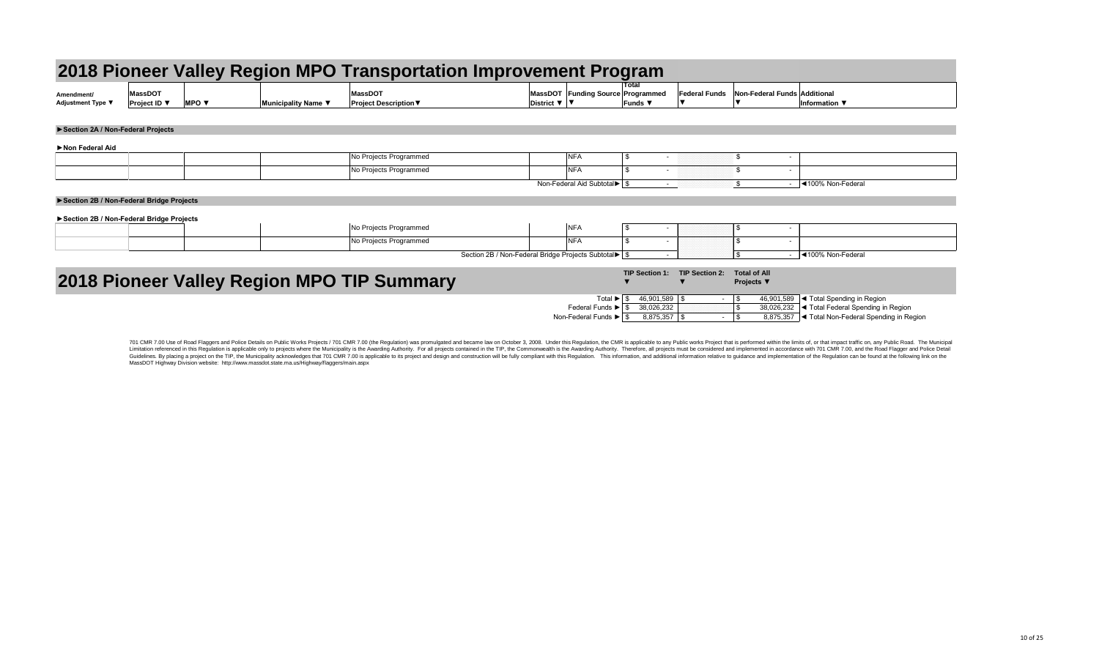|                                          |                                |                                 |                     | 2018 Pioneer Valley Region MPO Transportation Improvement Program |                              |                                                          |                                     |                      |                  |
|------------------------------------------|--------------------------------|---------------------------------|---------------------|-------------------------------------------------------------------|------------------------------|----------------------------------------------------------|-------------------------------------|----------------------|------------------|
| Amendment/<br>Adjustment Type ▼          | <b>MassDOT</b><br>Project ID ▼ | <b>MPO</b> $\blacktriangledown$ | Municipality Name ▼ | <b>MassDOT</b><br><b>Project Description ▼</b>                    | District $\nabla$   $\nabla$ | MassDOT Funding Source Programmed                        | Total<br>Funds $\blacktriangledown$ | <b>Federal Funds</b> | Non-Federal Fund |
| Section 2A / Non-Federal Projects        |                                |                                 |                     |                                                                   |                              |                                                          |                                     |                      |                  |
| Non Federal Aid                          |                                |                                 |                     |                                                                   |                              |                                                          |                                     |                      |                  |
|                                          |                                |                                 |                     | No Projects Programmed                                            |                              | <b>NFA</b>                                               | \$                                  |                      | \$               |
|                                          |                                |                                 |                     | No Projects Programmed                                            |                              | <b>NFA</b>                                               | $\mathfrak{L}$                      |                      |                  |
|                                          |                                |                                 |                     |                                                                   |                              | Non-Federal Aid Subtotal $\blacktriangleright$ $\mid$ \$ | $\sim$                              |                      |                  |
| Section 2B / Non-Federal Bridge Projects |                                |                                 |                     |                                                                   |                              |                                                          |                                     |                      |                  |
| Section 2B / Non-Federal Bridge Projects |                                |                                 |                     |                                                                   |                              |                                                          |                                     |                      |                  |
|                                          |                                |                                 |                     | No Projects Programmed                                            |                              | <b>NFA</b>                                               |                                     |                      |                  |
|                                          |                                |                                 |                     | No Projects Programmed                                            |                              | <b>NFA</b>                                               | $\boldsymbol{\mathsf{S}}$<br>$\sim$ |                      | $\sim$           |

**Section 2B / Non-Federal Bridge Projects Subtotal** 

# **2018 Pioneer Valley Region MPO TIP Summary**

701 CMR 7.00 Use of Road Flaggers and Police Details on Public Works Projects / 701 CMR 7.00 (the Regulation) was promulgated and became law on October 3, 2008. Under this Regulation, the CMR is applicable to any Public wo Limitation referenced in this Regulation is applicable only to projects where the Municipality is the Awarding Authority. For all projects contained in the TIP, the Commonwealth is the Awarding Authority. Therefore, all pr Guidelines. By placing a project on the TIP, the Municipality acknowledges that 701 CMR 7.00 is applicable to its project and design and construction will be fully compliant with this Regulation. This information, and addi MassDOT Highway Division website: http://www.massdot.state.ma.us/Highway/flaggers/main.aspx

|                    | ement Program                            |                                |                           |                                          |                                        |
|--------------------|------------------------------------------|--------------------------------|---------------------------|------------------------------------------|----------------------------------------|
| assDOT<br>strict ▼ | <b>Funding Source Programmed</b><br>▼    | <b>Total</b><br><b>Funds ▼</b> | <b>Federal Funds</b><br>▼ | <b>Non-Federal Funds Additional</b><br>▼ | Information ▼                          |
|                    |                                          |                                |                           |                                          |                                        |
|                    |                                          |                                |                           |                                          |                                        |
|                    |                                          |                                |                           |                                          |                                        |
|                    | <b>NFA</b>                               | \$                             |                           | \$                                       |                                        |
|                    | <b>NFA</b>                               | \$<br>۰                        |                           | \$<br>$\blacksquare$                     |                                        |
|                    | Non-Federal Aid Subtotal <sup>&gt;</sup> | $\boldsymbol{\mathsf{S}}$<br>٠ |                           | $\boldsymbol{\mathsf{S}}$<br>$\sim$      | ◀100% Non-Federal                      |
|                    |                                          |                                |                           |                                          |                                        |
|                    |                                          |                                |                           |                                          |                                        |
|                    | <b>NFA</b>                               | \$                             |                           | $\boldsymbol{\mathsf{\$}}$               |                                        |
|                    | <b>NFA</b>                               | \$<br>۰                        |                           | \$<br>$\blacksquare$                     |                                        |
|                    |                                          |                                |                           |                                          |                                        |
|                    | Bridge Projects Subtotal                 | $\sqrt[6]{\frac{1}{2}}$        |                           | \$<br>$\sim$                             | ◀100% Non-Federal                      |
|                    |                                          | <b>TIP Section 1:</b>          | <b>TIP Section 2:</b>     | <b>Total of All</b>                      |                                        |
|                    |                                          |                                | $\blacktriangledown$      | Projects ▼                               |                                        |
|                    | Total ▶                                  | \$<br>46,901,589               | \$                        | \$<br>46,901,589                         | ◀ Total Spending in Region             |
|                    | Federal Funds $\blacktriangleright$      | $\mathfrak{S}$<br>38,026,232   |                           | \$<br>38,026,232                         | ◀ Total Federal Spending in Region     |
|                    | Non-Federal Funds ▶                      | $\mathfrak{S}$<br>8,875,357    | \$<br>$\blacksquare$      | \$<br>8,875,357                          | ◀ Total Non-Federal Spending in Region |
|                    |                                          |                                |                           |                                          |                                        |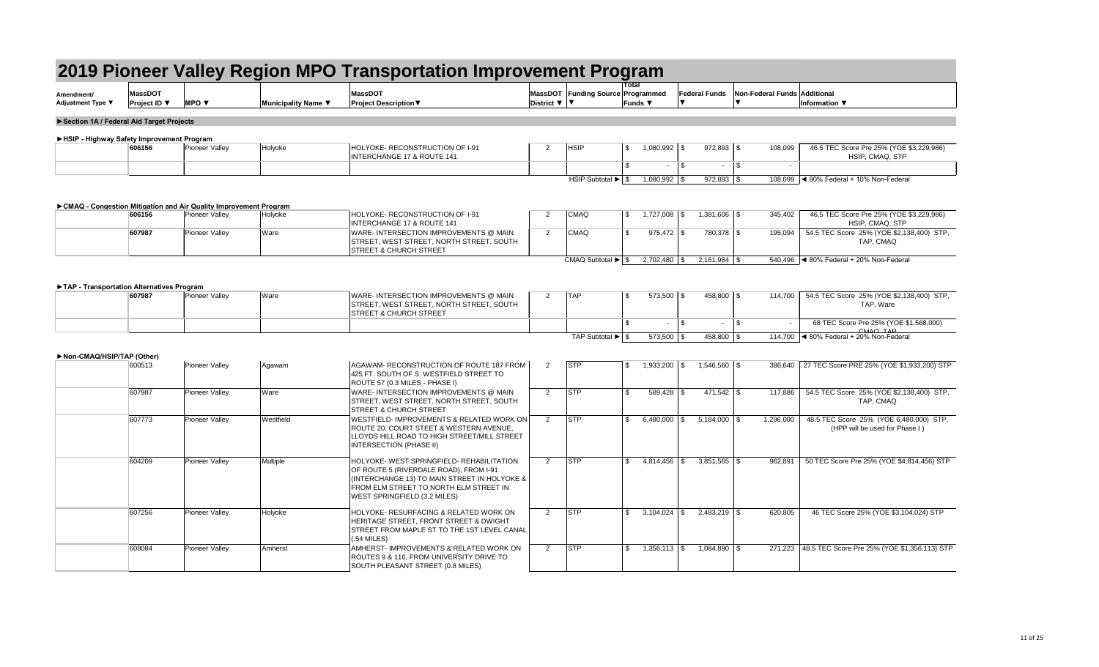| Amendment/        | $M$ 3eeDC <sup><math>-</math></sup> |            |                          | <b>MassDOT</b>             | <b>MassDOT</b> | Fundinq Sour∈ |
|-------------------|-------------------------------------|------------|--------------------------|----------------------------|----------------|---------------|
| Adjustment Type ▼ | <b>Project ID</b>                   | <b>MPO</b> | <b>Municipality Name</b> | <b>Project Description</b> | Distric        |               |
|                   |                                     |            |                          |                            |                |               |

| Amendment/<br><b>Adjustment Type ▼</b>    | <b>MassDOT</b><br><b>Project ID</b> ▼ | <b>MPO</b> $\blacktriangledown$                                    | Municipality Name ▼ | <b>MassDOT</b><br><b>Project Description ▼</b>                                                                                                                                                                       | District $\nabla$   $\nabla$ | MassDOT Funding Source Programmed                          |     | Funds $\blacktriangledown$       |              | <b>Federal Funds</b>               | Non-Federal Funds Additional | Information $\blacktriangledown$                                                                           |
|-------------------------------------------|---------------------------------------|--------------------------------------------------------------------|---------------------|----------------------------------------------------------------------------------------------------------------------------------------------------------------------------------------------------------------------|------------------------------|------------------------------------------------------------|-----|----------------------------------|--------------|------------------------------------|------------------------------|------------------------------------------------------------------------------------------------------------|
| Section 1A / Federal Aid Target Projects  |                                       |                                                                    |                     |                                                                                                                                                                                                                      |                              |                                                            |     |                                  |              |                                    |                              |                                                                                                            |
| HSIP - Highway Safety Improvement Program |                                       |                                                                    |                     |                                                                                                                                                                                                                      |                              |                                                            |     |                                  |              |                                    |                              |                                                                                                            |
|                                           | 606156                                | Pioneer Valley                                                     | Holyoke             | HOLYOKE-RECONSTRUCTION OF 1-91<br><b>INTERCHANGE 17 &amp; ROUTE 141</b>                                                                                                                                              | 2                            | <b>HSIP</b>                                                | \$  | $1,080,992$ \\$                  |              | $972,893$ \$                       | 108,099                      | 46.5 TEC Score Pre 25% (YOE \$3,229,986)<br>HSIP, CMAQ, STP                                                |
|                                           |                                       |                                                                    |                     |                                                                                                                                                                                                                      |                              |                                                            | \$. |                                  | $\mathbb{S}$ | $\sim$                             | $\vert$ \$                   |                                                                                                            |
|                                           |                                       |                                                                    |                     |                                                                                                                                                                                                                      |                              | HSIP Subtotal $\blacktriangleright$ $\mid$ \$              |     | $1,080,992$ \$                   |              | $972,893$ \$                       | 108,099                      | $\sim$ 90% Federal + 10% Non-Federal                                                                       |
|                                           |                                       | ► CMAQ - Congestion Mitigation and Air Quality Improvement Program |                     |                                                                                                                                                                                                                      |                              |                                                            |     |                                  |              |                                    |                              |                                                                                                            |
|                                           | 606156                                | Pioneer Valley                                                     | Holyoke             | HOLYOKE-RECONSTRUCTION OF I-91<br><b>INTERCHANGE 17 &amp; ROUTE 141</b>                                                                                                                                              | $\overline{2}$               | <b>CMAQ</b>                                                | \$  |                                  |              | $1,381,606$ \\$                    | 345,402                      | 46.5 TEC Score Pre 25% (YOE \$3,229,986)<br>HSIP, CMAQ, STP                                                |
|                                           | 607987                                | Pioneer Valley                                                     | Ware                | WARE- INTERSECTION IMPROVEMENTS @ MAIN<br>STREET, WEST STREET, NORTH STREET, SOUTH<br><b>STREET &amp; CHURCH STREET</b>                                                                                              | $\overline{2}$               | <b>CMAQ</b>                                                | \$  | $975,472$ \$                     |              | 780,378 \$                         | 195,094                      | 54.5 TEC Score 25% (YOE \$2,138,400) STP,<br>TAP, CMAQ                                                     |
|                                           |                                       |                                                                    |                     |                                                                                                                                                                                                                      |                              | CMAQ Subtotal $\blacktriangleright$ $\mid$ \$              |     | $2,702,480$ \ \$                 |              |                                    | 540,496                      | $\blacktriangleleft$ 80% Federal + 20% Non-Federal                                                         |
| TAP - Transportation Alternatives Program |                                       |                                                                    |                     |                                                                                                                                                                                                                      |                              |                                                            |     |                                  |              |                                    |                              |                                                                                                            |
|                                           | 607987                                | Pioneer Valley                                                     | Ware                | WARE- INTERSECTION IMPROVEMENTS @ MAIN<br>STREET, WEST STREET, NORTH STREET, SOUTH<br><b>STREET &amp; CHURCH STREET</b>                                                                                              | $\mathbf{2}$                 | <b>TAP</b>                                                 | \$  | $573,500$ \\$                    |              | $458,800$ \ \$                     | 114,700                      | 54.5 TEC Score 25% (YOE \$2,138,400) STP,<br>TAP, Ware                                                     |
|                                           |                                       |                                                                    |                     |                                                                                                                                                                                                                      |                              |                                                            | £.  | ٠.                               | - \$         | $\sim$                             | l \$                         | 68 TEC Score Pre 25% (YOE \$1,568,000)<br>$CMAO$ T <sub>A</sub> D                                          |
| Non-CMAQ/HSIP/TAP (Other)                 | 600513                                | <b>Pioneer Valley</b>                                              | Agawam              | AGAWAM-RECONSTRUCTION OF ROUTE 187 FROM<br>425 FT. SOUTH OF S. WESTFIELD STREET TO                                                                                                                                   | $\overline{2}$               | TAP Subtotal $\blacktriangleright$ $\mid$ \$<br><b>STP</b> | \$  | $573,500$ \\$<br>$1,933,200$ \\$ |              | $458,800$ \ \$<br>$1,546,560$ \ \$ | 114,700                      | $\blacktriangleleft$ 80% Federal + 20% Non-Federal<br>386,640   27 TEC Score PRE 25% (YOE \$1,933,200) STP |
|                                           | 607987                                | Pioneer Valley                                                     | Ware                | ROUTE 57 (0.3 MILES - PHASE I)<br>WARE- INTERSECTION IMPROVEMENTS @ MAIN<br>STREET, WEST STREET, NORTH STREET, SOUTH<br><b>STREET &amp; CHURCH STREET</b>                                                            | $\overline{2}$               | <b>STP</b>                                                 | \$. | $589,428$ \\$                    |              | $471,542$ \\$                      | 117,886                      | 54.5 TEC Score 25% (YOE \$2,138,400) STP,<br>TAP, CMAQ                                                     |
|                                           | 607773                                | Pioneer Valley                                                     | Westfield           | WESTFIELD- IMPROVEMENTS & RELATED WORK ON<br>ROUTE 20, COURT STEET & WESTERN AVENUE,<br>LLOYDS HILL ROAD TO HIGH STREET/MILL STREET<br><b>INTERSECTION (PHASE II)</b>                                                | $2^{\circ}$                  | <b>STP</b>                                                 | \$  | $6,480,000$ \ \$                 |              | $5,184,000$ \ \$                   | 1,296,000                    | 48.5 TEC Score 25% (YOE 6,480,000) STP,<br>(HPP will be used for Phase I)                                  |
|                                           | 604209                                | Pioneer Valley                                                     | Multiple            | HOLYOKE- WEST SPRINGFIELD- REHABILITATION<br>OF ROUTE 5 (RIVERDALE ROAD), FROM I-91<br>(INTERCHANGE 13) TO MAIN STREET IN HOLYOKE &<br>FROM ELM STREET TO NORTH ELM STREET IN<br><b>WEST SPRINGFIELD (3.2 MILES)</b> | $\overline{2}$               | <b>STP</b>                                                 | \$. | $4,814,456$ \\$                  |              | $3,851,565$ \\$                    | 962,891                      | 50 TEC Score Pre 25% (YOE \$4,814,456) STP                                                                 |
|                                           | 607256                                | <b>Pioneer Valley</b>                                              | Holyoke             | HOLYOKE- RESURFACING & RELATED WORK ON<br>HERITAGE STREET, FRONT STREET & DWIGHT<br>STREET FROM MAPLE ST TO THE 1ST LEVEL CANAL<br>$(.54$ MILES)                                                                     | $\overline{2}$               | <b>STP</b>                                                 | \$. |                                  |              | $2,483,219$ \$                     | 620,805                      | 46 TEC Score 25% (YOE \$3,104,024) STP                                                                     |
|                                           | 608084                                | Pioneer Valley                                                     | Amherst             | AMHERST- IMPROVEMENTS & RELATED WORK ON<br>ROUTES 9 & 116, FROM UNIVERSITY DRIVE TO<br>SOUTH PLEASANT STREET (0.8 MILES)                                                                                             | $\overline{2}$               | <b>STP</b>                                                 | \$. | $1,356,113$ \\$                  |              | $1,084,890$ \ \$                   |                              | 271,223   48.5 TEC Score Pre 25% (YOE \$1,356,113) STP                                                     |

|                                           |                                |                                                                    |                     | 2019 Pioneer Valley Region MPO Transportation Improvement Program                                                                                                                                           |                              |                                               | Total   |                  |                      |                  |                              |                                                                               |
|-------------------------------------------|--------------------------------|--------------------------------------------------------------------|---------------------|-------------------------------------------------------------------------------------------------------------------------------------------------------------------------------------------------------------|------------------------------|-----------------------------------------------|---------|------------------|----------------------|------------------|------------------------------|-------------------------------------------------------------------------------|
| Amendment/<br><b>Adjustment Type ▼</b>    | <b>MassDOT</b><br>Project ID ▼ | <b>MPO ▼</b>                                                       | Municipality Name ▼ | <b>MassDOT</b><br><b>Project Description ▼</b>                                                                                                                                                              | District $\nabla$   $\nabla$ | MassDOT Funding Source Programmed             | Funds ▼ |                  | <b>Federal Funds</b> |                  | Non-Federal Funds Additional | Information $\Psi$                                                            |
| Section 1A / Federal Aid Target Projects  |                                |                                                                    |                     |                                                                                                                                                                                                             |                              |                                               |         |                  |                      |                  |                              |                                                                               |
| HSIP - Highway Safety Improvement Program |                                |                                                                    |                     |                                                                                                                                                                                                             |                              |                                               |         |                  |                      |                  |                              |                                                                               |
|                                           | 606156                         | Pioneer Valley                                                     | Holyoke             | HOLYOKE-RECONSTRUCTION OF I-91<br><b>INTERCHANGE 17 &amp; ROUTE 141</b>                                                                                                                                     | 2                            | <b>HSIP</b>                                   | \$      | $1,080,992$ \\$  |                      | $972,893$ \$     | 108,099                      | 46.5 TEC Score Pre 25% (YOE \$3,229,986)<br>HSIP, CMAQ, STP                   |
|                                           |                                |                                                                    |                     |                                                                                                                                                                                                             |                              |                                               | \$      |                  | $\sqrt{3}$           | $\sim$           | l \$                         |                                                                               |
|                                           |                                |                                                                    |                     |                                                                                                                                                                                                             |                              | HSIP Subtotal $\blacktriangleright$ $\mid$ \$ |         | $1,080,992$ \\$  |                      | $972,893$ \$     | 108,099                      | $\sim$ 90% Federal + 10% Non-Federal                                          |
|                                           |                                | ► CMAQ - Congestion Mitigation and Air Quality Improvement Program |                     |                                                                                                                                                                                                             |                              |                                               |         |                  |                      |                  |                              |                                                                               |
|                                           | 606156                         | Pioneer Valley                                                     | Holyoke             | HOLYOKE-RECONSTRUCTION OF I-91<br><b>INTERCHANGE 17 &amp; ROUTE 141</b>                                                                                                                                     | 2                            | <b>CMAQ</b>                                   | \$      |                  |                      | 1,381,606 \$     | 345,402                      | 46.5 TEC Score Pre 25% (YOE \$3,229,986)<br>HSIP, CMAQ, STP                   |
|                                           | 607987                         | Pioneer Valley                                                     | Ware                | WARE- INTERSECTION IMPROVEMENTS @ MAIN<br>STREET, WEST STREET, NORTH STREET, SOUTH<br><b>STREET &amp; CHURCH STREET</b>                                                                                     | $\overline{2}$               | <b>CMAQ</b>                                   | \$      | $975,472$ \\$    |                      | 780,378 \$       | 195,094                      | 54.5 TEC Score 25% (YOE \$2,138,400) STP,<br>TAP, CMAQ                        |
|                                           |                                |                                                                    |                     |                                                                                                                                                                                                             |                              | CMAQ Subtotal $\blacktriangleright$ $\mid$ \$ |         | $2,702,480$ \ \$ |                      |                  |                              | 540,496 $\blacktriangleleft$ 80% Federal + 20% Non-Federal                    |
|                                           |                                |                                                                    |                     |                                                                                                                                                                                                             |                              |                                               |         |                  |                      |                  |                              |                                                                               |
| TAP - Transportation Alternatives Program | 607987                         | Pioneer Valley                                                     | Ware                | WARE- INTERSECTION IMPROVEMENTS @ MAIN<br>STREET, WEST STREET, NORTH STREET, SOUTH<br><b>STREET &amp; CHURCH STREET</b>                                                                                     | $\overline{2}$               | <b>TAP</b>                                    | \$      | $573,500$ \ \$   |                      | $458,800$ \\$    | 114,700                      | 54.5 TEC Score 25% (YOE \$2,138,400) STP,<br>TAP, Ware                        |
|                                           |                                |                                                                    |                     |                                                                                                                                                                                                             |                              |                                               | \$.     | $\sim$           | $\sqrt{3}$           | $\sim$           | l \$                         | 68 TEC Score Pre 25% (YOE \$1,568,000)                                        |
|                                           |                                |                                                                    |                     |                                                                                                                                                                                                             |                              | TAP Subtotal $\blacktriangleright$ $\mid$ \$  |         | $573,500$ \\$    |                      | 458,800 \$       | 114,700                      | $CMAO$ T <sub>A</sub> D<br>$\blacktriangleleft$ 80% Federal + 20% Non-Federal |
| Non-CMAQ/HSIP/TAP (Other)                 |                                |                                                                    |                     |                                                                                                                                                                                                             |                              |                                               |         |                  |                      |                  |                              |                                                                               |
|                                           | 600513                         | <b>Pioneer Valley</b>                                              | Agawam              | AGAWAM-RECONSTRUCTION OF ROUTE 187 FROM<br>425 FT. SOUTH OF S. WESTFIELD STREET TO<br>ROUTE 57 (0.3 MILES - PHASE I)                                                                                        | $\overline{2}$               | <b>STP</b>                                    | \$      | $1,933,200$ \ \$ |                      | $1,546,560$ \ \$ |                              | 386,640   27 TEC Score PRE 25% (YOE \$1,933,200) STP                          |
|                                           | 607987                         | <b>Pioneer Valley</b>                                              | Ware                | WARE- INTERSECTION IMPROVEMENTS @ MAIN<br>STREET, WEST STREET, NORTH STREET, SOUTH<br><b>STREET &amp; CHURCH STREET</b>                                                                                     | $\overline{2}$               | <b>STP</b>                                    | \$      | $589,428$ \\$    |                      | $471,542$ \\$    | 117,886                      | 54.5 TEC Score 25% (YOE \$2,138,400) STP,<br>TAP, CMAQ                        |
|                                           | 607773                         | Pioneer Valley                                                     | Westfield           | WESTFIELD- IMPROVEMENTS & RELATED WORK ON<br>ROUTE 20, COURT STEET & WESTERN AVENUE,<br>LLOYDS HILL ROAD TO HIGH STREET/MILL STREET<br><b>INTERSECTION (PHASE II)</b>                                       | $\overline{2}$               | <b>STP</b>                                    | \$      | $6,480,000$ \\$  |                      | $5,184,000$ \ \$ | 1,296,000                    | 48.5 TEC Score 25% (YOE 6,480,000) STP,<br>(HPP will be used for Phase I)     |
|                                           | 604209                         | <b>Pioneer Valley</b>                                              | Multiple            | HOLYOKE-WEST SPRINGFIELD-REHABILITATION<br>OF ROUTE 5 (RIVERDALE ROAD), FROM I-91<br>(INTERCHANGE 13) TO MAIN STREET IN HOLYOKE &<br>FROM ELM STREET TO NORTH ELM STREET IN<br>WEST SPRINGFIELD (3.2 MILES) | 2                            | <b>STP</b>                                    | \$      |                  |                      | $3,851,565$ \\$  | 962,891                      | 50 TEC Score Pre 25% (YOE \$4,814,456) STP                                    |
|                                           | 607256                         | <b>Pioneer Valley</b>                                              | Holyoke             | HOLYOKE- RESURFACING & RELATED WORK ON<br>HERITAGE STREET, FRONT STREET & DWIGHT<br>STREET FROM MAPLE ST TO THE 1ST LEVEL CANAL<br>$(.54$ MILES $)$                                                         | $\overline{2}$               | <b>STP</b>                                    | \$      | $3,104,024$ \\$  |                      | $2,483,219$ \$   | 620,805                      | 46 TEC Score 25% (YOE \$3,104,024) STP                                        |
|                                           | 608084                         | <b>Pioneer Valley</b>                                              | Amherst             | AMHERST- IMPROVEMENTS & RELATED WORK ON<br>ROUTES 9 & 116, FROM UNIVERSITY DRIVE TO<br>SOUTH PLEASANT STREET (0.8 MILES)                                                                                    | 2                            | <b>STP</b>                                    | \$      | $1,356,113$ \$   |                      | $1,084,890$ \ \$ |                              | 271,223   48.5 TEC Score Pre 25% (YOE \$1,356,113) STP                        |

|                                                                    |                                       |                                 |                     | 2019 Pioneer Valley Region MPO Transportation Improvement Program                                                                                                                                             |                              |                                                         |                                     |                                  |                      |                                |                              |                                                                                                            |
|--------------------------------------------------------------------|---------------------------------------|---------------------------------|---------------------|---------------------------------------------------------------------------------------------------------------------------------------------------------------------------------------------------------------|------------------------------|---------------------------------------------------------|-------------------------------------|----------------------------------|----------------------|--------------------------------|------------------------------|------------------------------------------------------------------------------------------------------------|
| Amendment/<br>Adjustment Type ▼                                    | <b>MassDOT</b><br><b>Project ID</b> ▼ | <b>MPO</b> $\blacktriangledown$ | Municipality Name ▼ | <b>MassDOT</b><br><b>Project Description ▼</b>                                                                                                                                                                | District $\nabla$   $\nabla$ | MassDOT Funding Source Programmed                       | Total<br>Funds $\blacktriangledown$ |                                  | <b>Federal Funds</b> |                                | Non-Federal Funds Additional | Information ▼                                                                                              |
| Section 1A / Federal Aid Target Projects                           |                                       |                                 |                     |                                                                                                                                                                                                               |                              |                                                         |                                     |                                  |                      |                                |                              |                                                                                                            |
| HSIP - Highway Safety Improvement Program                          |                                       |                                 |                     |                                                                                                                                                                                                               |                              |                                                         |                                     |                                  |                      |                                |                              |                                                                                                            |
|                                                                    | 606156                                | <b>Pioneer Valley</b>           | Holyoke             | HOLYOKE- RECONSTRUCTION OF I-91<br><b>INTERCHANGE 17 &amp; ROUTE 141</b>                                                                                                                                      | 2                            | <b>HSIP</b>                                             | $\mathfrak{S}$                      | $1,080,992$ \\$                  |                      | $972,893$ \$                   | 108,099                      | 46.5 TEC Score Pre 25% (YOE \$3,229,986)<br>HSIP, CMAQ, STP                                                |
|                                                                    |                                       |                                 |                     |                                                                                                                                                                                                               |                              |                                                         | $\mathcal{L}$                       |                                  | \$                   | $\blacksquare$                 | $\sqrt{3}$                   |                                                                                                            |
|                                                                    |                                       |                                 |                     |                                                                                                                                                                                                               |                              | HSIP Subtotal $\blacktriangleright$ $\mid$ \$           |                                     | $1,080,992$ \$                   |                      | $972,893$ \$                   | 108,099                      | $\sim$ 90% Federal + 10% Non-Federal                                                                       |
| ► CMAQ - Congestion Mitigation and Air Quality Improvement Program |                                       |                                 |                     |                                                                                                                                                                                                               |                              |                                                         |                                     |                                  |                      |                                |                              |                                                                                                            |
|                                                                    | 606156                                | Pioneer Valley                  | Holyoke             | HOLYOKE-RECONSTRUCTION OF I-91<br><b>INTERCHANGE 17 &amp; ROUTE 141</b>                                                                                                                                       | 2                            | <b>CMAQ</b>                                             | \$                                  | $1,727,008$ \ \$                 |                      | $1,381,606$ \$                 | 345,402                      | 46.5 TEC Score Pre 25% (YOE \$3,229,986)<br>HSIP, CMAQ, STP                                                |
|                                                                    | 607987                                | Pioneer Valley                  | Ware                | WARE- INTERSECTION IMPROVEMENTS @ MAIN<br>STREET, WEST STREET, NORTH STREET, SOUTH<br><b>STREET &amp; CHURCH STREET</b>                                                                                       | $\overline{2}$               | <b>CMAQ</b>                                             | $\mathfrak{L}$                      | $975,472$ \$                     |                      | 780,378 \$                     | 195,094                      | 54.5 TEC Score 25% (YOE \$2,138,400) STP,<br>TAP, CMAQ                                                     |
|                                                                    |                                       |                                 |                     |                                                                                                                                                                                                               |                              | CMAQ Subtotal $\blacktriangleright$ $\mid$ \$           |                                     | $2,702,480$ \\$                  |                      |                                | 540,496                      | $\blacktriangleleft$ 80% Federal + 20% Non-Federal                                                         |
|                                                                    |                                       |                                 |                     |                                                                                                                                                                                                               |                              |                                                         |                                     |                                  |                      |                                |                              |                                                                                                            |
| TAP - Transportation Alternatives Program                          | 607987                                | <b>Pioneer Valley</b>           | Ware                | WARE- INTERSECTION IMPROVEMENTS @ MAIN<br>STREET, WEST STREET, NORTH STREET, SOUTH<br><b>STREET &amp; CHURCH STREET</b>                                                                                       | $\overline{2}$               | <b>TAP</b>                                              | \$                                  | $573,500$ \\$                    |                      | 458,800 \$                     | 114,700                      | 54.5 TEC Score 25% (YOE \$2,138,400) STP,<br>TAP, Ware                                                     |
|                                                                    |                                       |                                 |                     |                                                                                                                                                                                                               |                              |                                                         | ደ                                   | $\sim$                           | \$                   | $\blacksquare$                 | \$                           | 68 TEC Score Pre 25% (YOE \$1,568,000)<br>$CMAO$ T <sub>A</sub> D                                          |
| Non-CMAQ/HSIP/TAP (Other)                                          | 600513                                | <b>Pioneer Valley</b>           | Agawam              | AGAWAM-RECONSTRUCTION OF ROUTE 187 FROM<br>425 FT. SOUTH OF S. WESTFIELD STREET TO<br>ROUTE 57 (0.3 MILES - PHASE I)                                                                                          | $\overline{2}$               | TAP Subtotal $\blacktriangleright$ $\frac{1}{9}$<br>STP | \$                                  | $573,500$ \\$<br>$1,933,200$ \\$ |                      | 458,800 \$<br>$1,546,560$ \ \$ | 114,700                      | $\blacktriangleleft$ 80% Federal + 20% Non-Federal<br>386,640   27 TEC Score PRE 25% (YOE \$1,933,200) STP |
|                                                                    | 607987                                | Pioneer Valley                  | Ware                | WARE- INTERSECTION IMPROVEMENTS @ MAIN<br>STREET, WEST STREET, NORTH STREET, SOUTH<br><b>STREET &amp; CHURCH STREET</b>                                                                                       | $\overline{2}$               | <b>STP</b>                                              | $\mathfrak{L}$                      | $589,428$ \$                     |                      | $471,542$ \\$                  | 117,886                      | 54.5 TEC Score 25% (YOE \$2,138,400) STP,<br>TAP, CMAQ                                                     |
|                                                                    | 607773                                | Pioneer Valley                  | Westfield           | WESTFIELD- IMPROVEMENTS & RELATED WORK ON<br>ROUTE 20, COURT STEET & WESTERN AVENUE,<br>LLOYDS HILL ROAD TO HIGH STREET/MILL STREET<br>INTERSECTION (PHASE II)                                                | $2^{\circ}$                  | STP                                                     | $\mathfrak{L}$                      | 6,480,000 $\frac{1}{9}$          |                      | $5,184,000$ \ \$               | 1,296,000                    | 48.5 TEC Score 25% (YOE 6,480,000) STP,<br>(HPP will be used for Phase I)                                  |
|                                                                    | 604209                                | Pioneer Valley                  | Multiple            | HOLYOKE- WEST SPRINGFIELD- REHABILITATION<br>OF ROUTE 5 (RIVERDALE ROAD), FROM I-91<br>(INTERCHANGE 13) TO MAIN STREET IN HOLYOKE &<br>FROM ELM STREET TO NORTH ELM STREET IN<br>WEST SPRINGFIELD (3.2 MILES) | 2                            | <b>STP</b>                                              | \$                                  | $4,814,456$ \\$                  |                      | $3,851,565$ \\$                | 962,891                      | 50 TEC Score Pre 25% (YOE \$4,814,456) STP                                                                 |
|                                                                    | 607256                                | Pioneer Valley                  | Holyoke             | HOLYOKE- RESURFACING & RELATED WORK ON<br>HERITAGE STREET, FRONT STREET & DWIGHT<br>STREET FROM MAPLE ST TO THE 1ST LEVEL CANAL<br>(.54 MILES)                                                                | $2^{\circ}$                  | STP                                                     | $\mathfrak{L}$                      |                                  |                      | $2,483,219$ \$                 | 620,805                      | 46 TEC Score 25% (YOE \$3,104,024) STP                                                                     |
|                                                                    | 608084                                | <b>Pioneer Valley</b>           | Amherst             | AMHERST- IMPROVEMENTS & RELATED WORK ON<br>ROUTES 9 & 116, FROM UNIVERSITY DRIVE TO<br>SOUTH PLEASANT STREET (0.8 MILES)                                                                                      | 2                            | <b>STP</b>                                              | \$.                                 | $1,356,113$ \\$                  |                      | $1,084,890$ \\$                |                              | 271,223   48.5 TEC Score Pre 25% (YOE \$1,356,113) STP                                                     |

|                                            |                                       |                                                                    |                     | 2019 Pioneer Valley Region MPO Transportation Improvement Program                                                                                                                                           |                              |                                                            |                  |                                  |                                 |                              |                                                                                                            |
|--------------------------------------------|---------------------------------------|--------------------------------------------------------------------|---------------------|-------------------------------------------------------------------------------------------------------------------------------------------------------------------------------------------------------------|------------------------------|------------------------------------------------------------|------------------|----------------------------------|---------------------------------|------------------------------|------------------------------------------------------------------------------------------------------------|
| Amendment/<br><b>Adjustment Type ▼</b>     | <b>MassDOT</b><br><b>Project ID</b> ▼ | <b>MPO V</b>                                                       | Municipality Name ▼ | <b>MassDOT</b><br><b>Project Description ▼</b>                                                                                                                                                              | District $\nabla$   $\nabla$ | MassDOT Funding Source Programmed                          | Total<br>Funds ▼ |                                  | <b>Federal Funds</b>            | Non-Federal Funds Additional | Information $\Psi$                                                                                         |
| Section 1A / Federal Aid Target Projects   |                                       |                                                                    |                     |                                                                                                                                                                                                             |                              |                                                            |                  |                                  |                                 |                              |                                                                                                            |
| ▶HSIP - Highway Safety Improvement Program |                                       |                                                                    |                     |                                                                                                                                                                                                             |                              |                                                            |                  |                                  |                                 |                              |                                                                                                            |
|                                            | 606156                                | Pioneer Valley                                                     | Holyoke             | HOLYOKE- RECONSTRUCTION OF I-91<br><b>INTERCHANGE 17 &amp; ROUTE 141</b>                                                                                                                                    | $\overline{2}$               | <b>HSIP</b>                                                | \$               | $1,080,992$ \\$                  | $972,893$ \$                    | 108,099                      | 46.5 TEC Score Pre 25% (YOE \$3,229,986)<br>HSIP, CMAQ, STP                                                |
|                                            |                                       |                                                                    |                     |                                                                                                                                                                                                             |                              |                                                            | $\mathfrak{L}$   |                                  | $\sqrt{3}$<br>$\sim$            | <b>S</b>                     |                                                                                                            |
|                                            |                                       |                                                                    |                     |                                                                                                                                                                                                             |                              | HSIP Subtotal $\blacktriangleright$ $\mid$ \$              |                  | $1,080,992$ \\$                  | $972,893$ \$                    | 108,099                      | $\sim$ 90% Federal + 10% Non-Federal                                                                       |
|                                            |                                       | ► CMAQ - Congestion Mitigation and Air Quality Improvement Program |                     |                                                                                                                                                                                                             |                              |                                                            |                  |                                  |                                 |                              |                                                                                                            |
|                                            | 606156                                | Pioneer Valley                                                     | Holyoke             | HOLYOKE-RECONSTRUCTION OF I-91<br><b>INTERCHANGE 17 &amp; ROUTE 141</b>                                                                                                                                     | 2                            | <b>CMAQ</b>                                                | \$               | $1,727,008$ \ \$                 | 1,381,606 \$                    | 345,402                      | 46.5 TEC Score Pre 25% (YOE \$3,229,986)<br>HSIP, CMAQ, STP                                                |
|                                            | 607987                                | Pioneer Valley                                                     | Ware                | WARE- INTERSECTION IMPROVEMENTS @ MAIN<br>STREET, WEST STREET, NORTH STREET, SOUTH<br><b>STREET &amp; CHURCH STREET</b>                                                                                     | $\overline{2}$               | <b>CMAQ</b>                                                | $\mathfrak{L}$   | $975,472$ \\$                    | 780,378 \$                      | 195,094                      | 54.5 TEC Score 25% (YOE \$2,138,400) STP,<br>TAP, CMAQ                                                     |
|                                            |                                       |                                                                    |                     |                                                                                                                                                                                                             |                              | CMAQ Subtotal $\blacktriangleright$ $\mid$ \$              |                  | $2,702,480$ \\$                  | $2,161,984$ \\$                 |                              | 540,496 $\blacktriangleleft$ 80% Federal + 20% Non-Federal                                                 |
|                                            |                                       |                                                                    |                     |                                                                                                                                                                                                             |                              |                                                            |                  |                                  |                                 |                              |                                                                                                            |
| TAP - Transportation Alternatives Program  | 607987                                | Pioneer Valley                                                     | Ware                | WARE- INTERSECTION IMPROVEMENTS @ MAIN<br>STREET, WEST STREET, NORTH STREET, SOUTH<br><b>STREET &amp; CHURCH STREET</b>                                                                                     | $\mathbf{2}$                 | TAP                                                        | \$               | $573,500$ \ \$                   | $458,800$ \ \$                  | 114,700                      | 54.5 TEC Score 25% (YOE \$2,138,400) STP,<br>TAP, Ware                                                     |
|                                            |                                       |                                                                    |                     |                                                                                                                                                                                                             |                              |                                                            | \$.              | l \$<br>$\sim$ 10 $\,$           | $\sim$                          | l \$                         | 68 TEC Score Pre 25% (YOE \$1,568,000)<br>$CMAO$ T <sub>A</sub> D                                          |
| Non-CMAQ/HSIP/TAP (Other)                  | 600513                                | Pioneer Valley                                                     | Agawam              | AGAWAM-RECONSTRUCTION OF ROUTE 187 FROM<br>425 FT. SOUTH OF S. WESTFIELD STREET TO<br>ROUTE 57 (0.3 MILES - PHASE I)                                                                                        | $\overline{2}$               | TAP Subtotal $\blacktriangleright$ $\mid$ \$<br><b>STP</b> | \$               | $573,500$ \\$<br>$1,933,200$ \\$ | $458,800$ \\$<br>$1,546,560$ \$ | 114,700                      | $\blacktriangleleft$ 80% Federal + 20% Non-Federal<br>386,640   27 TEC Score PRE 25% (YOE \$1,933,200) STP |
|                                            | 607987                                | Pioneer Valley                                                     | Ware                | WARE- INTERSECTION IMPROVEMENTS @ MAIN<br>STREET, WEST STREET, NORTH STREET, SOUTH<br><b>STREET &amp; CHURCH STREET</b>                                                                                     | $\overline{2}$               | <b>STP</b>                                                 | \$.              | $589,428$ \\$                    | $471,542$ \$                    | 117,886                      | 54.5 TEC Score 25% (YOE \$2,138,400) STP,<br>TAP, CMAQ                                                     |
|                                            | 607773                                | Pioneer Valley                                                     | Westfield           | WESTFIELD- IMPROVEMENTS & RELATED WORK ON<br>ROUTE 20, COURT STEET & WESTERN AVENUE,<br>LLOYDS HILL ROAD TO HIGH STREET/MILL STREET<br><b>INTERSECTION (PHASE II)</b>                                       | $\overline{2}$               | <b>STP</b>                                                 | \$               | $6,480,000$ \\$                  | $5,184,000$ \ \$                | 1,296,000                    | 48.5 TEC Score 25% (YOE 6,480,000) STP,<br>(HPP will be used for Phase I)                                  |
|                                            | 604209                                | Pioneer Valley                                                     | Multiple            | HOLYOKE-WEST SPRINGFIELD-REHABILITATION<br>OF ROUTE 5 (RIVERDALE ROAD), FROM I-91<br>(INTERCHANGE 13) TO MAIN STREET IN HOLYOKE &<br>FROM ELM STREET TO NORTH ELM STREET IN<br>WEST SPRINGFIELD (3.2 MILES) | $2^{\circ}$                  | <b>STP</b>                                                 | $\mathbf{S}$     |                                  | $3,851,565$ \\$                 | 962,891                      | 50 TEC Score Pre 25% (YOE \$4,814,456) STP                                                                 |
|                                            | 607256                                | <b>Pioneer Valley</b>                                              | Holyoke             | HOLYOKE- RESURFACING & RELATED WORK ON<br>HERITAGE STREET, FRONT STREET & DWIGHT<br>STREET FROM MAPLE ST TO THE 1ST LEVEL CANAL<br>(.54 MILES)                                                              | $\overline{2}$               | <b>STP</b>                                                 | $\mathbf{S}$     | $3,104,024$ \\$                  | $2,483,219$ \\$                 | 620,805                      | 46 TEC Score 25% (YOE \$3,104,024) STP                                                                     |
|                                            | 608084                                | Pioneer Valley                                                     | Amherst             | AMHERST- IMPROVEMENTS & RELATED WORK ON<br>ROUTES 9 & 116, FROM UNIVERSITY DRIVE TO<br>SOUTH PLEASANT STREET (0.8 MILES)                                                                                    | $\overline{2}$               | <b>STP</b>                                                 | \$               | $1,356,113$ \$                   | $1,084,890$ \\$                 |                              | 271,223   48.5 TEC Score Pre 25% (YOE \$1,356,113) STP                                                     |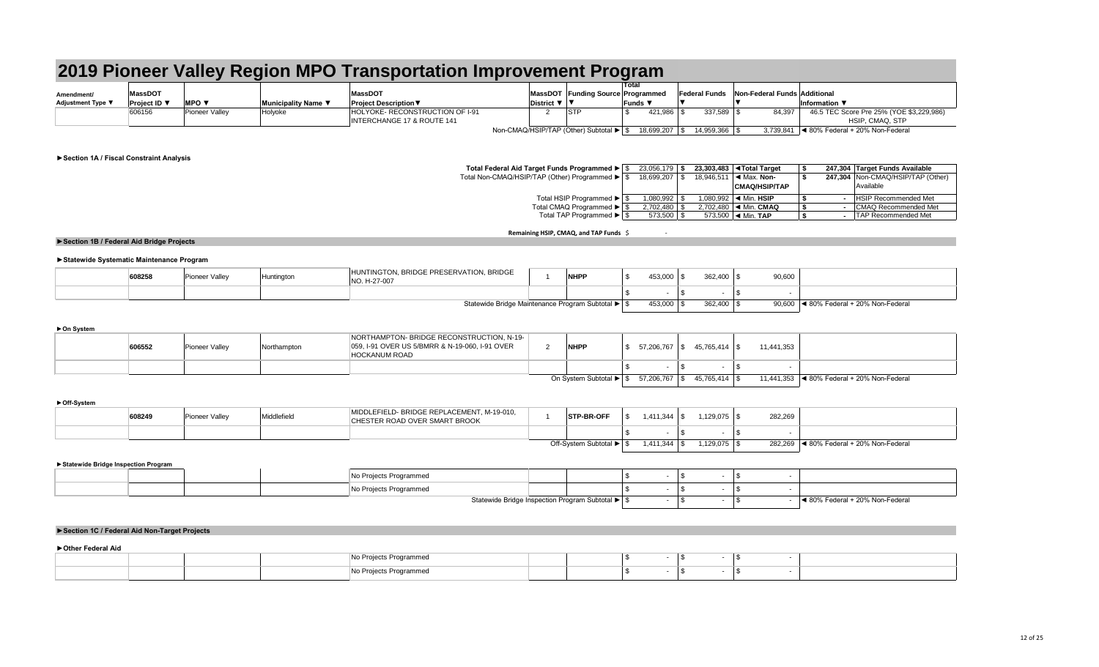| S    | 23,056,179 | S    |           | 23,303,483   Total Target                 |                | 247,304 Target Funds Available      |
|------|------------|------|-----------|-------------------------------------------|----------------|-------------------------------------|
| - \$ | 18,699,207 | -SS  |           | 18,946,511 $\blacktriangleleft$ Max. Non- |                | 247,304   Non-CMAQ/HSIP/TAP (Other) |
|      |            |      |           | <b>CMAQ/HSIP/TAP</b>                      |                | Available                           |
| \$.  | 1,080,992  |      |           | 1.080.992 $\blacksquare$ Min. HSIP        | $\blacksquare$ | <b>HSIP Recommended Met</b>         |
| \$   | 2,702,480  | \$   | 2,702,480 | $\blacktriangleleft$ Min. CMAQ            | $\blacksquare$ | CMAQ Recommended Met                |
| - \$ | 573,500    | - \$ | 573,500   | $\triangleleft$ Min. TAP                  | $\blacksquare$ | <b>TAP Recommended Met</b>          |

### **Remaining HSIP, CMAQ, and TAP Funds** \$ -

### **►Statewide Systematic Maintenance Program**

|                          |                     |                |                     | 2019 Pioneer Valley Region MPO Transportation Improvement Program        |                                         |               |                |                                            |                                                             |
|--------------------------|---------------------|----------------|---------------------|--------------------------------------------------------------------------|-----------------------------------------|---------------|----------------|--------------------------------------------|-------------------------------------------------------------|
| Amendment/               | <b>MassDOT</b>      |                |                     | <b>MassDOT</b>                                                           | MassDOT Funding Source Programmed       | Total         |                | Federal Funds Non-Federal Funds Additional |                                                             |
| <b>Adjustment Type ▼</b> | <b>Project ID</b> ▼ | <b>MPO ▼</b>   | Municipality Name ▼ | <b>Project Description <math>\nabla</math></b>                           | District $\nabla$   $\nabla$            | Funds $\Psi$  |                |                                            | Information $\blacktriangledown$                            |
|                          | 606156              | Pioneer Valley | Holyoke             | HOLYOKE- RECONSTRUCTION OF I-91<br><b>INTERCHANGE 17 &amp; ROUTE 141</b> | <b>STP</b>                              | 421,986       | $337,589$ \ \$ | 84,397                                     | 46.5 TEC Score Pre 25% (YOE \$3,229,986)<br>HSIP, CMAQ, STP |
|                          |                     |                |                     |                                                                          | Non-CMAQ/HSIP/TAP (Other) Subtotal ▶ \$ | 18,699,207 \$ | 14,959,366 \$  |                                            | $3,739,841$  ◀ 80% Federal + 20% Non-Federal                |

### **►On System**

### **►Off-System**

| 608258 | Pioneer Valley | Huntington | N, BRIDGE PRESERVATION, BRIDGE<br>HUNTINGTON<br>JO. H-27-007 | <b>NHPP</b>                                  | 53,000  | 0.00    | 90,600                                    |
|--------|----------------|------------|--------------------------------------------------------------|----------------------------------------------|---------|---------|-------------------------------------------|
|        |                |            |                                                              |                                              |         |         |                                           |
|        |                |            | Statew.                                                      | wide Bridge Maintenance Program Subtotal ▶ S | 453,000 | 362.400 | ◀ 80% Federal + 20% Non-Federal<br>90,600 |

### **►Statewide Bridge Inspection Program**

| 606552 | Pioneer Valley | Northampton | NORTHAMPTON- BRIDGE RECONSTRUCTION, N-19-<br>059, I-91 OVER US 5/BMRR & N-19-060, I-91 OVER<br><b>HOCKANUM ROAD</b> | <b>NHPP</b>             | 57,206,767 \$ | 45,765,414 \$   | 11,441,353 |                                                               |
|--------|----------------|-------------|---------------------------------------------------------------------------------------------------------------------|-------------------------|---------------|-----------------|------------|---------------------------------------------------------------|
|        |                |             |                                                                                                                     |                         |               |                 |            |                                                               |
|        |                |             |                                                                                                                     | On System Subtotal ▶ \$ | 57,206,767 \$ | $45,765,414$ \$ |            | 11,441,353 $\blacktriangleleft$ 80% Federal + 20% Non-Federal |

| No Projects Programmed<br>the contract of the contract of<br>No Projects Programmed |  |  |
|-------------------------------------------------------------------------------------|--|--|
|                                                                                     |  |  |
|                                                                                     |  |  |

|  | 608249 | Pioneer Valley | Middlefield | MIDDLEFIELD- BRIDGE REPLACEMENT, M-19-010,<br>CHESTER ROAD OVER SMART BROOK | <b>STP-BR-OFF</b>          | 1,411,344 |          | 282,269                                                                |
|--|--------|----------------|-------------|-----------------------------------------------------------------------------|----------------------------|-----------|----------|------------------------------------------------------------------------|
|  |        |                |             |                                                                             |                            |           |          |                                                                        |
|  |        |                |             |                                                                             | Off-System Subtotal ▶   \$ | 1,411,344 | ,129,075 | 282,269<br>$\log$   $\blacktriangleleft$ 80% Federal + 20% Non-Federal |

### **►Section 1A / Fiscal Constraint Analysis**

### **Total Federal Aid Target Funds Programmed ►**

Total Non-CMAQ/HSIP/TAP (Other) Programmed ►

|  | rojects Programmeo                               |  |  |  |                                 |
|--|--------------------------------------------------|--|--|--|---------------------------------|
|  | p Projects Programmed                            |  |  |  |                                 |
|  | Statewide Bridge Inspection Program Subtotal ▶ ↓ |  |  |  | ◀ 80% Federal + 20% Non-Federal |

Total HSIP Programmed ►

- 
- Total CMAQ Programmed ►
- Total TAP Programmed ►

### **►Section 1B / Federal Aid Bridge Projects**

### **►Section 1C / Federal Aid Non-Target Projects**

### **►Other Federal Aid**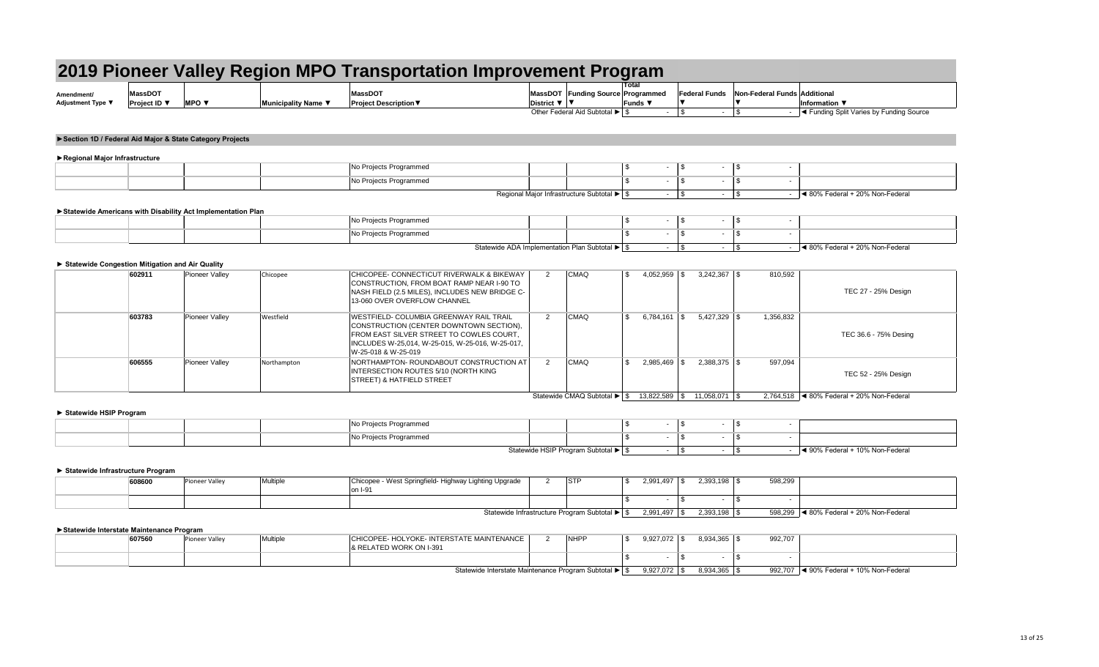| Amendment                | 38500                                  |            |                          | MassDO <sup>-</sup>                                  | <b>MassDOT</b>  | Funding Source |
|--------------------------|----------------------------------------|------------|--------------------------|------------------------------------------------------|-----------------|----------------|
| <b>Adjustment Type ▼</b> | <b>Project ID</b> $\blacktriangledown$ | <b>MPO</b> | <b>Municipality Name</b> | . Description $\blacktriangledown$<br><b>Project</b> | <b>District</b> |                |
|                          |                                        |            |                          |                                                      |                 |                |

Other Federal Aid Subtotal ▶

| gram              |                      |                              |                                                                                                                                                        |
|-------------------|----------------------|------------------------------|--------------------------------------------------------------------------------------------------------------------------------------------------------|
| <b>Total</b>      |                      |                              |                                                                                                                                                        |
| <b>Programmed</b> | <b>Federal Funds</b> | Non-Federal Funds Additional |                                                                                                                                                        |
| Funds ▼           |                      |                              | Information $\blacktriangledown$                                                                                                                       |
| ۰.                | ۰                    |                              | - <a> - <a> I<br/> <a> I<br/> <a> I<br/> <a> I<br/> <a> I<br/> A</a> Funding Source</a> I</a> I</a> I</a> I</a> I I I I I I I I I I I I I I I I I I I< |

|  | - | $\overline{\phantom{a}}$ | $\overline{\phantom{a}}$<br>-11 |                                 |
|--|---|--------------------------|---------------------------------|---------------------------------|
|  | - | $\overline{\phantom{a}}$ | $\blacksquare$<br>-11           |                                 |
|  | - | $\overline{\phantom{a}}$ | ۰.<br>м.                        | ◀ 80% Federal + 20% Non-Federal |

| ▶ Regional Major Infrastructure |                                              |  |  |                                 |
|---------------------------------|----------------------------------------------|--|--|---------------------------------|
|                                 | No Projects Programmed                       |  |  |                                 |
|                                 | No Projects Programmed                       |  |  |                                 |
|                                 | Regional Major Infrastructure Subtotal ▶   1 |  |  | ◀ 80% Federal + 20% Non-Federal |

| 602911 | Pioneer Valley | Chicopee    | CHICOPEE- CONNECTICUT RIVERWALK & BIKEWAY<br>CONSTRUCTION, FROM BOAT RAMP NEAR I-90 TO<br>NASH FIELD (2.5 MILES), INCLUDES NEW BRIDGE C-<br>13-060 OVER OVERFLOW CHANNEL                                         | <b>CMAQ</b>                 | 4,052,959         | $3,242,367$ \\$ | 810,592   | TEC 27 - 25% Design                              |
|--------|----------------|-------------|------------------------------------------------------------------------------------------------------------------------------------------------------------------------------------------------------------------|-----------------------------|-------------------|-----------------|-----------|--------------------------------------------------|
| 603783 | Pioneer Valley | Westfield   | <b>WESTFIELD- COLUMBIA GREENWAY RAIL TRAIL</b><br>CONSTRUCTION (CENTER DOWNTOWN SECTION),<br>FROM EAST SILVER STREET TO COWLES COURT,<br>INCLUDES W-25,014, W-25-015, W-25-016, W-25-017,<br>W-25-018 & W-25-019 | <b>CMAQ</b>                 | $6,784,161$ \\$   | $5,427,329$ \\$ | 1,356,832 | TEC 36.6 - 75% Desing                            |
| 606555 | Pioneer Valley | Northampton | NORTHAMPTON- ROUNDABOUT CONSTRUCTION AT<br>INTERSECTION ROUTES 5/10 (NORTH KING<br><b>STREET) &amp; HATFIELD STREET</b>                                                                                          | <b>CMAQ</b>                 | 2,985,469         | $2,388,375$ \\$ | 597,094   | TEC 52 - 25% Design                              |
|        |                |             |                                                                                                                                                                                                                  | Statewide CMAQ Subtotal ▶ S | $13,822,589$ \ \$ | 11,058,071   \$ |           | 2,764,518 $\mid$ ◀ 80% Federal + 20% Non-Federal |

|  | No Projects Programmed                                              |                                        |  |  |                                                    |
|--|---------------------------------------------------------------------|----------------------------------------|--|--|----------------------------------------------------|
|  | No Projects Programmed<br>$\sim$ $\sim$ $\sim$ $\sim$ $\sim$ $\sim$ |                                        |  |  |                                                    |
|  |                                                                     | Statewide HSIP Program Subtotal ▶   \$ |  |  | $\blacktriangleleft$ 90% Federal + 10% Non-Federal |

### **►Section 1D / Federal Aid Major & State Category Projects**

| 608600 | <b>Pioneer Valley</b> | Multiple | Chicopee - West Springfield- Highway Lighting Upgrade<br>on I-91 | <b>STP</b> |                                                | 2,991,497       | $2,393,198$ \$ | 598,299 |                                          |
|--------|-----------------------|----------|------------------------------------------------------------------|------------|------------------------------------------------|-----------------|----------------|---------|------------------------------------------|
|        |                       |          |                                                                  |            |                                                |                 |                |         |                                          |
|        |                       |          |                                                                  |            | Statewide Infrastructure Program Subtotal ▶ \$ | $2,991,497$ \\$ | $2,393,198$ \$ |         | 598,299  ◀ 80% Federal + 20% Non-Federal |

### **►Statewide Americans with Disability Act Implementation Plan**

|  | No Projects Programmed     |  |  |  |
|--|----------------------------|--|--|--|
|  | Projects Programmed<br> NO |  |  |  |

**Statewide ADA Implementation Plan Subtotal ▶** 

| 607560 | Pioneer Valley | Multiple | CHICOPEE- HOLYOKE- INTERSTATE MAINTENANCE<br>RELATED WORK ON I-391 |                                                          | <b>NHPP</b> | 9,927,072 | 8,934,365 | 992,707 |                                                            |  |
|--------|----------------|----------|--------------------------------------------------------------------|----------------------------------------------------------|-------------|-----------|-----------|---------|------------------------------------------------------------|--|
|        |                |          |                                                                    |                                                          |             |           |           |         |                                                            |  |
|        |                |          |                                                                    | Statewide Interstate Maintenance Program Subtotal ▶   \$ |             | 9,927,072 | 8,934,365 |         | 992,707 $\blacktriangleleft$ 90% Federal + 10% Non-Federal |  |

### **► Statewide Congestion Mitigation and Air Quality**

### **► Statewide HSIP Program**

### **► Statewide Infrastructure Program**

### **►Statewide Interstate Maintenance Program**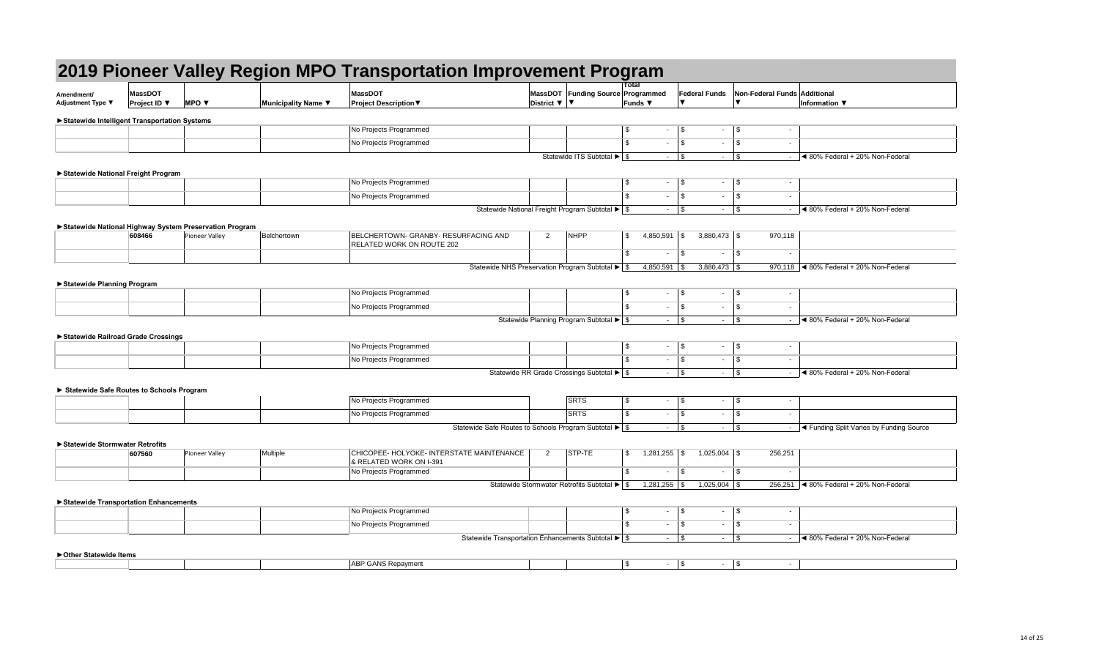| 608466 | Pioneer Valley | ∵^hertown | BELCHERTOWN- GRANBY- RESURFACING AND<br>LATED WORK ON ROUTE 202 | NILIDD<br>INI |
|--------|----------------|-----------|-----------------------------------------------------------------|---------------|
|        |                |           |                                                                 |               |

| Amendment/<br>Adjustment Type ▼                | <b>MassDOT</b><br><b>Project ID</b> $\blacktriangledown$ | <b>MPO</b> $\blacktriangledown$ | Municipality Name ▼ | <b>MassDOT</b><br><b>Project Description ▼</b> | District $\nabla$   $\nabla$ | <b>MassDOT Funding Sourc</b> |
|------------------------------------------------|----------------------------------------------------------|---------------------------------|---------------------|------------------------------------------------|------------------------------|------------------------------|
| ▶ Statewide Intelligent Transportation Systems |                                                          |                                 |                     |                                                |                              |                              |
|                                                |                                                          |                                 |                     | No Projects Programmed                         |                              |                              |
|                                                |                                                          |                                 |                     | No Projects Programmed                         |                              |                              |
|                                                |                                                          |                                 |                     |                                                |                              | Statewide ITS Subtotal I     |

| No Projects Programmed |   |
|------------------------|---|
| No Projects Programmed |   |
| $\sim$ $\sim$          | . |

|                                                        |                                       |                                 | 2019 Pioneer Valley Region MPO Transportation Improvement Program |                                                                      |                                                                         |                                                                     |                             |                                     |                      |                                |                              |                                                            |
|--------------------------------------------------------|---------------------------------------|---------------------------------|-------------------------------------------------------------------|----------------------------------------------------------------------|-------------------------------------------------------------------------|---------------------------------------------------------------------|-----------------------------|-------------------------------------|----------------------|--------------------------------|------------------------------|------------------------------------------------------------|
| Amendment/<br><b>Adjustment Type ▼</b>                 | <b>MassDOT</b><br><b>Project ID</b> ▼ | <b>MPO</b> $\blacktriangledown$ | Municipality Name ▼                                               | <b>MassDOT</b><br><b>Project Description ▼</b>                       |                                                                         | MassDOT Funding Source Programmed<br>District $\nabla$ $\nabla$     |                             | <b>Total</b><br>Funds ▼             | <b>Federal Funds</b> |                                | Non-Federal Funds Additional | Information $\blacktriangledown$                           |
|                                                        |                                       |                                 |                                                                   |                                                                      |                                                                         |                                                                     |                             |                                     |                      |                                |                              |                                                            |
| ▶ Statewide Intelligent Transportation Systems         |                                       |                                 |                                                                   | No Projects Programmed                                               |                                                                         |                                                                     |                             | \$<br>$\sim$                        | $\sqrt{3}$           | $\vert$ \$<br>$\sim$           | $\overline{\phantom{a}}$     |                                                            |
|                                                        |                                       |                                 |                                                                   | No Projects Programmed                                               |                                                                         |                                                                     |                             | $\mathfrak{L}$<br>$\sim$            | $\sqrt{3}$           | \$<br>$\sim$                   | $\overline{\phantom{a}}$     |                                                            |
|                                                        |                                       |                                 |                                                                   |                                                                      |                                                                         |                                                                     | Statewide ITS Subtotal ▶ \$ | $\sim 10$                           | $\sqrt{3}$           | $\sqrt{3}$<br>$\sim$           | $\sim$                       | Sol% Federal + 20% Non-Federal                             |
|                                                        |                                       |                                 |                                                                   |                                                                      |                                                                         |                                                                     |                             |                                     |                      |                                |                              |                                                            |
| Statewide National Freight Program                     |                                       |                                 |                                                                   | No Projects Programmed                                               |                                                                         |                                                                     |                             | \$<br>$\sim$                        | $\sqrt{3}$           | \$<br>$\sim$                   | $\overline{\phantom{a}}$     |                                                            |
|                                                        |                                       |                                 |                                                                   | No Projects Programmed                                               |                                                                         |                                                                     |                             | $\mathfrak{L}$<br>$\sim$            | $\sqrt{3}$           | \$<br>$\sim$                   | $\sim$                       |                                                            |
|                                                        |                                       |                                 |                                                                   |                                                                      | Statewide National Freight Program Subtotal ▶ \$                        |                                                                     |                             | $\sim 100$                          | $\sqrt{3}$           | $\vert$ \$<br>$\sim$           | $\sim$                       | Sol% Federal + 20% Non-Federal                             |
|                                                        |                                       |                                 |                                                                   |                                                                      |                                                                         |                                                                     |                             |                                     |                      |                                |                              |                                                            |
| Statewide National Highway System Preservation Program | 608466                                | Pioneer Valley                  | Belchertown                                                       | BELCHERTOWN- GRANBY- RESURFACING AND                                 |                                                                         | $\overline{2}$<br><b>NHPP</b>                                       |                             | $\mathfrak{S}$<br>4,850,591         | l \$                 | $3,880,473$ \$                 | 970,118                      |                                                            |
|                                                        |                                       |                                 |                                                                   | <b>RELATED WORK ON ROUTE 202</b>                                     |                                                                         |                                                                     |                             | $\mathbb{S}$<br>$\sim$              | <b>S</b>             | $\sqrt{3}$<br>$\sim$           | $\sim$                       |                                                            |
|                                                        |                                       |                                 |                                                                   |                                                                      | Statewide NHS Preservation Program Subtotal $\blacktriangleright$ \$    |                                                                     |                             | $4,850,591$ \\$                     |                      | $3,880,473$ \$                 |                              | 970,118   4 80% Federal + 20% Non-Federal                  |
|                                                        |                                       |                                 |                                                                   |                                                                      |                                                                         |                                                                     |                             |                                     |                      |                                |                              |                                                            |
| ▶ Statewide Planning Program                           |                                       |                                 |                                                                   | No Projects Programmed                                               |                                                                         |                                                                     |                             | \$<br>$\sim$                        | \$                   | \$<br>$\sim$                   | $\sim$                       |                                                            |
|                                                        |                                       |                                 |                                                                   | No Projects Programmed                                               |                                                                         |                                                                     |                             | $\mathfrak{L}$<br>$\sim$            | $\vert$ \$           | \$<br>$\sim$                   | $\sim$                       |                                                            |
|                                                        |                                       |                                 |                                                                   |                                                                      |                                                                         | Statewide Planning Program Subtotal $\blacktriangleright$ $\mid$ \$ |                             | $\sim$                              | $\sqrt{3}$           | $\sqrt{3}$<br>$\sim$           |                              | ◀ 80% Federal + 20% Non-Federal                            |
|                                                        |                                       |                                 |                                                                   |                                                                      |                                                                         |                                                                     |                             |                                     |                      |                                |                              |                                                            |
| Statewide Railroad Grade Crossings                     |                                       |                                 |                                                                   | No Projects Programmed                                               |                                                                         |                                                                     |                             | \$<br>$\sim$                        | <b>\$</b>            | \$<br>$\sim$                   | $\overline{\phantom{a}}$     |                                                            |
|                                                        |                                       |                                 |                                                                   | No Projects Programmed                                               |                                                                         |                                                                     |                             | \$<br>$\sim$                        | $\sqrt{3}$           | $\vert$ \$<br>$\sim$           | $\sim$                       |                                                            |
|                                                        |                                       |                                 |                                                                   |                                                                      |                                                                         | Statewide RR Grade Crossings Subtotal ▶ \$                          |                             | $\sim$                              | $\sqrt{3}$           | $\sqrt{3}$                     |                              | ◀ 80% Federal + 20% Non-Federal                            |
|                                                        |                                       |                                 |                                                                   |                                                                      |                                                                         |                                                                     |                             |                                     |                      |                                |                              |                                                            |
| Statewide Safe Routes to Schools Program               |                                       |                                 |                                                                   | No Projects Programmed                                               |                                                                         | <b>SRTS</b>                                                         |                             | \$<br>$\sim$                        | $\sqrt{3}$           | \$<br>$\sim$                   | $\overline{\phantom{a}}$     |                                                            |
|                                                        |                                       |                                 |                                                                   |                                                                      |                                                                         | <b>SRTS</b>                                                         |                             | $\mathfrak{L}$                      | $\sqrt{3}$           |                                |                              |                                                            |
|                                                        |                                       |                                 |                                                                   | No Projects Programmed                                               |                                                                         |                                                                     |                             | $\sim 10$                           |                      | \$<br>$\sim$                   | $\sim$                       |                                                            |
|                                                        |                                       |                                 |                                                                   |                                                                      | Statewide Safe Routes to Schools Program Subtotal ▶ \$                  |                                                                     |                             | $\sim 100$                          | $\vert$ \$           | $\vert \mathfrak{s}$<br>$\sim$ | $\sim$                       | I < Funding Split Varies by Funding Source                 |
| ▶ Statewide Stormwater Retrofits                       |                                       |                                 |                                                                   |                                                                      |                                                                         |                                                                     |                             |                                     |                      |                                |                              |                                                            |
|                                                        | 607560                                | Pioneer Valley                  | Multiple                                                          | CHICOPEE- HOLYOKE- INTERSTATE MAINTENANCE<br>& RELATED WORK ON I-391 |                                                                         | STP-TE<br>$\overline{2}$                                            |                             | $\mathfrak{S}$<br>$1,281,255$ \\$   |                      | $1,025,004$ \$                 | 256,251                      |                                                            |
|                                                        |                                       |                                 |                                                                   | No Projects Programmed                                               |                                                                         |                                                                     |                             | \$<br>$\sim$                        | $\sqrt{3}$           | $\sqrt{3}$<br>$\sim$           | $\blacksquare$               |                                                            |
|                                                        |                                       |                                 |                                                                   |                                                                      |                                                                         | Statewide Stormwater Retrofits Subtotal ▶   \$                      |                             |                                     |                      | $1,025,004$ \$                 |                              | 256,251 $\blacktriangleleft$ 80% Federal + 20% Non-Federal |
| Statewide Transportation Enhancements                  |                                       |                                 |                                                                   |                                                                      |                                                                         |                                                                     |                             |                                     |                      |                                |                              |                                                            |
|                                                        |                                       |                                 |                                                                   | No Projects Programmed                                               |                                                                         |                                                                     |                             | $\sim$                              | $\sqrt{3}$           | $\vert$ \$<br>$\sim$           | $\overline{\phantom{a}}$     |                                                            |
|                                                        |                                       |                                 |                                                                   | No Projects Programmed                                               |                                                                         |                                                                     |                             | $\sim 100$                          | $\sqrt{3}$           | \$<br>$\sim$                   | $\sim$                       |                                                            |
|                                                        |                                       |                                 |                                                                   |                                                                      | Statewide Transportation Enhancements Subtotal $\blacktriangleright$ \$ |                                                                     |                             | $\sim 10$                           | $\vert$ \$           | $\sqrt{3}$<br>$\sim$           | $\sim$                       | Sol% Federal + 20% Non-Federal                             |
| ▶ Other Statewide Items                                |                                       |                                 |                                                                   |                                                                      |                                                                         |                                                                     |                             |                                     |                      |                                |                              |                                                            |
|                                                        |                                       |                                 |                                                                   | <b>ABP GANS Repayment</b>                                            |                                                                         |                                                                     |                             | $\boldsymbol{\mathsf{S}}$<br>$\sim$ | $\sqrt{3}$           | $\vert \$$<br>$\sim$ $-$       | $\sim$                       |                                                            |

|                                                |                     |                                                          |                     | 2019 Pioneer Valley Region MPO Transportation Improvement Program       |                            |                                                                         |                            |                 |                          |                                        |                                                            |
|------------------------------------------------|---------------------|----------------------------------------------------------|---------------------|-------------------------------------------------------------------------|----------------------------|-------------------------------------------------------------------------|----------------------------|-----------------|--------------------------|----------------------------------------|------------------------------------------------------------|
| Amendment/                                     | <b>MassDOT</b>      |                                                          |                     | <b>MassDOT</b>                                                          |                            | MassDOT Funding Source Programmed                                       | Total                      |                 | <b>Federal Funds</b>     | Non-Federal Funds Additional           |                                                            |
| <b>Adjustment Type ▼</b>                       | <b>Project ID</b> ▼ | <b>MPO</b> $\blacktriangledown$                          | Municipality Name ▼ | <b>Project Description ▼</b>                                            | District $\nabla$ $\nabla$ |                                                                         | Funds $\blacktriangledown$ |                 |                          |                                        | Information $\blacktriangledown$                           |
| ▶ Statewide Intelligent Transportation Systems |                     |                                                          |                     |                                                                         |                            |                                                                         |                            |                 |                          |                                        |                                                            |
|                                                |                     |                                                          |                     | No Projects Programmed                                                  |                            |                                                                         | $\mathfrak{S}$             | $\sim 10$       | $\vert$ \$<br>$\sim$ $-$ | \$<br>$\sim$                           |                                                            |
|                                                |                     |                                                          |                     | No Projects Programmed                                                  |                            |                                                                         | $\mathfrak{L}$             | $\sim 10$       | $\vert$ \$<br>$\sim$     | $\sqrt{3}$<br>$\overline{\phantom{a}}$ |                                                            |
|                                                |                     |                                                          |                     |                                                                         |                            | Statewide ITS Subtotal $\blacktriangleright$ $\frac{1}{9}$              |                            |                 | $\sim$ $-$               | \$                                     | Sol% Federal + 20% Non-Federal<br>$\sim$                   |
|                                                |                     |                                                          |                     |                                                                         |                            |                                                                         |                            |                 |                          |                                        |                                                            |
| Statewide National Freight Program             |                     |                                                          |                     | No Projects Programmed                                                  |                            |                                                                         | $\boldsymbol{\mathsf{S}}$  | $\sim$          | $\vert$ \$<br>$\sim$     | \$<br>$\sim$                           |                                                            |
|                                                |                     |                                                          |                     | No Projects Programmed                                                  |                            |                                                                         | $\mathfrak{S}$             | $\sim 10$       | $\vert$ \$<br>$\sim$     | \$                                     | $\sim$                                                     |
|                                                |                     |                                                          |                     |                                                                         |                            | Statewide National Freight Program Subtotal ▶ \$                        |                            |                 | $\sim$                   | \$                                     | $\vert$ < 80% Federal + 20% Non-Federal<br>$\sim$ $-$      |
|                                                |                     |                                                          |                     |                                                                         |                            |                                                                         |                            |                 |                          |                                        |                                                            |
|                                                |                     | ▶ Statewide National Highway System Preservation Program |                     | BELCHERTOWN- GRANBY- RESURFACING AND                                    |                            | <b>NHPP</b>                                                             |                            |                 |                          |                                        |                                                            |
|                                                | 608466              | <b>Pioneer Valley</b>                                    | Belchertown         | <b>RELATED WORK ON ROUTE 202</b>                                        | $\overline{2}$             |                                                                         | $\mathbb{S}$               | $4,850,591$ \\$ | $3,880,473$ \$           | 970,118                                |                                                            |
|                                                |                     |                                                          |                     |                                                                         |                            |                                                                         | $\mathfrak{S}$             | $\sim$ $-$      | $\vert$ \$<br>$\sim$     | \$<br>$\sim$                           |                                                            |
|                                                |                     |                                                          |                     | Statewide NHS Preservation Program Subtotal $\blacktriangleright$ \$    |                            |                                                                         |                            | $4,850,591$ \$  | $3,880,473$ \$           |                                        | 970,118 $\blacktriangleleft$ 80% Federal + 20% Non-Federal |
| Statewide Planning Program                     |                     |                                                          |                     |                                                                         |                            |                                                                         |                            |                 |                          |                                        |                                                            |
|                                                |                     |                                                          |                     | No Projects Programmed                                                  |                            |                                                                         | \$                         | $\sim$          | $\vert$ \$<br>$\sim$     | \$<br>$\sim$                           |                                                            |
|                                                |                     |                                                          |                     | No Projects Programmed                                                  |                            |                                                                         | $\mathfrak{L}$             | $\sim 100$      | $\vert$ \$<br>$\sim$     | $\sqrt{3}$<br>$\sim$                   |                                                            |
|                                                |                     |                                                          |                     |                                                                         |                            | Statewide Planning Program Subtotal $\blacktriangleright$ $\mid$ \$     |                            | $\sim 10$       | $\vert$ \$<br>$\sim$     | \$                                     | Sol% Federal + 20% Non-Federal<br>$\sim$                   |
|                                                |                     |                                                          |                     |                                                                         |                            |                                                                         |                            |                 |                          |                                        |                                                            |
| Statewide Railroad Grade Crossings             |                     |                                                          |                     | No Projects Programmed                                                  |                            |                                                                         | \$                         | $\sim$          | $\vert$ \$<br>$\sim$     | $\sqrt{3}$<br>$\sim$                   |                                                            |
|                                                |                     |                                                          |                     |                                                                         |                            |                                                                         |                            |                 |                          |                                        |                                                            |
|                                                |                     |                                                          |                     | No Projects Programmed                                                  |                            |                                                                         | \$                         | $\sim$          | $\sqrt{3}$<br>$\sim$     | \$                                     | $\sim$                                                     |
|                                                |                     |                                                          |                     |                                                                         |                            | Statewide RR Grade Crossings Subtotal $\blacktriangleright$ $\mid$ \$   |                            |                 |                          | $\sqrt{3}$                             | ◀ 80% Federal + 20% Non-Federal                            |
| Statewide Safe Routes to Schools Program       |                     |                                                          |                     |                                                                         |                            |                                                                         |                            |                 |                          |                                        |                                                            |
|                                                |                     |                                                          |                     | No Projects Programmed                                                  |                            | SRTS                                                                    | \$                         | $\sim$          | $\vert$ \$<br>$\sim$     | \$<br>$\overline{\phantom{a}}$         |                                                            |
|                                                |                     |                                                          |                     | No Projects Programmed                                                  |                            | SRTS                                                                    | $\mathfrak{L}$             | $\sim 10$       | $\vert$ \$<br>$\sim$     | $\sqrt{3}$                             | $\sim$                                                     |
|                                                |                     |                                                          |                     | Statewide Safe Routes to Schools Program Subtotal ▶ \$                  |                            |                                                                         |                            |                 | $\sim$                   | \$                                     | ◀ Funding Split Varies by Funding Source<br>$\sim$         |
| Statewide Stormwater Retrofits                 |                     |                                                          |                     |                                                                         |                            |                                                                         |                            |                 |                          |                                        |                                                            |
|                                                | 607560              | Pioneer Valley                                           | Multiple            | CHICOPEE- HOLYOKE- INTERSTATE MAINTENANCE<br>& RELATED WORK ON I-391    | $\overline{2}$             | STP-TE                                                                  | $\mathbb{S}$               | $1,281,255$ \$  | $1,025,004$ \$           | 256,251                                |                                                            |
|                                                |                     |                                                          |                     | No Projects Programmed                                                  |                            |                                                                         | $\mathfrak{S}$             |                 | $\sim$                   | $\vert$ \$<br>$\blacksquare$           |                                                            |
|                                                |                     |                                                          |                     |                                                                         |                            | Statewide Stormwater Retrofits Subtotal $\blacktriangleright$ $\mid$ \$ |                            |                 |                          |                                        | 256,251 $\blacktriangleleft$ 80% Federal + 20% Non-Federal |
|                                                |                     |                                                          |                     |                                                                         |                            |                                                                         |                            |                 |                          |                                        |                                                            |
| Statewide Transportation Enhancements          |                     |                                                          |                     | No Projects Programmed                                                  |                            |                                                                         | $\mathfrak{L}$             | $\sim$          | \$<br>$\sim$ $-$         | \$                                     | $\sim$                                                     |
|                                                |                     |                                                          |                     | No Projects Programmed                                                  |                            |                                                                         | $\mathfrak{L}$             | $\sim 10$       | $\vert$ \$<br>$\sim$     | \$                                     | $\blacksquare$                                             |
|                                                |                     |                                                          |                     | Statewide Transportation Enhancements Subtotal $\blacktriangleright$ \$ |                            |                                                                         |                            | $-$ \$          | $\sim$                   | $\sqrt{3}$                             | Sol% Federal + 20% Non-Federal<br>$\sim$                   |
|                                                |                     |                                                          |                     |                                                                         |                            |                                                                         |                            |                 |                          |                                        |                                                            |
| ▶ Other Statewide Items                        |                     |                                                          |                     |                                                                         |                            |                                                                         |                            |                 |                          |                                        |                                                            |
|                                                |                     |                                                          |                     | <b>ABP GANS Repayment</b>                                               |                            |                                                                         | \$                         |                 | $\sim$ $-$               | \$                                     | $\sim$                                                     |

|                                                        |                                       |                                 | 2019 Pioneer Valley Region MPO Transportation Improvement Program |                                                                      |                                                                         |                                                                     |                             |                                     |                      |                                |                              |                                                            |
|--------------------------------------------------------|---------------------------------------|---------------------------------|-------------------------------------------------------------------|----------------------------------------------------------------------|-------------------------------------------------------------------------|---------------------------------------------------------------------|-----------------------------|-------------------------------------|----------------------|--------------------------------|------------------------------|------------------------------------------------------------|
| Amendment/<br><b>Adjustment Type ▼</b>                 | <b>MassDOT</b><br><b>Project ID</b> ▼ | <b>MPO</b> $\blacktriangledown$ | Municipality Name ▼                                               | <b>MassDOT</b><br><b>Project Description ▼</b>                       |                                                                         | MassDOT Funding Source Programmed<br>District $\nabla$ $\nabla$     |                             | <b>Total</b><br>Funds ▼             | <b>Federal Funds</b> |                                | Non-Federal Funds Additional | Information $\blacktriangledown$                           |
|                                                        |                                       |                                 |                                                                   |                                                                      |                                                                         |                                                                     |                             |                                     |                      |                                |                              |                                                            |
| ▶ Statewide Intelligent Transportation Systems         |                                       |                                 |                                                                   | No Projects Programmed                                               |                                                                         |                                                                     |                             | \$<br>$\sim$                        | $\sqrt{3}$           | $\vert$ \$<br>$\sim$           | $\overline{\phantom{a}}$     |                                                            |
|                                                        |                                       |                                 |                                                                   | No Projects Programmed                                               |                                                                         |                                                                     |                             | $\mathfrak{L}$<br>$\sim$            | $\sqrt{3}$           | \$<br>$\sim$                   | $\overline{\phantom{a}}$     |                                                            |
|                                                        |                                       |                                 |                                                                   |                                                                      |                                                                         |                                                                     | Statewide ITS Subtotal ▶ \$ | $\sim 10$                           | $\sqrt{3}$           | $\sqrt{3}$<br>$\sim$           | $\sim$                       | Sol% Federal + 20% Non-Federal                             |
|                                                        |                                       |                                 |                                                                   |                                                                      |                                                                         |                                                                     |                             |                                     |                      |                                |                              |                                                            |
| Statewide National Freight Program                     |                                       |                                 |                                                                   | No Projects Programmed                                               |                                                                         |                                                                     |                             | \$<br>$\sim$                        | $\sqrt{3}$           | \$<br>$\sim$                   | $\overline{\phantom{a}}$     |                                                            |
|                                                        |                                       |                                 |                                                                   | No Projects Programmed                                               |                                                                         |                                                                     |                             | $\mathfrak{L}$<br>$\sim$            | $\sqrt{3}$           | \$<br>$\sim$                   | $\sim$                       |                                                            |
|                                                        |                                       |                                 |                                                                   |                                                                      | Statewide National Freight Program Subtotal ▶ \$                        |                                                                     |                             | $\sim 100$                          | $\sqrt{3}$           | $\vert$ \$<br>$\sim$           | $\sim$                       | Sol% Federal + 20% Non-Federal                             |
|                                                        |                                       |                                 |                                                                   |                                                                      |                                                                         |                                                                     |                             |                                     |                      |                                |                              |                                                            |
| Statewide National Highway System Preservation Program | 608466                                | Pioneer Valley                  | Belchertown                                                       | BELCHERTOWN- GRANBY- RESURFACING AND                                 |                                                                         | $\overline{2}$<br><b>NHPP</b>                                       |                             | $\mathfrak{S}$<br>4,850,591         | l \$                 | $3,880,473$ \$                 | 970,118                      |                                                            |
|                                                        |                                       |                                 |                                                                   | <b>RELATED WORK ON ROUTE 202</b>                                     |                                                                         |                                                                     |                             | $\mathbb{S}$<br>$\sim$              | <b>S</b>             | $\sqrt{3}$<br>$\sim$           | $\sim$                       |                                                            |
|                                                        |                                       |                                 |                                                                   |                                                                      | Statewide NHS Preservation Program Subtotal $\blacktriangleright$ \$    |                                                                     |                             | $4,850,591$ \\$                     |                      | $3,880,473$ \$                 |                              | 970,118   4 80% Federal + 20% Non-Federal                  |
|                                                        |                                       |                                 |                                                                   |                                                                      |                                                                         |                                                                     |                             |                                     |                      |                                |                              |                                                            |
| ▶ Statewide Planning Program                           |                                       |                                 |                                                                   | No Projects Programmed                                               |                                                                         |                                                                     |                             | \$<br>$\sim$                        | \$                   | \$<br>$\sim$                   | $\sim$                       |                                                            |
|                                                        |                                       |                                 |                                                                   | No Projects Programmed                                               |                                                                         |                                                                     |                             | $\mathfrak{L}$<br>$\sim$            | $\vert$ \$           | \$<br>$\sim$                   | $\sim$                       |                                                            |
|                                                        |                                       |                                 |                                                                   |                                                                      |                                                                         | Statewide Planning Program Subtotal $\blacktriangleright$ $\mid$ \$ |                             | $\sim$                              | $\sqrt{3}$           | $\sqrt{3}$<br>$\sim$           |                              | ◀ 80% Federal + 20% Non-Federal                            |
|                                                        |                                       |                                 |                                                                   |                                                                      |                                                                         |                                                                     |                             |                                     |                      |                                |                              |                                                            |
| Statewide Railroad Grade Crossings                     |                                       |                                 |                                                                   | No Projects Programmed                                               |                                                                         |                                                                     |                             | \$<br>$\sim$                        | <b>\$</b>            | \$<br>$\sim$                   | $\overline{\phantom{a}}$     |                                                            |
|                                                        |                                       |                                 |                                                                   | No Projects Programmed                                               |                                                                         |                                                                     |                             | \$<br>$\sim$                        | $\sqrt{3}$           | $\vert$ \$<br>$\sim$           | $\sim$                       |                                                            |
|                                                        |                                       |                                 |                                                                   |                                                                      |                                                                         | Statewide RR Grade Crossings Subtotal ▶ \$                          |                             | $\sim$                              | $\sqrt{3}$           | $\sqrt{3}$                     |                              | ◀ 80% Federal + 20% Non-Federal                            |
|                                                        |                                       |                                 |                                                                   |                                                                      |                                                                         |                                                                     |                             |                                     |                      |                                |                              |                                                            |
| Statewide Safe Routes to Schools Program               |                                       |                                 |                                                                   | No Projects Programmed                                               |                                                                         | <b>SRTS</b>                                                         |                             | \$<br>$\sim$                        | $\sqrt{3}$           | \$<br>$\sim$                   | $\overline{\phantom{a}}$     |                                                            |
|                                                        |                                       |                                 |                                                                   |                                                                      |                                                                         | <b>SRTS</b>                                                         |                             | $\mathfrak{L}$                      | $\sqrt{3}$           |                                |                              |                                                            |
|                                                        |                                       |                                 |                                                                   | No Projects Programmed                                               |                                                                         |                                                                     |                             | $\sim 10$                           |                      | \$<br>$\sim$                   | $\sim$                       |                                                            |
|                                                        |                                       |                                 |                                                                   |                                                                      | Statewide Safe Routes to Schools Program Subtotal ▶ \$                  |                                                                     |                             | $\sim 100$                          | $\vert$ \$           | $\vert \mathfrak{s}$<br>$\sim$ | $\sim$                       | I < Funding Split Varies by Funding Source                 |
| ▶ Statewide Stormwater Retrofits                       |                                       |                                 |                                                                   |                                                                      |                                                                         |                                                                     |                             |                                     |                      |                                |                              |                                                            |
|                                                        | 607560                                | Pioneer Valley                  | Multiple                                                          | CHICOPEE- HOLYOKE- INTERSTATE MAINTENANCE<br>& RELATED WORK ON I-391 |                                                                         | STP-TE<br>$\overline{2}$                                            |                             | $\mathfrak{S}$<br>$1,281,255$ \\$   |                      | $1,025,004$ \$                 | 256,251                      |                                                            |
|                                                        |                                       |                                 |                                                                   | No Projects Programmed                                               |                                                                         |                                                                     |                             | \$<br>$\sim$                        | $\sqrt{3}$           | $\sqrt{3}$<br>$\sim$           | $\blacksquare$               |                                                            |
|                                                        |                                       |                                 |                                                                   |                                                                      |                                                                         | Statewide Stormwater Retrofits Subtotal ▶   \$                      |                             |                                     |                      | $1,025,004$ \$                 |                              | 256,251 $\blacktriangleleft$ 80% Federal + 20% Non-Federal |
| Statewide Transportation Enhancements                  |                                       |                                 |                                                                   |                                                                      |                                                                         |                                                                     |                             |                                     |                      |                                |                              |                                                            |
|                                                        |                                       |                                 |                                                                   | No Projects Programmed                                               |                                                                         |                                                                     |                             | $\sim$                              | $\sqrt{3}$           | $\vert$ \$<br>$\sim$           | $\overline{\phantom{a}}$     |                                                            |
|                                                        |                                       |                                 |                                                                   | No Projects Programmed                                               |                                                                         |                                                                     |                             | $\sim 100$                          | $\sqrt{3}$           | \$<br>$\sim$                   | $\sim$                       |                                                            |
|                                                        |                                       |                                 |                                                                   |                                                                      | Statewide Transportation Enhancements Subtotal $\blacktriangleright$ \$ |                                                                     |                             | $\sim 10$                           | $\vert$ \$           | $\sqrt{3}$<br>$\sim$           | $\sim$                       | Sol% Federal + 20% Non-Federal                             |
| ▶ Other Statewide Items                                |                                       |                                 |                                                                   |                                                                      |                                                                         |                                                                     |                             |                                     |                      |                                |                              |                                                            |
|                                                        |                                       |                                 |                                                                   | <b>ABP GANS Repayment</b>                                            |                                                                         |                                                                     |                             | $\boldsymbol{\mathsf{S}}$<br>$\sim$ | $\sqrt{3}$           | $\vert \$$<br>$\sim$ $-$       | $\sim$                       |                                                            |

|                                                        |                     |                                 |                     | 2019 Pioneer Valley Region MPO Transportation Improvement Program    |                                                                         |                                     |                            |                                        |                                                            |
|--------------------------------------------------------|---------------------|---------------------------------|---------------------|----------------------------------------------------------------------|-------------------------------------------------------------------------|-------------------------------------|----------------------------|----------------------------------------|------------------------------------------------------------|
| Amendment/                                             | <b>MassDOT</b>      |                                 |                     | <b>MassDOT</b>                                                       | MassDOT Funding Source Programmed                                       | Total                               | <b>Federal Funds</b>       | Non-Federal Funds Additional           |                                                            |
| <b>Adjustment Type ▼</b>                               | <b>Project ID</b> ▼ | <b>MPO</b> $\blacktriangledown$ | Municipality Name ▼ | <b>Project Description ▼</b>                                         | District ▼ ▼                                                            | Funds $\blacktriangledown$          |                            |                                        | Information ▼                                              |
| Statewide Intelligent Transportation Systems           |                     |                                 |                     |                                                                      |                                                                         |                                     |                            |                                        |                                                            |
|                                                        |                     |                                 |                     | No Projects Programmed                                               |                                                                         | \$<br>$\sim$                        | $\vert$ \$<br>$\sim 10$    | \$<br>$\sim$                           |                                                            |
|                                                        |                     |                                 |                     | No Projects Programmed                                               |                                                                         | \$.<br>$\sim$                       | $\sqrt{3}$<br>$\sim$       | $\sqrt{3}$<br>$\overline{\phantom{a}}$ |                                                            |
|                                                        |                     |                                 |                     |                                                                      | Statewide ITS Subtotal ▶ \$                                             | $\sim$ $-$                          | $\vert$ \$<br>$\sim$       | $\sqrt{3}$<br>$\sim$                   | ◀ 80% Federal + 20% Non-Federal                            |
|                                                        |                     |                                 |                     |                                                                      |                                                                         |                                     |                            |                                        |                                                            |
| Statewide National Freight Program                     |                     |                                 |                     | No Projects Programmed                                               |                                                                         | \$<br>$\sim$                        | $\sqrt{3}$<br>$\sim$       | \$<br>$\overline{\phantom{a}}$         |                                                            |
|                                                        |                     |                                 |                     | No Projects Programmed                                               |                                                                         | $\mathbb{S}$<br>$\sim$              | $\sqrt{3}$<br>$\sim$       | $\sqrt{3}$<br>$\sim$                   |                                                            |
|                                                        |                     |                                 |                     |                                                                      |                                                                         |                                     |                            |                                        |                                                            |
|                                                        |                     |                                 |                     |                                                                      | Statewide National Freight Program Subtotal ▶ \$                        | $\sim$                              | $\vert$ \$<br>$\sim$       | $\sqrt{3}$<br>$\sim$                   | ◀ 80% Federal + 20% Non-Federal                            |
| Statewide National Highway System Preservation Program |                     |                                 |                     |                                                                      |                                                                         |                                     |                            |                                        |                                                            |
|                                                        | 608466              | Pioneer Valley                  | Belchertown         | BELCHERTOWN- GRANBY- RESURFACING AND<br>RELATED WORK ON ROUTE 202    | <b>NHPP</b><br>2                                                        | $\mathfrak{S}$<br>4,850,591         | $3,880,473$ \$<br><b>S</b> | 970,118                                |                                                            |
|                                                        |                     |                                 |                     |                                                                      |                                                                         | $\mathbb{S}$<br>$\sim$              | $\sqrt{3}$<br>$\sim$       | \$<br>$\sim$                           |                                                            |
|                                                        |                     |                                 |                     |                                                                      | Statewide NHS Preservation Program Subtotal $\blacktriangleright$ \$    | $4,850,591$ \\$                     | $3,880,473$ \$             |                                        | 970,118   4 80% Federal + 20% Non-Federal                  |
|                                                        |                     |                                 |                     |                                                                      |                                                                         |                                     |                            |                                        |                                                            |
| Statewide Planning Program                             |                     |                                 |                     | No Projects Programmed                                               |                                                                         | \$<br>$\sim$                        | $\sqrt{3}$<br>$\sim$       | \$<br>$\overline{\phantom{a}}$         |                                                            |
|                                                        |                     |                                 |                     | No Projects Programmed                                               |                                                                         | \$<br>$\sim$                        | $\sqrt{3}$<br>$\sim$       | $\sqrt{3}$                             |                                                            |
|                                                        |                     |                                 |                     |                                                                      |                                                                         |                                     |                            | $\overline{\phantom{a}}$               |                                                            |
|                                                        |                     |                                 |                     |                                                                      | Statewide Planning Program Subtotal $\blacktriangleright$ \$            | $\sim$                              | $\vert$ \$<br>$\sim$       | $\sqrt{3}$                             | ◀ 80% Federal + 20% Non-Federal                            |
| Statewide Railroad Grade Crossings                     |                     |                                 |                     |                                                                      |                                                                         |                                     |                            |                                        |                                                            |
|                                                        |                     |                                 |                     | No Projects Programmed                                               |                                                                         | \$<br>$\sim$                        | $\sqrt{3}$<br>$\sim$       | $\sqrt{3}$<br>$\overline{\phantom{a}}$ |                                                            |
|                                                        |                     |                                 |                     | No Projects Programmed                                               |                                                                         | $\sim$                              | \$<br>$\sim$               | \$<br>$\sim$                           |                                                            |
|                                                        |                     |                                 |                     |                                                                      | Statewide RR Grade Crossings Subtotal $\blacktriangleright$ \$          | $\sim$                              | $\sqrt{S}$                 | $\sqrt{3}$                             | ◀ 80% Federal + 20% Non-Federal                            |
| Statewide Safe Routes to Schools Program               |                     |                                 |                     |                                                                      |                                                                         |                                     |                            |                                        |                                                            |
|                                                        |                     |                                 |                     | No Projects Programmed                                               | <b>SRTS</b>                                                             | \$<br>$\sim$                        | $\sqrt{3}$<br>$\sim$       | $\sqrt{3}$<br>$\overline{\phantom{a}}$ |                                                            |
|                                                        |                     |                                 |                     | No Projects Programmed                                               | <b>SRTS</b>                                                             | $\mathfrak{L}$<br>$\sim$            | $\sqrt{3}$<br>$\sim$       | $\sqrt{3}$<br>$\sim$                   |                                                            |
|                                                        |                     |                                 |                     |                                                                      |                                                                         |                                     |                            |                                        | I < Funding Split Varies by Funding Source                 |
|                                                        |                     |                                 |                     |                                                                      | Statewide Safe Routes to Schools Program Subtotal ▶ \$                  | $\sim$                              | $\vert$ \$<br>$\sim$       | $\sqrt{3}$<br>$\sim$                   |                                                            |
| ▶ Statewide Stormwater Retrofits                       |                     |                                 |                     |                                                                      |                                                                         |                                     |                            |                                        |                                                            |
|                                                        | 607560              | Pioneer Valley                  | Multiple            | CHICOPEE- HOLYOKE- INTERSTATE MAINTENANCE<br>& RELATED WORK ON I-391 | STP-TE<br>$\overline{2}$                                                | $\mathfrak{S}$<br>$1,281,255$ \\$   | $1,025,004$ \$             | 256,251                                |                                                            |
|                                                        |                     |                                 |                     | No Projects Programmed                                               |                                                                         | \$<br>$\sim$                        | $\vert$ \$<br>$\sim$       | $\sqrt{5}$<br>$\overline{\phantom{a}}$ |                                                            |
|                                                        |                     |                                 |                     |                                                                      | Statewide Stormwater Retrofits Subtotal $\blacktriangleright$ $\mid$ \$ |                                     | $1,025,004$ \$             |                                        | 256,251 $\blacktriangleleft$ 80% Federal + 20% Non-Federal |
| Statewide Transportation Enhancements                  |                     |                                 |                     |                                                                      |                                                                         |                                     |                            |                                        |                                                            |
|                                                        |                     |                                 |                     | No Projects Programmed                                               |                                                                         | \$<br>$\sim$                        | $\sqrt{3}$<br>$\sim$       | $\sqrt{3}$<br>$\overline{\phantom{a}}$ |                                                            |
|                                                        |                     |                                 |                     | No Projects Programmed                                               |                                                                         | \$.<br>$\sim$                       | $\sqrt{3}$<br>$\sim$       | $\sqrt{3}$<br>$\sim$                   |                                                            |
|                                                        |                     |                                 |                     |                                                                      | Statewide Transportation Enhancements Subtotal $\blacktriangleright$ \$ | $\sim$                              | $\vert$ \$<br>$\sim$       | \$<br>$\sim$                           | ◀ 80% Federal + 20% Non-Federal                            |
|                                                        |                     |                                 |                     |                                                                      |                                                                         |                                     |                            |                                        |                                                            |
| ▶ Other Statewide Items                                |                     |                                 |                     |                                                                      |                                                                         |                                     |                            |                                        |                                                            |
|                                                        |                     |                                 |                     | <b>ABP GANS Repayment</b>                                            |                                                                         | $\boldsymbol{\mathsf{S}}$<br>$\sim$ | $\sqrt{3}$<br>$\sim$       | $\vert \$$<br>$\sim$                   |                                                            |

|                                              |                                       |                                                                          |                     | 2019 Pioneer Valley Region MPO Transportation Improvement Program        |                                                                         |                                            |                     |                          |                                        |                                                            |
|----------------------------------------------|---------------------------------------|--------------------------------------------------------------------------|---------------------|--------------------------------------------------------------------------|-------------------------------------------------------------------------|--------------------------------------------|---------------------|--------------------------|----------------------------------------|------------------------------------------------------------|
| Amendment/<br><b>Adjustment Type ▼</b>       | <b>MassDOT</b><br><b>Project ID</b> ▼ | <b>MPO</b> $\blacktriangledown$                                          | Municipality Name ▼ | <b>MassDOT</b><br><b>Project Description ▼</b>                           | MassDOT Funding Source Programmed<br>District $\nabla$ $\nabla$         | <b>Total</b><br>Funds $\blacktriangledown$ |                     | <b>Federal Funds</b>     | Non-Federal Funds Additional           | Information $\blacktriangledown$                           |
|                                              |                                       |                                                                          |                     |                                                                          |                                                                         |                                            |                     |                          |                                        |                                                            |
| Statewide Intelligent Transportation Systems |                                       |                                                                          |                     | No Projects Programmed                                                   |                                                                         | \$                                         | $\sim$ $-$          | $\sqrt{3}$<br>$\sim$     | $\sqrt{3}$<br>$\sim$                   |                                                            |
|                                              |                                       |                                                                          |                     | No Projects Programmed                                                   |                                                                         | $\mathfrak{L}$                             | $\sim$              | $\sqrt{3}$<br>$\sim$     | $\sqrt{3}$<br>$\overline{\phantom{a}}$ |                                                            |
|                                              |                                       |                                                                          |                     |                                                                          | Statewide ITS Subtotal ▶ \$                                             |                                            | $\sim 10$           | $\sqrt{3}$<br>$\sim$     | \$                                     | Sol% Federal + 20% Non-Federal<br>$\sim$                   |
|                                              |                                       |                                                                          |                     |                                                                          |                                                                         |                                            |                     |                          |                                        |                                                            |
| ▶ Statewide National Freight Program         |                                       |                                                                          |                     | No Projects Programmed                                                   |                                                                         | \$                                         | $\sim$              | \$<br>$\sim$             | \$<br>$\blacksquare$                   |                                                            |
|                                              |                                       |                                                                          |                     | No Projects Programmed                                                   |                                                                         | \$.                                        | $\sim 10$           | $\sqrt{3}$<br>$\sim$     | $\sqrt{3}$<br>$\blacksquare$           |                                                            |
|                                              |                                       |                                                                          |                     |                                                                          | Statewide National Freight Program Subtotal ▶ \$                        |                                            | $\sim$ 10 $\pm$     | $\vert$ \$<br>$\sim$     | \$                                     | Sol% Federal + 20% Non-Federal<br>$\sim$                   |
|                                              |                                       |                                                                          |                     |                                                                          |                                                                         |                                            |                     |                          |                                        |                                                            |
|                                              | 608466                                | Statewide National Highway System Preservation Program<br>Pioneer Valley | Belchertown         | BELCHERTOWN- GRANBY- RESURFACING AND<br><b>RELATED WORK ON ROUTE 202</b> | $\overline{2}$<br><b>NHPP</b>                                           | $\mathsf{\$}$                              | $4,850,591$ \\$     | $3,880,473$ \$           | 970,118                                |                                                            |
|                                              |                                       |                                                                          |                     |                                                                          |                                                                         | $\mathbb{S}$                               | $\sim$              | \$<br>$\sim$             | $\sqrt{3}$<br>$\sim$                   |                                                            |
|                                              |                                       |                                                                          |                     |                                                                          | Statewide NHS Preservation Program Subtotal $\blacktriangleright$ \$    |                                            | $4,850,591$ \\$     | $3,880,473$ \$           |                                        | 970,118 $\blacktriangleleft$ 80% Federal + 20% Non-Federal |
|                                              |                                       |                                                                          |                     |                                                                          |                                                                         |                                            |                     |                          |                                        |                                                            |
| ▶ Statewide Planning Program                 |                                       |                                                                          |                     | No Projects Programmed                                                   |                                                                         | \$                                         | $\sim$              | $\sqrt{3}$<br>$\sim$     | $\sqrt{3}$<br>$\overline{\phantom{a}}$ |                                                            |
|                                              |                                       |                                                                          |                     | No Projects Programmed                                                   |                                                                         | \$.                                        | $\sim$              | $\vert$ \$<br>$\sim$     | \$<br>$\overline{\phantom{a}}$         |                                                            |
|                                              |                                       |                                                                          |                     |                                                                          | Statewide Planning Program Subtotal $\blacktriangleright$ $\mid$ \$     |                                            | $\sim$ $-$          | $\sqrt{3}$<br>$\sim$     | $\sqrt{3}$                             | ◀ 80% Federal + 20% Non-Federal                            |
|                                              |                                       |                                                                          |                     |                                                                          |                                                                         |                                            |                     |                          |                                        |                                                            |
| Statewide Railroad Grade Crossings           |                                       |                                                                          |                     | No Projects Programmed                                                   |                                                                         | \$                                         | $\sim$              | \$<br>$\sim$             | $\sqrt{3}$<br>$\overline{\phantom{a}}$ |                                                            |
|                                              |                                       |                                                                          |                     | No Projects Programmed                                                   |                                                                         |                                            | $\sim$              | $\sqrt{3}$<br>$\sim$     | \$<br>$\sim$                           |                                                            |
|                                              |                                       |                                                                          |                     |                                                                          | Statewide RR Grade Crossings Subtotal $\blacktriangleright$ $\mid$ \$   |                                            | $\sim$              | $\sqrt{3}$               | $\sqrt{3}$                             | ◀ 80% Federal + 20% Non-Federal                            |
|                                              |                                       |                                                                          |                     |                                                                          |                                                                         |                                            |                     |                          |                                        |                                                            |
| Statewide Safe Routes to Schools Program     |                                       |                                                                          |                     |                                                                          |                                                                         |                                            |                     |                          |                                        |                                                            |
|                                              |                                       |                                                                          |                     | No Projects Programmed                                                   | <b>SRTS</b>                                                             | \$                                         | $\sim$              | \$<br>$\sim$             | \$<br>$\overline{\phantom{a}}$         |                                                            |
|                                              |                                       |                                                                          |                     | No Projects Programmed                                                   | <b>SRTS</b>                                                             | $\mathfrak{L}$                             | $\omega_{\rm{eff}}$ | $\sqrt{3}$<br>$\sim$     | $\sqrt{3}$<br>$\blacksquare$           |                                                            |
|                                              |                                       |                                                                          |                     |                                                                          | Statewide Safe Routes to Schools Program Subtotal ▶ \$                  |                                            | $\sim 10$           | $\vert$ \$<br>$\sim$     | \$                                     | ◯ Funding Split Varies by Funding Source<br>$\sim$         |
| ▶ Statewide Stormwater Retrofits             |                                       |                                                                          |                     |                                                                          |                                                                         |                                            |                     |                          |                                        |                                                            |
|                                              | 607560                                | Pioneer Valley                                                           | Multiple            | CHICOPEE- HOLYOKE- INTERSTATE MAINTENANCE<br>& RELATED WORK ON I-391     | STP-TE<br>$\overline{2}$                                                | $\mathfrak{S}$                             | $1,281,255$ \\$     | $1,025,004$ \$           | 256,251                                |                                                            |
|                                              |                                       |                                                                          |                     | No Projects Programmed                                                   |                                                                         | \$                                         | $\sim$              | $\sqrt{3}$<br>$\sim$     | $\vert$ \$<br>$\blacksquare$           |                                                            |
|                                              |                                       |                                                                          |                     |                                                                          | Statewide Stormwater Retrofits Subtotal $\blacktriangleright$ \$        |                                            |                     | $1,025,004$ \\$          |                                        | 256,251 $\blacktriangleleft$ 80% Federal + 20% Non-Federal |
| Statewide Transportation Enhancements        |                                       |                                                                          |                     |                                                                          |                                                                         |                                            |                     |                          |                                        |                                                            |
|                                              |                                       |                                                                          |                     | No Projects Programmed                                                   |                                                                         |                                            | $\sim$              | $\sqrt{3}$<br>$\sim$     | \$<br>$\blacksquare$                   |                                                            |
|                                              |                                       |                                                                          |                     | No Projects Programmed                                                   |                                                                         | $\mathfrak{L}$                             | $\sim$              | $\vert$ \$<br>$\sim$     | \$<br>$\sim$                           |                                                            |
|                                              |                                       |                                                                          |                     |                                                                          | Statewide Transportation Enhancements Subtotal $\blacktriangleright$ \$ |                                            | $\Delta \sim 10$    | $\vert$ \$<br>$\sim$     | $\sqrt{3}$                             | Sol% Federal + 20% Non-Federal<br>$\sim$                   |
| ▶ Other Statewide Items                      |                                       |                                                                          |                     |                                                                          |                                                                         |                                            |                     |                          |                                        |                                                            |
|                                              |                                       |                                                                          |                     | <b>ABP GANS Repayment</b>                                                |                                                                         | $\boldsymbol{\mathsf{\$}}$                 | $\sim 10$           | $\vert$ \$<br>$\sim$ $-$ | $\vert \$<br>$\sim$                    |                                                            |
|                                              |                                       |                                                                          |                     |                                                                          |                                                                         |                                            |                     |                          |                                        |                                                            |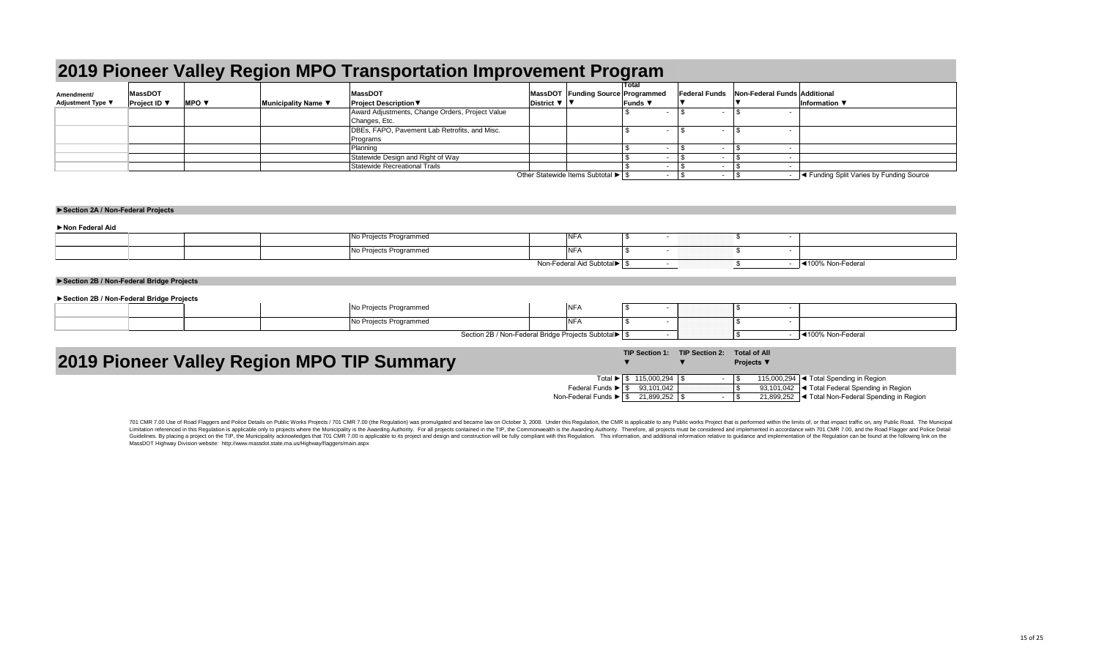|                                        | 2019 Pioneer Valley Region MPO Transportation Improvement Program |                          |                     |                                                 |                                                                |  |                                   |  |                      |  |                              |                                          |  |  |
|----------------------------------------|-------------------------------------------------------------------|--------------------------|---------------------|-------------------------------------------------|----------------------------------------------------------------|--|-----------------------------------|--|----------------------|--|------------------------------|------------------------------------------|--|--|
|                                        | <b>MassDOT</b>                                                    |                          |                     | <b>MassDOT</b>                                  |                                                                |  | MassDOT Funding Source Programmed |  | <b>Federal Funds</b> |  | Non-Federal Funds Additional |                                          |  |  |
| Amendment/<br><b>Adjustment Type ▼</b> | <b>Project ID</b> $\blacktriangledown$                            | MPO $\blacktriangledown$ | Municipality Name ▼ | <b>Project Description ▼</b>                    | District $\nabla$   $\nabla$                                   |  | <b>Funds</b> $\blacktriangledown$ |  |                      |  |                              | Information $\Psi$                       |  |  |
|                                        |                                                                   |                          |                     | Award Adjustments, Change Orders, Project Value |                                                                |  |                                   |  |                      |  |                              |                                          |  |  |
|                                        |                                                                   |                          |                     | Changes, Etc.                                   |                                                                |  |                                   |  |                      |  |                              |                                          |  |  |
|                                        |                                                                   |                          |                     | DBEs, FAPO, Pavement Lab Retrofits, and Misc.   |                                                                |  |                                   |  |                      |  |                              |                                          |  |  |
|                                        |                                                                   |                          |                     | Programs                                        |                                                                |  |                                   |  |                      |  |                              |                                          |  |  |
|                                        |                                                                   |                          |                     | Planning                                        |                                                                |  |                                   |  |                      |  |                              |                                          |  |  |
|                                        |                                                                   |                          |                     | Statewide Design and Right of Way               |                                                                |  |                                   |  |                      |  |                              |                                          |  |  |
|                                        |                                                                   |                          |                     | Statewide Recreational Trails                   |                                                                |  |                                   |  |                      |  |                              |                                          |  |  |
|                                        |                                                                   |                          |                     |                                                 | Other Statewide Items Subtotal $\blacktriangleright$ $\mid$ \$ |  |                                   |  |                      |  |                              | √ Funding Split Varies by Funding Source |  |  |

| Non Federal Aid |                                                        |  |                            |  |
|-----------------|--------------------------------------------------------|--|----------------------------|--|
|                 | $\blacksquare$<br>No Projects Programmed<br><b>NFA</b> |  |                            |  |
|                 | No Projects Programmed<br><b>NFA</b>                   |  |                            |  |
|                 |                                                        |  | <u>I</u> ◀100% Non-Federal |  |

| <b>NFA</b><br>No Projects Programmed                    |  |                  |
|---------------------------------------------------------|--|------------------|
| No Projects Programmed<br>$\overline{ }$<br><b>INFA</b> |  |                  |
| Section 2B / Non-Federal Bridge Projects Subtotal▶   \$ |  | 100% Non-Federal |

### **►Section 2A / Non-Federal Projects**

# **2019 Pioneer Valley Region MPO TIP Summary**

701 CMR 7.00 Use of Road Flaggers and Police Details on Public Works Projects / 701 CMR 7.00 (the Regulation) was promulgated and became law on October 3, 2008. Under this Regulation, the CMR is applicable to any Public wo Limitation referenced in this Regulation is applicable only to projects where the Municipality is the Awarding Authority. For all projects contained in the TIP, the Commonwealth is the Awarding Authority. Therefore, all pr Guidelines. By placing a project on the TIP, the Municipality acknowledges that 701 CMR 7.00 is applicable to its project and design and construction will be fully compliant with this Regulation. This information and addit MassDOT Highway Division website: http://www.massdot.state.ma.us/Highway/flaggers/main.aspx

Federal Funds ▶ Non-Federal Funds ▶

### **►Section 2B / Non-Federal Bridge Projects**

### **►Section 2B / Non-Federal Bridge Projects**

|                                       | <b>TIP Section 1:</b> | <b>TIP Section 2:</b> |   | <b>Total of All</b><br><b>Projects</b> ▼ |                                                           |
|---------------------------------------|-----------------------|-----------------------|---|------------------------------------------|-----------------------------------------------------------|
| Total $\blacktriangleright$ $\mid$ \$ | $115,000,294$ \\$     |                       | ٠ |                                          | 115,000,294 $\blacktriangleleft$ Total Spending in Region |
| unds $\blacktriangleright$ $\mid$ \$  | 93,101,042            |                       |   |                                          | 93,101,042  ◀ Total Federal Spending in Region            |
| unds $\blacktriangleright$            | 21,899,252            | - \$                  |   |                                          | 21,899,252   ◀ Total Non-Federal Spending in Region       |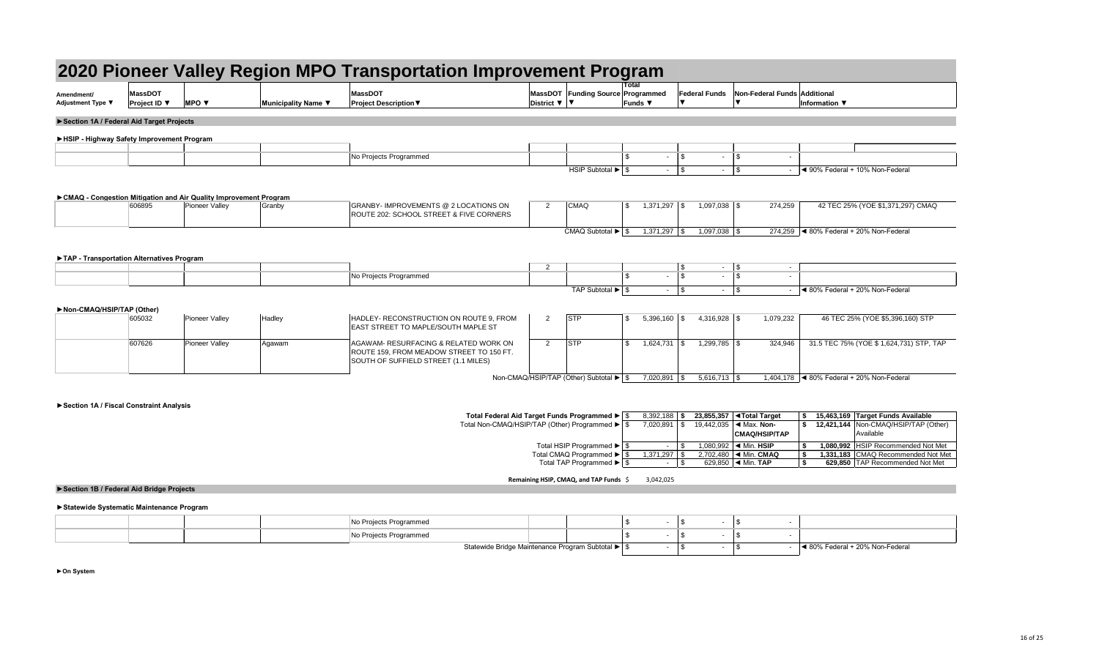|                                            |                                            |                                                                    |                     | 2020 Pioneer Valley Region MPO Transportation Improvement Pro                    |                                          |                            |
|--------------------------------------------|--------------------------------------------|--------------------------------------------------------------------|---------------------|----------------------------------------------------------------------------------|------------------------------------------|----------------------------|
| Amendment/<br>Adjustment Type ▼            | <b>MassDOT</b><br><b>Project ID</b> $\Psi$ | <b>MPO</b> $\blacktriangledown$                                    | Municipality Name ▼ | <b>MassDOT</b><br><b>Project Description ▼</b>                                   | MassDOT<br>District $\blacktriangledown$ | <b>Funding Source</b><br>V |
| Section 1A / Federal Aid Target Projects   |                                            |                                                                    |                     |                                                                                  |                                          |                            |
| ▶HSIP - Highway Safety Improvement Program |                                            |                                                                    |                     |                                                                                  |                                          |                            |
|                                            |                                            |                                                                    |                     | No Projects Programmed                                                           |                                          |                            |
|                                            |                                            |                                                                    |                     |                                                                                  |                                          | <b>HSIP Subtotal ▶</b>     |
|                                            |                                            | ► CMAQ - Congestion Mitigation and Air Quality Improvement Program |                     |                                                                                  |                                          |                            |
|                                            | 606895                                     | <b>Pioneer Valley</b>                                              | Granby              | GRANBY- IMPROVEMENTS @ 2 LOCATIONS ON<br>ROUTE 202: SCHOOL STREET & FIVE CORNERS | $\overline{2}$                           | <b>CMAQ</b>                |
|                                            |                                            |                                                                    |                     |                                                                                  |                                          | CMAQ Subtotal ▶            |
| TAP - Transportation Alternatives Program  |                                            |                                                                    |                     |                                                                                  |                                          |                            |
|                                            |                                            |                                                                    |                     |                                                                                  | ົ                                        |                            |

**Remaining HSIP, CMAQ, and TAP Funds** \$ 3,042,025

### **►Statewide Systematic Maintenance Program**

|                                           |                                                          |                                                                                             |                     | 2020 Pioneer Valley Region MPO Transportation Improvement Program                                                         |                              |                                                                        |                         |                 |                      |                      |                                                                   |                                                        |
|-------------------------------------------|----------------------------------------------------------|---------------------------------------------------------------------------------------------|---------------------|---------------------------------------------------------------------------------------------------------------------------|------------------------------|------------------------------------------------------------------------|-------------------------|-----------------|----------------------|----------------------|-------------------------------------------------------------------|--------------------------------------------------------|
| Amendment/<br><b>Adjustment Type ▼</b>    | <b>MassDOT</b><br><b>Project ID</b> $\blacktriangledown$ | <b>MPO</b> $\blacktriangledown$                                                             | Municipality Name ▼ | <b>MassDOT</b><br><b>Project Description ▼</b>                                                                            | District $\nabla$   $\nabla$ | MassDOT Funding Source Programmed                                      | Total<br><b>Funds ▼</b> |                 | <b>Federal Funds</b> |                      | Non-Federal Funds Additional                                      | Information $\nabla$                                   |
| Section 1A / Federal Aid Target Projects  |                                                          |                                                                                             |                     |                                                                                                                           |                              |                                                                        |                         |                 |                      |                      |                                                                   |                                                        |
| HSIP - Highway Safety Improvement Program |                                                          |                                                                                             |                     |                                                                                                                           |                              |                                                                        |                         |                 |                      |                      |                                                                   |                                                        |
|                                           |                                                          |                                                                                             |                     |                                                                                                                           |                              |                                                                        |                         |                 |                      |                      |                                                                   |                                                        |
|                                           |                                                          |                                                                                             |                     | No Projects Programmed                                                                                                    |                              |                                                                        |                         |                 | -\$                  |                      | \$                                                                |                                                        |
|                                           |                                                          |                                                                                             |                     |                                                                                                                           |                              | $\overline{H}$ SIP Subtotal $\blacktriangleright$ $\mid$ \$            |                         |                 |                      | $\sim$ $-$           | $\vert$ \$                                                        | ◀ 90% Federal + 10% Non-Federal                        |
|                                           | 606895                                                   | ► CMAQ - Congestion Mitigation and Air Quality Improvement Program<br><b>Pioneer Valley</b> | Granby              | GRANBY- IMPROVEMENTS @ 2 LOCATIONS ON<br><b>ROUTE 202: SCHOOL STREET &amp; FIVE CORNERS</b>                               | $\overline{2}$               | <b>CMAQ</b>                                                            | \$                      | $1,371,297$ \\$ |                      |                      | 274,259                                                           | 42 TEC 25% (YOE \$1,371,297) CMAQ                      |
|                                           |                                                          |                                                                                             |                     |                                                                                                                           |                              | CMAQ Subtotal $\blacktriangleright$ $\mid$ \$                          |                         | $1,371,297$ \\$ |                      | $1,097,038$ \ \ \$   |                                                                   | 274,259   < 80% Federal + 20% Non-Federal              |
| TAP - Transportation Alternatives Program |                                                          |                                                                                             |                     |                                                                                                                           |                              |                                                                        |                         |                 |                      |                      |                                                                   |                                                        |
|                                           |                                                          |                                                                                             |                     |                                                                                                                           | $\overline{2}$               |                                                                        |                         |                 | - \$<br>$\mathbb{S}$ | $\sim$ $-$<br>$\sim$ | $\boldsymbol{\mathsf{S}}$<br>$\sim$<br>$\mathbb{S}$               |                                                        |
|                                           |                                                          |                                                                                             |                     | No Projects Programmed                                                                                                    |                              |                                                                        |                         |                 |                      |                      | $\sim$                                                            |                                                        |
|                                           |                                                          |                                                                                             |                     |                                                                                                                           |                              | TAP Subtotal $\blacktriangleright$ $\frac{1}{3}$                       |                         |                 |                      | $-$ \$               |                                                                   | $\blacktriangleleft$ 80% Federal + 20% Non-Federal     |
| Non-CMAQ/HSIP/TAP (Other)                 |                                                          |                                                                                             |                     |                                                                                                                           |                              |                                                                        |                         |                 |                      |                      |                                                                   |                                                        |
|                                           | 605032                                                   | Pioneer Valley                                                                              | Hadley              | HADLEY- RECONSTRUCTION ON ROUTE 9, FROM<br><b>EAST STREET TO MAPLE/SOUTH MAPLE ST</b>                                     | $\overline{2}$               | <b>STP</b>                                                             | \$                      | $5,396,160$ \\$ |                      | $4,316,928$ \$       | 1,079,232                                                         | 46 TEC 25% (YOE \$5,396,160) STP                       |
|                                           | 607626                                                   | Pioneer Valley                                                                              | Agawam              | AGAWAM- RESURFACING & RELATED WORK ON<br>ROUTE 159, FROM MEADOW STREET TO 150 FT.<br>SOUTH OF SUFFIELD STREET (1.1 MILES) | $\overline{2}$               | <b>STP</b>                                                             | \$                      | $1,624,731$ \\$ |                      | $1,299,785$ \$       | 324,946                                                           | 31.5 TEC 75% (YOE \$1,624,731) STP, TAP                |
|                                           |                                                          |                                                                                             |                     |                                                                                                                           |                              | Non-CMAQ/HSIP/TAP (Other) Subtotal $\blacktriangleright$ $\frac{1}{3}$ |                         | $7,020,891$ \$  |                      | $5,616,713$ \\$      |                                                                   | 1,404,178 $\vert$ < 80% Federal + 20% Non-Federal      |
| Section 1A / Fiscal Constraint Analysis   |                                                          |                                                                                             |                     |                                                                                                                           |                              |                                                                        |                         |                 |                      |                      |                                                                   |                                                        |
|                                           |                                                          |                                                                                             |                     | Total Federal Aid Target Funds Programmed ▶   \$                                                                          |                              |                                                                        |                         | $8,392,188$ \$  |                      |                      | 23,855,357   ◀Total Target                                        | 15,463,169 Target Funds Available                      |
|                                           |                                                          |                                                                                             |                     | Total Non-CMAQ/HSIP/TAP (Other) Programmed ▶ S                                                                            |                              |                                                                        |                         | $7,020,891$ \$  |                      |                      | 19,442,035 $\blacktriangleleft$ Max. Non-<br><b>CMAQ/HSIP/TAP</b> | \$ 12,421,144   Non-CMAQ/HSIP/TAP (Other)<br>Available |
|                                           |                                                          |                                                                                             |                     |                                                                                                                           |                              | Total HSIP Programmed ▶   \$                                           |                         | $\sim$          |                      |                      | 1,080,992 $\blacktriangleleft$ Min. HSIP                          | 1,080,992 HSIP Recommended Not Met                     |
|                                           |                                                          |                                                                                             |                     |                                                                                                                           |                              | Total CMAQ Programmed ▶                                                |                         | $1,371,297$ \$  |                      |                      | 2,702,480   < Min. CMAQ                                           | 1,331,183 CMAQ Recommended Not Met                     |
|                                           |                                                          |                                                                                             |                     |                                                                                                                           |                              | Total TAP Programmed ▶   \$                                            |                         | $-1$ \$         |                      |                      | 629,850 $\blacktriangleleft$ Min. TAP                             | 629,850 TAP Recommended Not Met<br>\$                  |

| NON-UMAQ/HOIP/TAP (UTHEL) |        |                |        |                                                                                                                           |            |
|---------------------------|--------|----------------|--------|---------------------------------------------------------------------------------------------------------------------------|------------|
|                           | 605032 | Pioneer Valley | Hadley | HADLEY- RECONSTRUCTION ON ROUTE 9, FROM<br><b>EAST STREET TO MAPLE/SOUTH MAPLE ST</b>                                     | <b>STP</b> |
|                           | 607626 | Pioneer Valley | Agawam | AGAWAM- RESURFACING & RELATED WORK ON<br>ROUTE 159, FROM MEADOW STREET TO 150 FT.<br>SOUTH OF SUFFIELD STREET (1.1 MILES) | <b>STP</b> |

**►On System**

|  |  | Statewide Bridge Maintenance Program Subtotal ▶ Statewide Bridge Maintenance Program Subtotal |  |  | 20% Non-Federal<br>. Federal + |
|--|--|-----------------------------------------------------------------------------------------------|--|--|--------------------------------|

## **►Section 1B / Federal Aid Bridge Projects**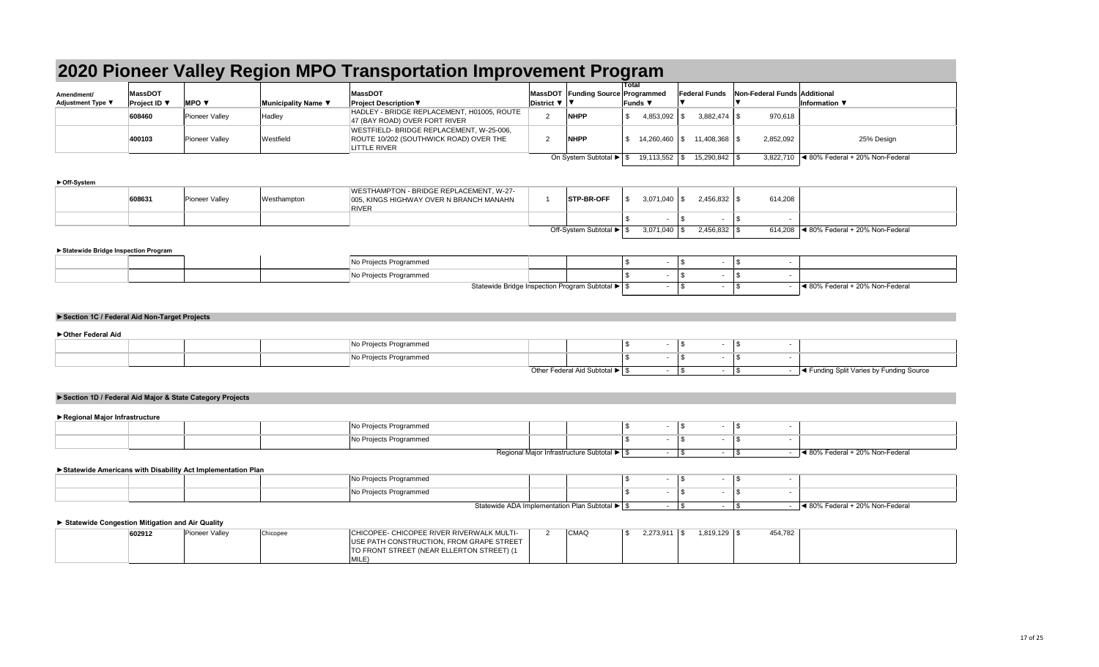### **►Off-System**

|                                 | 2020 Pioneer Valley Region MPO Transportation Improvement Program |                          |                     |                                                                                                           |                              |                                   |                                     |                      |                              |                                                    |  |  |  |  |
|---------------------------------|-------------------------------------------------------------------|--------------------------|---------------------|-----------------------------------------------------------------------------------------------------------|------------------------------|-----------------------------------|-------------------------------------|----------------------|------------------------------|----------------------------------------------------|--|--|--|--|
| Amendment/<br>Adjustment Type ▼ | <b>MassDOT</b><br>Project ID ▼                                    | MPO $\blacktriangledown$ | Municipality Name ▼ | <b>MassDOT</b><br><b>Project Description ▼</b>                                                            | District $\nabla$   $\nabla$ | MassDOT Funding Source Programmed | Total<br>Funds $\blacktriangledown$ | <b>Federal Funds</b> | Non-Federal Funds Additional | Information $\blacktriangledown$                   |  |  |  |  |
|                                 | 608460                                                            | Pioneer Valley           | Hadley              | HADLEY - BRIDGE REPLACEMENT, H01005, ROUTE<br>47 (BAY ROAD) OVER FORT RIVER                               |                              | <b>NHPP</b>                       | 4,853,092                           |                      | 970,618                      |                                                    |  |  |  |  |
|                                 | 400103                                                            | <b>Pioneer Valley</b>    | Westfield           | WESTFIELD- BRIDGE REPLACEMENT, W-25-006,<br>ROUTE 10/202 (SOUTHWICK ROAD) OVER THE<br><b>LITTLE RIVER</b> |                              | <b>NHPP</b>                       | $14,260,460$ \ \$                   | 11,408,368 \$        | 2,852,092                    | 25% Design                                         |  |  |  |  |
|                                 |                                                                   |                          |                     |                                                                                                           |                              | On System Subtotal ▶   1          | 19,113,552                          | $15,290,842$ \\$     | 3,822,710                    | $\blacktriangleleft$ 80% Federal + 20% Non-Federal |  |  |  |  |

### **►Statewide Bridge Inspection Program**

|  | No Projects Programmed |                                                     |  |  |                                 |
|--|------------------------|-----------------------------------------------------|--|--|---------------------------------|
|  | No Projects Programmed |                                                     |  |  |                                 |
|  |                        | Statewide Bridge Inspection Program Subtotal ▶   \$ |  |  | 4 80% Federal + 20% Non-Federal |

| 608631 | Pioneer Valley | Westhampton | WESTHAMPTON - BRIDGE REPLACEMENT, W-27-<br>005, KINGS HIGHWAY OVER N BRANCH MANAHN<br><b>RIVER</b> | <b>STP-BR-OFF</b>          | 3,071,040 |  | 614,208                                                      |
|--------|----------------|-------------|----------------------------------------------------------------------------------------------------|----------------------------|-----------|--|--------------------------------------------------------------|
|        |                |             |                                                                                                    |                            |           |  |                                                              |
|        |                |             |                                                                                                    | Off-System Subtotal ▶   \$ | 3,071,040 |  | $614,208$ $\blacktriangleleft$ 80% Federal + 20% Non-Federal |

| 602912 | Pioneer Valle <sup>®</sup> | Chicopee | CHICOPEE- CHICOPEE RIVER RIVERWALK MULTI- | <b>CMAQ</b> |  | 2,273,911 | ,819,129 | 454,782 |  |
|--------|----------------------------|----------|-------------------------------------------|-------------|--|-----------|----------|---------|--|
|        |                            |          | USE PATH CONSTRUCTION, FROM GRAPE STREET  |             |  |           |          |         |  |
|        |                            |          | TO FRONT STREET (NEAR ELLERTON STREET) (1 |             |  |           |          |         |  |
|        |                            |          | <b>MILE</b>                               |             |  |           |          |         |  |

|  | No Projects Programmed |                              |  |  |                                                    |
|--|------------------------|------------------------------|--|--|----------------------------------------------------|
|  | No Projects Programmed |                              |  |  |                                                    |
|  |                        | Other Federal Aid Subtotal ▶ |  |  | <b>Example 3 Tellet</b> Varies by Funding Source I |

|  | <b>No Projects Programmed</b>              |  |  |                                 |
|--|--------------------------------------------|--|--|---------------------------------|
|  | No Projects Programmed                     |  |  |                                 |
|  | Regional Major Infrastructure Subtotal ▶ S |  |  | ◀ 80% Federal + 20% Non-Federal |

|  |  | No Projects Programmed |                                                                            |  |  |                                                    |
|--|--|------------------------|----------------------------------------------------------------------------|--|--|----------------------------------------------------|
|  |  | No Projects Programmed |                                                                            |  |  |                                                    |
|  |  |                        | Statewide ADA Implementation Plan Subtotal $\blacktriangleright$ $\mid$ \$ |  |  | $\blacktriangleleft$ 80% Federal + 20% Non-Federal |

### **►Section 1C / Federal Aid Non-Target Projects**

### **►Other Federal Aid**

## **►Section 1D / Federal Aid Major & State Category Projects**

### **►Regional Major Infrastructure**

### **►Statewide Americans with Disability Act Implementation Plan**

### **► Statewide Congestion Mitigation and Air Quality**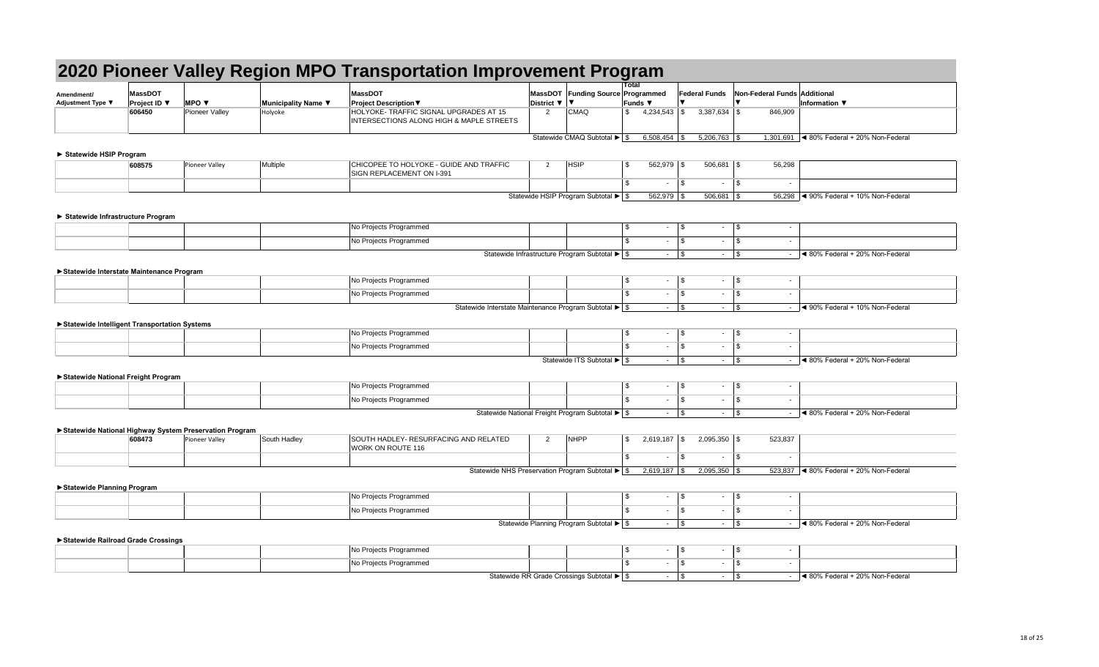|                                              |                                       |                                                        |                     | 2020 Pioneer Valley Region MPO Transportation Improvement Program                  |                                                                      |                         |                          |                  |                         |                                                                    |
|----------------------------------------------|---------------------------------------|--------------------------------------------------------|---------------------|------------------------------------------------------------------------------------|----------------------------------------------------------------------|-------------------------|--------------------------|------------------|-------------------------|--------------------------------------------------------------------|
| Amendment/<br><b>Adjustment Type ▼</b>       | <b>MassDOT</b><br><b>Project ID</b> ▼ | <b>MPO V</b>                                           | Municipality Name ▼ | <b>MassDOT</b><br><b>Project Description ▼</b>                                     | MassDOT Funding Source Programmed<br>District ▼                      | <b>Total</b><br>Funds ▼ |                          |                  |                         | Federal Funds Non-Federal Funds Additional<br><b>Information ▼</b> |
|                                              | 606450                                | Pioneer Valley                                         | Holyoke             | HOLYOKE- TRAFFIC SIGNAL UPGRADES AT 15<br>INTERSECTIONS ALONG HIGH & MAPLE STREETS | <b>CMAQ</b><br>$\overline{2}$                                        | $\mathfrak{S}$          | $4,234,543$ \\$          | $3,387,634$ \$   |                         | 846,909                                                            |
|                                              |                                       |                                                        |                     |                                                                                    | Statewide CMAQ Subtotal $\blacktriangleright$ $\mid$ \$              |                         | $6,508,454$ \\$          | $5,206,763$ \$   |                         | 1,301,691 $\vert$ < 80% Federal + 20% Non-Federal                  |
| Statewide HSIP Program                       |                                       |                                                        |                     |                                                                                    |                                                                      |                         |                          |                  |                         |                                                                    |
|                                              | 608575                                | Pioneer Valley                                         | Multiple            | CHICOPEE TO HOLYOKE - GUIDE AND TRAFFIC<br>SIGN REPLACEMENT ON I-391               | <b>HSIP</b><br>-2                                                    | \$                      | $562,979$ \\$            | $506,681$ \$     |                         | 56,298                                                             |
|                                              |                                       |                                                        |                     |                                                                                    |                                                                      | $\mathbb{S}$            | l \$<br>$\blacksquare$   | $\sim$           | \$                      | $\overline{\phantom{a}}$                                           |
|                                              |                                       |                                                        |                     |                                                                                    | Statewide HSIP Program Subtotal ▶ \$                                 |                         | $562,979$ \$             | $506,681$ \\$    |                         | 56,298   < 90% Federal + 10% Non-Federal                           |
| ▶ Statewide Infrastructure Program           |                                       |                                                        |                     |                                                                                    |                                                                      |                         |                          |                  |                         |                                                                    |
|                                              |                                       |                                                        |                     | No Projects Programmed                                                             |                                                                      | $\sqrt[6]{\frac{1}{2}}$ | $\vert$ \$<br>$\sim$     | $\sim$           | $\vert$ \$              | $\sim$                                                             |
|                                              |                                       |                                                        |                     | No Projects Programmed                                                             |                                                                      | $\mathfrak{L}$          | $\vert$ \$<br>$\sim$     | $\sim$           | $\vert$ \$              | $\sim$                                                             |
|                                              |                                       |                                                        |                     |                                                                                    | Statewide Infrastructure Program Subtotal $\blacktriangleright$ \$   |                         | $\vert$ \$<br>$\sim$     | $\sim$           | $\vert$ \$              | ◀ 80% Federal + 20% Non-Federal                                    |
| Statewide Interstate Maintenance Program     |                                       |                                                        |                     |                                                                                    |                                                                      |                         |                          |                  |                         |                                                                    |
|                                              |                                       |                                                        |                     | No Projects Programmed                                                             |                                                                      | \$                      | $\vert$ \$<br>$\sim$     | $\sim$           | $\vert$ \$              | $\sim$                                                             |
|                                              |                                       |                                                        |                     | No Projects Programmed                                                             |                                                                      | $\mathbb{S}$            | l \$<br>$\sim$           | $\sim$           | \$                      | $\sim$                                                             |
|                                              |                                       |                                                        |                     |                                                                                    | Statewide Interstate Maintenance Program Subtotal ▶ \$               |                         | $\vert$ \$<br>$\sim 10$  | $\sim$           | $\sqrt{3}$              | Sol 4 90% Federal + 10% Non-Federal<br>$\sim$                      |
| Statewide Intelligent Transportation Systems |                                       |                                                        |                     |                                                                                    |                                                                      |                         |                          |                  |                         |                                                                    |
|                                              |                                       |                                                        |                     | No Projects Programmed                                                             |                                                                      | -\$                     | $\vert$ \$<br>$\sim$     | $\sim$           | $\vert$ \$              | $\sim$                                                             |
|                                              |                                       |                                                        |                     | No Projects Programmed                                                             |                                                                      | £.                      | $\vert$ \$<br>$\sim$ $-$ | $\sim$           | $\vert$ \$              | $\sim$                                                             |
|                                              |                                       |                                                        |                     |                                                                                    | Statewide ITS Subtotal ▶ \$                                          |                         | $\vert$ \$<br>$\sim$     | $\sim$           | $\overline{\mathbf{3}}$ | $\vert$ < 80% Federal + 20% Non-Federal<br>$\sim$                  |
| Statewide National Freight Program           |                                       |                                                        |                     |                                                                                    |                                                                      |                         |                          |                  |                         |                                                                    |
|                                              |                                       |                                                        |                     | No Projects Programmed                                                             |                                                                      | -\$                     | \$<br>$\sim$             | $\sim$           | $\vert$ \$              | $\sim$                                                             |
|                                              |                                       |                                                        |                     | No Projects Programmed                                                             |                                                                      | \$.                     | $\vert$ \$<br>$\sim$     | $\sim$           | $\vert$ \$              | $\sim$                                                             |
|                                              |                                       |                                                        |                     |                                                                                    | Statewide National Freight Program Subtotal ▶ \$                     |                         | $\sqrt{3}$<br>$\sim 10$  | $\sim$ $-$       | $\vert$ \$              | <b>EXEC</b> 4 80% Federal + 20% Non-Federal<br>$\sim$              |
|                                              |                                       | Statewide National Highway System Preservation Program |                     |                                                                                    |                                                                      |                         |                          |                  |                         |                                                                    |
|                                              | 608473                                | Pioneer Valley                                         | South Hadley        | SOUTH HADLEY- RESURFACING AND RELATED<br><b>WORK ON ROUTE 116</b>                  | <b>NHPP</b><br>2                                                     | $\mathfrak{L}$          | $2,619,187$ \\$          | $2,095,350$ \ \$ |                         | 523,837                                                            |
|                                              |                                       |                                                        |                     |                                                                                    |                                                                      | $\mathbb{S}$            | l \$<br>$\sim$           | $\sim$           | $\vert$ \$              | $\sim$                                                             |
|                                              |                                       |                                                        |                     |                                                                                    | Statewide NHS Preservation Program Subtotal $\blacktriangleright$ \$ |                         | $2,619,187$ \\$          | $2,095,350$ \$   |                         | 523,837 $\blacktriangleleft$ 80% Federal + 20% Non-Federal         |
| ▶ Statewide Planning Program                 |                                       |                                                        |                     |                                                                                    |                                                                      |                         |                          |                  |                         |                                                                    |
|                                              |                                       |                                                        |                     | No Projects Programmed                                                             |                                                                      | -\$                     | $\vert$ \$<br>$\sim$     | $\sim$           | $\frac{1}{2}$           | $\sim$                                                             |
|                                              |                                       |                                                        |                     | No Projects Programmed                                                             |                                                                      | ୍ୟ                      | $\vert$ \$<br>$\sim$     | $\sim$           | $\vert$ \$              | $\sim$                                                             |
|                                              |                                       |                                                        |                     |                                                                                    | Statewide Planning Program Subtotal $\blacktriangleright$ $\mid$ \$  |                         | $-$ \$                   |                  |                         | Sol% Federal + 20% Non-Federal<br>$\sim$                           |
| Statewide Railroad Grade Crossings           |                                       |                                                        |                     |                                                                                    |                                                                      |                         |                          |                  |                         |                                                                    |
|                                              |                                       |                                                        |                     | No Projects Programmed                                                             |                                                                      | -\$                     | $\vert$ \$<br>$\sim$     | $\sim$           | $\vert$ \$              | $\sim$                                                             |
|                                              |                                       |                                                        |                     | No Projects Programmed                                                             |                                                                      | .\$                     | \$<br>$\sim$             | $\sim$           | \$                      | $\sim$                                                             |
|                                              |                                       |                                                        |                     |                                                                                    | Statewide RR Grade Crossings Subtotal $\blacktriangleright$ \$       |                         | $\vert$ \$<br>$\sim 10$  |                  |                         | Sol% Federal + 20% Non-Federal<br>$\sim$                           |

|                                              |                               |                                                          |                                | 2020 Pioneer Valley Region MPO Transportation Improvement Program      |                                                                      |                                              |                          |                                            |               |                          |                                                            |
|----------------------------------------------|-------------------------------|----------------------------------------------------------|--------------------------------|------------------------------------------------------------------------|----------------------------------------------------------------------|----------------------------------------------|--------------------------|--------------------------------------------|---------------|--------------------------|------------------------------------------------------------|
| Amendment/                                   | <b>MassDOT</b>                |                                                          |                                | <b>MassDOT</b>                                                         | MassDOT Funding Source Programmed<br>$\overline{\mathbf{v}}$         | <b>Total</b>                                 |                          | Federal Funds Non-Federal Funds Additional |               |                          |                                                            |
| Adjustment Type ▼                            | <b>Project ID</b> ▼<br>606450 | <b>MPO</b> $\blacktriangledown$<br><b>Pioneer Valley</b> | Municipality Name ▼<br>Holyoke | <b>Project Description ▼</b><br>HOLYOKE- TRAFFIC SIGNAL UPGRADES AT 15 | District $\blacktriangledown$<br><b>CMAQ</b><br>2                    | Funds $\blacktriangledown$<br>$\mathfrak{S}$ | $4,234,543$ \$           | $3,387,634$ \$                             |               | 846,909                  | Information ▼                                              |
|                                              |                               |                                                          |                                | INTERSECTIONS ALONG HIGH & MAPLE STREETS                               |                                                                      |                                              |                          |                                            |               |                          |                                                            |
|                                              |                               |                                                          |                                |                                                                        | Statewide CMAQ Subtotal $\blacktriangleright$ $\mid$ \$              |                                              | $6,508,454$ \\$          | $5,206,763$ \\$                            |               |                          | 1,301,691 $\vert$ < 80% Federal + 20% Non-Federal          |
|                                              |                               |                                                          |                                |                                                                        |                                                                      |                                              |                          |                                            |               |                          |                                                            |
| Statewide HSIP Program                       | 608575                        | Pioneer Valley                                           | Multiple                       | CHICOPEE TO HOLYOKE - GUIDE AND TRAFFIC                                | <b>HSIP</b><br>-2                                                    | $\mathfrak{F}$                               | $562,979$ \$             | $506,681$ \$                               |               | 56,298                   |                                                            |
|                                              |                               |                                                          |                                | SIGN REPLACEMENT ON I-391                                              |                                                                      |                                              |                          |                                            |               |                          |                                                            |
|                                              |                               |                                                          |                                |                                                                        |                                                                      | $\mathfrak{L}$                               | l \$<br>$\sim$           |                                            | $\sqrt[6]{3}$ | $\overline{\phantom{a}}$ |                                                            |
|                                              |                               |                                                          |                                |                                                                        | Statewide HSIP Program Subtotal ► \$                                 |                                              | $562,979$ \$             | $506,681$ \\$                              |               |                          | 56,298   < 90% Federal + 10% Non-Federal                   |
|                                              |                               |                                                          |                                |                                                                        |                                                                      |                                              |                          |                                            |               |                          |                                                            |
| Statewide Infrastructure Program             |                               |                                                          |                                | No Projects Programmed                                                 |                                                                      | $\sqrt[6]{2}$                                | $\vert$ \$<br>$\sim$ $-$ | $\sim$                                     | $\vert$ \$    | $\sim$                   |                                                            |
|                                              |                               |                                                          |                                | No Projects Programmed                                                 |                                                                      | $\mathfrak{L}$                               | $\vert$ \$<br>$\sim$     | $\sim$                                     | \$            | $\sim$                   |                                                            |
|                                              |                               |                                                          |                                |                                                                        | Statewide Infrastructure Program Subtotal $\blacktriangleright$ \$   |                                              | \$                       |                                            | $\sqrt{3}$    |                          | ◀ 80% Federal + 20% Non-Federal                            |
|                                              |                               |                                                          |                                |                                                                        |                                                                      |                                              | $\sim$                   | $\sim$                                     |               | $\sim$                   |                                                            |
| Statewide Interstate Maintenance Program     |                               |                                                          |                                |                                                                        |                                                                      |                                              |                          |                                            |               |                          |                                                            |
|                                              |                               |                                                          |                                | No Projects Programmed                                                 |                                                                      | $\sqrt[6]{2}$                                | $\vert$ \$<br>$\sim$     | $\sim$                                     | $\vert$ \$    | $\sim$                   |                                                            |
|                                              |                               |                                                          |                                | No Projects Programmed                                                 |                                                                      | $\mathfrak{L}$                               | l \$<br>$\sim$           | $\sim$                                     | \$            | $\sim$                   |                                                            |
|                                              |                               |                                                          |                                |                                                                        | Statewide Interstate Maintenance Program Subtotal ▶ \$               |                                              | $\vert$ \$<br>$\sim 10$  | $\sim$ $-$                                 | $\sqrt{3}$    | $\sim$                   | Sol 4 90% Federal + 10% Non-Federal                        |
| Statewide Intelligent Transportation Systems |                               |                                                          |                                |                                                                        |                                                                      |                                              |                          |                                            |               |                          |                                                            |
|                                              |                               |                                                          |                                | No Projects Programmed                                                 |                                                                      | \$                                           | $\vert$ \$<br>$\sim$     | $\sim$                                     | $\vert$ \$    | $\sim$                   |                                                            |
|                                              |                               |                                                          |                                | No Projects Programmed                                                 |                                                                      | . ድ                                          | $\vert$ \$<br>$\sim$ $-$ | $\sim$                                     | \$            | $\sim$                   |                                                            |
|                                              |                               |                                                          |                                |                                                                        | Statewide ITS Subtotal ▶   \$                                        |                                              | $\vert$ \$<br>$\sim$     | $\sim$                                     | \$            | $\sim$                   | $\vert$ < 80% Federal + 20% Non-Federal                    |
| ▶ Statewide National Freight Program         |                               |                                                          |                                |                                                                        |                                                                      |                                              |                          |                                            |               |                          |                                                            |
|                                              |                               |                                                          |                                | No Projects Programmed                                                 |                                                                      | -\$                                          | \$<br>$\sim$             | $\sim$                                     | $\sqrt{3}$    | $\sim$                   |                                                            |
|                                              |                               |                                                          |                                | No Projects Programmed                                                 |                                                                      | -\$                                          | $\vert$ \$<br>$\sim$     | $\sim$                                     | $\vert$ \$    | $\sim$                   |                                                            |
|                                              |                               |                                                          |                                |                                                                        | Statewide National Freight Program Subtotal ▶ \$                     |                                              | $\vert$ \$<br>$\sim 10$  | $\sim$ $-$                                 | $\sqrt{3}$    | $\sim$                   | Sol% Federal + 20% Non-Federal                             |
|                                              |                               | ▶ Statewide National Highway System Preservation Program |                                |                                                                        |                                                                      |                                              |                          |                                            |               |                          |                                                            |
|                                              | 608473                        | Pioneer Valley                                           | South Hadley                   | SOUTH HADLEY- RESURFACING AND RELATED                                  | <b>NHPP</b><br>$\overline{2}$                                        | \$                                           | $2,619,187$ \\$          | $2,095,350$ \ \$                           |               | 523,837                  |                                                            |
|                                              |                               |                                                          |                                | <b>WORK ON ROUTE 116</b>                                               |                                                                      |                                              |                          |                                            |               |                          |                                                            |
|                                              |                               |                                                          |                                |                                                                        |                                                                      | $\mathfrak{L}$                               | l \$<br>$\sim$           | $\sim$                                     | $\sqrt{3}$    | $\sim$                   |                                                            |
|                                              |                               |                                                          |                                |                                                                        | Statewide NHS Preservation Program Subtotal $\blacktriangleright$ \$ |                                              | $2,619,187$ \\$          | $2,095,350$ \$                             |               |                          | 523,837 $\blacktriangleleft$ 80% Federal + 20% Non-Federal |
| ▶ Statewide Planning Program                 |                               |                                                          |                                |                                                                        |                                                                      |                                              |                          |                                            |               |                          |                                                            |
|                                              |                               |                                                          |                                | No Projects Programmed                                                 |                                                                      | -\$                                          | $\vert$ \$<br>$\sim$     | $\sim$                                     | $\vert$ \$    | $\sim$                   |                                                            |
|                                              |                               |                                                          |                                | No Projects Programmed                                                 |                                                                      | . ድ                                          | $\vert$ \$<br>$\sim$     | $\sim$                                     | \$            | $\sim$                   |                                                            |
|                                              |                               |                                                          |                                |                                                                        | Statewide Planning Program Subtotal $\blacktriangleright$ $\mid$ \$  |                                              | $\sqrt{3}$<br>$\sim 10$  |                                            |               | $\sim$                   | Sol% Federal + 20% Non-Federal                             |
| Statewide Railroad Grade Crossings           |                               |                                                          |                                |                                                                        |                                                                      |                                              |                          |                                            |               |                          |                                                            |
|                                              |                               |                                                          |                                | No Projects Programmed                                                 |                                                                      | -\$                                          | $\vert \$$<br>$\sim$     | $\sim$                                     | $\vert$ \$    | $\sim$                   |                                                            |
|                                              |                               |                                                          |                                | No Projects Programmed                                                 |                                                                      | . ጽ                                          | \$<br>$\sim$             | $\sim$                                     | \$            | $\sim$                   |                                                            |
|                                              |                               |                                                          |                                |                                                                        | Statewide RR Grade Crossings Subtotal $\blacktriangleright$ \$       |                                              | $\vert$ \$<br>$\sim 10$  |                                            |               | $\sim$                   | Sol% Federal + 20% Non-Federal                             |

|                                              |                |                                                          |                     | 2020 Pioneer Valley Region MPO Transportation Improvement Program                             |                                                                      |                |                 |            |                  |                                            |                                                            |
|----------------------------------------------|----------------|----------------------------------------------------------|---------------------|-----------------------------------------------------------------------------------------------|----------------------------------------------------------------------|----------------|-----------------|------------|------------------|--------------------------------------------|------------------------------------------------------------|
|                                              | <b>MassDOT</b> |                                                          |                     | <b>MassDOT</b>                                                                                | MassDOT Funding Source Programmed                                    |                | <b>Total</b>    |            |                  | Federal Funds Non-Federal Funds Additional |                                                            |
| Amendment/<br>Adjustment Type ▼              | Project ID ▼   | <b>MPO V</b>                                             | Municipality Name ▼ | <b>Project Description ▼</b>                                                                  | District ▼                                                           |                | Funds ▼         |            |                  |                                            | Information ▼                                              |
|                                              | 606450         | <b>Pioneer Valley</b>                                    | Holyoke             | HOLYOKE- TRAFFIC SIGNAL UPGRADES AT 15<br><b>INTERSECTIONS ALONG HIGH &amp; MAPLE STREETS</b> | <b>CMAQ</b><br>2                                                     | $\mathfrak{S}$ | $4,234,543$ \$  |            | $3,387,634$ \$   | 846,909                                    |                                                            |
|                                              |                |                                                          |                     |                                                                                               | Statewide CMAQ Subtotal $\blacktriangleright$ $\mid$ \$              |                | $6,508,454$ \\$ |            | $5,206,763$ \$   |                                            | 1,301,691 $\vert$ < 80% Federal + 20% Non-Federal          |
| Statewide HSIP Program                       |                |                                                          |                     |                                                                                               |                                                                      |                |                 |            |                  |                                            |                                                            |
|                                              | 608575         | <b>Pioneer Valley</b>                                    | Multiple            | CHICOPEE TO HOLYOKE - GUIDE AND TRAFFIC<br>SIGN REPLACEMENT ON I-391                          | <b>HSIP</b><br>2                                                     | \$             | $562,979$ \$    |            | $506,681$ \$     | 56,298                                     |                                                            |
|                                              |                |                                                          |                     |                                                                                               |                                                                      | $\mathfrak{L}$ | $\sim$          | $\sqrt{3}$ | $\sim$           | $\sqrt{3}$<br>$\sim$                       |                                                            |
|                                              |                |                                                          |                     |                                                                                               | Statewide HSIP Program Subtotal $\blacktriangleright$ \$             |                | $562,979$ \$    |            | $506,681$ \$     | 56,298                                     | $\sim$ 90% Federal + 10% Non-Federal                       |
| Statewide Infrastructure Program             |                |                                                          |                     |                                                                                               |                                                                      |                |                 |            |                  |                                            |                                                            |
|                                              |                |                                                          |                     | No Projects Programmed                                                                        |                                                                      | \$             | $\sim$          | $\sqrt{3}$ | $\sim$           | $\vert$ \$<br>$\sim$                       |                                                            |
|                                              |                |                                                          |                     | No Projects Programmed                                                                        |                                                                      | \$             | $\sim$          | $\sqrt{3}$ | $\sim$           | $\sqrt{3}$<br>$\overline{\phantom{a}}$     |                                                            |
|                                              |                |                                                          |                     |                                                                                               | Statewide Infrastructure Program Subtotal ▶ \$                       |                | $\sim$ $-$      | $\vert$ \$ | $\sim$           | $\sqrt{3}$                                 | ◀ 80% Federal + 20% Non-Federal                            |
| Statewide Interstate Maintenance Program     |                |                                                          |                     |                                                                                               |                                                                      |                |                 |            |                  |                                            |                                                            |
|                                              |                |                                                          |                     | No Projects Programmed                                                                        |                                                                      | \$             | $\sim$          | $\sqrt{3}$ | $\sim$           | $\vert$ \$<br>$\sim$                       |                                                            |
|                                              |                |                                                          |                     | No Projects Programmed                                                                        |                                                                      | $\mathfrak{L}$ | $\sim$          | $\sqrt{3}$ | $\sim$           | $\sqrt{3}$<br>$\sim$                       |                                                            |
|                                              |                |                                                          |                     |                                                                                               | Statewide Interstate Maintenance Program Subtotal ▶   \$             |                | $\sim$ 10 $\pm$ | $\vert$ \$ | $\sim$           | $\frac{1}{2}$<br>$\sim$                    | ◀ 90% Federal + 10% Non-Federal                            |
| Statewide Intelligent Transportation Systems |                |                                                          |                     |                                                                                               |                                                                      |                |                 |            |                  |                                            |                                                            |
|                                              |                |                                                          |                     | No Projects Programmed                                                                        |                                                                      | \$             | $\sim$          | $\sqrt{3}$ | $\sim$           | $\vert$ \$<br>$\sim$                       |                                                            |
|                                              |                |                                                          |                     | No Projects Programmed                                                                        |                                                                      | £.             | $\sim$          | $\sqrt{3}$ | $\sim$           | \$<br>$\sim$                               |                                                            |
|                                              |                |                                                          |                     |                                                                                               | Statewide ITS Subtotal ▶ \$                                          |                | $\sim$          | $\vert$ \$ | $\sim$           | <b>\$</b><br>$\sim$                        | $\blacktriangleleft$ 80% Federal + 20% Non-Federal         |
| Statewide National Freight Program           |                |                                                          |                     |                                                                                               |                                                                      |                |                 |            |                  |                                            |                                                            |
|                                              |                |                                                          |                     | No Projects Programmed                                                                        |                                                                      | \$             | $\sim$          | $\sqrt{3}$ | $\sim$           | \$<br>$\sim$                               |                                                            |
|                                              |                |                                                          |                     | No Projects Programmed                                                                        |                                                                      |                | $\sim$          | $\sqrt{3}$ | $\sim$           | <b>\$</b><br>$\sim$                        |                                                            |
|                                              |                |                                                          |                     |                                                                                               | Statewide National Freight Program Subtotal ▶ \$                     |                | $\sim$ $-$      | $\vert$ \$ | $\sim$           | $\sqrt{3}$<br>$\sim$                       | ◀ 80% Federal + 20% Non-Federal                            |
|                                              |                | ▶ Statewide National Highway System Preservation Program |                     |                                                                                               |                                                                      |                |                 |            |                  |                                            |                                                            |
|                                              | 608473         | <b>Pioneer Valley</b>                                    | South Hadley        | SOUTH HADLEY- RESURFACING AND RELATED<br><b>WORK ON ROUTE 116</b>                             | <b>NHPP</b><br>2                                                     | $\mathfrak{S}$ | $2,619,187$ \\$ |            | $2,095,350$ \$   | 523,837                                    |                                                            |
|                                              |                |                                                          |                     |                                                                                               |                                                                      | \$             | $\sim$          | $\sqrt{3}$ | $\sim$           | $\vert$ \$<br>$\sim$                       |                                                            |
|                                              |                |                                                          |                     |                                                                                               | Statewide NHS Preservation Program Subtotal $\blacktriangleright$ \$ |                | $2,619,187$ \\$ |            | $2,095,350$ \ \$ |                                            | 523,837 $\blacktriangleleft$ 80% Federal + 20% Non-Federal |
| Statewide Planning Program                   |                |                                                          |                     | No Projects Programmed                                                                        |                                                                      |                |                 |            |                  |                                            |                                                            |
|                                              |                |                                                          |                     |                                                                                               |                                                                      | \$<br>\$       | $\sim$          | $\sqrt{3}$ | $\sim$           | $\sqrt{3}$<br>$\sim$                       |                                                            |
|                                              |                |                                                          |                     | No Projects Programmed                                                                        |                                                                      |                | $\sim$          | $\sqrt{3}$ | $\sim$           | \$<br>$\sim$                               |                                                            |
| Statewide Railroad Grade Crossings           |                |                                                          |                     |                                                                                               | Statewide Planning Program Subtotal $\blacktriangleright$ $\mid$ \$  |                |                 |            |                  | $\sim$                                     | ◀ 80% Federal + 20% Non-Federal                            |
|                                              |                |                                                          |                     | No Projects Programmed                                                                        |                                                                      | \$             | $\sim$          | \$         | $\sim$           | $\vert \$$<br>$\overline{\phantom{a}}$     |                                                            |
|                                              |                |                                                          |                     | No Projects Programmed                                                                        |                                                                      | \$.            | $\sim$          | $\sqrt{3}$ | $\sim$           | <b>S</b><br>$\sim$                         |                                                            |
|                                              |                |                                                          |                     |                                                                                               | Statewide RR Grade Crossings Subtotal $\blacktriangleright$ \$       |                |                 |            | $-$ \$           | $\sim$                                     | $\blacktriangleleft$ 80% Federal + 20% Non-Federal         |

|                                              |                |                                                          |                     | 2020 Pioneer Valley Region MPO Transportation Improvement Program                             |                                                                      |                |                 |            |                  |                                            |                                                            |
|----------------------------------------------|----------------|----------------------------------------------------------|---------------------|-----------------------------------------------------------------------------------------------|----------------------------------------------------------------------|----------------|-----------------|------------|------------------|--------------------------------------------|------------------------------------------------------------|
|                                              | <b>MassDOT</b> |                                                          |                     | <b>MassDOT</b>                                                                                | MassDOT Funding Source Programmed                                    |                | <b>Total</b>    |            |                  | Federal Funds Non-Federal Funds Additional |                                                            |
| Amendment/<br>Adjustment Type ▼              | Project ID ▼   | <b>MPO V</b>                                             | Municipality Name ▼ | <b>Project Description ▼</b>                                                                  | District ▼                                                           |                | Funds ▼         |            |                  |                                            | Information ▼                                              |
|                                              | 606450         | <b>Pioneer Valley</b>                                    | Holyoke             | HOLYOKE- TRAFFIC SIGNAL UPGRADES AT 15<br><b>INTERSECTIONS ALONG HIGH &amp; MAPLE STREETS</b> | <b>CMAQ</b><br>2                                                     | $\mathfrak{S}$ | $4,234,543$ \$  |            | $3,387,634$ \$   | 846,909                                    |                                                            |
|                                              |                |                                                          |                     |                                                                                               | Statewide CMAQ Subtotal $\blacktriangleright$ $\mid$ \$              |                | $6,508,454$ \\$ |            | $5,206,763$ \$   |                                            | 1,301,691 $\vert$ < 80% Federal + 20% Non-Federal          |
| Statewide HSIP Program                       |                |                                                          |                     |                                                                                               |                                                                      |                |                 |            |                  |                                            |                                                            |
|                                              | 608575         | <b>Pioneer Valley</b>                                    | Multiple            | CHICOPEE TO HOLYOKE - GUIDE AND TRAFFIC<br>SIGN REPLACEMENT ON I-391                          | <b>HSIP</b><br>2                                                     | \$             | $562,979$ \$    |            | $506,681$ \$     | 56,298                                     |                                                            |
|                                              |                |                                                          |                     |                                                                                               |                                                                      | $\mathfrak{L}$ | $\sim$          | $\sqrt{3}$ | $\sim$           | $\sqrt{3}$<br>$\sim$                       |                                                            |
|                                              |                |                                                          |                     |                                                                                               | Statewide HSIP Program Subtotal $\blacktriangleright$ \$             |                | $562,979$ \$    |            | $506,681$ \$     | 56,298                                     | $\sim$ 90% Federal + 10% Non-Federal                       |
| Statewide Infrastructure Program             |                |                                                          |                     |                                                                                               |                                                                      |                |                 |            |                  |                                            |                                                            |
|                                              |                |                                                          |                     | No Projects Programmed                                                                        |                                                                      | \$             | $\sim$          | $\sqrt{3}$ | $\sim$           | $\vert$ \$<br>$\sim$                       |                                                            |
|                                              |                |                                                          |                     | No Projects Programmed                                                                        |                                                                      | \$.            | $\sim$          | $\sqrt{3}$ | $\sim$           | $\sqrt{3}$<br>$\overline{\phantom{a}}$     |                                                            |
|                                              |                |                                                          |                     |                                                                                               | Statewide Infrastructure Program Subtotal ▶ \$                       |                | $\sim$ $-$      | $\vert$ \$ | $\sim$           | $\sqrt{3}$                                 | ◀ 80% Federal + 20% Non-Federal                            |
| Statewide Interstate Maintenance Program     |                |                                                          |                     |                                                                                               |                                                                      |                |                 |            |                  |                                            |                                                            |
|                                              |                |                                                          |                     | No Projects Programmed                                                                        |                                                                      | \$             | $\sim$          | $\sqrt{3}$ | $\sim$           | $\vert$ \$<br>$\sim$                       |                                                            |
|                                              |                |                                                          |                     | No Projects Programmed                                                                        |                                                                      | $\mathfrak{L}$ | $\sim$          | $\sqrt{3}$ | $\sim$           | $\sqrt{3}$<br>$\sim$                       |                                                            |
|                                              |                |                                                          |                     |                                                                                               | Statewide Interstate Maintenance Program Subtotal ▶   \$             |                | $\sim$ 10 $\pm$ | $\vert$ \$ | $\sim$           | $\frac{1}{2}$<br>$\sim$                    | ◀ 90% Federal + 10% Non-Federal                            |
| Statewide Intelligent Transportation Systems |                |                                                          |                     |                                                                                               |                                                                      |                |                 |            |                  |                                            |                                                            |
|                                              |                |                                                          |                     | No Projects Programmed                                                                        |                                                                      | \$             | $\sim$          | $\sqrt{3}$ | $\sim$           | $\vert$ \$<br>$\sim$                       |                                                            |
|                                              |                |                                                          |                     | No Projects Programmed                                                                        |                                                                      | £.             | $\sim$          | $\sqrt{3}$ | $\sim$           | \$<br>$\sim$                               |                                                            |
|                                              |                |                                                          |                     |                                                                                               | Statewide ITS Subtotal ▶ \$                                          |                | $\sim$          | $\vert$ \$ | $\sim$           | <b>\$</b><br>$\sim$                        | $\blacktriangleleft$ 80% Federal + 20% Non-Federal         |
| Statewide National Freight Program           |                |                                                          |                     |                                                                                               |                                                                      |                |                 |            |                  |                                            |                                                            |
|                                              |                |                                                          |                     | No Projects Programmed                                                                        |                                                                      | \$             | $\sim$          | $\sqrt{3}$ | $\sim$           | \$<br>$\sim$                               |                                                            |
|                                              |                |                                                          |                     | No Projects Programmed                                                                        |                                                                      |                | $\sim$          | $\sqrt{3}$ | $\sim$           | <b>\$</b><br>$\sim$                        |                                                            |
|                                              |                |                                                          |                     |                                                                                               | Statewide National Freight Program Subtotal ▶ \$                     |                | $\sim$ $-$      | $\vert$ \$ | $\sim$           | $\sqrt{3}$<br>$\sim$                       | ◀ 80% Federal + 20% Non-Federal                            |
|                                              |                | ▶ Statewide National Highway System Preservation Program |                     |                                                                                               |                                                                      |                |                 |            |                  |                                            |                                                            |
|                                              | 608473         | <b>Pioneer Valley</b>                                    | South Hadley        | SOUTH HADLEY- RESURFACING AND RELATED<br><b>WORK ON ROUTE 116</b>                             | <b>NHPP</b><br>2                                                     | $\mathfrak{S}$ | $2,619,187$ \\$ |            | $2,095,350$ \$   | 523,837                                    |                                                            |
|                                              |                |                                                          |                     |                                                                                               |                                                                      | \$             | $\sim$          | $\sqrt{3}$ | $\sim$           | $\vert$ \$<br>$\sim$                       |                                                            |
|                                              |                |                                                          |                     |                                                                                               | Statewide NHS Preservation Program Subtotal $\blacktriangleright$ \$ |                | $2,619,187$ \\$ |            | $2,095,350$ \ \$ |                                            | 523,837 $\blacktriangleleft$ 80% Federal + 20% Non-Federal |
| Statewide Planning Program                   |                |                                                          |                     | No Projects Programmed                                                                        |                                                                      |                |                 |            |                  |                                            |                                                            |
|                                              |                |                                                          |                     |                                                                                               |                                                                      | \$<br>\$.      | $\sim$          | $\sqrt{3}$ | $\sim$           | $\sqrt{3}$<br>$\sim$                       |                                                            |
|                                              |                |                                                          |                     | No Projects Programmed                                                                        |                                                                      |                | $\sim$          | $\sqrt{3}$ | $\sim$           | \$<br>$\sim$                               |                                                            |
| Statewide Railroad Grade Crossings           |                |                                                          |                     |                                                                                               | Statewide Planning Program Subtotal $\blacktriangleright$ $\mid$ \$  |                |                 |            |                  | $\sim$                                     | ◀ 80% Federal + 20% Non-Federal                            |
|                                              |                |                                                          |                     | No Projects Programmed                                                                        |                                                                      | \$             | $\sim$          | \$         | $\sim$           | $\vert \$$<br>$\overline{\phantom{a}}$     |                                                            |
|                                              |                |                                                          |                     | No Projects Programmed                                                                        |                                                                      | \$.            | $\sim$          | $\sqrt{3}$ | $\sim$           | <b>\$</b><br>$\sim$                        |                                                            |
|                                              |                |                                                          |                     |                                                                                               | Statewide RR Grade Crossings Subtotal $\blacktriangleright$ \$       |                |                 |            | $-$ \$           | $\sim$                                     | $\blacktriangleleft$ 80% Federal + 20% Non-Federal         |

|                                                |                     |                                                                          |                     | 2020 Pioneer Valley Region MPO Transportation Improvement Program                  |                                                                      |                             |                                  |                                |                      |                                        |                                                            |
|------------------------------------------------|---------------------|--------------------------------------------------------------------------|---------------------|------------------------------------------------------------------------------------|----------------------------------------------------------------------|-----------------------------|----------------------------------|--------------------------------|----------------------|----------------------------------------|------------------------------------------------------------|
| Amendment/                                     | <b>MassDOT</b>      |                                                                          |                     | <b>MassDOT</b>                                                                     | MassDOT Funding Source Programmed                                    |                             | <b>Total</b>                     |                                | <b>Federal Funds</b> | Non-Federal Funds Additional           |                                                            |
| Adjustment Type ▼                              | <b>Project ID</b> ▼ | MPO $\blacktriangledown$                                                 | Municipality Name ▼ | <b>Project Description ▼</b>                                                       | District ▼                                                           |                             | Funds ▼                          |                                |                      |                                        | Information ▼                                              |
|                                                | 606450              | <b>Pioneer Valley</b>                                                    | Holyoke             | HOLYOKE- TRAFFIC SIGNAL UPGRADES AT 15<br>INTERSECTIONS ALONG HIGH & MAPLE STREETS | $\overline{2}$                                                       | <b>CMAQ</b>                 | $\mathfrak{S}$<br>$4,234,543$ \$ |                                | $3,387,634$ \$       | 846,909                                |                                                            |
|                                                |                     |                                                                          |                     |                                                                                    | Statewide CMAQ Subtotal $\blacktriangleright$ $\mid$ \$              |                             | $6,508,454$ \\$                  |                                | $5,206,763$ \$       |                                        | 1,301,691 $\vert$ < 80% Federal + 20% Non-Federal          |
| Statewide HSIP Program                         |                     |                                                                          |                     |                                                                                    |                                                                      |                             |                                  |                                |                      |                                        |                                                            |
|                                                | 608575              | <b>Pioneer Valley</b>                                                    | Multiple            | CHICOPEE TO HOLYOKE - GUIDE AND TRAFFIC<br>SIGN REPLACEMENT ON I-391               | <b>HSIP</b><br>$\overline{2}$                                        |                             | $562,979$ \$<br>\$               |                                | $506,681$ \$         | 56,298                                 |                                                            |
|                                                |                     |                                                                          |                     |                                                                                    |                                                                      |                             | $\mathfrak{L}$                   | $\sqrt{3}$<br>$\sim$           | $\sim$               | <b>\$</b><br>$\sim$                    |                                                            |
|                                                |                     |                                                                          |                     |                                                                                    | Statewide HSIP Program Subtotal $\blacktriangleright$ \$             |                             | $562,979$ \$                     |                                | $506,681$ \$         | 56,298                                 | $\blacktriangleleft$ 90% Federal + 10% Non-Federal         |
| Statewide Infrastructure Program               |                     |                                                                          |                     |                                                                                    |                                                                      |                             |                                  |                                |                      |                                        |                                                            |
|                                                |                     |                                                                          |                     | No Projects Programmed                                                             |                                                                      |                             | \$                               | $\sqrt{3}$<br>$\sim$           | $\sim$               | $\vert$ \$<br>$\sim$                   |                                                            |
|                                                |                     |                                                                          |                     | No Projects Programmed                                                             |                                                                      |                             | \$.                              | $\sqrt{3}$<br>$\sim$           | $\sim$               | $\sqrt{5}$<br>$\overline{\phantom{a}}$ |                                                            |
|                                                |                     |                                                                          |                     |                                                                                    | Statewide Infrastructure Program Subtotal $\blacktriangleright$ \$   |                             |                                  | $\sqrt{3}$<br>$\sim$           | $\sim$               | $\sqrt{3}$                             | ◀ 80% Federal + 20% Non-Federal                            |
| Statewide Interstate Maintenance Program       |                     |                                                                          |                     |                                                                                    |                                                                      |                             |                                  |                                |                      |                                        |                                                            |
|                                                |                     |                                                                          |                     | No Projects Programmed                                                             |                                                                      |                             | \$                               | $\sqrt{3}$<br>$\sim$           | $\sim$               | $\vert$ \$<br>$\sim$                   |                                                            |
|                                                |                     |                                                                          |                     | No Projects Programmed                                                             |                                                                      |                             | $\mathfrak{L}$                   | $\sqrt{3}$<br>$\sim$           | $\sim$               | $\sqrt{3}$<br>$\sim$                   |                                                            |
|                                                |                     |                                                                          |                     | Statewide Interstate Maintenance Program Subtotal ▶ \$                             |                                                                      |                             |                                  | $\sqrt{3}$<br>$\sim$ $-$       | $\sim$               | \$<br>$\sim$                           | ◀ 90% Federal + 10% Non-Federal                            |
| ▶ Statewide Intelligent Transportation Systems |                     |                                                                          |                     | No Projects Programmed                                                             |                                                                      |                             | \$                               | $\sqrt{3}$                     |                      | $\sqrt{3}$                             |                                                            |
|                                                |                     |                                                                          |                     | No Projects Programmed                                                             |                                                                      |                             |                                  | $\sim$<br>$\sqrt{3}$<br>$\sim$ | $\sim$<br>$\sim$     | $\sim$<br><b>\$</b><br>$\sim$          |                                                            |
|                                                |                     |                                                                          |                     |                                                                                    |                                                                      | Statewide ITS Subtotal ▶ \$ |                                  | $\sqrt{3}$<br>$\sim$           | $\sim$               | <b>\$</b><br>$\sim$                    | $\blacktriangleleft$ 80% Federal + 20% Non-Federal         |
|                                                |                     |                                                                          |                     |                                                                                    |                                                                      |                             |                                  |                                |                      |                                        |                                                            |
| Statewide National Freight Program             |                     |                                                                          |                     | No Projects Programmed                                                             |                                                                      |                             | \$                               | $\sqrt{3}$<br>$\sim$           | $\sim$               | <b>\$</b><br>$\sim$                    |                                                            |
|                                                |                     |                                                                          |                     | No Projects Programmed                                                             |                                                                      |                             |                                  | $\sqrt{3}$<br>$\sim$           | $\sim$               | <b>\$</b><br>$\sim$                    |                                                            |
|                                                |                     |                                                                          |                     |                                                                                    | Statewide National Freight Program Subtotal ▶ \$                     |                             |                                  | $\vert$ \$<br>$\sim$ $-$       | $\sim$               | $\sqrt{3}$<br>$\sim$                   | ◀ 80% Federal + 20% Non-Federal                            |
|                                                |                     |                                                                          |                     |                                                                                    |                                                                      |                             |                                  |                                |                      |                                        |                                                            |
|                                                | 608473              | Statewide National Highway System Preservation Program<br>Pioneer Valley | South Hadley        | SOUTH HADLEY- RESURFACING AND RELATED<br><b>WORK ON ROUTE 116</b>                  | NHPP<br>2                                                            |                             | $2,619,187$ \\$<br>\$            |                                | $2,095,350$ \$       | 523,837                                |                                                            |
|                                                |                     |                                                                          |                     |                                                                                    |                                                                      |                             | \$                               | $\sqrt{3}$<br>$\sim$           | $\sim$               | \$<br>$\sim$                           |                                                            |
|                                                |                     |                                                                          |                     |                                                                                    | Statewide NHS Preservation Program Subtotal $\blacktriangleright$ \$ |                             | $2,619,187$ \\$                  |                                | $2,095,350$ \$       |                                        | 523,837 $\blacktriangleleft$ 80% Federal + 20% Non-Federal |
| Statewide Planning Program                     |                     |                                                                          |                     |                                                                                    |                                                                      |                             |                                  |                                |                      |                                        |                                                            |
|                                                |                     |                                                                          |                     | No Projects Programmed                                                             |                                                                      |                             | \$                               | <b>\$</b><br>$\sim$            | $\sim$               | \$<br>$\sim$                           |                                                            |
|                                                |                     |                                                                          |                     | No Projects Programmed                                                             |                                                                      |                             |                                  | $\sqrt{3}$<br>$\sim$           | $\sim$               | $\sqrt{3}$<br>$\sim$                   |                                                            |
|                                                |                     |                                                                          |                     |                                                                                    | Statewide Planning Program Subtotal $\blacktriangleright$ $\mid$ \$  |                             |                                  |                                |                      | $\sim$                                 | ◀ 80% Federal + 20% Non-Federal                            |
| Statewide Railroad Grade Crossings             |                     |                                                                          |                     |                                                                                    |                                                                      |                             |                                  |                                |                      |                                        |                                                            |
|                                                |                     |                                                                          |                     | No Projects Programmed                                                             |                                                                      |                             | \$                               | \$<br>$\sim$                   | $\sim$               | \$<br>$\overline{\phantom{a}}$         |                                                            |
|                                                |                     |                                                                          |                     | No Projects Programmed                                                             |                                                                      |                             | \$                               | $\sqrt{3}$<br>$\sim$           | $\sim$               | <b>\$</b><br>$\sim$                    |                                                            |
|                                                |                     |                                                                          |                     |                                                                                    | Statewide RR Grade Crossings Subtotal $\blacktriangleright$ \$       |                             |                                  | $\sqrt{3}$<br>$\sim 100$       |                      | $-$ \$<br>$\sim$                       | $\blacktriangleleft$ 80% Federal + 20% Non-Federal         |

|                                              |                     |                                                                          |                     | 2020 Pioneer Valley Region MPO Transportation Improvement Program                  |                              |                                                                      | Total                      |            |                  |                            |                                                            |
|----------------------------------------------|---------------------|--------------------------------------------------------------------------|---------------------|------------------------------------------------------------------------------------|------------------------------|----------------------------------------------------------------------|----------------------------|------------|------------------|----------------------------|------------------------------------------------------------|
| Amendment/                                   | <b>MassDOT</b>      |                                                                          |                     | <b>MassDOT</b>                                                                     |                              | MassDOT Funding Source Programmed                                    |                            |            |                  |                            | Federal Funds   Non-Federal Funds Additional               |
| Adjustment Type ▼                            | <b>Project ID</b> ▼ | <b>MPO ▼</b>                                                             | Municipality Name ▼ | <b>Project Description ▼</b>                                                       | District $\nabla$   $\nabla$ |                                                                      | Funds $\blacktriangledown$ |            |                  |                            | Information ▼                                              |
|                                              | 606450              | Pioneer Valley                                                           | Holyoke             | HOLYOKE- TRAFFIC SIGNAL UPGRADES AT 15<br>INTERSECTIONS ALONG HIGH & MAPLE STREETS | -2                           | $\mathfrak{S}$<br><b>CMAQ</b>                                        | 4,234,543                  | <b>S</b>   | $3,387,634$ \\$  |                            | 846,909                                                    |
|                                              |                     |                                                                          |                     |                                                                                    |                              | Statewide CMAQ Subtotal ▶ \$                                         | $6,508,454$ \$             |            | $5,206,763$ \\$  |                            | 1,301,691 $\vert$ < 80% Federal + 20% Non-Federal          |
| Statewide HSIP Program                       |                     |                                                                          |                     |                                                                                    |                              |                                                                      |                            |            |                  |                            |                                                            |
|                                              | 608575              | Pioneer Valley                                                           | Multiple            | CHICOPEE TO HOLYOKE - GUIDE AND TRAFFIC<br>SIGN REPLACEMENT ON I-391               | -2                           | <b>HSIP</b><br>\$                                                    | $562,979$ \\$              |            | $506,681$ \$     |                            | 56,298                                                     |
|                                              |                     |                                                                          |                     |                                                                                    |                              | $\mathbb{S}$                                                         | $\sim$                     | $\sqrt{3}$ |                  | $\mathfrak{S}$             | $\overline{\phantom{a}}$                                   |
|                                              |                     |                                                                          |                     |                                                                                    |                              | Statewide HSIP Program Subtotal $\blacktriangleright$ $\mid$ \$      | $562,979$ \\$              |            | $506,681$ \$     |                            | 56,298   < 90% Federal + 10% Non-Federal                   |
| ▶ Statewide Infrastructure Program           |                     |                                                                          |                     |                                                                                    |                              |                                                                      |                            |            |                  |                            |                                                            |
|                                              |                     |                                                                          |                     | No Projects Programmed                                                             |                              | $\sqrt[6]{3}$                                                        | $\sim$                     | $\sqrt{3}$ | $\sim$           | $\vert$ \$                 | $\sim$                                                     |
|                                              |                     |                                                                          |                     | No Projects Programmed                                                             |                              | \$                                                                   | $\sim$                     | $\sqrt{3}$ | $\sim$           | $\mathfrak{S}$             | $\sim$                                                     |
|                                              |                     |                                                                          |                     |                                                                                    |                              | Statewide Infrastructure Program Subtotal $\blacktriangleright$ \$   | $\sim$                     | $\vert$ \$ | $\sim$           | $\boldsymbol{\mathsf{S}}$  | ◀ 80% Federal + 20% Non-Federal<br>$\sim$                  |
| Statewide Interstate Maintenance Program     |                     |                                                                          |                     |                                                                                    |                              |                                                                      |                            |            |                  |                            |                                                            |
|                                              |                     |                                                                          |                     | No Projects Programmed                                                             |                              | $\boldsymbol{\mathsf{S}}$                                            | $\sim$                     | $\sqrt{3}$ | $\sim$           | $\sqrt{3}$                 | $\sim$                                                     |
|                                              |                     |                                                                          |                     | No Projects Programmed                                                             |                              | $\mathbb{S}$                                                         | $\sim$                     | $\vert$ \$ | $\sim$           | $\mathfrak{S}$             | $\sim$                                                     |
| Statewide Intelligent Transportation Systems |                     |                                                                          |                     | No Projects Programmed                                                             |                              | \$                                                                   | $\sim$                     | $\sqrt{3}$ | $\sim$           | $\sqrt[6]{\frac{1}{2}}$    | $\sim$                                                     |
|                                              |                     |                                                                          |                     | No Projects Programmed                                                             |                              | .ድ                                                                   | $\sim$                     | $\sqrt{3}$ | $\sim$           | $\mathfrak{S}$             | $\sim$                                                     |
|                                              |                     |                                                                          |                     |                                                                                    |                              | Statewide ITS Subtotal ▶ \$                                          | $\sim$                     | $\vert$ \$ | $\sim$           | \$                         | $\vert$ < 80% Federal + 20% Non-Federal<br>$\sim$          |
| Statewide National Freight Program           |                     |                                                                          |                     |                                                                                    |                              |                                                                      |                            |            |                  |                            |                                                            |
|                                              |                     |                                                                          |                     | No Projects Programmed                                                             |                              | -\$                                                                  | $\sim$                     | $\sqrt{3}$ | $\sim$           | \$                         | $\sim$                                                     |
|                                              |                     |                                                                          |                     | No Projects Programmed                                                             |                              | \$                                                                   | $\sim$                     | $\sqrt{3}$ | $\sim$           | \$                         | $\sim$                                                     |
|                                              |                     |                                                                          |                     |                                                                                    |                              | Statewide National Freight Program Subtotal ▶ \$                     | $\sim$ $-$                 | $\sqrt{3}$ | $\sim$           | $\sqrt[6]{3}$              | Sol% Federal + 20% Non-Federal<br>$\sim$                   |
|                                              | 608473              | Statewide National Highway System Preservation Program<br>Pioneer Valley | South Hadley        | SOUTH HADLEY- RESURFACING AND RELATED<br><b>WORK ON ROUTE 116</b>                  | $\overline{2}$               | <b>NHPP</b><br>\$                                                    | $2,619,187$ \$             |            | $2,095,350$ \ \$ |                            | 523,837                                                    |
|                                              |                     |                                                                          |                     |                                                                                    |                              | $\mathbb{S}$                                                         | $\sim$                     | $\sqrt{3}$ | $\sim$           | $\vert$ \$                 | $\sim$                                                     |
|                                              |                     |                                                                          |                     |                                                                                    |                              | Statewide NHS Preservation Program Subtotal $\blacktriangleright$ \$ | $2,619,187$ \\$            |            | $2,095,350$ \$   |                            | 523,837 $\blacktriangleleft$ 80% Federal + 20% Non-Federal |
| ▶ Statewide Planning Program                 |                     |                                                                          |                     | No Projects Programmed                                                             |                              | -\$                                                                  | $\sim$                     | $\sqrt{3}$ | $\sim$           | " \$                       | $\sim$                                                     |
|                                              |                     |                                                                          |                     | No Projects Programmed                                                             |                              | ୍ୟ ବ                                                                 | $\sim$                     | $\vert$ \$ | $\sim$           | \$                         | $\sim$                                                     |
|                                              |                     |                                                                          |                     |                                                                                    |                              |                                                                      |                            |            |                  |                            |                                                            |
| Statewide Railroad Grade Crossings           |                     |                                                                          |                     |                                                                                    |                              | Statewide Planning Program Subtotal $\blacktriangleright$ $\mid$ \$  | $\sim$ $-$                 | $\vert$ \$ | $\sim$           | $\sqrt{S}$                 | Sol% Federal + 20% Non-Federal<br>$\sim$                   |
|                                              |                     |                                                                          |                     | No Projects Programmed                                                             |                              | -\$                                                                  | $\sim$                     | $\vert$ \$ | $\sim$           | $\boldsymbol{\mathsf{\$}}$ | $\overline{\phantom{a}}$                                   |
|                                              |                     |                                                                          |                     | No Projects Programmed                                                             |                              | . ድ                                                                  | $\sim$                     | \$         | $\sim$           | \$                         | $\sim$                                                     |
|                                              |                     |                                                                          |                     |                                                                                    |                              | Statewide RR Grade Crossings Subtotal $\blacktriangleright$ \$       | $\sim$                     | $\sqrt{3}$ |                  | $-$ \$                     | Sol% Federal + 20% Non-Federal<br>$\sim$                   |

|                                              |                     |                                                        |                     | 2020 Pioneer Valley Region MPO Transportation Improvement Program                  |                                                                      |                                   |            |                 |                                            |                                                            |
|----------------------------------------------|---------------------|--------------------------------------------------------|---------------------|------------------------------------------------------------------------------------|----------------------------------------------------------------------|-----------------------------------|------------|-----------------|--------------------------------------------|------------------------------------------------------------|
| Amendment/                                   | <b>MassDOT</b>      |                                                        |                     | <b>MassDOT</b>                                                                     | MassDOT Funding Source Programmed                                    | <b>Total</b>                      |            |                 | Federal Funds Non-Federal Funds Additional |                                                            |
| Adjustment Type ▼                            | <b>Project ID</b> ▼ | <b>MPO</b> $\blacktriangledown$                        | Municipality Name ▼ | <b>Project Description ▼</b>                                                       | District ▼                                                           | Funds ▼                           |            |                 |                                            | <b>Information ▼</b>                                       |
|                                              | 606450              | <b>Pioneer Valley</b>                                  | Holyoke             | HOLYOKE- TRAFFIC SIGNAL UPGRADES AT 15<br>INTERSECTIONS ALONG HIGH & MAPLE STREETS | <b>CMAQ</b><br>2                                                     | $\mathfrak{S}$<br>$4,234,543$ \$  |            | $3,387,634$ \$  | 846,909                                    |                                                            |
|                                              |                     |                                                        |                     |                                                                                    | Statewide CMAQ Subtotal $\blacktriangleright$ $\mid$ \$              | $6,508,454$ \\$                   |            | $5,206,763$ \$  |                                            | 1,301,691 $\vert$ < 80% Federal + 20% Non-Federal          |
| Statewide HSIP Program                       |                     |                                                        |                     |                                                                                    |                                                                      |                                   |            |                 |                                            |                                                            |
|                                              | 608575              | <b>Pioneer Valley</b>                                  | Multiple            | CHICOPEE TO HOLYOKE - GUIDE AND TRAFFIC<br>SIGN REPLACEMENT ON I-391               | <b>HSIP</b><br>$\overline{2}$                                        | $562,979$ \\$<br>\$               |            | $506,681$ \$    | 56,298                                     |                                                            |
|                                              |                     |                                                        |                     |                                                                                    |                                                                      | $\mathfrak{L}$<br>$\blacksquare$  | l \$       | $\sim$          | \$<br>$\overline{\phantom{a}}$             |                                                            |
|                                              |                     |                                                        |                     |                                                                                    | Statewide HSIP Program Subtotal $\blacktriangleright$ \$             | $562,979$ \$                      |            | $506,681$ \$    | 56,298                                     | $\sim$ 90% Federal + 10% Non-Federal                       |
| ▶ Statewide Infrastructure Program           |                     |                                                        |                     |                                                                                    |                                                                      |                                   |            |                 |                                            |                                                            |
|                                              |                     |                                                        |                     | No Projects Programmed                                                             |                                                                      | \$<br>$\sim$ $-$                  | $\vert$ \$ | $\sim$ $-$      | $\sqrt{S}$<br>$\sim$                       |                                                            |
|                                              |                     |                                                        |                     | No Projects Programmed                                                             |                                                                      | $\mathfrak{L}$<br>$\sim$          | $\vert$ \$ | $\sim$          | \$<br>$\sim$                               |                                                            |
|                                              |                     |                                                        |                     |                                                                                    | Statewide Infrastructure Program Subtotal ▶ \$                       | $\sim$                            | $\vert$ \$ | $\sim$          | $\vert$ \$                                 | Sol% Federal + 20% Non-Federal                             |
| Statewide Interstate Maintenance Program     |                     |                                                        |                     |                                                                                    |                                                                      |                                   |            |                 |                                            |                                                            |
|                                              |                     |                                                        |                     | No Projects Programmed                                                             |                                                                      | $\mathfrak{S}$<br>$\sim$          | \$         | $\sim$          | $\vert$ \$<br>$\sim$                       |                                                            |
|                                              |                     |                                                        |                     | No Projects Programmed                                                             |                                                                      | $\mathfrak{S}$<br>$\sim$          | l \$       | $\sim$          | $\sqrt{3}$<br>$\sim$                       |                                                            |
|                                              |                     |                                                        |                     |                                                                                    | Statewide Interstate Maintenance Program Subtotal ▶   \$             | $\sim$ $-$                        | $\vert$ \$ | $\sim$ $-$      | $\vert$ \$<br>$\sim$                       | <b>EXEC</b> 90% Federal + 10% Non-Federal                  |
| Statewide Intelligent Transportation Systems |                     |                                                        |                     |                                                                                    |                                                                      |                                   |            |                 |                                            |                                                            |
|                                              |                     |                                                        |                     | No Projects Programmed                                                             |                                                                      | -\$<br>$\sim$                     | \$         | $\sim$          | $\vert$ \$<br>$\sim$                       |                                                            |
|                                              |                     |                                                        |                     | No Projects Programmed                                                             |                                                                      | £.<br>$\sim$                      | $\vert$ \$ | $\sim$          | $\vert$ \$<br>$\sim$                       |                                                            |
|                                              |                     |                                                        |                     |                                                                                    | Statewide ITS Subtotal ▶ \$                                          | $\sim$                            | $\vert$ \$ | $\sim$          | $\sqrt{3}$<br>$\sim$                       | $\blacktriangleleft$ 80% Federal + 20% Non-Federal         |
| Statewide National Freight Program           |                     |                                                        |                     |                                                                                    |                                                                      |                                   |            |                 |                                            |                                                            |
|                                              |                     |                                                        |                     | No Projects Programmed                                                             |                                                                      | \$<br>$\sim$                      | \$         | $\sim$          | $\vert$ \$<br>$\sim$                       |                                                            |
|                                              |                     |                                                        |                     | No Projects Programmed                                                             |                                                                      | \$.<br>$\sim$                     | $\vert$ \$ | $\sim$          | $\vert$ \$<br>$\sim$                       |                                                            |
|                                              |                     |                                                        |                     |                                                                                    | Statewide National Freight Program Subtotal ▶ \$                     | $\sim$ $-$                        | $\vert$ \$ | $\sim$          | $\sqrt{3}$<br>$\sim$                       | <b>EXEC</b> 4 80% Federal + 20% Non-Federal                |
|                                              |                     | Statewide National Highway System Preservation Program |                     |                                                                                    |                                                                      |                                   |            |                 |                                            |                                                            |
|                                              | 608473              | Pioneer Valley                                         | South Hadley        | <b>SOUTH HADLEY- RESURFACING AND RELATED</b><br><b>WORK ON ROUTE 116</b>           | <b>NHPP</b><br>2                                                     | $2,619,187$ \\$<br>$\mathfrak{S}$ |            | $2,095,350$ \$  | 523,837                                    |                                                            |
|                                              |                     |                                                        |                     |                                                                                    |                                                                      | $\mathfrak{L}$<br>$\sim$          | l \$       | $\sim$          | $\vert$ \$<br>$\sim$                       |                                                            |
|                                              |                     |                                                        |                     |                                                                                    | Statewide NHS Preservation Program Subtotal $\blacktriangleright$ \$ | $2,619,187$ \\$                   |            | $2,095,350$ \\$ |                                            | 523,837 $\blacktriangleleft$ 80% Federal + 20% Non-Federal |
| Statewide Planning Program                   |                     |                                                        |                     |                                                                                    |                                                                      |                                   |            |                 |                                            |                                                            |
|                                              |                     |                                                        |                     | No Projects Programmed                                                             |                                                                      | -\$<br>$\sim$<br>£.               | $\vert$ \$ | $\sim$          | $\vert$ \$<br>$\sim$                       |                                                            |
|                                              |                     |                                                        |                     | No Projects Programmed                                                             |                                                                      | $\sim$                            | $\sqrt{3}$ | $\sim$          | $\vert$ \$<br>$\sim$                       |                                                            |
| Statewide Railroad Grade Crossings           |                     |                                                        |                     |                                                                                    | Statewide Planning Program Subtotal ▶ \$                             |                                   |            |                 | $\sim$                                     | Sol% Federal + 20% Non-Federal                             |
|                                              |                     |                                                        |                     | No Projects Programmed                                                             |                                                                      | \$<br>$\sim$                      | $\vert$ \$ | $\sim$          | $\vert$ \$<br>$\sim$                       |                                                            |
|                                              |                     |                                                        |                     | No Projects Programmed                                                             |                                                                      | \$.<br>$\sim$                     | l \$       | $\sim$          | <b>S</b><br>$\sim$                         |                                                            |
|                                              |                     |                                                        |                     |                                                                                    | Statewide RR Grade Crossings Subtotal $\blacktriangleright$ \$       | $\sim 100$                        | $\vert$ \$ | $-$ \$          | $\sim$                                     | $\blacktriangleleft$ 80% Federal + 20% Non-Federal         |

|                                              |                               |                                                          |                                | 2020 Pioneer Valley Region MPO Transportation Improvement Program      |                                                                      |                                              |                          |                                            |                           |                          |                                                            |
|----------------------------------------------|-------------------------------|----------------------------------------------------------|--------------------------------|------------------------------------------------------------------------|----------------------------------------------------------------------|----------------------------------------------|--------------------------|--------------------------------------------|---------------------------|--------------------------|------------------------------------------------------------|
| Amendment/                                   | <b>MassDOT</b>                |                                                          |                                | <b>MassDOT</b>                                                         | MassDOT Funding Source Programmed<br>$\overline{\mathbf{v}}$         | <b>Total</b>                                 |                          | Federal Funds Non-Federal Funds Additional |                           |                          |                                                            |
| Adjustment Type ▼                            | <b>Project ID</b> ▼<br>606450 | <b>MPO</b> $\blacktriangledown$<br><b>Pioneer Valley</b> | Municipality Name ▼<br>Holyoke | <b>Project Description ▼</b><br>HOLYOKE- TRAFFIC SIGNAL UPGRADES AT 15 | District $\blacktriangledown$<br><b>CMAQ</b><br>2                    | Funds $\blacktriangledown$<br>$\mathfrak{S}$ | $4,234,543$ \$           | $3,387,634$ \$                             |                           | 846,909                  | Information ▼                                              |
|                                              |                               |                                                          |                                | INTERSECTIONS ALONG HIGH & MAPLE STREETS                               |                                                                      |                                              |                          |                                            |                           |                          |                                                            |
|                                              |                               |                                                          |                                |                                                                        | Statewide CMAQ Subtotal $\blacktriangleright$ $\mid$ \$              |                                              | $6,508,454$ \\$          | $5,206,763$ \\$                            |                           |                          | 1,301,691 $\vert$ < 80% Federal + 20% Non-Federal          |
|                                              |                               |                                                          |                                |                                                                        |                                                                      |                                              |                          |                                            |                           |                          |                                                            |
| Statewide HSIP Program                       | 608575                        | Pioneer Valley                                           | Multiple                       | CHICOPEE TO HOLYOKE - GUIDE AND TRAFFIC                                | <b>HSIP</b><br>-2                                                    | $\mathfrak{F}$                               | $562,979$ \$             | $506,681$ \$                               |                           | 56,298                   |                                                            |
|                                              |                               |                                                          |                                | SIGN REPLACEMENT ON I-391                                              |                                                                      |                                              |                          |                                            |                           |                          |                                                            |
|                                              |                               |                                                          |                                |                                                                        |                                                                      | $\mathfrak{L}$                               | l \$<br>$\sim$           |                                            | $\sqrt[6]{3}$             | $\overline{\phantom{a}}$ |                                                            |
|                                              |                               |                                                          |                                |                                                                        | Statewide HSIP Program Subtotal ► \$                                 |                                              | $562,979$ \$             | $506,681$ \\$                              |                           |                          | 56,298   < 90% Federal + 10% Non-Federal                   |
|                                              |                               |                                                          |                                |                                                                        |                                                                      |                                              |                          |                                            |                           |                          |                                                            |
| Statewide Infrastructure Program             |                               |                                                          |                                | No Projects Programmed                                                 |                                                                      | $\sqrt[6]{2}$                                | $\vert$ \$<br>$\sim$ $-$ | $\sim$                                     | $\vert$ \$                | $\sim$                   |                                                            |
|                                              |                               |                                                          |                                | No Projects Programmed                                                 |                                                                      | $\mathfrak{L}$                               | $\vert$ \$<br>$\sim$     | $\sim$                                     | \$                        | $\sim$                   |                                                            |
|                                              |                               |                                                          |                                |                                                                        | Statewide Infrastructure Program Subtotal $\blacktriangleright$ \$   |                                              | \$                       |                                            | $\sqrt{3}$                |                          | ◀ 80% Federal + 20% Non-Federal                            |
|                                              |                               |                                                          |                                |                                                                        |                                                                      |                                              | $\sim$                   | $\sim$                                     |                           | $\sim$                   |                                                            |
| Statewide Interstate Maintenance Program     |                               |                                                          |                                |                                                                        |                                                                      |                                              |                          |                                            |                           |                          |                                                            |
|                                              |                               |                                                          |                                | No Projects Programmed                                                 |                                                                      | $\sqrt[6]{2}$                                | $\vert$ \$<br>$\sim$     | $\sim$                                     | $\vert$ \$                | $\sim$                   |                                                            |
|                                              |                               |                                                          |                                | No Projects Programmed                                                 |                                                                      | $\mathfrak{L}$                               | l \$<br>$\sim$           | $\sim$                                     | $\boldsymbol{\mathsf{S}}$ | $\sim$                   |                                                            |
|                                              |                               |                                                          |                                |                                                                        | Statewide Interstate Maintenance Program Subtotal ▶ \$               |                                              | $\vert$ \$<br>$\sim 10$  | $\sim$ $-$                                 | $\sqrt{3}$                | $\sim$                   | <b>EXEC</b> 90% Federal + 10% Non-Federal                  |
| Statewide Intelligent Transportation Systems |                               |                                                          |                                |                                                                        |                                                                      |                                              |                          |                                            |                           |                          |                                                            |
|                                              |                               |                                                          |                                | No Projects Programmed                                                 |                                                                      | \$                                           | $\vert$ \$<br>$\sim$     | $\sim$                                     | $\vert$ \$                | $\sim$                   |                                                            |
|                                              |                               |                                                          |                                | No Projects Programmed                                                 |                                                                      | . ድ                                          | $\vert$ \$<br>$\sim$ $-$ | $\sim$                                     | \$                        | $\sim$                   |                                                            |
|                                              |                               |                                                          |                                |                                                                        | Statewide ITS Subtotal ▶   \$                                        |                                              | $\vert$ \$<br>$\sim$     | $\sim$                                     | \$                        | $\sim$                   | $\vert$ < 80% Federal + 20% Non-Federal                    |
| ▶ Statewide National Freight Program         |                               |                                                          |                                |                                                                        |                                                                      |                                              |                          |                                            |                           |                          |                                                            |
|                                              |                               |                                                          |                                | No Projects Programmed                                                 |                                                                      | -\$                                          | \$<br>$\sim$             | $\sim$                                     | $\sqrt{3}$                | $\sim$                   |                                                            |
|                                              |                               |                                                          |                                | No Projects Programmed                                                 |                                                                      | -\$                                          | $\vert$ \$<br>$\sim$     | $\sim$                                     | $\vert$ \$                | $\sim$                   |                                                            |
|                                              |                               |                                                          |                                |                                                                        | Statewide National Freight Program Subtotal ▶ \$                     |                                              | $\vert$ \$<br>$\sim 10$  | $\sim$ $-$                                 | $\sqrt{3}$                | $\sim$                   | Sol% Federal + 20% Non-Federal                             |
|                                              |                               | ▶ Statewide National Highway System Preservation Program |                                |                                                                        |                                                                      |                                              |                          |                                            |                           |                          |                                                            |
|                                              | 608473                        | Pioneer Valley                                           | South Hadley                   | SOUTH HADLEY- RESURFACING AND RELATED                                  | <b>NHPP</b><br>$\overline{2}$                                        | \$                                           | $2,619,187$ \\$          | $2,095,350$ \ \$                           |                           | 523,837                  |                                                            |
|                                              |                               |                                                          |                                | <b>WORK ON ROUTE 116</b>                                               |                                                                      |                                              |                          |                                            |                           |                          |                                                            |
|                                              |                               |                                                          |                                |                                                                        |                                                                      | $\mathfrak{L}$                               | l \$<br>$\sim$           | $\sim$                                     | $\sqrt{3}$                | $\sim$                   |                                                            |
|                                              |                               |                                                          |                                |                                                                        | Statewide NHS Preservation Program Subtotal $\blacktriangleright$ \$ |                                              | $2,619,187$ \\$          | $2,095,350$ \$                             |                           |                          | 523,837 $\blacktriangleleft$ 80% Federal + 20% Non-Federal |
| ▶ Statewide Planning Program                 |                               |                                                          |                                |                                                                        |                                                                      |                                              |                          |                                            |                           |                          |                                                            |
|                                              |                               |                                                          |                                | No Projects Programmed                                                 |                                                                      | -\$                                          | $\vert$ \$<br>$\sim$     | $\sim$                                     | $\vert$ \$                | $\sim$                   |                                                            |
|                                              |                               |                                                          |                                | No Projects Programmed                                                 |                                                                      | . ድ                                          | $\vert$ \$<br>$\sim$     | $\sim$                                     | \$                        | $\sim$                   |                                                            |
|                                              |                               |                                                          |                                |                                                                        | Statewide Planning Program Subtotal $\blacktriangleright$ $\mid$ \$  |                                              | $\sqrt{3}$<br>$\sim 10$  |                                            |                           | $\sim$                   | Sol% Federal + 20% Non-Federal                             |
| Statewide Railroad Grade Crossings           |                               |                                                          |                                |                                                                        |                                                                      |                                              |                          |                                            |                           |                          |                                                            |
|                                              |                               |                                                          |                                | No Projects Programmed                                                 |                                                                      | -\$                                          | $\vert$ \$<br>$\sim$     | $\sim$                                     | $\vert$ \$                | $\sim$                   |                                                            |
|                                              |                               |                                                          |                                | No Projects Programmed                                                 |                                                                      | . ጽ                                          | \$<br>$\sim$             | $\sim$                                     | \$                        | $\sim$                   |                                                            |
|                                              |                               |                                                          |                                |                                                                        | Statewide RR Grade Crossings Subtotal $\blacktriangleright$ \$       |                                              | $\vert$ \$<br>$\sim 10$  |                                            |                           | $\sim$                   | Sol% Federal + 20% Non-Federal                             |

|                                              |                |                                                          |                     | 2020 Pioneer Valley Region MPO Transportation Improvement Program                             |                                                                      |                |                 |            |                  |                                            |                                                            |
|----------------------------------------------|----------------|----------------------------------------------------------|---------------------|-----------------------------------------------------------------------------------------------|----------------------------------------------------------------------|----------------|-----------------|------------|------------------|--------------------------------------------|------------------------------------------------------------|
|                                              | <b>MassDOT</b> |                                                          |                     | <b>MassDOT</b>                                                                                | MassDOT Funding Source Programmed                                    |                | <b>Total</b>    |            |                  | Federal Funds Non-Federal Funds Additional |                                                            |
| Amendment/<br>Adjustment Type ▼              | Project ID ▼   | <b>MPO V</b>                                             | Municipality Name ▼ | <b>Project Description ▼</b>                                                                  | District ▼                                                           |                | Funds ▼         |            |                  |                                            | Information ▼                                              |
|                                              | 606450         | <b>Pioneer Valley</b>                                    | Holyoke             | HOLYOKE- TRAFFIC SIGNAL UPGRADES AT 15<br><b>INTERSECTIONS ALONG HIGH &amp; MAPLE STREETS</b> | <b>CMAQ</b><br>2                                                     | $\mathfrak{S}$ | $4,234,543$ \$  |            | $3,387,634$ \$   | 846,909                                    |                                                            |
|                                              |                |                                                          |                     |                                                                                               | Statewide CMAQ Subtotal $\blacktriangleright$ $\mid$ \$              |                | $6,508,454$ \\$ |            | $5,206,763$ \$   |                                            | 1,301,691 $\vert$ < 80% Federal + 20% Non-Federal          |
| Statewide HSIP Program                       |                |                                                          |                     |                                                                                               |                                                                      |                |                 |            |                  |                                            |                                                            |
|                                              | 608575         | <b>Pioneer Valley</b>                                    | Multiple            | CHICOPEE TO HOLYOKE - GUIDE AND TRAFFIC<br>SIGN REPLACEMENT ON I-391                          | <b>HSIP</b><br>2                                                     | \$             | $562,979$ \$    |            | $506,681$ \$     | 56,298                                     |                                                            |
|                                              |                |                                                          |                     |                                                                                               |                                                                      | $\mathfrak{L}$ | $\sim$          | $\sqrt{3}$ | $\sim$           | $\sqrt{3}$<br>$\sim$                       |                                                            |
|                                              |                |                                                          |                     |                                                                                               | Statewide HSIP Program Subtotal $\blacktriangleright$ \$             |                | $562,979$ \$    |            | $506,681$ \$     | 56,298                                     | $\sim$ 90% Federal + 10% Non-Federal                       |
| Statewide Infrastructure Program             |                |                                                          |                     |                                                                                               |                                                                      |                |                 |            |                  |                                            |                                                            |
|                                              |                |                                                          |                     | No Projects Programmed                                                                        |                                                                      | \$             | $\sim$          | $\sqrt{3}$ | $\sim$           | $\vert$ \$<br>$\sim$                       |                                                            |
|                                              |                |                                                          |                     | No Projects Programmed                                                                        |                                                                      | \$             | $\sim$          | $\sqrt{3}$ | $\sim$           | $\sqrt{3}$<br>$\overline{\phantom{a}}$     |                                                            |
|                                              |                |                                                          |                     |                                                                                               | Statewide Infrastructure Program Subtotal ▶ \$                       |                | $\sim$ $-$      | $\vert$ \$ | $\sim$           | $\sqrt{3}$                                 | ◀ 80% Federal + 20% Non-Federal                            |
| Statewide Interstate Maintenance Program     |                |                                                          |                     |                                                                                               |                                                                      |                |                 |            |                  |                                            |                                                            |
|                                              |                |                                                          |                     | No Projects Programmed                                                                        |                                                                      | \$             | $\sim$          | $\sqrt{3}$ | $\sim$           | $\vert$ \$<br>$\sim$                       |                                                            |
|                                              |                |                                                          |                     | No Projects Programmed                                                                        |                                                                      | $\mathfrak{L}$ | $\sim$          | $\sqrt{3}$ | $\sim$           | $\sqrt{3}$<br>$\sim$                       |                                                            |
|                                              |                |                                                          |                     |                                                                                               | Statewide Interstate Maintenance Program Subtotal ▶   \$             |                | $\sim 100$      | $\vert$ \$ | $\sim$           | $\frac{1}{2}$<br>$\sim$                    | ◀ 90% Federal + 10% Non-Federal                            |
| Statewide Intelligent Transportation Systems |                |                                                          |                     |                                                                                               |                                                                      |                |                 |            |                  |                                            |                                                            |
|                                              |                |                                                          |                     | No Projects Programmed                                                                        |                                                                      | \$             | $\sim$          | $\sqrt{3}$ | $\sim$           | $\vert$ \$<br>$\sim$                       |                                                            |
|                                              |                |                                                          |                     | No Projects Programmed                                                                        |                                                                      | £.             | $\sim$          | $\sqrt{3}$ | $\sim$           | \$<br>$\sim$                               |                                                            |
|                                              |                |                                                          |                     |                                                                                               | Statewide ITS Subtotal ▶ \$                                          |                | $\sim$          | $\vert$ \$ | $\sim$           | <b>\$</b><br>$\sim$                        | $\blacktriangleleft$ 80% Federal + 20% Non-Federal         |
| Statewide National Freight Program           |                |                                                          |                     |                                                                                               |                                                                      |                |                 |            |                  |                                            |                                                            |
|                                              |                |                                                          |                     | No Projects Programmed                                                                        |                                                                      | \$             | $\sim$          | $\sqrt{3}$ | $\sim$           | \$<br>$\sim$                               |                                                            |
|                                              |                |                                                          |                     | No Projects Programmed                                                                        |                                                                      |                | $\sim$          | $\sqrt{3}$ | $\sim$           | <b>\$</b><br>$\sim$                        |                                                            |
|                                              |                |                                                          |                     |                                                                                               | Statewide National Freight Program Subtotal ▶ \$                     |                | $\sim$ $-$      | $\vert$ \$ | $\sim$           | $\sqrt{3}$<br>$\sim$                       | ◀ 80% Federal + 20% Non-Federal                            |
|                                              |                | ▶ Statewide National Highway System Preservation Program |                     |                                                                                               |                                                                      |                |                 |            |                  |                                            |                                                            |
|                                              | 608473         | <b>Pioneer Valley</b>                                    | South Hadley        | SOUTH HADLEY- RESURFACING AND RELATED<br><b>WORK ON ROUTE 116</b>                             | <b>NHPP</b><br>2                                                     | $\mathfrak{S}$ | $2,619,187$ \\$ |            | $2,095,350$ \$   | 523,837                                    |                                                            |
|                                              |                |                                                          |                     |                                                                                               |                                                                      | \$             | $\sim$          | $\sqrt{3}$ | $\sim$           | $\vert$ \$<br>$\sim$                       |                                                            |
|                                              |                |                                                          |                     |                                                                                               | Statewide NHS Preservation Program Subtotal $\blacktriangleright$ \$ |                | $2,619,187$ \\$ |            | $2,095,350$ \ \$ |                                            | 523,837 $\blacktriangleleft$ 80% Federal + 20% Non-Federal |
| Statewide Planning Program                   |                |                                                          |                     | No Projects Programmed                                                                        |                                                                      |                |                 |            |                  |                                            |                                                            |
|                                              |                |                                                          |                     |                                                                                               |                                                                      | \$<br>\$       | $\sim$          | $\sqrt{3}$ | $\sim$           | $\sqrt{3}$<br>$\sim$                       |                                                            |
|                                              |                |                                                          |                     | No Projects Programmed                                                                        |                                                                      |                | $\sim$          | $\sqrt{3}$ | $\sim$           | \$<br>$\sim$                               |                                                            |
| Statewide Railroad Grade Crossings           |                |                                                          |                     |                                                                                               | Statewide Planning Program Subtotal $\blacktriangleright$ $\mid$ \$  |                |                 |            |                  | $\sim$                                     | ◀ 80% Federal + 20% Non-Federal                            |
|                                              |                |                                                          |                     | No Projects Programmed                                                                        |                                                                      | \$             | $\sim$          | \$         | $\sim$           | $\vert \$$<br>$\overline{\phantom{a}}$     |                                                            |
|                                              |                |                                                          |                     | No Projects Programmed                                                                        |                                                                      | \$.            | $\sim$          | $\sqrt{3}$ | $\sim$           | <b>\$</b><br>$\sim$                        |                                                            |
|                                              |                |                                                          |                     |                                                                                               | Statewide RR Grade Crossings Subtotal $\blacktriangleright$ \$       |                |                 |            | $-$ \$           | $\sim$                                     | $\blacktriangleleft$ 80% Federal + 20% Non-Federal         |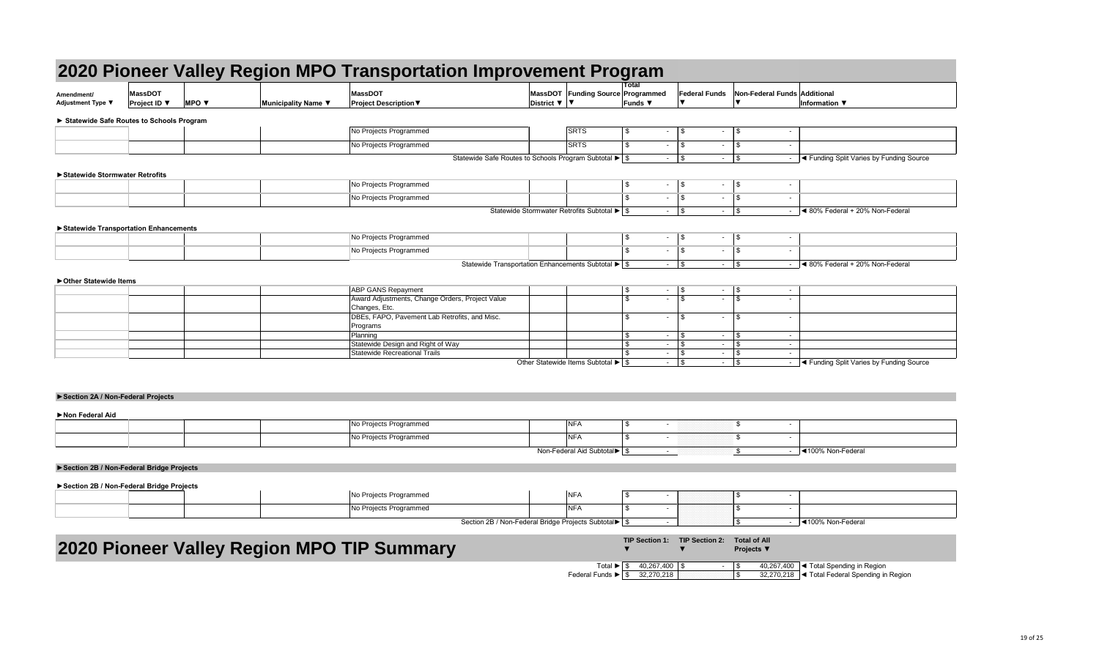| Amendment/<br><b>Adjustment Type ▼</b>     | <b>MassDOT</b><br><b>Project ID</b> $\blacktriangledown$ | <b>MPO v</b> | Municipality Name ▼ | <b>MassDOT</b><br><b>Project Description ▼</b> | MassDOT Funding Sourc<br>District $\nabla$   $\nabla$ |
|--------------------------------------------|----------------------------------------------------------|--------------|---------------------|------------------------------------------------|-------------------------------------------------------|
| ▶ Statewide Safe Routes to Schools Program |                                                          |              |                     |                                                |                                                       |
|                                            |                                                          |              |                     | No Projects Programmed                         | <b>SRTS</b>                                           |
|                                            |                                                          |              |                     | No Projects Programmed                         | <b>SRTS</b>                                           |

|                                          |                                |              | 2020 Pioneer Valley Region MPO Transportation Improvement Program |                                                                |                                                                                   |                                                                  |                                                  |                                    |                                                       |                                                    |
|------------------------------------------|--------------------------------|--------------|-------------------------------------------------------------------|----------------------------------------------------------------|-----------------------------------------------------------------------------------|------------------------------------------------------------------|--------------------------------------------------|------------------------------------|-------------------------------------------------------|----------------------------------------------------|
| Amendment/<br>Adjustment Type ▼          | <b>MassDOT</b><br>Project ID ▼ | <b>MPO ▼</b> | Municipality Name ▼                                               | <b>MassDOT</b><br><b>Project Description ▼</b>                 |                                                                                   | MassDOT Funding Source Programmed<br>District ▼ ▼                | Total<br><b>Funds ▼</b>                          | <b>Federal Funds</b>               | Non-Federal Funds Additional                          | Information ▼                                      |
| Statewide Safe Routes to Schools Program |                                |              |                                                                   |                                                                |                                                                                   |                                                                  |                                                  |                                    |                                                       |                                                    |
|                                          |                                |              |                                                                   | No Projects Programmed                                         |                                                                                   | <b>SRTS</b>                                                      | $\sqrt[6]{\frac{1}{2}}$<br>$\sim$                | $\vert$ \$<br>$\blacksquare$       | $\vert$ \$<br>$\overline{\phantom{a}}$                |                                                    |
|                                          |                                |              |                                                                   | No Projects Programmed                                         |                                                                                   | <b>SRTS</b>                                                      | $\mathbb{S}$<br>$\sim$                           | $\vert$ \$<br>$\blacksquare$       | $\vert$ \$                                            |                                                    |
|                                          |                                |              |                                                                   |                                                                | Statewide Safe Routes to Schools Program Subtotal $\blacktriangleright$ $\mid$ \$ |                                                                  | $\sim$                                           | $\frac{1}{3}$<br>$\sim$            | $\vert$ \$                                            | I < Funding Split Varies by Funding Source         |
| ▶ Statewide Stormwater Retrofits         |                                |              |                                                                   |                                                                |                                                                                   |                                                                  |                                                  |                                    |                                                       |                                                    |
|                                          |                                |              |                                                                   | No Projects Programmed                                         |                                                                                   |                                                                  | $\mathfrak{S}$<br>$\sim$                         | $\frac{1}{3}$<br>$\sim$            | $\vert$ \$<br>$\sim$                                  |                                                    |
|                                          |                                |              |                                                                   | No Projects Programmed                                         |                                                                                   |                                                                  | \$<br>$\sim$                                     | $\vert$ \$<br>$\blacksquare$       | \$<br>$\overline{\phantom{a}}$                        |                                                    |
|                                          |                                |              |                                                                   |                                                                |                                                                                   | Statewide Stormwater Retrofits Subtotal $\blacktriangleright$ \$ |                                                  | $\sim$                             | $\vert$ \$                                            | $\blacktriangleleft$ 80% Federal + 20% Non-Federal |
| Statewide Transportation Enhancements    |                                |              |                                                                   | No Projects Programmed                                         |                                                                                   |                                                                  | $\mathfrak{S}$                                   |                                    | $\sim$                                                |                                                    |
|                                          |                                |              |                                                                   | No Projects Programmed                                         |                                                                                   |                                                                  | $\mathfrak{L}$<br>$\sim$                         | $\vert$ \$<br>$\sim$               | \$<br>$\overline{\phantom{a}}$                        |                                                    |
|                                          |                                |              |                                                                   |                                                                | Statewide Transportation Enhancements Subtotal $\blacktriangleright$ \$           |                                                                  |                                                  |                                    |                                                       | $\blacktriangleleft$ 80% Federal + 20% Non-Federal |
|                                          |                                |              |                                                                   |                                                                |                                                                                   |                                                                  |                                                  |                                    |                                                       |                                                    |
| ▶ Other Statewide Items                  |                                |              |                                                                   | <b>ABP GANS Repayment</b>                                      |                                                                                   |                                                                  | \$                                               | $-$ \$                             | $\sim$                                                |                                                    |
|                                          |                                |              |                                                                   | Award Adjustments, Change Orders, Project Value                |                                                                                   |                                                                  | $\mathbb{S}$<br>$\sim$ $-$                       | $\frac{1}{3}$                      |                                                       |                                                    |
|                                          |                                |              |                                                                   | Changes, Etc.<br>DBEs, FAPO, Pavement Lab Retrofits, and Misc. |                                                                                   |                                                                  | \$.<br>$\sim$                                    | $\sqrt{S}$<br>$\sim$               | \$                                                    |                                                    |
|                                          |                                |              |                                                                   | Programs<br>Planning                                           |                                                                                   |                                                                  | \$<br>$\sim$                                     | $\vert$ \$<br>$\sim$               | 8<br>$\overline{\phantom{a}}$                         |                                                    |
|                                          |                                |              |                                                                   | Statewide Design and Right of Way                              |                                                                                   |                                                                  | \$<br>$\sim$                                     | $\vert$ \$<br>$\sim$ $-$           | <b>S</b><br>$\sim$                                    |                                                    |
|                                          |                                |              |                                                                   | Statewide Recreational Trails                                  |                                                                                   | Other Statewide Items Subtotal $\blacktriangleright$ \$          | $\sim$<br>$\sim$                                 | $\sim$<br>$\vert$ \$<br>$\sim$ $-$ | \$<br>$\sim$<br>\$<br>$\sim$                          | I < Funding Split Varies by Funding Source         |
|                                          |                                |              |                                                                   |                                                                |                                                                                   |                                                                  |                                                  |                                    |                                                       |                                                    |
|                                          |                                |              |                                                                   |                                                                |                                                                                   |                                                                  |                                                  |                                    |                                                       |                                                    |
| Section 2A / Non-Federal Projects        |                                |              |                                                                   |                                                                |                                                                                   |                                                                  |                                                  |                                    |                                                       |                                                    |
| Non Federal Aid                          |                                |              |                                                                   |                                                                |                                                                                   |                                                                  |                                                  |                                    |                                                       |                                                    |
|                                          |                                |              |                                                                   | No Projects Programmed                                         |                                                                                   | <b>NFA</b>                                                       | $\mathfrak{S}$                                   |                                    | $\boldsymbol{\mathsf{S}}$<br>$\overline{\phantom{a}}$ |                                                    |
|                                          |                                |              |                                                                   | No Projects Programmed                                         |                                                                                   | <b>NFA</b>                                                       | \$                                               |                                    | \$<br>$\overline{\phantom{a}}$                        |                                                    |
|                                          |                                |              |                                                                   |                                                                |                                                                                   | Non-Federal Aid Subtotal▶ \$                                     | $\sim$                                           |                                    | $\mathfrak{F}$                                        | $-$ 4100% Non-Federal                              |
| Section 2B / Non-Federal Bridge Projects |                                |              |                                                                   |                                                                |                                                                                   |                                                                  |                                                  |                                    |                                                       |                                                    |
| Section 2B / Non-Federal Bridge Projects |                                |              |                                                                   |                                                                |                                                                                   |                                                                  |                                                  |                                    |                                                       |                                                    |
|                                          |                                |              |                                                                   | No Projects Programmed                                         |                                                                                   | <b>NFA</b>                                                       | $\mathfrak{S}$<br>$\sim$                         |                                    | \$<br>$\overline{\phantom{a}}$                        |                                                    |
|                                          |                                |              |                                                                   | No Projects Programmed                                         |                                                                                   | <b>NFA</b>                                                       | \$<br>$\sim$                                     |                                    | -\$<br>$\overline{\phantom{a}}$                       |                                                    |
|                                          |                                |              |                                                                   |                                                                | Section 2B / Non-Federal Bridge Projects Subtotal > \$                            |                                                                  | $\sim$                                           |                                    | -\$                                                   | $-$ 4100% Non-Federal                              |
|                                          |                                |              | 2020 Pioneer Valley Region MPO TIP Summary                        |                                                                |                                                                                   |                                                                  | <b>TIP Section 1:</b>                            | <b>TIP Section 2:</b>              | <b>Total of All</b><br><b>Projects</b> ▼              |                                                    |
|                                          |                                |              |                                                                   |                                                                |                                                                                   |                                                                  |                                                  |                                    |                                                       |                                                    |
|                                          |                                |              |                                                                   |                                                                |                                                                                   |                                                                  | Total $\blacktriangleright$   \$ 40,267,400   \$ |                                    |                                                       | 40,267,400  ◀ Total Spending in Region             |

|                                                 |                                       |              |                     | 2020 Pioneer Valley Region MPO Transportation Improvement Program            |                              |                                                                  |                                                                    |                                         |                                            |                                                            |
|-------------------------------------------------|---------------------------------------|--------------|---------------------|------------------------------------------------------------------------------|------------------------------|------------------------------------------------------------------|--------------------------------------------------------------------|-----------------------------------------|--------------------------------------------|------------------------------------------------------------|
| Amendment/<br>Adjustment Type ▼                 | <b>MassDOT</b><br><b>Project ID</b> ▼ | <b>MPO ▼</b> | Municipality Name ▼ | MassDOT<br><b>Project Description ▼</b>                                      | District $\nabla$   $\nabla$ | MassDOT Funding Source Programmed                                | Total<br><b>Funds ▼</b>                                            | <b>Federal Funds</b>                    | Non-Federal Funds Additional               | Information ▼                                              |
| <b>Statewide Safe Routes to Schools Program</b> |                                       |              |                     |                                                                              |                              |                                                                  |                                                                    |                                         |                                            |                                                            |
|                                                 |                                       |              |                     | No Projects Programmed                                                       |                              | SRTS                                                             | $\boldsymbol{\mathsf{S}}$<br>$\sim$                                | $\vert$ \$                              | $\sqrt{5}$                                 |                                                            |
|                                                 |                                       |              |                     | No Projects Programmed                                                       |                              | <b>SRTS</b>                                                      | \$<br>$\sim$                                                       | \$<br>$\sim$                            | -\$                                        |                                                            |
|                                                 |                                       |              |                     | Statewide Safe Routes to Schools Program Subtotal ▶ \$                       |                              |                                                                  | $\sim$ $-$                                                         | $\vert$ \$                              |                                            | $\vert$ < Funding Split Varies by Funding Source<br>$\sim$ |
|                                                 |                                       |              |                     |                                                                              |                              |                                                                  |                                                                    |                                         |                                            |                                                            |
| Statewide Stormwater Retrofits                  |                                       |              |                     | No Projects Programmed                                                       |                              |                                                                  | \$<br>$\sim$                                                       | $\sqrt{3}$<br>$\sim$                    | $\sqrt{S}$<br>$\sim$                       |                                                            |
|                                                 |                                       |              |                     | No Projects Programmed                                                       |                              |                                                                  | $\sim$                                                             | $\vert$ \$<br>$\sim$                    | $\sqrt{3}$<br>$\sim$                       |                                                            |
|                                                 |                                       |              |                     |                                                                              |                              | Statewide Stormwater Retrofits Subtotal $\blacktriangleright$ \$ | $\sim$                                                             | $\sqrt{3}$<br>$\sim$                    | $\sqrt{3}$<br>$\sim$                       | $\blacktriangleleft$ 80% Federal + 20% Non-Federal         |
|                                                 |                                       |              |                     |                                                                              |                              |                                                                  |                                                                    |                                         |                                            |                                                            |
| Statewide Transportation Enhancements           |                                       |              |                     | No Projects Programmed                                                       |                              |                                                                  | \$<br>$\sim$ $-$                                                   | $\sqrt{3}$<br>$\sim$                    | $\vert$ \$<br>$\sim$                       |                                                            |
|                                                 |                                       |              |                     | No Projects Programmed                                                       |                              |                                                                  | £.<br>$\sim 10$                                                    | $\sqrt{3}$<br>$\sim$                    | $\sqrt{3}$<br>$\sim$                       |                                                            |
|                                                 |                                       |              |                     | Statewide Transportation Enhancements Subtotal $\blacktriangleright$ \$      |                              |                                                                  | $\sim$                                                             | $\sqrt{3}$                              |                                            | Sol% Federal + 20% Non-Federal                             |
|                                                 |                                       |              |                     |                                                                              |                              |                                                                  |                                                                    |                                         |                                            |                                                            |
| Other Statewide Items                           |                                       |              |                     |                                                                              |                              |                                                                  |                                                                    |                                         |                                            |                                                            |
|                                                 |                                       |              |                     | <b>ABP GANS Repayment</b><br>Award Adjustments, Change Orders, Project Value |                              |                                                                  | $\boldsymbol{\mathsf{S}}$<br>$\sim$<br>$\mathcal{L}$<br>$\sim$ $-$ | \$<br>$\overline{\mathsf{s}}$<br>$\sim$ | $\vert$ \$                                 | $\sim$                                                     |
|                                                 |                                       |              |                     | Changes, Etc.                                                                |                              |                                                                  |                                                                    |                                         |                                            |                                                            |
|                                                 |                                       |              |                     | DBEs, FAPO, Pavement Lab Retrofits, and Misc.                                |                              |                                                                  | \$<br>$\sim$                                                       | <b>S</b>                                | $\sqrt{3}$<br>$\overline{\phantom{a}}$     |                                                            |
|                                                 |                                       |              |                     | Programs<br>Planning                                                         |                              |                                                                  | \$<br>$\sim$                                                       | l \$<br>$\sim$                          | - \$<br>$\sim$                             |                                                            |
|                                                 |                                       |              |                     | Statewide Design and Right of Way                                            |                              |                                                                  | \$<br>$\sim$                                                       | \$<br>$\sim$                            | -\$<br>$\sim$                              |                                                            |
|                                                 |                                       |              |                     | Statewide Recreational Trails                                                |                              | Other Statewide Items Subtotal $\blacktriangleright$ $\mid$ \$   | $\sim$<br>$\sim$                                                   | ∣\$<br>$\sim$<br>$\sqrt{3}$<br>$\sim$   | $\mathfrak{p}$<br>$\sim$<br>$\mathfrak{g}$ | ◯ Tunding Split Varies by Funding Source<br>$\sim$         |
| Section 2A / Non-Federal Projects               |                                       |              |                     |                                                                              |                              |                                                                  |                                                                    |                                         |                                            |                                                            |
| Non Federal Aid                                 |                                       |              |                     |                                                                              |                              |                                                                  |                                                                    |                                         |                                            |                                                            |
|                                                 |                                       |              |                     | No Projects Programmed                                                       |                              | <b>NFA</b>                                                       | \$<br>$\sim$                                                       |                                         | \$                                         | $\sim$                                                     |
|                                                 |                                       |              |                     | No Projects Programmed                                                       |                              | <b>NFA</b>                                                       |                                                                    |                                         | $\boldsymbol{\mathsf{S}}$                  |                                                            |
| Section 2B / Non-Federal Bridge Projects        |                                       |              |                     |                                                                              |                              | Non-Federal Aid Subtotal▶ \$                                     | $\sim$                                                             |                                         | $\mathfrak{S}$                             | <b>E</b> 100% Non-Federal                                  |
| Section 2B / Non-Federal Bridge Projects        |                                       |              |                     |                                                                              |                              |                                                                  |                                                                    |                                         |                                            |                                                            |
|                                                 |                                       |              |                     | No Projects Programmed                                                       |                              | <b>NFA</b>                                                       | \$.<br>٠                                                           |                                         | \$                                         |                                                            |
|                                                 |                                       |              |                     | No Projects Programmed                                                       |                              | <b>NFA</b>                                                       | \$<br>$\sim$                                                       |                                         | -\$<br>$\sim$                              |                                                            |
|                                                 |                                       |              |                     | Section 2B / Non-Federal Bridge Projects Subtotal ▶   \$                     |                              |                                                                  | $\sim$                                                             |                                         | -\$                                        | <b>EXERUITE</b> 100% Non-Federal<br>$\sim$                 |
|                                                 |                                       |              |                     |                                                                              |                              |                                                                  |                                                                    |                                         |                                            |                                                            |
|                                                 |                                       |              |                     | 2020 Pioneer Valley Region MPO TIP Summary                                   |                              |                                                                  | <b>TIP Section 1:</b>                                              | <b>TIP Section 2:</b>                   | <b>Total of All</b><br><b>Projects</b> ▼   |                                                            |
|                                                 |                                       |              |                     |                                                                              |                              |                                                                  | Total $\blacktriangleright$   \$ 40,267,400   \$                   |                                         |                                            | 40,267,400  ◀ Total Spending in Region                     |

|                                          |                                       |                          | 2020 Pioneer Valley Region MPO Transportation Improvement Program |                                                                    |                                                        |                                                                         |                                                            |                       |                                          |                                    |                                               |
|------------------------------------------|---------------------------------------|--------------------------|-------------------------------------------------------------------|--------------------------------------------------------------------|--------------------------------------------------------|-------------------------------------------------------------------------|------------------------------------------------------------|-----------------------|------------------------------------------|------------------------------------|-----------------------------------------------|
| Amendment/<br><b>Adjustment Type ▼</b>   | <b>MassDOT</b><br><b>Project ID</b> ▼ | MPO $\blacktriangledown$ | Municipality Name ▼                                               | <b>MassDOT</b><br><b>Project Description ▼</b>                     | District $\nabla$   $\nabla$                           | MassDOT Funding Source Programmed                                       | <b>Total</b><br>Funds $\blacktriangledown$                 | <b>Federal Funds</b>  |                                          |                                    | Non-Federal Funds Additional<br>Information ▼ |
| Statewide Safe Routes to Schools Program |                                       |                          |                                                                   |                                                                    |                                                        |                                                                         |                                                            |                       |                                          |                                    |                                               |
|                                          |                                       |                          |                                                                   | No Projects Programmed                                             |                                                        | <b>SRTS</b>                                                             | $\sqrt{3}$<br>$\sim$                                       | $\sqrt{3}$            | $\vert$ \$<br>$\sim$                     |                                    |                                               |
|                                          |                                       |                          |                                                                   | No Projects Programmed                                             |                                                        | <b>SRTS</b>                                                             | $$^{\circ}$<br>$\sim$                                      | $\vert$ \$            | \$<br>$\sim$                             |                                    |                                               |
|                                          |                                       |                          |                                                                   |                                                                    | Statewide Safe Routes to Schools Program Subtotal ▶ \$ |                                                                         | $\sim$                                                     | $\vert$ \$            | $\vert$ \$<br>$\sim$                     |                                    | I < Funding Split Varies by Funding Source    |
| ▶ Statewide Stormwater Retrofits         |                                       |                          |                                                                   |                                                                    |                                                        |                                                                         |                                                            |                       |                                          |                                    |                                               |
|                                          |                                       |                          |                                                                   | No Projects Programmed                                             |                                                        |                                                                         | $\sqrt{3}$<br>$\sim$                                       | $\vert$ \$            | $\frac{1}{3}$<br>$\sim$                  | $\blacksquare$                     |                                               |
|                                          |                                       |                          |                                                                   | No Projects Programmed                                             |                                                        |                                                                         | $\mathbb{S}$<br>$\sim$                                     | $\vert$ \$            | $\sqrt{3}$<br>$\sim$                     | $\overline{\phantom{a}}$           |                                               |
|                                          |                                       |                          |                                                                   |                                                                    |                                                        | Statewide Stormwater Retrofits Subtotal $\blacktriangleright$ $\mid$ \$ | $\sim$                                                     | $\sqrt{S}$            | $\sqrt{3}$<br>$\sim 100$                 |                                    | ◀ 80% Federal + 20% Non-Federal               |
| Statewide Transportation Enhancements    |                                       |                          |                                                                   | No Projects Programmed                                             |                                                        |                                                                         | \$<br>$\sim$                                               | $\vert$ \$            |                                          | $\sim$                             |                                               |
|                                          |                                       |                          |                                                                   | No Projects Programmed                                             |                                                        |                                                                         | $\mathfrak{L}$<br>$\sim$                                   | $\vert$ \$            | $\sqrt{3}$<br>$\sim$                     | $\blacksquare$                     |                                               |
|                                          |                                       |                          |                                                                   |                                                                    | Statewide Transportation Enhancements Subtotal ▶   \$  |                                                                         |                                                            | $-$ \$                |                                          |                                    | ◀ 80% Federal + 20% Non-Federal               |
| ▶ Other Statewide Items                  |                                       |                          |                                                                   |                                                                    |                                                        |                                                                         |                                                            |                       |                                          |                                    |                                               |
|                                          |                                       |                          |                                                                   | <b>ABP GANS Repayment</b>                                          |                                                        |                                                                         | $\sqrt{3}$<br>$\sim$                                       | $\vert$ \$            |                                          | $\sim$                             |                                               |
|                                          |                                       |                          |                                                                   | Award Adjustments, Change Orders, Project Value<br>Changes, Etc.   |                                                        |                                                                         | $\mathbb{S}$<br>$\sim$                                     | $\vert$ \$            |                                          |                                    |                                               |
|                                          |                                       |                          |                                                                   | DBEs, FAPO, Pavement Lab Retrofits, and Misc.<br>Programs          |                                                        |                                                                         | $\mathfrak{L}$<br>$\sim$                                   | $\vert$ \$            | $\mathfrak{S}$<br>$\blacksquare$         | $\overline{\phantom{a}}$           |                                               |
|                                          |                                       |                          |                                                                   | Planning                                                           |                                                        |                                                                         | $\mathfrak{F}$<br>$\sim$                                   | ∣\$                   | -\$<br>$\sim$                            | $\sim$                             |                                               |
|                                          |                                       |                          |                                                                   | Statewide Design and Right of Way<br>Statewide Recreational Trails |                                                        |                                                                         | \$<br>$\sim$<br>$\sim$                                     | $\sqrt{3}$            | \$<br>$\sim$<br>\$<br>$\sim$             | $\overline{\phantom{a}}$<br>$\sim$ |                                               |
|                                          |                                       |                          |                                                                   |                                                                    |                                                        | Other Statewide Items Subtotal $\blacktriangleright$ \$                 | $\sim$                                                     | $\vert$ \$            | \$<br>$\sim$ $-$                         |                                    | ◀ Funding Split Varies by Funding Source      |
| Section 2A / Non-Federal Projects        |                                       |                          |                                                                   |                                                                    |                                                        |                                                                         |                                                            |                       |                                          |                                    |                                               |
|                                          |                                       |                          |                                                                   |                                                                    |                                                        |                                                                         |                                                            |                       |                                          |                                    |                                               |
| Non Federal Aid                          |                                       |                          |                                                                   | No Projects Programmed                                             |                                                        | <b>NFA</b>                                                              | \$                                                         |                       | \$                                       |                                    |                                               |
|                                          |                                       |                          |                                                                   | No Projects Programmed                                             |                                                        | <b>NFA</b>                                                              | -\$                                                        |                       | \$                                       |                                    |                                               |
|                                          |                                       |                          |                                                                   |                                                                    |                                                        | Non-Federal Aid Subtotal▶ \$                                            | $\sim$                                                     |                       | \$                                       | $\blacksquare$                     | <u>I</u> <100% Non-Federal                    |
| Section 2B / Non-Federal Bridge Projects |                                       |                          |                                                                   |                                                                    |                                                        |                                                                         |                                                            |                       |                                          |                                    |                                               |
|                                          |                                       |                          |                                                                   |                                                                    |                                                        |                                                                         |                                                            |                       |                                          |                                    |                                               |
| Section 2B / Non-Federal Bridge Projects |                                       |                          |                                                                   | No Projects Programmed                                             |                                                        | <b>NFA</b>                                                              | - \$                                                       |                       | \$                                       |                                    |                                               |
|                                          |                                       |                          |                                                                   | No Projects Programmed                                             |                                                        | <b>NFA</b>                                                              | \$<br>$\sim$                                               |                       | -\$                                      | $\blacksquare$                     |                                               |
|                                          |                                       |                          |                                                                   |                                                                    | Section 2B / Non-Federal Bridge Projects Subtotal > \$ |                                                                         | $\sim$                                                     |                       | $\mathfrak{L}$                           | $\sim$                             | <b>I</b> <100% Non-Federal                    |
|                                          |                                       |                          |                                                                   |                                                                    |                                                        |                                                                         |                                                            |                       |                                          |                                    |                                               |
|                                          |                                       |                          | 2020 Pioneer Valley Region MPO TIP Summary                        |                                                                    |                                                        |                                                                         | <b>TIP Section 1:</b>                                      | <b>TIP Section 2:</b> | <b>Total of All</b><br><b>Projects</b> ▼ |                                    |                                               |
|                                          |                                       |                          |                                                                   |                                                                    |                                                        |                                                                         | Total $\triangleright$ $\boxed{\$$ 40,267,400 $\boxed{\$}$ |                       | $-$ \$                                   |                                    | 40,267,400  ◀ Total Spending in Region        |

|                                          |                                       |              | 2020 Pioneer Valley Region MPO Transportation Improvement Program |                                                                |                                                                                |                                                                   |                                                  |                                              |                       |                                          |                                    |                                            |
|------------------------------------------|---------------------------------------|--------------|-------------------------------------------------------------------|----------------------------------------------------------------|--------------------------------------------------------------------------------|-------------------------------------------------------------------|--------------------------------------------------|----------------------------------------------|-----------------------|------------------------------------------|------------------------------------|--------------------------------------------|
| Amendment/<br><b>Adjustment Type ▼</b>   | <b>MassDOT</b><br><b>Project ID</b> ▼ | <b>MPO V</b> | Municipality Name ▼                                               | <b>MassDOT</b><br><b>Project Description ▼</b>                 |                                                                                | MassDOT Funding Source Programmed<br>District $\nabla$   $\nabla$ | <b>Total</b><br>Funds ▼                          |                                              | <b>Federal Funds</b>  | Non-Federal Funds Additional             |                                    | Information ▼                              |
| Statewide Safe Routes to Schools Program |                                       |              |                                                                   |                                                                |                                                                                |                                                                   |                                                  |                                              |                       |                                          |                                    |                                            |
|                                          |                                       |              |                                                                   | No Projects Programmed                                         |                                                                                | <b>SRTS</b>                                                       | $\sqrt{3}$                                       | $\sqrt{3}$<br>$\sim$                         | $\sim$                | $\vert$ \$                               |                                    |                                            |
|                                          |                                       |              |                                                                   | No Projects Programmed                                         |                                                                                | <b>SRTS</b>                                                       | $\mathfrak{S}$                                   | $\vert$ \$<br>$\sim$                         | $\sim$                | \$                                       | $\overline{\phantom{a}}$           |                                            |
|                                          |                                       |              |                                                                   |                                                                | Statewide Safe Routes to Schools Program Subtotal ▶ \$                         |                                                                   |                                                  | 8<br>$\sim$                                  |                       |                                          | $\blacksquare$                     | I < Funding Split Varies by Funding Source |
| ▶ Statewide Stormwater Retrofits         |                                       |              |                                                                   |                                                                |                                                                                |                                                                   |                                                  |                                              |                       |                                          |                                    |                                            |
|                                          |                                       |              |                                                                   | No Projects Programmed                                         |                                                                                |                                                                   | \$                                               | $\vert$ \$<br>$\sim$                         | $\sim$                | $\frac{1}{3}$                            | $\sim$                             |                                            |
|                                          |                                       |              |                                                                   | No Projects Programmed                                         |                                                                                |                                                                   | -\$                                              | $\sqrt{3}$<br>$\sim$                         | $\sim$                | $\sqrt{3}$                               | $\sim$                             |                                            |
|                                          |                                       |              |                                                                   |                                                                |                                                                                | Statewide Stormwater Retrofits Subtotal $\blacktriangleright$ \$  |                                                  | $\vert$ \$<br>$\sim$                         | $\sim 100$            | $\vert$ \$                               | $\sim$                             | ◀ 80% Federal + 20% Non-Federal            |
| Statewide Transportation Enhancements    |                                       |              |                                                                   |                                                                |                                                                                |                                                                   |                                                  |                                              |                       |                                          |                                    |                                            |
|                                          |                                       |              |                                                                   | No Projects Programmed                                         |                                                                                |                                                                   | -\$<br>$\mathfrak{L}$                            | $\sqrt{3}$<br>$\sim$                         |                       | $-$ \$                                   | $\sim$                             |                                            |
|                                          |                                       |              |                                                                   | No Projects Programmed                                         |                                                                                |                                                                   |                                                  | $\sqrt{3}$<br>$\sim$                         | $\sim$                | $\sqrt{3}$                               | $\overline{\phantom{a}}$           | ◀ 80% Federal + 20% Non-Federal            |
|                                          |                                       |              |                                                                   |                                                                | Statewide Transportation Enhancements Subtotal $\blacktriangleright$ $\mid$ \$ |                                                                   |                                                  |                                              |                       |                                          |                                    |                                            |
| ▶ Other Statewide Items                  |                                       |              |                                                                   | <b>ABP GANS Repayment</b>                                      |                                                                                |                                                                   | \$                                               | $\vert$ \$<br>$\sim$                         |                       | $-$ \$                                   | $\sim$                             |                                            |
|                                          |                                       |              |                                                                   | Award Adjustments, Change Orders, Project Value                |                                                                                |                                                                   | $\mathfrak{L}$                                   | $\lceil$ \$<br>$\sim$                        | $\sim$ $-$            | $\sqrt{3}$                               |                                    |                                            |
|                                          |                                       |              |                                                                   | Changes, Etc.<br>DBEs, FAPO, Pavement Lab Retrofits, and Misc. |                                                                                |                                                                   | -\$                                              | $\mathsf{I}$<br>$\sim$                       | $\blacksquare$        | $\mathbb{S}$                             | ٠                                  |                                            |
|                                          |                                       |              |                                                                   | Programs                                                       |                                                                                |                                                                   |                                                  |                                              |                       |                                          |                                    |                                            |
|                                          |                                       |              |                                                                   | Planning<br>Statewide Design and Right of Way                  |                                                                                |                                                                   | -\$<br>-\$                                       | $\vert$ \$<br>$\sim$<br>$\vert$ \$<br>$\sim$ | $\sim$<br>$\sim$      | \$<br>$\sqrt{3}$                         | $\overline{\phantom{a}}$<br>$\sim$ |                                            |
|                                          |                                       |              |                                                                   | Statewide Recreational Trails                                  |                                                                                |                                                                   |                                                  | $\frac{3}{4}$<br>$\sim$                      | $\sim$                | \$                                       | $\sim$                             |                                            |
|                                          |                                       |              |                                                                   |                                                                |                                                                                | Other Statewide Items Subtotal $\blacktriangleright$ \$           |                                                  | $\vert$ \$<br>$\sim$                         | $\sim$                | $\sqrt{3}$                               |                                    | ◀ Funding Split Varies by Funding Source   |
|                                          |                                       |              |                                                                   |                                                                |                                                                                |                                                                   |                                                  |                                              |                       |                                          |                                    |                                            |
| Section 2A / Non-Federal Projects        |                                       |              |                                                                   |                                                                |                                                                                |                                                                   |                                                  |                                              |                       |                                          |                                    |                                            |
| Non Federal Aid                          |                                       |              |                                                                   |                                                                |                                                                                |                                                                   |                                                  |                                              |                       |                                          |                                    |                                            |
|                                          |                                       |              |                                                                   | No Projects Programmed                                         |                                                                                | <b>NFA</b>                                                        | \$                                               | $\sim$                                       |                       | $\boldsymbol{\mathsf{S}}$                | ٠                                  |                                            |
|                                          |                                       |              |                                                                   | No Projects Programmed                                         |                                                                                | <b>NFA</b>                                                        | -\$                                              |                                              |                       | \$                                       |                                    |                                            |
|                                          |                                       |              |                                                                   |                                                                |                                                                                | Non-Federal Aid Subtotal▶ \$                                      |                                                  | $\sim$                                       |                       | $\mathfrak{F}$                           |                                    | <u>I</u> <100% Non-Federal                 |
| Section 2B / Non-Federal Bridge Projects |                                       |              |                                                                   |                                                                |                                                                                |                                                                   |                                                  |                                              |                       |                                          |                                    |                                            |
|                                          |                                       |              |                                                                   |                                                                |                                                                                |                                                                   |                                                  |                                              |                       |                                          |                                    |                                            |
| Section 2B / Non-Federal Bridge Projects |                                       |              |                                                                   | No Projects Programmed                                         |                                                                                | <b>NFA</b>                                                        | -\$                                              | $\sim$                                       |                       | \$                                       | $\overline{\phantom{a}}$           |                                            |
|                                          |                                       |              |                                                                   | No Projects Programmed                                         |                                                                                | <b>NFA</b>                                                        | $\mathfrak{F}$                                   | $\sim$                                       |                       | -\$                                      | $\sim$                             |                                            |
|                                          |                                       |              |                                                                   |                                                                | Section 2B / Non-Federal Bridge Projects Subtotal   \$                         |                                                                   |                                                  | $\sim$                                       |                       | $\mathfrak{S}$                           | $\overline{a}$                     | 1100% Non-Federal                          |
|                                          |                                       |              |                                                                   |                                                                |                                                                                |                                                                   |                                                  |                                              |                       |                                          |                                    |                                            |
|                                          |                                       |              | 2020 Pioneer Valley Region MPO TIP Summary                        |                                                                |                                                                                |                                                                   | <b>TIP Section 1:</b>                            |                                              | <b>TIP Section 2:</b> | <b>Total of All</b><br><b>Projects</b> ▼ |                                    |                                            |
|                                          |                                       |              |                                                                   |                                                                |                                                                                |                                                                   | Total $\blacktriangleright$   \$ 40,267,400   \$ |                                              |                       | $-1$ \$                                  |                                    | 40,267,400  ◀ Total Spending in Region     |

|                                          |                                       |                          | 2020 Pioneer Valley Region MPO Transportation Improvement Program |                                                                    |                                                        |                                                                         |                                                            |                       |                                          |                                    |                                               |
|------------------------------------------|---------------------------------------|--------------------------|-------------------------------------------------------------------|--------------------------------------------------------------------|--------------------------------------------------------|-------------------------------------------------------------------------|------------------------------------------------------------|-----------------------|------------------------------------------|------------------------------------|-----------------------------------------------|
| Amendment/<br><b>Adjustment Type ▼</b>   | <b>MassDOT</b><br><b>Project ID</b> ▼ | MPO $\blacktriangledown$ | Municipality Name ▼                                               | <b>MassDOT</b><br><b>Project Description ▼</b>                     | District $\nabla$   $\nabla$                           | MassDOT Funding Source Programmed                                       | <b>Total</b><br>Funds $\blacktriangledown$                 | <b>Federal Funds</b>  |                                          |                                    | Non-Federal Funds Additional<br>Information ▼ |
| Statewide Safe Routes to Schools Program |                                       |                          |                                                                   |                                                                    |                                                        |                                                                         |                                                            |                       |                                          |                                    |                                               |
|                                          |                                       |                          |                                                                   | No Projects Programmed                                             |                                                        | <b>SRTS</b>                                                             | $\sqrt{3}$<br>$\sim$                                       | $\sqrt{3}$            | $\vert$ \$<br>$\sim$                     |                                    |                                               |
|                                          |                                       |                          |                                                                   | No Projects Programmed                                             |                                                        | <b>SRTS</b>                                                             | $$^{\circ}$<br>$\sim$                                      | $\vert$ \$            | \$<br>$\sim$                             |                                    |                                               |
|                                          |                                       |                          |                                                                   |                                                                    | Statewide Safe Routes to Schools Program Subtotal ▶ \$ |                                                                         | $\sim$                                                     | $\vert$ \$            | $\vert$ \$<br>$\sim$                     |                                    | I < Funding Split Varies by Funding Source    |
| ▶ Statewide Stormwater Retrofits         |                                       |                          |                                                                   |                                                                    |                                                        |                                                                         |                                                            |                       |                                          |                                    |                                               |
|                                          |                                       |                          |                                                                   | No Projects Programmed                                             |                                                        |                                                                         | $\sqrt{3}$<br>$\sim$                                       | $\vert$ \$            | $\frac{1}{3}$<br>$\sim$                  | $\blacksquare$                     |                                               |
|                                          |                                       |                          |                                                                   | No Projects Programmed                                             |                                                        |                                                                         | $\mathbb{S}$<br>$\sim$                                     | $\vert$ \$            | $\sqrt{3}$<br>$\sim$                     | $\overline{\phantom{a}}$           |                                               |
|                                          |                                       |                          |                                                                   |                                                                    |                                                        | Statewide Stormwater Retrofits Subtotal $\blacktriangleright$ $\mid$ \$ | $\sim$                                                     | $\sqrt{S}$            | $\sqrt{3}$<br>$\sim 100$                 |                                    | ◀ 80% Federal + 20% Non-Federal               |
| Statewide Transportation Enhancements    |                                       |                          |                                                                   | No Projects Programmed                                             |                                                        |                                                                         | \$<br>$\sim$                                               | $\vert$ \$            |                                          | $\sim$                             |                                               |
|                                          |                                       |                          |                                                                   | No Projects Programmed                                             |                                                        |                                                                         | $\mathfrak{L}$<br>$\sim$                                   | $\vert$ \$            | $\sqrt{3}$<br>$\sim$                     | $\blacksquare$                     |                                               |
|                                          |                                       |                          |                                                                   |                                                                    | Statewide Transportation Enhancements Subtotal ▶   \$  |                                                                         |                                                            | $-$ \$                |                                          |                                    | ◀ 80% Federal + 20% Non-Federal               |
| ▶ Other Statewide Items                  |                                       |                          |                                                                   |                                                                    |                                                        |                                                                         |                                                            |                       |                                          |                                    |                                               |
|                                          |                                       |                          |                                                                   | <b>ABP GANS Repayment</b>                                          |                                                        |                                                                         | $\sqrt{3}$<br>$\sim$                                       | $\vert$ \$            |                                          | $\sim$                             |                                               |
|                                          |                                       |                          |                                                                   | Award Adjustments, Change Orders, Project Value<br>Changes, Etc.   |                                                        |                                                                         | $\mathbb{S}$<br>$\sim$                                     | $\vert$ \$            |                                          |                                    |                                               |
|                                          |                                       |                          |                                                                   | DBEs, FAPO, Pavement Lab Retrofits, and Misc.<br>Programs          |                                                        |                                                                         | $\mathfrak{L}$<br>$\sim$                                   | $\vert$ \$            | $\mathbb{S}$<br>$\blacksquare$           | $\overline{\phantom{a}}$           |                                               |
|                                          |                                       |                          |                                                                   | Planning                                                           |                                                        |                                                                         | $\mathfrak{F}$<br>$\sim$                                   | ∣\$                   | -\$<br>$\sim$                            | $\sim$                             |                                               |
|                                          |                                       |                          |                                                                   | Statewide Design and Right of Way<br>Statewide Recreational Trails |                                                        |                                                                         | \$<br>$\sim$<br>$\sim$                                     | $\sqrt{3}$            | \$<br>$\sim$<br>\$<br>$\sim$             | $\overline{\phantom{a}}$<br>$\sim$ |                                               |
|                                          |                                       |                          |                                                                   |                                                                    |                                                        | Other Statewide Items Subtotal $\blacktriangleright$ \$                 | $\sim$                                                     | $\vert$ \$            | \$<br>$\sim$ $-$                         |                                    | ◀ Funding Split Varies by Funding Source      |
| Section 2A / Non-Federal Projects        |                                       |                          |                                                                   |                                                                    |                                                        |                                                                         |                                                            |                       |                                          |                                    |                                               |
|                                          |                                       |                          |                                                                   |                                                                    |                                                        |                                                                         |                                                            |                       |                                          |                                    |                                               |
| Non Federal Aid                          |                                       |                          |                                                                   | No Projects Programmed                                             |                                                        | <b>NFA</b>                                                              | \$                                                         |                       | \$                                       |                                    |                                               |
|                                          |                                       |                          |                                                                   | No Projects Programmed                                             |                                                        | <b>NFA</b>                                                              | -\$                                                        |                       | \$                                       |                                    |                                               |
|                                          |                                       |                          |                                                                   |                                                                    |                                                        | Non-Federal Aid Subtotal▶ \$                                            | $\sim$                                                     |                       | \$                                       | $\blacksquare$                     | <u>I</u> <100% Non-Federal                    |
| Section 2B / Non-Federal Bridge Projects |                                       |                          |                                                                   |                                                                    |                                                        |                                                                         |                                                            |                       |                                          |                                    |                                               |
|                                          |                                       |                          |                                                                   |                                                                    |                                                        |                                                                         |                                                            |                       |                                          |                                    |                                               |
| Section 2B / Non-Federal Bridge Projects |                                       |                          |                                                                   | No Projects Programmed                                             |                                                        | <b>NFA</b>                                                              | - \$                                                       |                       | \$                                       |                                    |                                               |
|                                          |                                       |                          |                                                                   | No Projects Programmed                                             |                                                        | <b>NFA</b>                                                              | \$<br>$\sim$                                               |                       | -\$                                      | $\blacksquare$                     |                                               |
|                                          |                                       |                          |                                                                   |                                                                    | Section 2B / Non-Federal Bridge Projects Subtotal > \$ |                                                                         | $\sim$                                                     |                       | $\mathfrak{L}$                           | $\sim$                             | <b>I</b> <100% Non-Federal                    |
|                                          |                                       |                          |                                                                   |                                                                    |                                                        |                                                                         |                                                            |                       |                                          |                                    |                                               |
|                                          |                                       |                          | 2020 Pioneer Valley Region MPO TIP Summary                        |                                                                    |                                                        |                                                                         | <b>TIP Section 1:</b>                                      | <b>TIP Section 2:</b> | <b>Total of All</b><br><b>Projects</b> ▼ |                                    |                                               |
|                                          |                                       |                          |                                                                   |                                                                    |                                                        |                                                                         | Total $\triangleright$ $\boxed{\$$ 40,267,400 $\boxed{\$}$ |                       | $-$ \$                                   |                                    | 40,267,400  ◀ Total Spending in Region        |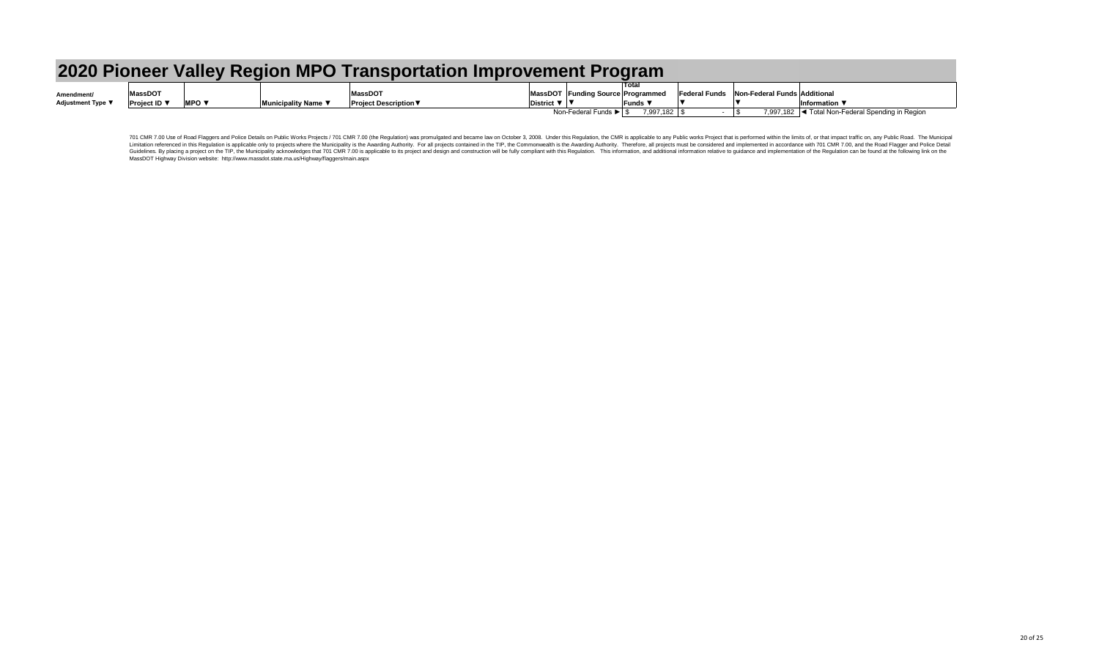701 CMR 7.00 Use of Road Flaggers and Police Details on Public Works Projects / 701 CMR 7.00 (the Regulation) was promulgated and became law on October 3, 2008. Under this Regulation, the CMR is applicable to any Public wo Limitation referenced in this Regulation is applicable only to projects where the Municipality is the Awarding Authority. For all projects contained in the TIP, the Commonwealth is the Awarding Authority. Therefore, all pr Guidelines. By placing a project on the TIP, the Municipality acknowledges that 701 CMR 7.00 is applicable to its project and design and construction will be fully compliant with this Regulation. This information and addit MassDOT Highway Division website: http://www.massdot.state.ma.us/Highway/flaggers/main.aspx

|                          |                     |                          | 2020 Pioneer Valley Region MPO Transportation Improvement Program |                                                |                              |                                   |                                                              |  |                                                                                       |  |
|--------------------------|---------------------|--------------------------|-------------------------------------------------------------------|------------------------------------------------|------------------------------|-----------------------------------|--------------------------------------------------------------|--|---------------------------------------------------------------------------------------|--|
| Amendment/               | <b>MassDOT</b>      |                          |                                                                   | <b>MassDOT</b>                                 |                              | MassDOT Funding Source Programmed |                                                              |  | <b>Federal Funds</b> Non-Federal Funds Additional                                     |  |
| <b>Adjustment Type</b> ▼ | <b>Project ID</b> ▼ | MPO $\blacktriangledown$ | Municipality Name ▼                                               | <b>Project Description <math>\nabla</math></b> | District $\nabla$   $\nabla$ | Non-Federal Funds ▶ S             | $\blacksquare$ Funds $\blacktriangledown$<br>$7,997,182$ \\$ |  | Information $\blacktriangledown$<br>7,997,182  ◀ Total Non-Federal Spending in Region |  |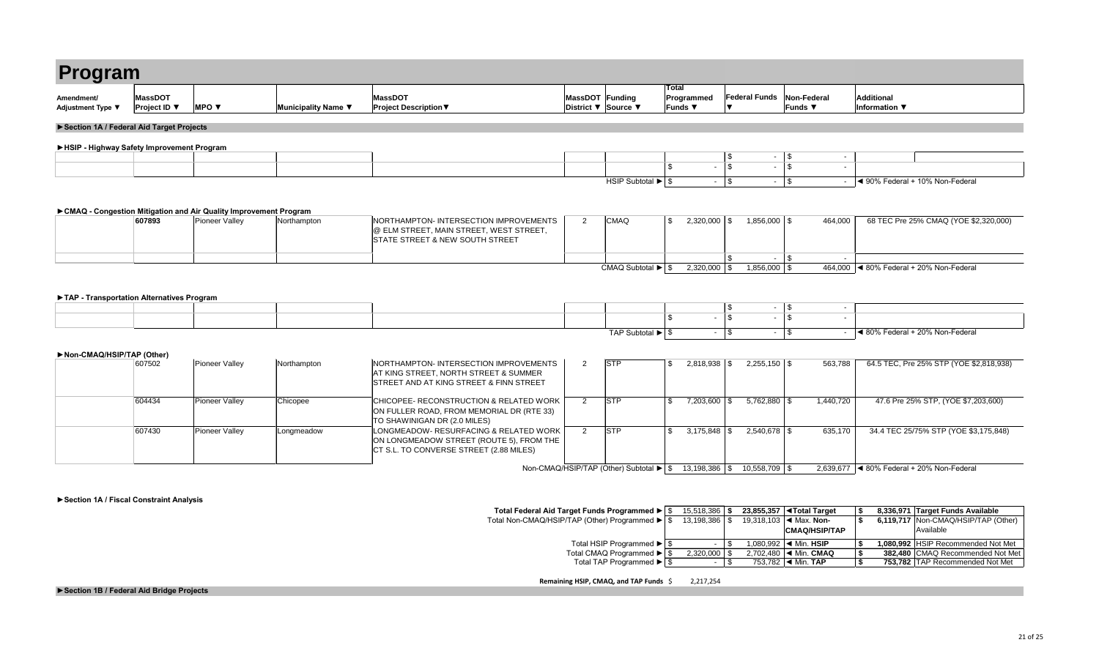| Program                                           |                     |              |                     |                              |                        |              |
|---------------------------------------------------|---------------------|--------------|---------------------|------------------------------|------------------------|--------------|
|                                                   |                     |              |                     |                              |                        | <b>Total</b> |
| Amendment/                                        | <b>MassDOT</b>      |              |                     | <b>MassDOT</b>               | <b>MassDOT Funding</b> | Progra       |
| Adjustment Type ▼                                 | <b>Project ID</b> ▼ | <b>MPO v</b> | Municipality Name ▼ | <b>Project Description ▼</b> | District ▼ Source ▼    | <b>Funds</b> |
| <b>EContian 1A / Enderal Aid Terrast Draigato</b> |                     |              |                     |                              |                        |              |

|     | 15,518,386     |         | 23,855,357   ◀ Total Target               | -\$  | 8,336,971 Target Funds Available      |
|-----|----------------|---------|-------------------------------------------|------|---------------------------------------|
| \$. | 13,198,386     |         | 19,318,103 $\blacktriangleleft$ Max. Non- | - \$ | 6,119,717   Non-CMAQ/HSIP/TAP (Other) |
|     |                |         | <b>CMAQ/HSIP/TAP</b>                      |      | <b>Available</b>                      |
| \$  | $\blacksquare$ |         | 1,080,992 $\blacktriangleleft$ Min. HSIP  |      | 1,080,992 HSIP Recommended Not Met    |
| \$  | 2,320,000      |         | 2,702,480 $\mid$ < Min. CMAQ              | \$   | 382,480 CMAQ Recommended Not Met      |
| \$  | ٠.             | 753,782 | $\blacktriangleleft$ Min. TAP             |      | 753,782 TAP Recommended Not Met       |

| 607502 | Pioneer Valley        | Northampton | NORTHAMPTON- INTERSECTION IMPROVEMENTS<br>AT KING STREET, NORTH STREET & SUMMER<br>STREET AND AT KING STREET & FINN STREET      | <b>STP</b>                                                             | 2,818,938  | $2,255,150$ \$   | 563,788   | 64.5 TEC, Pre 25% STP (YOE \$2,818,938)            |
|--------|-----------------------|-------------|---------------------------------------------------------------------------------------------------------------------------------|------------------------------------------------------------------------|------------|------------------|-----------|----------------------------------------------------|
| 604434 | <b>Pioneer Valley</b> | Chicopee    | CHICOPEE- RECONSTRUCTION & RELATED WORK  <br>ON FULLER ROAD, FROM MEMORIAL DR (RTE 33)<br>TO SHAWINIGAN DR (2.0 MILES)          | <b>STP</b>                                                             | 7,203,600  | $5,762,880$ \ \$ | 1,440,720 | 47.6 Pre 25% STP, (YOE \$7,203,600)                |
| 607430 | Pioneer Valley        | Longmeadow  | LONGMEADOW- RESURFACING & RELATED WORK  <br>ON LONGMEADOW STREET (ROUTE 5), FROM THE<br>CT S.L. TO CONVERSE STREET (2.88 MILES) | <b>STP</b>                                                             | 3,175,848  |                  | 635,170   | 34.4 TEC 25/75% STP (YOE \$3,175,848)              |
|        |                       |             |                                                                                                                                 | Non-CMAQ/HSIP/TAP (Other) Subtotal $\blacktriangleright$ $\frac{1}{3}$ | 13,198,386 | $10,558,709$ \$  | 2,639,677 | $\blacktriangleleft$ 80% Federal + 20% Non-Federal |

**Remaining HSIP, CMAQ, and TAP Funds** \$ 2,217,254

| Program                                     |                                       |                                                                                             |                     |                                                                                                                                             |                 |                                                   | <b>Total</b>               |                                                    |                                      |                                                            |
|---------------------------------------------|---------------------------------------|---------------------------------------------------------------------------------------------|---------------------|---------------------------------------------------------------------------------------------------------------------------------------------|-----------------|---------------------------------------------------|----------------------------|----------------------------------------------------|--------------------------------------|------------------------------------------------------------|
| Amendment/<br>Adjustment Type ▼             | <b>MassDOT</b><br><b>Project ID</b> ▼ | MPO $\blacktriangledown$                                                                    | Municipality Name ▼ | <b>MassDOT</b><br><b>Project Description ▼</b>                                                                                              | MassDOT Funding | District ▼ Source ▼                               | Programmed<br>Funds ▼      | <b>Federal Funds</b><br>▼                          | Non-Federal<br>Funds ▼               | <b>Additional</b><br>Information ▼                         |
| Section 1A / Federal Aid Target Projects    |                                       |                                                                                             |                     |                                                                                                                                             |                 |                                                   |                            |                                                    |                                      |                                                            |
| ▶ HSIP - Highway Safety Improvement Program |                                       |                                                                                             |                     |                                                                                                                                             |                 |                                                   |                            |                                                    |                                      |                                                            |
|                                             |                                       |                                                                                             |                     |                                                                                                                                             |                 |                                                   |                            | \$<br>$\sim$                                       | \$                                   |                                                            |
|                                             |                                       |                                                                                             |                     |                                                                                                                                             |                 |                                                   | $\mathbf{r}$               | $\overline{\mathbb{S}}$<br>$\sim$                  | $\overline{\mathcal{F}}$<br>$\sim$   |                                                            |
|                                             |                                       |                                                                                             |                     |                                                                                                                                             |                 | HSIP Subtotal $\blacktriangleright$ $\frac{1}{9}$ |                            | $-$ \$<br>$\sim$                                   | $\vert$ \$<br>$\sim$ $-$             | ↓ 90% Federal + 10% Non-Federal                            |
|                                             | 607893                                | ► CMAQ - Congestion Mitigation and Air Quality Improvement Program<br><b>Pioneer Valley</b> | Northampton         | NORTHAMPTON- INTERSECTION IMPROVEMENTS<br>$  \circledR$ ELM STREET, MAIN STREET, WEST STREET,<br><b>STATE STREET &amp; NEW SOUTH STREET</b> | 2               | <b>CMAQ</b>                                       | $2,320,000$ \$<br><b>S</b> | $1,856,000$ \$<br>$\mathbb{S}$                     | 464,000                              | 68 TEC Pre 25% CMAQ (YOE \$2,320,000)                      |
|                                             |                                       |                                                                                             |                     |                                                                                                                                             |                 |                                                   | $2,320,000$ \$             | $\sim$<br>$1,856,000$ \$                           | \$<br>$\sim$                         | 464,000 $\blacktriangleleft$ 80% Federal + 20% Non-Federal |
| TAP - Transportation Alternatives Program   |                                       |                                                                                             |                     |                                                                                                                                             |                 |                                                   | ς.<br>$\sim$               | \$<br>$\sim$<br>$\overline{\mathcal{S}}$<br>$\sim$ | \$<br>$\sim$<br>$\sqrt{3}$<br>$\sim$ |                                                            |
|                                             |                                       |                                                                                             |                     |                                                                                                                                             |                 | TAP Subtotal $\blacktriangleright$ $\frac{1}{3}$  | $\sim 100$                 | $\vert$ \$<br>$\sim$                               | $\vert$ \$                           | ◀ 80% Federal + 20% Non-Federal                            |
| Non-CMAQ/HSIP/TAP (Other)                   |                                       |                                                                                             |                     |                                                                                                                                             |                 |                                                   |                            |                                                    |                                      |                                                            |
|                                             | 607502                                | Pioneer Valley                                                                              | Northampton         | NORTHAMPTON-INTERSECTION IMPROVEMENTS<br>AT KING STREET, NORTH STREET & SUMMER                                                              | 2               | <b>STP</b>                                        | $2,818,938$ \$<br>\$       | $2,255,150$ \\$                                    | 563,788                              | 64.5 TEC, Pre 25% STP (YOE \$2,818,938)                    |

| Program                                   |                                       |                                                                                    |                     |                                                                                                                                             |                |                                                   |                         |                |                            |                |                                      |                                                    |  |
|-------------------------------------------|---------------------------------------|------------------------------------------------------------------------------------|---------------------|---------------------------------------------------------------------------------------------------------------------------------------------|----------------|---------------------------------------------------|-------------------------|----------------|----------------------------|----------------|--------------------------------------|----------------------------------------------------|--|
| Amendment/<br>Adjustment Type ▼           | <b>MassDOT</b><br><b>Project ID</b> ▼ | <b>MPO ▼</b>                                                                       | Municipality Name ▼ | <b>MassDOT</b><br><b>Project Description ▼</b>                                                                                              |                | MassDOT Funding<br>District ▼ Source ▼            | <b>Total</b><br>Funds ▼ | Programmed     | <b>Federal Funds</b><br>▼  |                | <b>Non-Federal</b><br><b>Funds ▼</b> | <b>Additional</b><br>Information ▼                 |  |
| Section 1A / Federal Aid Target Projects  |                                       |                                                                                    |                     |                                                                                                                                             |                |                                                   |                         |                |                            |                |                                      |                                                    |  |
| HSIP - Highway Safety Improvement Program |                                       |                                                                                    |                     |                                                                                                                                             |                |                                                   |                         |                |                            |                |                                      |                                                    |  |
|                                           |                                       |                                                                                    |                     |                                                                                                                                             |                |                                                   |                         |                | $\sqrt{3}$                 |                | $-$ \\$                              | $\sim$                                             |  |
|                                           |                                       |                                                                                    |                     |                                                                                                                                             |                |                                                   |                         |                | $\overline{\mathcal{S}}$   |                | $\mathcal{S}$                        |                                                    |  |
|                                           |                                       |                                                                                    |                     |                                                                                                                                             |                | HSIP Subtotal $\blacktriangleright$ $\frac{1}{9}$ |                         | $\sim$         | $\vert \$                  |                | $-1$ \$                              | ◀ 90% Federal + 10% Non-Federal                    |  |
|                                           | 607893                                | CMAQ - Congestion Mitigation and Air Quality Improvement Program<br>Pioneer Valley | Northampton         | NORTHAMPTON- INTERSECTION IMPROVEMENTS<br>$  \circledR$ ELM STREET, MAIN STREET, WEST STREET,<br><b>STATE STREET &amp; NEW SOUTH STREET</b> | $\overline{2}$ | <b>CMAQ</b>                                       | $\mathfrak{s}$          | $2,320,000$ \$ |                            | $1,856,000$ \$ |                                      | 464,000<br>68 TEC Pre 25% CMAQ (YOE \$2,320,000)   |  |
|                                           |                                       |                                                                                    |                     |                                                                                                                                             |                |                                                   |                         |                | $\sqrt[6]{2}$              |                | $-1$ \$                              | $\sim$                                             |  |
| TAP - Transportation Alternatives Program |                                       |                                                                                    |                     |                                                                                                                                             |                | CMAQ Subtotal $\blacktriangleright$ $\mid$ \$     |                         | 2,320,000      | \$                         | $1,856,000$ \$ |                                      | 464,000 4 80% Federal + 20% Non-Federal            |  |
|                                           |                                       |                                                                                    |                     |                                                                                                                                             |                |                                                   |                         |                | $\boldsymbol{\mathsf{\$}}$ |                | $-$ \$                               | $\sim$                                             |  |
|                                           |                                       |                                                                                    |                     |                                                                                                                                             |                |                                                   | \$                      |                | $\overline{\mathcal{S}}$   | $\blacksquare$ | $\vert$ \$                           |                                                    |  |
|                                           |                                       |                                                                                    |                     |                                                                                                                                             |                | TAP Subtotal $\blacktriangleright$ $\mid$ \$      |                         | $\sim$         | $\vert$ \$                 | $\sim$         | $\frac{1}{3}$                        | ◀ 80% Federal + 20% Non-Federal                    |  |
| Non-CMAQ/HSIP/TAP (Other)                 |                                       |                                                                                    |                     |                                                                                                                                             |                |                                                   |                         |                |                            |                |                                      |                                                    |  |
|                                           | 607502                                | Pioneer Valley                                                                     | Northampton         | NORTHAMPTON-INTERSECTION IMPROVEMENTS<br>AT KING STREET, NORTH STREET & SUMMER                                                              | 2 <sup>1</sup> | <b>STP</b>                                        | $\mathfrak{F}$          | $2,818,938$ \$ |                            | $2,255,150$ \$ |                                      | 563,788<br>64.5 TEC, Pre 25% STP (YOE \$2,818,938) |  |

| Program                                   |                                       |                                                                                    |                     |                                                                                                                                             |                |                                                   |                         |                |                            |                |                                      |                                                    |  |
|-------------------------------------------|---------------------------------------|------------------------------------------------------------------------------------|---------------------|---------------------------------------------------------------------------------------------------------------------------------------------|----------------|---------------------------------------------------|-------------------------|----------------|----------------------------|----------------|--------------------------------------|----------------------------------------------------|--|
| Amendment/<br>Adjustment Type ▼           | <b>MassDOT</b><br><b>Project ID</b> ▼ | <b>MPO ▼</b>                                                                       | Municipality Name ▼ | <b>MassDOT</b><br><b>Project Description ▼</b>                                                                                              |                | MassDOT Funding<br>District ▼ Source ▼            | <b>Total</b><br>Funds ▼ | Programmed     | <b>Federal Funds</b><br>▼  |                | <b>Non-Federal</b><br><b>Funds ▼</b> | <b>Additional</b><br>Information ▼                 |  |
| Section 1A / Federal Aid Target Projects  |                                       |                                                                                    |                     |                                                                                                                                             |                |                                                   |                         |                |                            |                |                                      |                                                    |  |
| HSIP - Highway Safety Improvement Program |                                       |                                                                                    |                     |                                                                                                                                             |                |                                                   |                         |                |                            |                |                                      |                                                    |  |
|                                           |                                       |                                                                                    |                     |                                                                                                                                             |                |                                                   |                         |                | $\sqrt{3}$                 |                | $-$ \\$                              | $\sim$                                             |  |
|                                           |                                       |                                                                                    |                     |                                                                                                                                             |                |                                                   |                         |                | $\overline{\mathcal{S}}$   |                | $\mathcal{S}$                        |                                                    |  |
|                                           |                                       |                                                                                    |                     |                                                                                                                                             |                | HSIP Subtotal $\blacktriangleright$ $\frac{1}{9}$ |                         | $\sim$         | $\vert \$                  |                | $-1$ \$                              | ◀ 90% Federal + 10% Non-Federal                    |  |
|                                           | 607893                                | CMAQ - Congestion Mitigation and Air Quality Improvement Program<br>Pioneer Valley | Northampton         | NORTHAMPTON- INTERSECTION IMPROVEMENTS<br>$  \circledR$ ELM STREET, MAIN STREET, WEST STREET,<br><b>STATE STREET &amp; NEW SOUTH STREET</b> | $\overline{2}$ | <b>CMAQ</b>                                       | $\mathfrak{s}$          | $2,320,000$ \$ |                            | $1,856,000$ \$ |                                      | 464,000<br>68 TEC Pre 25% CMAQ (YOE \$2,320,000)   |  |
|                                           |                                       |                                                                                    |                     |                                                                                                                                             |                |                                                   |                         |                | $\sqrt[6]{2}$              |                | $-1$ \$                              | $\sim$                                             |  |
| TAP - Transportation Alternatives Program |                                       |                                                                                    |                     |                                                                                                                                             |                | CMAQ Subtotal $\blacktriangleright$ $\mid$ \$     |                         | 2,320,000      | \$                         | $1,856,000$ \$ |                                      | 464,000 4 80% Federal + 20% Non-Federal            |  |
|                                           |                                       |                                                                                    |                     |                                                                                                                                             |                |                                                   |                         |                | $\boldsymbol{\mathsf{\$}}$ |                | $-$ \$                               | $\sim$                                             |  |
|                                           |                                       |                                                                                    |                     |                                                                                                                                             |                |                                                   | \$                      |                | $\overline{\mathcal{S}}$   | $\blacksquare$ | $\vert$ \$                           |                                                    |  |
|                                           |                                       |                                                                                    |                     |                                                                                                                                             |                | TAP Subtotal $\blacktriangleright$ $\mid$ \$      |                         | $\sim$         | $\vert$ \$                 | $\sim$         | $\frac{1}{3}$                        | ◀ 80% Federal + 20% Non-Federal                    |  |
| Non-CMAQ/HSIP/TAP (Other)                 |                                       |                                                                                    |                     |                                                                                                                                             |                |                                                   |                         |                |                            |                |                                      |                                                    |  |
|                                           | 607502                                | Pioneer Valley                                                                     | Northampton         | NORTHAMPTON-INTERSECTION IMPROVEMENTS<br>AT KING STREET, NORTH STREET & SUMMER                                                              | 2 <sup>1</sup> | <b>STP</b>                                        | $\mathfrak{F}$          | $2,818,938$ \$ |                            | $2,255,150$ \$ |                                      | 563,788<br>64.5 TEC, Pre 25% STP (YOE \$2,818,938) |  |

### **►Section 1A / Fiscal Constraint Analysis**

**Total Federal Aid Target Funds Programmed ►** Total Non-CMAQ/HSIP/TAP (Other) Programmed ►

Total HSIP Programmed ►

Total CMAQ Programmed ►

Total TAP Programmed ►

**►Section 1B / Federal Aid Bridge Projects**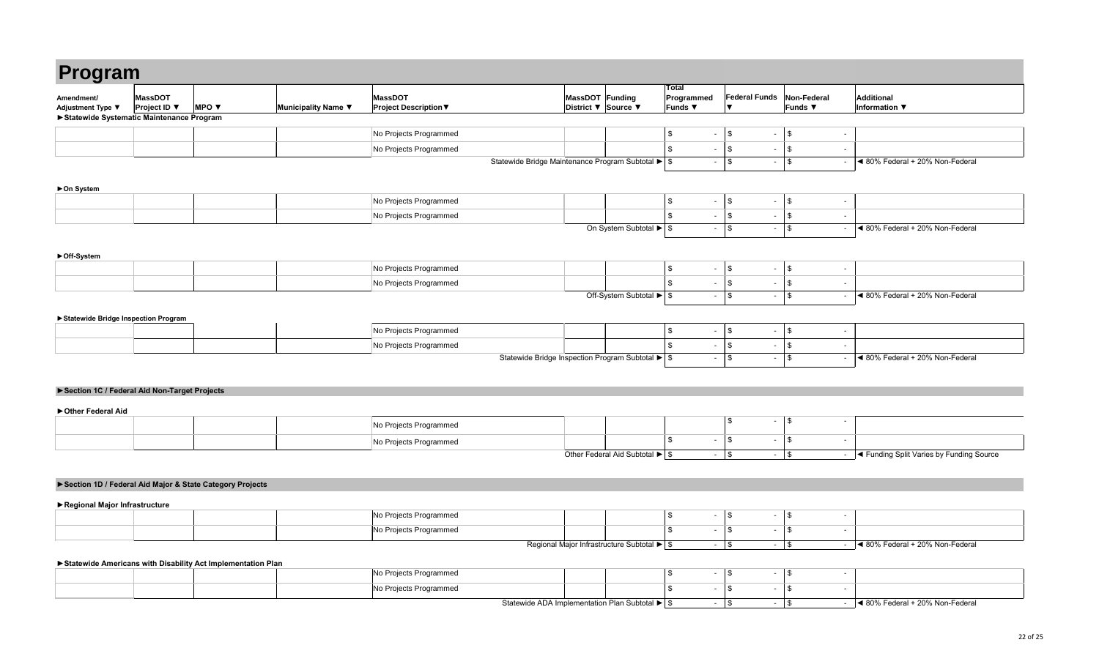**y g** 

**►On System**

**►Off-System**

| Program                                    |                                                   |                                 |                     |                                                |                                                    |                                        |                                            |        |                          |                               |  |
|--------------------------------------------|---------------------------------------------------|---------------------------------|---------------------|------------------------------------------------|----------------------------------------------------|----------------------------------------|--------------------------------------------|--------|--------------------------|-------------------------------|--|
| Amendment/<br>Adjustment Type ▼            | MassDOT<br><b>Project ID</b> $\blacktriangledown$ | <b>MPO</b> $\blacktriangledown$ | Municipality Name ▼ | <b>MassDOT</b><br><b>Project Description ▼</b> |                                                    | MassDOT Funding<br>District ▼ Source ▼ | <b>Total</b><br>Programmed<br><b>Funds</b> |        | <b>Federal Funds</b>     | Non-Federal<br><b>Funds</b> ▼ |  |
| ▶ Statewide Systematic Maintenance Program |                                                   |                                 |                     |                                                |                                                    |                                        |                                            |        |                          |                               |  |
|                                            |                                                   |                                 |                     | No Projects Programmed                         |                                                    |                                        |                                            |        | $\overline{\phantom{0}}$ |                               |  |
|                                            |                                                   |                                 |                     | No Projects Programmed                         |                                                    |                                        |                                            | $\sim$ | $\sim$                   |                               |  |
|                                            |                                                   |                                 |                     |                                                | Statewide Bridge Maintenance Program Subtotal ▶ \$ |                                        |                                            | $\sim$ | $\sim$                   |                               |  |

|  | No Projects Programmed |                                                                                                                 |  |  |
|--|------------------------|-----------------------------------------------------------------------------------------------------------------|--|--|
|  | No Projects Programmed |                                                                                                                 |  |  |
|  |                        | $\bigcap H$ $\bigcap_{i=1}^{n}$ $\bigcap_{i=1}^{n}$ $\bigcap_{i=1}^{n}$ $\bigcap_{i=1}^{n}$ $\bigcap_{i=1}^{n}$ |  |  |

### **►Statewide Bridge Inspection Program**

|  | No Projects Programmed |        |  |  |  |
|--|------------------------|--------|--|--|--|
|  | No Projects Programmed |        |  |  |  |
|  |                        | $\sim$ |  |  |  |

|  | No Projects Programmed |                                                                           |  |  |  |
|--|------------------------|---------------------------------------------------------------------------|--|--|--|
|  | No Projects Programmed |                                                                           |  |  |  |
|  |                        | $Q_{\text{th}}$ on $\Gamma$ and and A id $Q_{\text{th}}$ is tail $\Gamma$ |  |  |  |

|  | No Projects Programmed |                                                        |  |  |  |
|--|------------------------|--------------------------------------------------------|--|--|--|
|  | No Projects Programmed |                                                        |  |  |  |
|  |                        | On System Subtotal $\blacktriangleright$ $\frac{1}{9}$ |  |  |  |

|  | ∣Nl∩<br>s Programmed<br>i Proiects                   |  |  |  |  |
|--|------------------------------------------------------|--|--|--|--|
|  | No Projects<br>s Programmed<br>- -                   |  |  |  |  |
|  | .<br>the contract of the contract of the contract of |  |  |  |  |

| MassDOT Funding<br>District ▼ | Source ▼                                                                     | <b>Total</b><br>Programmed<br><b>Funds ▼</b>                | <b>Federal Funds</b><br>$\blacktriangledown$                        | <b>Non-Federal</b><br>Funds ▼             | <b>Additional</b><br><b>Information</b> ▼                           |
|-------------------------------|------------------------------------------------------------------------------|-------------------------------------------------------------|---------------------------------------------------------------------|-------------------------------------------|---------------------------------------------------------------------|
|                               |                                                                              |                                                             |                                                                     |                                           |                                                                     |
|                               |                                                                              | \$<br>$\blacksquare$                                        | \$<br>$\blacksquare$                                                | \$                                        | $\overline{\phantom{a}}$                                            |
|                               |                                                                              | $\, \, \raisebox{12pt}{$\scriptstyle \$}$<br>$\blacksquare$ | \$<br>$\blacksquare$                                                | $\, \, \raisebox{12pt}{$\scriptstyle \$}$ | $\blacksquare$                                                      |
|                               | tewide Bridge Maintenance Program Subtotal ▶ S                               | $\blacksquare$                                              | $\boldsymbol{\mathsf{S}}$<br>$\sim$                                 | \$                                        | ◀ 80% Federal + 20% Non-Federal<br>$\mathbf{r}$                     |
|                               |                                                                              |                                                             |                                                                     |                                           |                                                                     |
|                               |                                                                              |                                                             |                                                                     |                                           |                                                                     |
|                               |                                                                              | $\, \, \raisebox{12pt}{$\scriptstyle \$}$<br>$\blacksquare$ | $\, \, \raisebox{-1.5pt}{\text{\circle*{1.5}}}\,$<br>$\blacksquare$ | \$                                        | $\blacksquare$                                                      |
|                               |                                                                              | $\boldsymbol{\mathsf{S}}$<br>$\overline{\phantom{a}}$       | $\frac{1}{2}$<br>$\blacksquare$                                     | $\,$                                      | $\sim$                                                              |
|                               | On System Subtotal ▶                                                         | \$<br>$\blacksquare$                                        | $\boldsymbol{\mathsf{\$}}$<br>$\blacksquare$                        | \$                                        | ◀ 80% Federal + 20% Non-Federal<br>$\blacksquare$                   |
|                               |                                                                              |                                                             |                                                                     |                                           |                                                                     |
|                               |                                                                              |                                                             |                                                                     |                                           |                                                                     |
|                               |                                                                              | \$<br>$\blacksquare$                                        | \$<br>$\blacksquare$                                                | $\, \, \raisebox{12pt}{$\scriptstyle \$}$ | $\blacksquare$                                                      |
|                               |                                                                              | \$<br>$\blacksquare$                                        | \$<br>$\sim$                                                        | $\, \, \raisebox{12pt}{$\scriptstyle \$}$ | $\blacksquare$                                                      |
|                               | Off-System Subtotal $\blacktriangleright$ \$                                 | $\blacksquare$                                              | $\frac{1}{2}$<br>$\blacksquare$                                     | \$                                        | ◀ 80% Federal + 20% Non-Federal<br>$\sim$                           |
|                               |                                                                              |                                                             |                                                                     |                                           |                                                                     |
|                               |                                                                              |                                                             |                                                                     |                                           |                                                                     |
|                               |                                                                              | $\overline{\phantom{a}}$                                    | $\blacksquare$                                                      |                                           | $\overline{\phantom{0}}$                                            |
|                               |                                                                              | $\,$                                                        | \$                                                                  | \$                                        |                                                                     |
|                               |                                                                              | \$<br>$\blacksquare$<br>$\blacksquare$                      | \$<br>$\blacksquare$<br>$\sim$                                      | $\,$                                      | ٠<br>◀ 80% Federal + 20% Non-Federal<br>$\mathcal{L}_{\mathcal{A}}$ |
|                               | Statewide Bridge Inspection Program Subtotal $\blacktriangleright$ $\mid$ \$ |                                                             | $\boldsymbol{\mathsf{S}}$                                           | \$                                        |                                                                     |
|                               |                                                                              |                                                             |                                                                     |                                           |                                                                     |
|                               |                                                                              |                                                             |                                                                     |                                           |                                                                     |
|                               |                                                                              |                                                             |                                                                     |                                           |                                                                     |
|                               |                                                                              |                                                             | \$<br>$\blacksquare$                                                | \$                                        | $\overline{\phantom{m}}$                                            |
|                               |                                                                              | \$<br>$\blacksquare$                                        | \$<br>$\blacksquare$                                                | \$                                        | $\blacksquare$                                                      |
|                               | Other Federal Aid Subtotal $\blacktriangleright$ \$                          | $\blacksquare$                                              | $\boldsymbol{\$}$<br>$\blacksquare$                                 | $\, \, \raisebox{12pt}{$\scriptstyle \$}$ | ◀ Funding Split Varies by Funding Source<br>$\sim$                  |
|                               |                                                                              |                                                             |                                                                     |                                           |                                                                     |
|                               |                                                                              |                                                             |                                                                     |                                           |                                                                     |
|                               |                                                                              |                                                             |                                                                     |                                           |                                                                     |
|                               |                                                                              |                                                             |                                                                     |                                           |                                                                     |
|                               |                                                                              | \$<br>$\overline{\phantom{a}}$                              | \$<br>$\blacksquare$                                                | \$                                        | ۰                                                                   |
|                               |                                                                              | \$<br>$\blacksquare$                                        | \$<br>$\blacksquare$                                                | \$                                        | $\blacksquare$                                                      |
|                               | Regional Major Infrastructure Subtotal ▶ \$                                  | $\blacksquare$                                              | \$<br>$\sim$                                                        | \$                                        | ◀ 80% Federal + 20% Non-Federal<br>$\sim$                           |
|                               |                                                                              |                                                             |                                                                     |                                           |                                                                     |
|                               |                                                                              | \$<br>$\overline{\phantom{a}}$                              | \$<br>$\blacksquare$                                                | \$                                        | $\blacksquare$                                                      |
|                               |                                                                              | \$<br>$\overline{\phantom{a}}$                              | \$<br>$\blacksquare$                                                | $\, \, \raisebox{12pt}{$\scriptstyle \$}$ | ٠                                                                   |

|  |  | ∥No Pi<br>Projects Programmed |                                         |  |  |
|--|--|-------------------------------|-----------------------------------------|--|--|
|  |  | No P<br>Projects Programmed   |                                         |  |  |
|  |  |                               | the company's company's company's<br>__ |  |  |

### **►Section 1C / Federal Aid Non-Target Projects**

**►Other Federal Aid**

### **►Section 1D / Federal Aid Major & State Category Projects**

**►Regional Major Infrastructure**

### **►Statewide Americans with Disability Act Implementation Plan**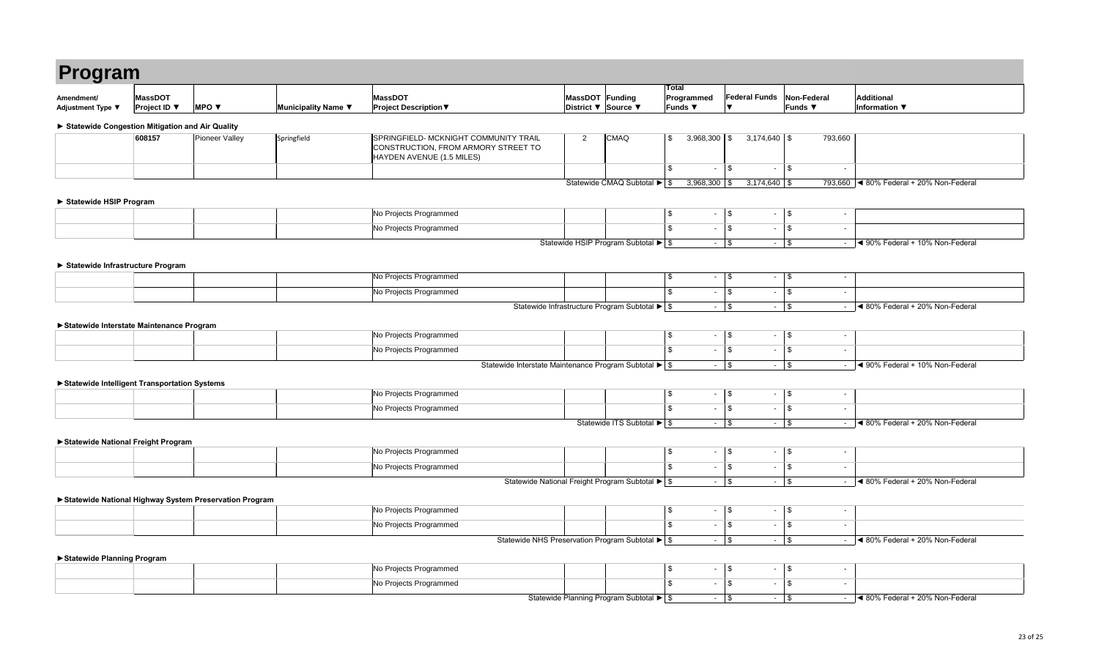| Program                                         |                                       |                                                        |                     |                                                                                                           |                                                                      |                              |                                              |                                         |                               |                                           |
|-------------------------------------------------|---------------------------------------|--------------------------------------------------------|---------------------|-----------------------------------------------------------------------------------------------------------|----------------------------------------------------------------------|------------------------------|----------------------------------------------|-----------------------------------------|-------------------------------|-------------------------------------------|
| Amendment/<br>Adjustment Type ▼                 | <b>MassDOT</b><br><b>Project ID</b> ▼ | <b>MPO</b> $\blacktriangledown$                        | Municipality Name ▼ | <b>MassDOT</b><br><b>Project Description ▼</b>                                                            | MassDOT Funding<br>District ▼ Source ▼                               |                              | <b>Total</b><br>Programmed<br><b>Funds</b> ▼ | <b>Federal Funds</b><br>▼               | Non-Federal<br><b>Funds ▼</b> | <b>Additional</b><br><b>Information ▼</b> |
| Statewide Congestion Mitigation and Air Quality |                                       |                                                        |                     |                                                                                                           |                                                                      |                              |                                              |                                         |                               |                                           |
|                                                 | 608157                                | Pioneer Valley                                         | Springfield         | SPRINGFIELD- MCKNIGHT COMMUNITY TRAIL<br>CONSTRUCTION, FROM ARMORY STREET TO<br>HAYDEN AVENUE (1.5 MILES) | $\overline{2}$                                                       | <b>CMAQ</b>                  | $\sqrt[6]{2}$<br>$3,968,300$ \$              | $3,174,640$ \ \$                        | 793,660                       |                                           |
|                                                 |                                       |                                                        |                     |                                                                                                           |                                                                      |                              | $\mathfrak{L}$<br>$\sim 100$                 | $\mathfrak s$                           | $-$ \$<br>$\sim$              |                                           |
|                                                 |                                       |                                                        |                     |                                                                                                           |                                                                      | Statewide CMAQ Subtotal ▶ \$ | $3,968,300$ \$                               | $3,174,640$ \$                          |                               | 793,660 < 80% Federal + 20% Non-Federal   |
| Statewide HSIP Program                          |                                       |                                                        |                     |                                                                                                           |                                                                      |                              |                                              |                                         |                               |                                           |
|                                                 |                                       |                                                        |                     | No Projects Programmed                                                                                    |                                                                      |                              | $\sqrt{3}$<br>$\sim$ 1                       | $\boldsymbol{\mathsf{\$}}$              | $\sim$                        |                                           |
|                                                 |                                       |                                                        |                     | No Projects Programmed                                                                                    |                                                                      |                              | $\mathfrak{L}$<br>$\blacksquare$             | $\frac{1}{2}$<br>$\sim$                 | $\sqrt{3}$                    |                                           |
|                                                 |                                       |                                                        |                     |                                                                                                           | Statewide HSIP Program Subtotal $\blacktriangleright$ \$             |                              | $\sim$ $\sim$                                | $\mathfrak s$                           | $-$ \$                        | $-$ 4 90% Federal + 10% Non-Federal       |
|                                                 |                                       |                                                        |                     |                                                                                                           |                                                                      |                              |                                              |                                         |                               |                                           |
| Statewide Infrastructure Program                |                                       |                                                        |                     | No Projects Programmed                                                                                    |                                                                      |                              | \$<br>$\sim 100$                             | $\boldsymbol{\mathsf{S}}$<br>$\sim$     | $\sqrt{3}$<br>$\sim$          |                                           |
|                                                 |                                       |                                                        |                     | No Projects Programmed                                                                                    |                                                                      |                              | \$<br>$\sim$                                 | $\frac{1}{2}$<br>$\sim$                 | $\sqrt{3}$<br>$\sim$          |                                           |
|                                                 |                                       |                                                        |                     |                                                                                                           | Statewide Infrastructure Program Subtotal ▶ \$                       |                              | $\sim$ $\sim$                                | $\mathfrak s$                           | $-$ \$<br>÷.                  | ◀ 80% Federal + 20% Non-Federal           |
|                                                 |                                       |                                                        |                     |                                                                                                           |                                                                      |                              |                                              |                                         |                               |                                           |
| Statewide Interstate Maintenance Program        |                                       |                                                        |                     | No Projects Programmed                                                                                    |                                                                      |                              | \$<br>$\sim$                                 | $\frac{1}{2}$<br>$\sim$                 | $\sqrt{3}$<br>$\sim$          |                                           |
|                                                 |                                       |                                                        |                     | No Projects Programmed                                                                                    |                                                                      |                              | \$<br>$\blacksquare$                         | $\frac{1}{2}$<br>$\sim$                 | $\sqrt{3}$<br>$\sim$          |                                           |
|                                                 |                                       |                                                        |                     |                                                                                                           | Statewide Interstate Maintenance Program Subtotal ▶   \$             |                              | $\sim$ $\sim$                                | $\mathfrak{S}$                          | $-$ \$<br>$\sim 100$          | ◀ 90% Federal + 10% Non-Federal           |
|                                                 |                                       |                                                        |                     |                                                                                                           |                                                                      |                              |                                              |                                         |                               |                                           |
| Statewide Intelligent Transportation Systems    |                                       |                                                        |                     | No Projects Programmed                                                                                    |                                                                      |                              | $\boldsymbol{\mathsf{\$}}$<br>$ -$           | $\boldsymbol{\mathsf{S}}$<br>$\sim$     | $\sqrt{3}$<br>$\sim$          |                                           |
|                                                 |                                       |                                                        |                     | No Projects Programmed                                                                                    |                                                                      |                              | \$<br>$\blacksquare$                         | $\mathfrak s$<br>$\sim$                 | $\sqrt{3}$<br>$\sim$          |                                           |
|                                                 |                                       |                                                        |                     |                                                                                                           |                                                                      | Statewide ITS Subtotal ▶ \$  |                                              | $-$ \$                                  | $-$ \$                        | $\sim$ 4 80% Federal + 20% Non-Federal    |
|                                                 |                                       |                                                        |                     |                                                                                                           |                                                                      |                              |                                              |                                         |                               |                                           |
| Statewide National Freight Program              |                                       |                                                        |                     | No Projects Programmed                                                                                    |                                                                      |                              | $\sqrt{3}$<br>$\sim$ 1                       | $\boldsymbol{\mathsf{\$}}$              | $-$ \$<br>$\blacksquare$      |                                           |
|                                                 |                                       |                                                        |                     | No Projects Programmed                                                                                    |                                                                      |                              | \$<br>$\sim$                                 | $\frac{1}{2}$<br>$\sim$                 | \$<br>$\blacksquare$          |                                           |
|                                                 |                                       |                                                        |                     |                                                                                                           | Statewide National Freight Program Subtotal ▶ \$                     |                              | $\sim$ $\sim$                                | $\frac{1}{2}$                           | $-$ \$                        | $\sim$ 4 80% Federal + 20% Non-Federal    |
|                                                 |                                       |                                                        |                     |                                                                                                           |                                                                      |                              |                                              |                                         |                               |                                           |
|                                                 |                                       | Statewide National Highway System Preservation Program |                     | No Projects Programmed                                                                                    |                                                                      |                              | $\sqrt[6]{2}$                                | $-$ \$<br>$\sim$                        | $\sqrt{3}$<br>$\blacksquare$  |                                           |
|                                                 |                                       |                                                        |                     | No Projects Programmed                                                                                    |                                                                      |                              | \$<br>$\sim$                                 | $\frac{1}{2}$<br>$\sim$ $-$             | $\vert$ \$<br>$\sim$          |                                           |
|                                                 |                                       |                                                        |                     |                                                                                                           | Statewide NHS Preservation Program Subtotal $\blacktriangleright$ \$ |                              | $\sim$ $\sim$                                | $\boldsymbol{\mathsf{S}}$               | $-$ \$<br>$\sim 100$          | $\leq 80\%$ Federal + 20% Non-Federal     |
|                                                 |                                       |                                                        |                     |                                                                                                           |                                                                      |                              |                                              |                                         |                               |                                           |
| Statewide Planning Program                      |                                       |                                                        |                     | No Projects Programmed                                                                                    |                                                                      |                              | $\sqrt{3}$<br>$\sim$ $\sim$                  | $\boldsymbol{\mathsf{S}}$<br>$\sim$ $-$ | $\sqrt{3}$<br>$\sim$          |                                           |
|                                                 |                                       |                                                        |                     | No Projects Programmed                                                                                    |                                                                      |                              | \$<br>$\sim$                                 | $\frac{1}{2}$<br>$\sim$                 | \$<br>$\sim$                  |                                           |
|                                                 |                                       |                                                        |                     |                                                                                                           | Statewide Planning Program Subtotal ▶ \$                             |                              | $\sim 100$                                   | $\boldsymbol{\mathsf{S}}$<br>$\sim$     | $\sqrt{3}$<br>$\sim$ .        | ◀ 80% Federal + 20% Non-Federal           |

|  |  |  | No Projects Programmed |  |  |  |
|--|--|--|------------------------|--|--|--|
|  |  |  | No Projects Programmed |  |  |  |
|  |  |  |                        |  |  |  |

|  | No Projects Programmed |  |
|--|------------------------|--|
|  | No Projects Programmed |  |

|  | ∣No<br>`Programmed<br>- 1200           |  |  |
|--|----------------------------------------|--|--|
|  | ∣No<br>. Droiootc<br>। Programmed<br>ີ |  |  |

|  | Projects Programmed (<br>TNG. |                          |
|--|-------------------------------|--------------------------|
|  | Projects Programmed<br>INO.   |                          |
|  | $\sim$ $\sim$                 | $\overline{\phantom{a}}$ |

|  |  | <b>No Projects</b><br>: Programmed<br>ು।১ -<br>1 V V<br>ັ |  |
|--|--|-----------------------------------------------------------|--|
|  |  | No Projects Programmed                                    |  |
|  |  |                                                           |  |

| No Projects Programmed                        |  |  |
|-----------------------------------------------|--|--|
| No Projects Programmed                        |  |  |
| Ctotowide MUC Dreasonstian Drearam Cubtatal L |  |  |

|  | No Projects Programmed                             |  |
|--|----------------------------------------------------|--|
|  | No Projects Programmed<br>$\overline{\phantom{a}}$ |  |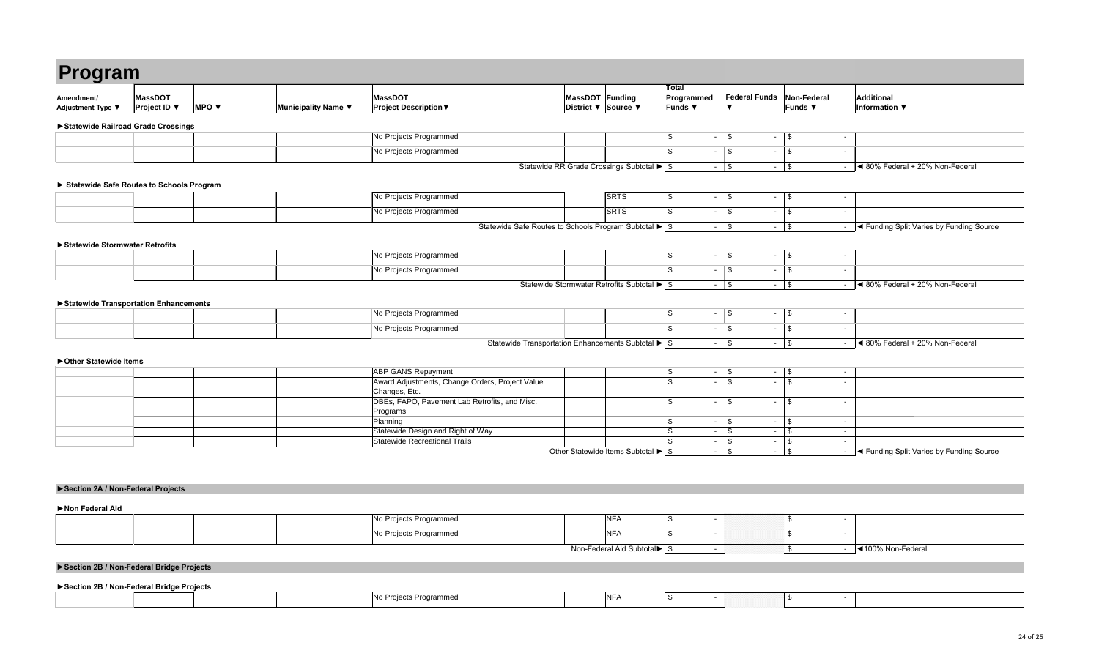|  | No.<br>↑ Projects Programmed | <b>SRTS</b> |  |  |  |
|--|------------------------------|-------------|--|--|--|
|  | No Projects Programmed       | <b>SRTS</b> |  |  |  |
|  |                              |             |  |  |  |

|  | No Projects Programmed |                    |   |  |  |  |
|--|------------------------|--------------------|---|--|--|--|
|  | No Projects Programmed |                    |   |  |  |  |
|  |                        | <u>— — назадзе</u> | . |  |  |  |

| Program                                |                                                          |                          |                     |                                                |                 |                     |                                            |                      |                               |        |
|----------------------------------------|----------------------------------------------------------|--------------------------|---------------------|------------------------------------------------|-----------------|---------------------|--------------------------------------------|----------------------|-------------------------------|--------|
| Amendment/<br><b>Adjustment Type ▼</b> | <b>MassDOT</b><br><b>Project ID</b> $\blacktriangledown$ | MPO $\blacktriangledown$ | Municipality Name ▼ | <b>MassDOT</b><br><b>Project Description ▼</b> | MassDOT Funding | District ▼ Source ▼ | <b>Total</b><br>Programmed<br><b>Funds</b> | <b>Federal Funds</b> | Non-Federal<br><b>Funds</b> ▼ |        |
| ▶ Statewide Railroad Grade Crossings   |                                                          |                          |                     |                                                |                 |                     |                                            |                      |                               |        |
|                                        |                                                          |                          |                     | No Projects Programmed                         |                 |                     |                                            | $\sim$               |                               |        |
|                                        |                                                          |                          |                     | No Projects Programmed                         |                 |                     | $\sim$                                     | $\sim$               | - 1                           | $\sim$ |

|  | No Projects Programmed |  |  |  |  |
|--|------------------------|--|--|--|--|
|  | No Projects Programmed |  |  |  |  |

|                                                                         | MassDOT Funding<br>District $\blacktriangledown$ | Source ▼                                                                  | <b>Total</b><br>Programmed<br><b>Funds ▼</b>                          | <b>Federal Funds</b><br>▼                    | Non-Federal<br><b>Funds ▼</b>                     | <b>Additional</b><br><b>Information</b> ▼                  |
|-------------------------------------------------------------------------|--------------------------------------------------|---------------------------------------------------------------------------|-----------------------------------------------------------------------|----------------------------------------------|---------------------------------------------------|------------------------------------------------------------|
|                                                                         |                                                  |                                                                           |                                                                       |                                              |                                                   |                                                            |
|                                                                         |                                                  |                                                                           |                                                                       |                                              |                                                   |                                                            |
|                                                                         |                                                  |                                                                           | \$<br>$\blacksquare$                                                  | \$<br>$\blacksquare$                         | \$                                                | $\blacksquare$                                             |
|                                                                         |                                                  |                                                                           | \$<br>$\blacksquare$                                                  | \$<br>$\blacksquare$                         | \$                                                | $\blacksquare$                                             |
|                                                                         |                                                  | Statewide RR Grade Crossings Subtotal $\blacktriangleright$ $\frac{1}{5}$ | $\blacksquare$                                                        | \$<br>$\blacksquare$                         | \$                                                | ◀ 80% Federal + 20% Non-Federal<br>$\sim$                  |
|                                                                         |                                                  |                                                                           |                                                                       |                                              |                                                   |                                                            |
|                                                                         |                                                  | SRTS                                                                      | \$<br>$\blacksquare$                                                  | \$<br>$\overline{\phantom{a}}$               | \$                                                | $\blacksquare$                                             |
|                                                                         |                                                  | <b>SRTS</b>                                                               | \$<br>$\blacksquare$                                                  | \$<br>$\blacksquare$                         | \$                                                | $\blacksquare$                                             |
| Statewide Safe Routes to Schools Program Subtotal ▶ St                  |                                                  |                                                                           | $\blacksquare$                                                        | \$<br>$\blacksquare$                         | \$                                                | ◀ Funding Split Varies by Funding Source<br>$\blacksquare$ |
|                                                                         |                                                  |                                                                           |                                                                       |                                              |                                                   |                                                            |
|                                                                         |                                                  |                                                                           |                                                                       |                                              |                                                   |                                                            |
|                                                                         |                                                  |                                                                           | $\, \, \raisebox{12pt}{$\scriptstyle \$}$<br>$\overline{\phantom{a}}$ | \$<br>$\blacksquare$                         | $\boldsymbol{\$}$                                 | $\blacksquare$                                             |
|                                                                         |                                                  |                                                                           | \$<br>$\blacksquare$                                                  | \$<br>$\blacksquare$                         | \$                                                | $\blacksquare$                                             |
|                                                                         |                                                  | Statewide Stormwater Retrofits Subtotal ▶ \$                              | $\overline{\phantom{a}}$                                              | \$<br>$\blacksquare$                         | \$                                                | ◀ 80% Federal + 20% Non-Federal<br>$\blacksquare$          |
|                                                                         |                                                  |                                                                           |                                                                       |                                              |                                                   |                                                            |
|                                                                         |                                                  |                                                                           | $\,$<br>$\blacksquare$                                                | \$<br>$\blacksquare$                         | \$                                                | $\blacksquare$                                             |
|                                                                         |                                                  |                                                                           | \$<br>$\blacksquare$                                                  | \$<br>$\sim$                                 | \$                                                | $\blacksquare$                                             |
| Statewide Transportation Enhancements Subtotal $\blacktriangleright$ \$ |                                                  |                                                                           | $\blacksquare$                                                        | $\boldsymbol{\mathsf{\$}}$<br>$\blacksquare$ | \$                                                | ◀ 80% Federal + 20% Non-Federal<br>$\sim$                  |
|                                                                         |                                                  |                                                                           |                                                                       |                                              |                                                   |                                                            |
|                                                                         |                                                  |                                                                           | \$<br>$\blacksquare$                                                  | \$                                           | \$                                                | $\blacksquare$                                             |
| ders, Project Value                                                     |                                                  |                                                                           | \$<br>$\blacksquare$                                                  | \$<br>$\blacksquare$                         | \$                                                | $\sim$                                                     |
|                                                                         |                                                  |                                                                           |                                                                       |                                              |                                                   |                                                            |
| etrofits, and Misc.                                                     |                                                  |                                                                           | \$<br>$\qquad \qquad \blacksquare$                                    | \$<br>$\overline{\phantom{a}}$               | \$                                                | $\blacksquare$                                             |
|                                                                         |                                                  |                                                                           | \$<br>$\blacksquare$                                                  | \$<br>$\blacksquare$                         | \$                                                | $\blacksquare$                                             |
| Nay                                                                     |                                                  |                                                                           | \$<br>$\blacksquare$                                                  | \$<br>$\sim$                                 | \$                                                | $\blacksquare$                                             |
|                                                                         |                                                  |                                                                           | \$<br>$\blacksquare$                                                  | \$<br>$\sim$                                 | \$                                                | $\blacksquare$                                             |
|                                                                         |                                                  | Other Statewide Items Subtotal $\blacktriangleright$ \$                   | $\overline{\phantom{0}}$                                              | \$<br>$\sim$                                 | \$                                                | ◀ Funding Split Varies by Funding Source<br>$\sim$         |
|                                                                         |                                                  |                                                                           |                                                                       |                                              |                                                   |                                                            |
|                                                                         |                                                  |                                                                           |                                                                       |                                              |                                                   |                                                            |
|                                                                         |                                                  |                                                                           |                                                                       |                                              |                                                   |                                                            |
|                                                                         |                                                  |                                                                           |                                                                       |                                              |                                                   |                                                            |
|                                                                         |                                                  | <b>NFA</b>                                                                | \$<br>$\overline{\phantom{a}}$                                        |                                              | \$                                                | $\sim$                                                     |
|                                                                         |                                                  | <b>NFA</b>                                                                | \$<br>$\qquad \qquad \blacksquare$                                    |                                              | \$                                                | $\blacksquare$                                             |
|                                                                         |                                                  |                                                                           |                                                                       |                                              |                                                   |                                                            |
|                                                                         |                                                  | Non-Federal Aid Subtotal $\blacktriangleright$ $\mid$ \$                  | $\blacksquare$                                                        |                                              | $\, \, \raisebox{-1.5pt}{\text{\circle*{1.5}}}\,$ | ◀100% Non-Federal<br>$\blacksquare$                        |

| <b>ABP GANS Repayment</b>                       |  | $\overline{\phantom{0}}$ |  |
|-------------------------------------------------|--|--------------------------|--|
| Award Adjustments, Change Orders, Project Value |  | $\overline{\phantom{0}}$ |  |
| Changes, Etc.                                   |  |                          |  |
| DBEs, FAPO, Pavement Lab Retrofits, and Misc.   |  | $\overline{\phantom{0}}$ |  |
| Programs                                        |  |                          |  |
| Planning                                        |  |                          |  |
| Statewide Design and Right of Way               |  |                          |  |
| Statewide Recreational Trails                   |  | $\overline{\phantom{a}}$ |  |
|                                                 |  |                          |  |

|  | No Projects Programmed | $N_{\rm F}$                  |  |
|--|------------------------|------------------------------|--|
|  | No Projects Programmed | $N_{\rm F}$                  |  |
|  |                        | Non Foderal Aid Cubtatal N C |  |

|  |  | rammer<br>$\mathbf{u} \cdot \mathbf{v}$ | ה וצו |  |  |
|--|--|-----------------------------------------|-------|--|--|
|--|--|-----------------------------------------|-------|--|--|

### **► Statewide Safe Routes to Schools Program**

### **►Statewide Transportation Enhancements**

### **►Statewide Stormwater Retrofits**

### **►Other Statewide Items**

**►Non Federal Aid**

### **►Section 2B / Non-Federal Bridge Projects**

### **►Section 2A / Non-Federal Projects**

### **►Section 2B / Non-Federal Bridge Projects**